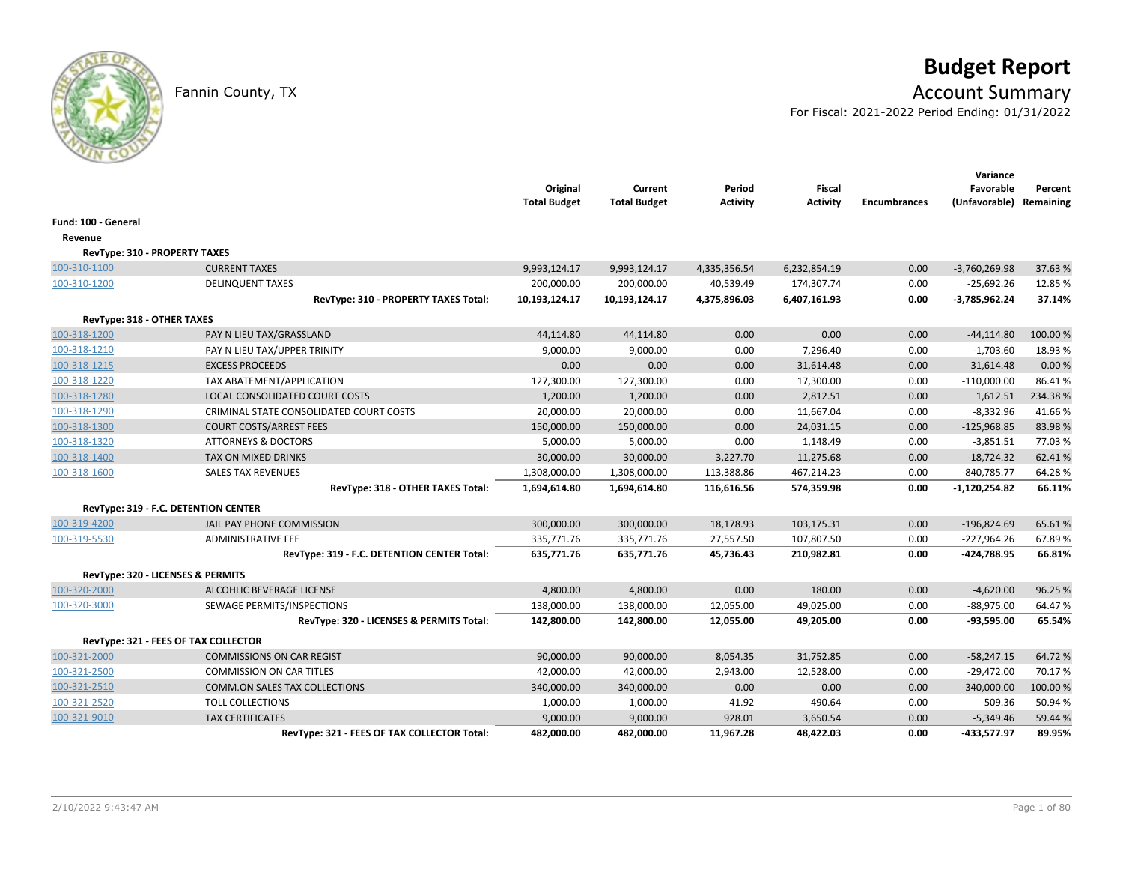# **Budget Report**

## Fannin County, TX **Account Summary**

For Fiscal: 2021-2022 Period Ending: 01/31/2022

|                                      |                                             | Original<br><b>Total Budget</b> | Current<br><b>Total Budget</b> | Period<br><b>Activity</b> | <b>Fiscal</b><br><b>Activity</b> | <b>Encumbrances</b> | Variance<br>Favorable<br>(Unfavorable) Remaining | Percent  |
|--------------------------------------|---------------------------------------------|---------------------------------|--------------------------------|---------------------------|----------------------------------|---------------------|--------------------------------------------------|----------|
| Fund: 100 - General                  |                                             |                                 |                                |                           |                                  |                     |                                                  |          |
| Revenue                              |                                             |                                 |                                |                           |                                  |                     |                                                  |          |
| <b>RevType: 310 - PROPERTY TAXES</b> |                                             |                                 |                                |                           |                                  |                     |                                                  |          |
| 100-310-1100                         | <b>CURRENT TAXES</b>                        | 9,993,124.17                    | 9,993,124.17                   | 4,335,356.54              | 6,232,854.19                     | 0.00                | $-3,760,269.98$                                  | 37.63%   |
| 100-310-1200                         | <b>DELINQUENT TAXES</b>                     | 200,000.00                      | 200,000.00                     | 40,539.49                 | 174,307.74                       | 0.00                | $-25,692.26$                                     | 12.85%   |
|                                      | RevType: 310 - PROPERTY TAXES Total:        | 10,193,124.17                   | 10,193,124.17                  | 4,375,896.03              | 6,407,161.93                     | 0.00                | $-3,785,962.24$                                  | 37.14%   |
| RevType: 318 - OTHER TAXES           |                                             |                                 |                                |                           |                                  |                     |                                                  |          |
| 100-318-1200                         | PAY N LIEU TAX/GRASSLAND                    | 44,114.80                       | 44,114.80                      | 0.00                      | 0.00                             | 0.00                | $-44, 114.80$                                    | 100.00%  |
| 100-318-1210                         | PAY N LIEU TAX/UPPER TRINITY                | 9,000.00                        | 9,000.00                       | 0.00                      | 7,296.40                         | 0.00                | $-1,703.60$                                      | 18.93%   |
| 100-318-1215                         | <b>EXCESS PROCEEDS</b>                      | 0.00                            | 0.00                           | 0.00                      | 31,614.48                        | 0.00                | 31,614.48                                        | 0.00%    |
| 100-318-1220                         | TAX ABATEMENT/APPLICATION                   | 127,300.00                      | 127,300.00                     | 0.00                      | 17,300.00                        | 0.00                | $-110,000.00$                                    | 86.41%   |
| 100-318-1280                         | LOCAL CONSOLIDATED COURT COSTS              | 1,200.00                        | 1,200.00                       | 0.00                      | 2,812.51                         | 0.00                | 1,612.51                                         | 234.38%  |
| 100-318-1290                         | CRIMINAL STATE CONSOLIDATED COURT COSTS     | 20,000.00                       | 20,000.00                      | 0.00                      | 11,667.04                        | 0.00                | $-8,332.96$                                      | 41.66%   |
| 100-318-1300                         | <b>COURT COSTS/ARREST FEES</b>              | 150,000.00                      | 150,000.00                     | 0.00                      | 24,031.15                        | 0.00                | $-125,968.85$                                    | 83.98%   |
| 100-318-1320                         | <b>ATTORNEYS &amp; DOCTORS</b>              | 5,000.00                        | 5,000.00                       | 0.00                      | 1,148.49                         | 0.00                | $-3,851.51$                                      | 77.03%   |
| 100-318-1400                         | <b>TAX ON MIXED DRINKS</b>                  | 30,000.00                       | 30,000.00                      | 3,227.70                  | 11,275.68                        | 0.00                | $-18,724.32$                                     | 62.41%   |
| 100-318-1600                         | <b>SALES TAX REVENUES</b>                   | 1,308,000.00                    | 1,308,000.00                   | 113,388.86                | 467,214.23                       | 0.00                | $-840,785.77$                                    | 64.28%   |
|                                      | RevType: 318 - OTHER TAXES Total:           | 1,694,614.80                    | 1,694,614.80                   | 116,616.56                | 574,359.98                       | 0.00                | $-1,120,254.82$                                  | 66.11%   |
|                                      | RevType: 319 - F.C. DETENTION CENTER        |                                 |                                |                           |                                  |                     |                                                  |          |
| 100-319-4200                         | JAIL PAY PHONE COMMISSION                   | 300,000.00                      | 300,000.00                     | 18,178.93                 | 103,175.31                       | 0.00                | $-196,824.69$                                    | 65.61%   |
| 100-319-5530                         | <b>ADMINISTRATIVE FEE</b>                   | 335,771.76                      | 335,771.76                     | 27,557.50                 | 107,807.50                       | 0.00                | $-227,964.26$                                    | 67.89%   |
|                                      | RevType: 319 - F.C. DETENTION CENTER Total: | 635,771.76                      | 635,771.76                     | 45,736.43                 | 210,982.81                       | 0.00                | -424,788.95                                      | 66.81%   |
|                                      | RevType: 320 - LICENSES & PERMITS           |                                 |                                |                           |                                  |                     |                                                  |          |
| 100-320-2000                         | ALCOHLIC BEVERAGE LICENSE                   | 4,800.00                        | 4,800.00                       | 0.00                      | 180.00                           | 0.00                | $-4,620.00$                                      | 96.25%   |
| 100-320-3000                         | SEWAGE PERMITS/INSPECTIONS                  | 138,000.00                      | 138,000.00                     | 12,055.00                 | 49,025.00                        | 0.00                | $-88,975.00$                                     | 64.47%   |
|                                      | RevType: 320 - LICENSES & PERMITS Total:    | 142,800.00                      | 142,800.00                     | 12,055.00                 | 49,205.00                        | 0.00                | $-93,595.00$                                     | 65.54%   |
|                                      | RevType: 321 - FEES OF TAX COLLECTOR        |                                 |                                |                           |                                  |                     |                                                  |          |
| 100-321-2000                         | <b>COMMISSIONS ON CAR REGIST</b>            | 90,000.00                       | 90,000.00                      | 8,054.35                  | 31,752.85                        | 0.00                | $-58,247.15$                                     | 64.72%   |
| 100-321-2500                         | <b>COMMISSION ON CAR TITLES</b>             | 42,000.00                       | 42,000.00                      | 2,943.00                  | 12,528.00                        | 0.00                | $-29,472.00$                                     | 70.17%   |
| 100-321-2510                         | <b>COMM.ON SALES TAX COLLECTIONS</b>        | 340,000.00                      | 340,000.00                     | 0.00                      | 0.00                             | 0.00                | $-340,000.00$                                    | 100.00 % |
| 100-321-2520                         | <b>TOLL COLLECTIONS</b>                     | 1,000.00                        | 1,000.00                       | 41.92                     | 490.64                           | 0.00                | $-509.36$                                        | 50.94 %  |
| 100-321-9010                         | <b>TAX CERTIFICATES</b>                     | 9,000.00                        | 9,000.00                       | 928.01                    | 3,650.54                         | 0.00                | $-5,349.46$                                      | 59.44 %  |
|                                      | RevType: 321 - FEES OF TAX COLLECTOR Total: | 482,000.00                      | 482,000.00                     | 11,967.28                 | 48,422.03                        | 0.00                | -433,577.97                                      | 89.95%   |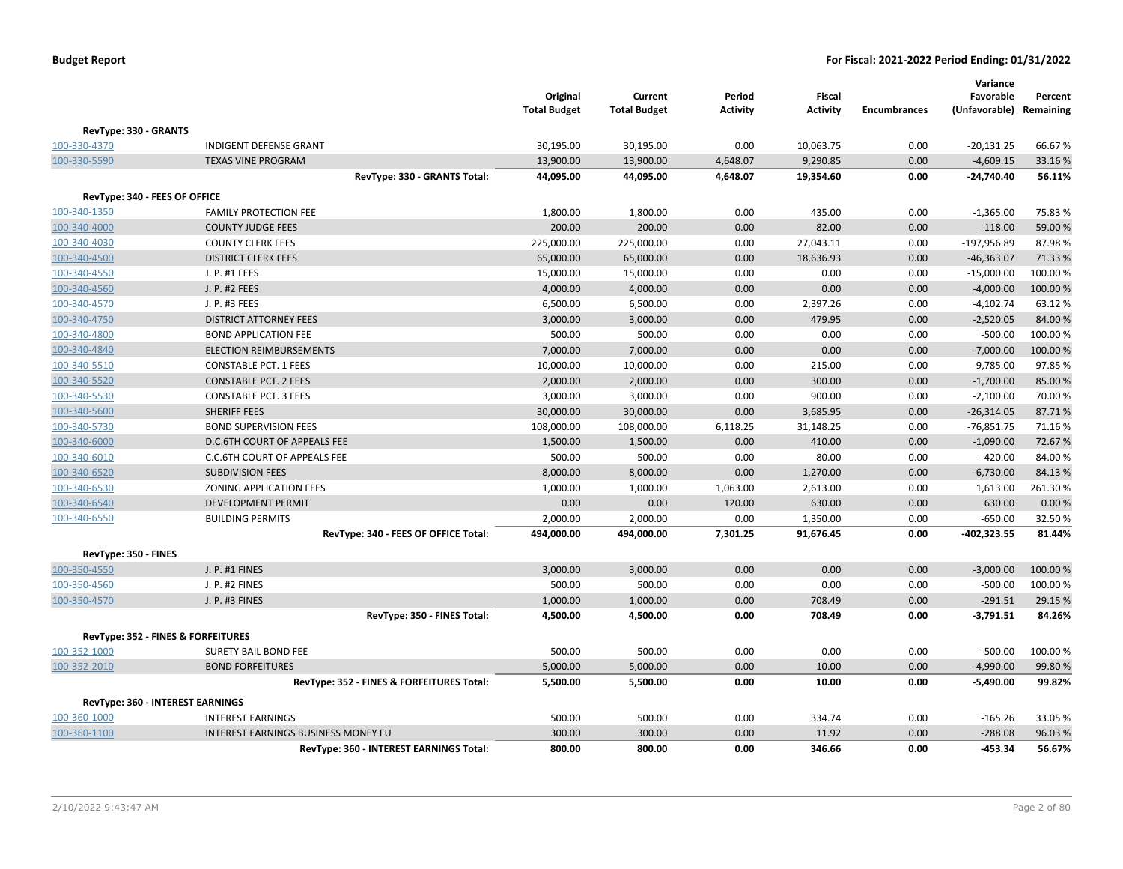|                               |                                            | Original<br><b>Total Budget</b> | Current<br><b>Total Budget</b> | Period<br><b>Activity</b> | <b>Fiscal</b><br><b>Activity</b> | <b>Encumbrances</b> | Variance<br>Favorable<br>(Unfavorable) Remaining | Percent  |
|-------------------------------|--------------------------------------------|---------------------------------|--------------------------------|---------------------------|----------------------------------|---------------------|--------------------------------------------------|----------|
| RevType: 330 - GRANTS         |                                            |                                 |                                |                           |                                  |                     |                                                  |          |
| 100-330-4370                  | <b>INDIGENT DEFENSE GRANT</b>              | 30,195.00                       | 30,195.00                      | 0.00                      | 10,063.75                        | 0.00                | $-20,131.25$                                     | 66.67%   |
| 100-330-5590                  | <b>TEXAS VINE PROGRAM</b>                  | 13,900.00                       | 13,900.00                      | 4,648.07                  | 9,290.85                         | 0.00                | $-4,609.15$                                      | 33.16%   |
|                               | RevType: 330 - GRANTS Total:               | 44,095.00                       | 44,095.00                      | 4,648.07                  | 19,354.60                        | 0.00                | $-24,740.40$                                     | 56.11%   |
| RevType: 340 - FEES OF OFFICE |                                            |                                 |                                |                           |                                  |                     |                                                  |          |
| 100-340-1350                  | <b>FAMILY PROTECTION FEE</b>               | 1,800.00                        | 1,800.00                       | 0.00                      | 435.00                           | 0.00                | $-1,365.00$                                      | 75.83%   |
| 100-340-4000                  | <b>COUNTY JUDGE FEES</b>                   | 200.00                          | 200.00                         | 0.00                      | 82.00                            | 0.00                | $-118.00$                                        | 59.00 %  |
| 100-340-4030                  | <b>COUNTY CLERK FEES</b>                   | 225,000.00                      | 225,000.00                     | 0.00                      | 27,043.11                        | 0.00                | -197,956.89                                      | 87.98%   |
| 100-340-4500                  | <b>DISTRICT CLERK FEES</b>                 | 65,000.00                       | 65,000.00                      | 0.00                      | 18,636.93                        | 0.00                | $-46,363.07$                                     | 71.33 %  |
| 100-340-4550                  | J. P. #1 FEES                              | 15,000.00                       | 15,000.00                      | 0.00                      | 0.00                             | 0.00                | $-15,000.00$                                     | 100.00%  |
| 100-340-4560                  | J. P. #2 FEES                              | 4,000.00                        | 4,000.00                       | 0.00                      | 0.00                             | 0.00                | $-4,000.00$                                      | 100.00%  |
| 100-340-4570                  | J. P. #3 FEES                              | 6,500.00                        | 6,500.00                       | 0.00                      | 2,397.26                         | 0.00                | $-4,102.74$                                      | 63.12%   |
| 100-340-4750                  | <b>DISTRICT ATTORNEY FEES</b>              | 3,000.00                        | 3,000.00                       | 0.00                      | 479.95                           | 0.00                | $-2,520.05$                                      | 84.00%   |
| 100-340-4800                  | <b>BOND APPLICATION FEE</b>                | 500.00                          | 500.00                         | 0.00                      | 0.00                             | 0.00                | $-500.00$                                        | 100.00 % |
| 100-340-4840                  | <b>ELECTION REIMBURSEMENTS</b>             | 7,000.00                        | 7,000.00                       | 0.00                      | 0.00                             | 0.00                | $-7,000.00$                                      | 100.00%  |
| 100-340-5510                  | <b>CONSTABLE PCT. 1 FEES</b>               | 10,000.00                       | 10,000.00                      | 0.00                      | 215.00                           | 0.00                | $-9,785.00$                                      | 97.85%   |
| 100-340-5520                  | <b>CONSTABLE PCT. 2 FEES</b>               | 2,000.00                        | 2,000.00                       | 0.00                      | 300.00                           | 0.00                | $-1,700.00$                                      | 85.00 %  |
| 100-340-5530                  | <b>CONSTABLE PCT. 3 FEES</b>               | 3,000.00                        | 3,000.00                       | 0.00                      | 900.00                           | 0.00                | $-2,100.00$                                      | 70.00 %  |
| 100-340-5600                  | SHERIFF FEES                               | 30,000.00                       | 30,000.00                      | 0.00                      | 3,685.95                         | 0.00                | $-26,314.05$                                     | 87.71%   |
| 100-340-5730                  | <b>BOND SUPERVISION FEES</b>               | 108,000.00                      | 108,000.00                     | 6,118.25                  | 31,148.25                        | 0.00                | $-76,851.75$                                     | 71.16%   |
| 100-340-6000                  | D.C.6TH COURT OF APPEALS FEE               | 1,500.00                        | 1,500.00                       | 0.00                      | 410.00                           | 0.00                | $-1,090.00$                                      | 72.67%   |
| 100-340-6010                  | C.C.6TH COURT OF APPEALS FEE               | 500.00                          | 500.00                         | 0.00                      | 80.00                            | 0.00                | $-420.00$                                        | 84.00%   |
| 100-340-6520                  | <b>SUBDIVISION FEES</b>                    | 8,000.00                        | 8,000.00                       | 0.00                      | 1,270.00                         | 0.00                | $-6,730.00$                                      | 84.13%   |
| 100-340-6530                  | ZONING APPLICATION FEES                    | 1,000.00                        | 1,000.00                       | 1,063.00                  | 2,613.00                         | 0.00                | 1,613.00                                         | 261.30%  |
| 100-340-6540                  | <b>DEVELOPMENT PERMIT</b>                  | 0.00                            | 0.00                           | 120.00                    | 630.00                           | 0.00                | 630.00                                           | 0.00%    |
| 100-340-6550                  | <b>BUILDING PERMITS</b>                    | 2,000.00                        | 2,000.00                       | 0.00                      | 1,350.00                         | 0.00                | $-650.00$                                        | 32.50%   |
|                               | RevType: 340 - FEES OF OFFICE Total:       | 494,000.00                      | 494,000.00                     | 7,301.25                  | 91,676.45                        | 0.00                | $-402,323.55$                                    | 81.44%   |
| RevType: 350 - FINES          |                                            |                                 |                                |                           |                                  |                     |                                                  |          |
| 100-350-4550                  | J. P. #1 FINES                             | 3,000.00                        | 3,000.00                       | 0.00                      | 0.00                             | 0.00                | $-3,000.00$                                      | 100.00%  |
| 100-350-4560                  | J. P. #2 FINES                             | 500.00                          | 500.00                         | 0.00                      | 0.00                             | 0.00                | $-500.00$                                        | 100.00%  |
| 100-350-4570                  | J. P. #3 FINES                             | 1,000.00                        | 1,000.00                       | 0.00                      | 708.49                           | 0.00                | $-291.51$                                        | 29.15 %  |
|                               | RevType: 350 - FINES Total:                | 4,500.00                        | 4,500.00                       | 0.00                      | 708.49                           | 0.00                | $-3,791.51$                                      | 84.26%   |
|                               | RevType: 352 - FINES & FORFEITURES         |                                 |                                |                           |                                  |                     |                                                  |          |
| 100-352-1000                  | SURETY BAIL BOND FEE                       | 500.00                          | 500.00                         | 0.00                      | 0.00                             | 0.00                | $-500.00$                                        | 100.00 % |
| 100-352-2010                  | <b>BOND FORFEITURES</b>                    | 5,000.00                        | 5,000.00                       | 0.00                      | 10.00                            | 0.00                | $-4,990.00$                                      | 99.80%   |
|                               | RevType: 352 - FINES & FORFEITURES Total:  | 5,500.00                        | 5,500.00                       | 0.00                      | 10.00                            | 0.00                | $-5,490.00$                                      | 99.82%   |
|                               |                                            |                                 |                                |                           |                                  |                     |                                                  |          |
|                               | RevType: 360 - INTEREST EARNINGS           |                                 |                                |                           |                                  |                     |                                                  |          |
| 100-360-1000                  | <b>INTEREST EARNINGS</b>                   | 500.00                          | 500.00                         | 0.00                      | 334.74                           | 0.00                | $-165.26$                                        | 33.05 %  |
| 100-360-1100                  | <b>INTEREST EARNINGS BUSINESS MONEY FU</b> | 300.00                          | 300.00                         | 0.00                      | 11.92                            | 0.00                | $-288.08$                                        | 96.03%   |
|                               | RevType: 360 - INTEREST EARNINGS Total:    | 800.00                          | 800.00                         | 0.00                      | 346.66                           | 0.00                | $-453.34$                                        | 56.67%   |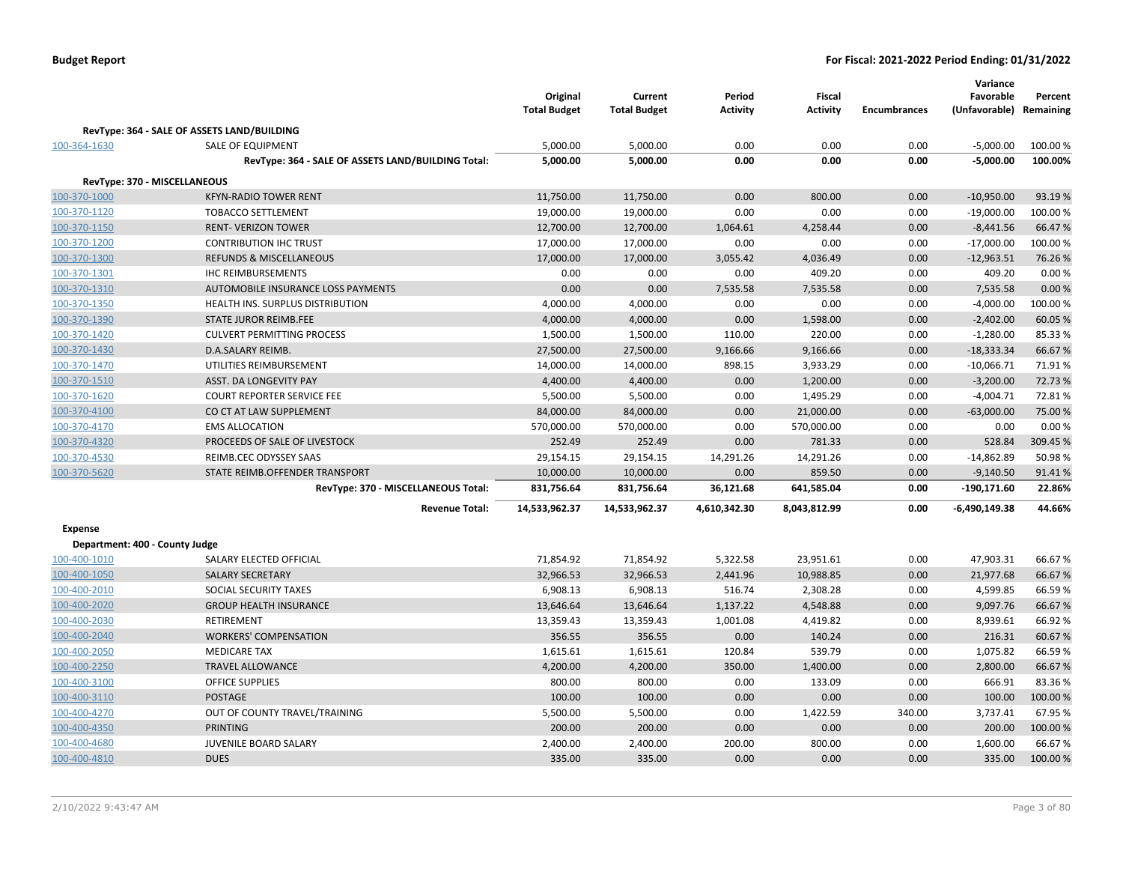|                                |                                                    | Original<br><b>Total Budget</b> | Current<br><b>Total Budget</b> | Period<br><b>Activity</b> | Fiscal<br><b>Activity</b> | <b>Encumbrances</b> | Variance<br>Favorable<br>(Unfavorable) Remaining | Percent  |
|--------------------------------|----------------------------------------------------|---------------------------------|--------------------------------|---------------------------|---------------------------|---------------------|--------------------------------------------------|----------|
|                                | RevType: 364 - SALE OF ASSETS LAND/BUILDING        |                                 |                                |                           |                           |                     |                                                  |          |
| 100-364-1630                   | <b>SALE OF EQUIPMENT</b>                           | 5,000.00                        | 5,000.00                       | 0.00                      | 0.00                      | 0.00                | $-5,000.00$                                      | 100.00 % |
|                                | RevType: 364 - SALE OF ASSETS LAND/BUILDING Total: | 5,000.00                        | 5,000.00                       | 0.00                      | 0.00                      | 0.00                | $-5,000.00$                                      | 100.00%  |
|                                |                                                    |                                 |                                |                           |                           |                     |                                                  |          |
| RevType: 370 - MISCELLANEOUS   |                                                    |                                 |                                |                           |                           |                     |                                                  |          |
| 100-370-1000                   | <b>KFYN-RADIO TOWER RENT</b>                       | 11,750.00                       | 11,750.00                      | 0.00                      | 800.00                    | 0.00                | $-10,950.00$                                     | 93.19%   |
| 100-370-1120                   | <b>TOBACCO SETTLEMENT</b>                          | 19,000.00                       | 19,000.00                      | 0.00                      | 0.00                      | 0.00                | $-19,000.00$                                     | 100.00%  |
| 100-370-1150                   | <b>RENT- VERIZON TOWER</b>                         | 12,700.00                       | 12,700.00                      | 1,064.61                  | 4,258.44                  | 0.00                | $-8,441.56$                                      | 66.47%   |
| 100-370-1200                   | <b>CONTRIBUTION IHC TRUST</b>                      | 17,000.00                       | 17,000.00                      | 0.00                      | 0.00                      | 0.00                | $-17,000.00$                                     | 100.00%  |
| 100-370-1300                   | <b>REFUNDS &amp; MISCELLANEOUS</b>                 | 17,000.00                       | 17,000.00                      | 3,055.42                  | 4,036.49                  | 0.00                | $-12,963.51$                                     | 76.26%   |
| 100-370-1301                   | <b>IHC REIMBURSEMENTS</b>                          | 0.00                            | 0.00                           | 0.00                      | 409.20                    | 0.00                | 409.20                                           | 0.00%    |
| 100-370-1310                   | AUTOMOBILE INSURANCE LOSS PAYMENTS                 | 0.00                            | 0.00                           | 7,535.58                  | 7,535.58                  | 0.00                | 7,535.58                                         | 0.00%    |
| 100-370-1350                   | HEALTH INS. SURPLUS DISTRIBUTION                   | 4,000.00                        | 4,000.00                       | 0.00                      | 0.00                      | 0.00                | $-4,000.00$                                      | 100.00%  |
| 100-370-1390                   | <b>STATE JUROR REIMB.FEE</b>                       | 4,000.00                        | 4,000.00                       | 0.00                      | 1,598.00                  | 0.00                | $-2,402.00$                                      | 60.05 %  |
| 100-370-1420                   | <b>CULVERT PERMITTING PROCESS</b>                  | 1,500.00                        | 1,500.00                       | 110.00                    | 220.00                    | 0.00                | $-1,280.00$                                      | 85.33 %  |
| 100-370-1430                   | D.A.SALARY REIMB.                                  | 27,500.00                       | 27,500.00                      | 9,166.66                  | 9,166.66                  | 0.00                | $-18,333.34$                                     | 66.67%   |
| 100-370-1470                   | UTILITIES REIMBURSEMENT                            | 14,000.00                       | 14,000.00                      | 898.15                    | 3,933.29                  | 0.00                | $-10,066.71$                                     | 71.91%   |
| 100-370-1510                   | ASST. DA LONGEVITY PAY                             | 4,400.00                        | 4,400.00                       | 0.00                      | 1,200.00                  | 0.00                | $-3,200.00$                                      | 72.73 %  |
| 100-370-1620                   | <b>COURT REPORTER SERVICE FEE</b>                  | 5,500.00                        | 5,500.00                       | 0.00                      | 1,495.29                  | 0.00                | $-4,004.71$                                      | 72.81%   |
| 100-370-4100                   | CO CT AT LAW SUPPLEMENT                            | 84,000.00                       | 84,000.00                      | 0.00                      | 21,000.00                 | 0.00                | $-63,000.00$                                     | 75.00 %  |
| 100-370-4170                   | <b>EMS ALLOCATION</b>                              | 570,000.00                      | 570,000.00                     | 0.00                      | 570,000.00                | 0.00                | 0.00                                             | 0.00%    |
| 100-370-4320                   | PROCEEDS OF SALE OF LIVESTOCK                      | 252.49                          | 252.49                         | 0.00                      | 781.33                    | 0.00                | 528.84                                           | 309.45 % |
| 100-370-4530                   | REIMB.CEC ODYSSEY SAAS                             | 29,154.15                       | 29,154.15                      | 14,291.26                 | 14,291.26                 | 0.00                | $-14,862.89$                                     | 50.98%   |
| 100-370-5620                   | STATE REIMB.OFFENDER TRANSPORT                     | 10,000.00                       | 10,000.00                      | 0.00                      | 859.50                    | 0.00                | $-9,140.50$                                      | 91.41%   |
|                                | RevType: 370 - MISCELLANEOUS Total:                | 831,756.64                      | 831,756.64                     | 36,121.68                 | 641,585.04                | 0.00                | $-190,171.60$                                    | 22.86%   |
|                                | <b>Revenue Total:</b>                              | 14,533,962.37                   | 14,533,962.37                  | 4,610,342.30              | 8,043,812.99              | 0.00                | -6,490,149.38                                    | 44.66%   |
| <b>Expense</b>                 |                                                    |                                 |                                |                           |                           |                     |                                                  |          |
| Department: 400 - County Judge |                                                    |                                 |                                |                           |                           |                     |                                                  |          |
| 100-400-1010                   | SALARY ELECTED OFFICIAL                            | 71,854.92                       | 71,854.92                      | 5,322.58                  | 23,951.61                 | 0.00                | 47,903.31                                        | 66.67%   |
| 100-400-1050                   | <b>SALARY SECRETARY</b>                            | 32,966.53                       | 32,966.53                      | 2,441.96                  | 10,988.85                 | 0.00                | 21,977.68                                        | 66.67%   |
| 100-400-2010                   | SOCIAL SECURITY TAXES                              | 6,908.13                        | 6,908.13                       | 516.74                    | 2,308.28                  | 0.00                | 4,599.85                                         | 66.59%   |
| 100-400-2020                   | <b>GROUP HEALTH INSURANCE</b>                      | 13,646.64                       | 13,646.64                      | 1,137.22                  | 4,548.88                  | 0.00                | 9,097.76                                         | 66.67%   |
| 100-400-2030                   | <b>RETIREMENT</b>                                  | 13,359.43                       | 13,359.43                      | 1,001.08                  | 4,419.82                  | 0.00                | 8,939.61                                         | 66.92%   |
| 100-400-2040                   | <b>WORKERS' COMPENSATION</b>                       | 356.55                          | 356.55                         | 0.00                      | 140.24                    | 0.00                | 216.31                                           | 60.67%   |
| 100-400-2050                   | <b>MEDICARE TAX</b>                                | 1,615.61                        | 1,615.61                       | 120.84                    | 539.79                    | 0.00                | 1,075.82                                         | 66.59%   |
| 100-400-2250                   | <b>TRAVEL ALLOWANCE</b>                            | 4,200.00                        | 4,200.00                       | 350.00                    | 1,400.00                  | 0.00                | 2,800.00                                         | 66.67%   |
| 100-400-3100                   | <b>OFFICE SUPPLIES</b>                             | 800.00                          | 800.00                         | 0.00                      | 133.09                    | 0.00                | 666.91                                           | 83.36%   |
| 100-400-3110                   | <b>POSTAGE</b>                                     | 100.00                          | 100.00                         | 0.00                      | 0.00                      | 0.00                | 100.00                                           | 100.00%  |
| 100-400-4270                   | OUT OF COUNTY TRAVEL/TRAINING                      | 5,500.00                        | 5,500.00                       | 0.00                      | 1,422.59                  | 340.00              | 3,737.41                                         | 67.95%   |
| 100-400-4350                   | <b>PRINTING</b>                                    | 200.00                          | 200.00                         | 0.00                      | 0.00                      | 0.00                | 200.00                                           | 100.00%  |
| 100-400-4680                   | <b>JUVENILE BOARD SALARY</b>                       | 2,400.00                        | 2,400.00                       | 200.00                    | 800.00                    | 0.00                | 1,600.00                                         | 66.67%   |
| 100-400-4810                   | <b>DUES</b>                                        | 335.00                          | 335.00                         | 0.00                      | 0.00                      | 0.00                | 335.00                                           | 100.00 % |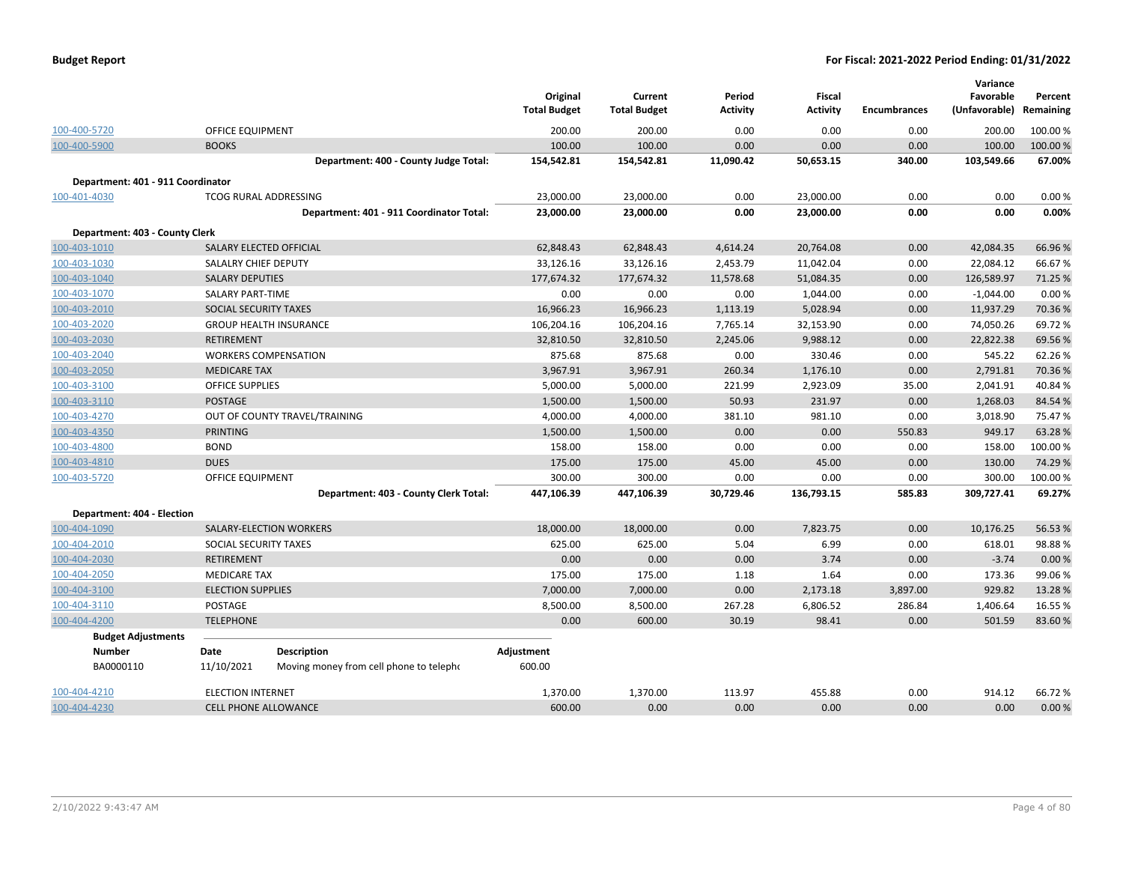|  |  |  | <b>Budget Report</b> |
|--|--|--|----------------------|
|--|--|--|----------------------|

|                                   |                          |                                          | Original<br><b>Total Budget</b> | Current<br><b>Total Budget</b> | Period<br><b>Activity</b> | <b>Fiscal</b><br><b>Activity</b> | <b>Encumbrances</b> | Variance<br>Favorable<br>(Unfavorable) | Percent<br>Remaining |
|-----------------------------------|--------------------------|------------------------------------------|---------------------------------|--------------------------------|---------------------------|----------------------------------|---------------------|----------------------------------------|----------------------|
| 100-400-5720                      | <b>OFFICE EQUIPMENT</b>  |                                          | 200.00                          | 200.00                         | 0.00                      | 0.00                             | 0.00                | 200.00                                 | 100.00%              |
| 100-400-5900                      | <b>BOOKS</b>             |                                          | 100.00                          | 100.00                         | 0.00                      | 0.00                             | 0.00                | 100.00                                 | 100.00 %             |
|                                   |                          | Department: 400 - County Judge Total:    | 154,542.81                      | 154,542.81                     | 11,090.42                 | 50,653.15                        | 340.00              | 103,549.66                             | 67.00%               |
| Department: 401 - 911 Coordinator |                          |                                          |                                 |                                |                           |                                  |                     |                                        |                      |
| 100-401-4030                      |                          | <b>TCOG RURAL ADDRESSING</b>             | 23,000.00                       | 23,000.00                      | 0.00                      | 23,000.00                        | 0.00                | 0.00                                   | 0.00%                |
|                                   |                          | Department: 401 - 911 Coordinator Total: | 23,000.00                       | 23,000.00                      | 0.00                      | 23,000.00                        | 0.00                | 0.00                                   | 0.00%                |
| Department: 403 - County Clerk    |                          |                                          |                                 |                                |                           |                                  |                     |                                        |                      |
| 100-403-1010                      |                          | SALARY ELECTED OFFICIAL                  | 62,848.43                       | 62,848.43                      | 4,614.24                  | 20,764.08                        | 0.00                | 42,084.35                              | 66.96%               |
| 100-403-1030                      | SALALRY CHIEF DEPUTY     |                                          | 33,126.16                       | 33,126.16                      | 2,453.79                  | 11,042.04                        | 0.00                | 22,084.12                              | 66.67%               |
| 100-403-1040                      | <b>SALARY DEPUTIES</b>   |                                          | 177,674.32                      | 177,674.32                     | 11,578.68                 | 51,084.35                        | 0.00                | 126,589.97                             | 71.25 %              |
| 100-403-1070                      | <b>SALARY PART-TIME</b>  |                                          | 0.00                            | 0.00                           | 0.00                      | 1,044.00                         | 0.00                | $-1,044.00$                            | 0.00%                |
| 100-403-2010                      | SOCIAL SECURITY TAXES    |                                          | 16,966.23                       | 16,966.23                      | 1,113.19                  | 5,028.94                         | 0.00                | 11,937.29                              | 70.36%               |
| 100-403-2020                      |                          | <b>GROUP HEALTH INSURANCE</b>            | 106,204.16                      | 106,204.16                     | 7,765.14                  | 32,153.90                        | 0.00                | 74,050.26                              | 69.72%               |
| 100-403-2030                      | <b>RETIREMENT</b>        |                                          | 32,810.50                       | 32,810.50                      | 2,245.06                  | 9,988.12                         | 0.00                | 22,822.38                              | 69.56%               |
| 100-403-2040                      |                          | <b>WORKERS COMPENSATION</b>              | 875.68                          | 875.68                         | 0.00                      | 330.46                           | 0.00                | 545.22                                 | 62.26%               |
| 100-403-2050                      | <b>MEDICARE TAX</b>      |                                          | 3,967.91                        | 3,967.91                       | 260.34                    | 1,176.10                         | 0.00                | 2,791.81                               | 70.36%               |
| 100-403-3100                      | <b>OFFICE SUPPLIES</b>   |                                          | 5,000.00                        | 5,000.00                       | 221.99                    | 2,923.09                         | 35.00               | 2,041.91                               | 40.84%               |
| 100-403-3110                      | <b>POSTAGE</b>           |                                          | 1,500.00                        | 1,500.00                       | 50.93                     | 231.97                           | 0.00                | 1,268.03                               | 84.54%               |
| 100-403-4270                      |                          | OUT OF COUNTY TRAVEL/TRAINING            | 4,000.00                        | 4,000.00                       | 381.10                    | 981.10                           | 0.00                | 3,018.90                               | 75.47%               |
| 100-403-4350                      | <b>PRINTING</b>          |                                          | 1,500.00                        | 1,500.00                       | 0.00                      | 0.00                             | 550.83              | 949.17                                 | 63.28%               |
| 100-403-4800                      | <b>BOND</b>              |                                          | 158.00                          | 158.00                         | 0.00                      | 0.00                             | 0.00                | 158.00                                 | 100.00%              |
| 100-403-4810                      | <b>DUES</b>              |                                          | 175.00                          | 175.00                         | 45.00                     | 45.00                            | 0.00                | 130.00                                 | 74.29 %              |
| 100-403-5720                      | <b>OFFICE EQUIPMENT</b>  |                                          | 300.00                          | 300.00                         | 0.00                      | 0.00                             | 0.00                | 300.00                                 | 100.00%              |
|                                   |                          | Department: 403 - County Clerk Total:    | 447,106.39                      | 447,106.39                     | 30,729.46                 | 136,793.15                       | 585.83              | 309,727.41                             | 69.27%               |
| Department: 404 - Election        |                          |                                          |                                 |                                |                           |                                  |                     |                                        |                      |
| 100-404-1090                      |                          | SALARY-ELECTION WORKERS                  | 18,000.00                       | 18,000.00                      | 0.00                      | 7,823.75                         | 0.00                | 10,176.25                              | 56.53 %              |
| 100-404-2010                      | SOCIAL SECURITY TAXES    |                                          | 625.00                          | 625.00                         | 5.04                      | 6.99                             | 0.00                | 618.01                                 | 98.88%               |
| 100-404-2030                      | <b>RETIREMENT</b>        |                                          | 0.00                            | 0.00                           | 0.00                      | 3.74                             | 0.00                | $-3.74$                                | 0.00%                |
| 100-404-2050                      | <b>MEDICARE TAX</b>      |                                          | 175.00                          | 175.00                         | 1.18                      | 1.64                             | 0.00                | 173.36                                 | 99.06%               |
| 100-404-3100                      | <b>ELECTION SUPPLIES</b> |                                          | 7,000.00                        | 7,000.00                       | 0.00                      | 2,173.18                         | 3,897.00            | 929.82                                 | 13.28 %              |
| 100-404-3110                      | POSTAGE                  |                                          | 8,500.00                        | 8,500.00                       | 267.28                    | 6,806.52                         | 286.84              | 1,406.64                               | 16.55 %              |
| 100-404-4200                      | <b>TELEPHONE</b>         |                                          | 0.00                            | 600.00                         | 30.19                     | 98.41                            | 0.00                | 501.59                                 | 83.60%               |
| <b>Budget Adjustments</b>         |                          |                                          |                                 |                                |                           |                                  |                     |                                        |                      |
| <b>Number</b>                     | Date                     | <b>Description</b>                       | Adjustment                      |                                |                           |                                  |                     |                                        |                      |
| BA0000110                         | 11/10/2021               | Moving money from cell phone to telepho  | 600.00                          |                                |                           |                                  |                     |                                        |                      |
| 100-404-4210                      | <b>ELECTION INTERNET</b> |                                          | 1,370.00                        | 1,370.00                       | 113.97                    | 455.88                           | 0.00                | 914.12                                 | 66.72%               |
| 100-404-4230                      |                          | <b>CELL PHONE ALLOWANCE</b>              | 600.00                          | 0.00                           | 0.00                      | 0.00                             | 0.00                | 0.00                                   | 0.00%                |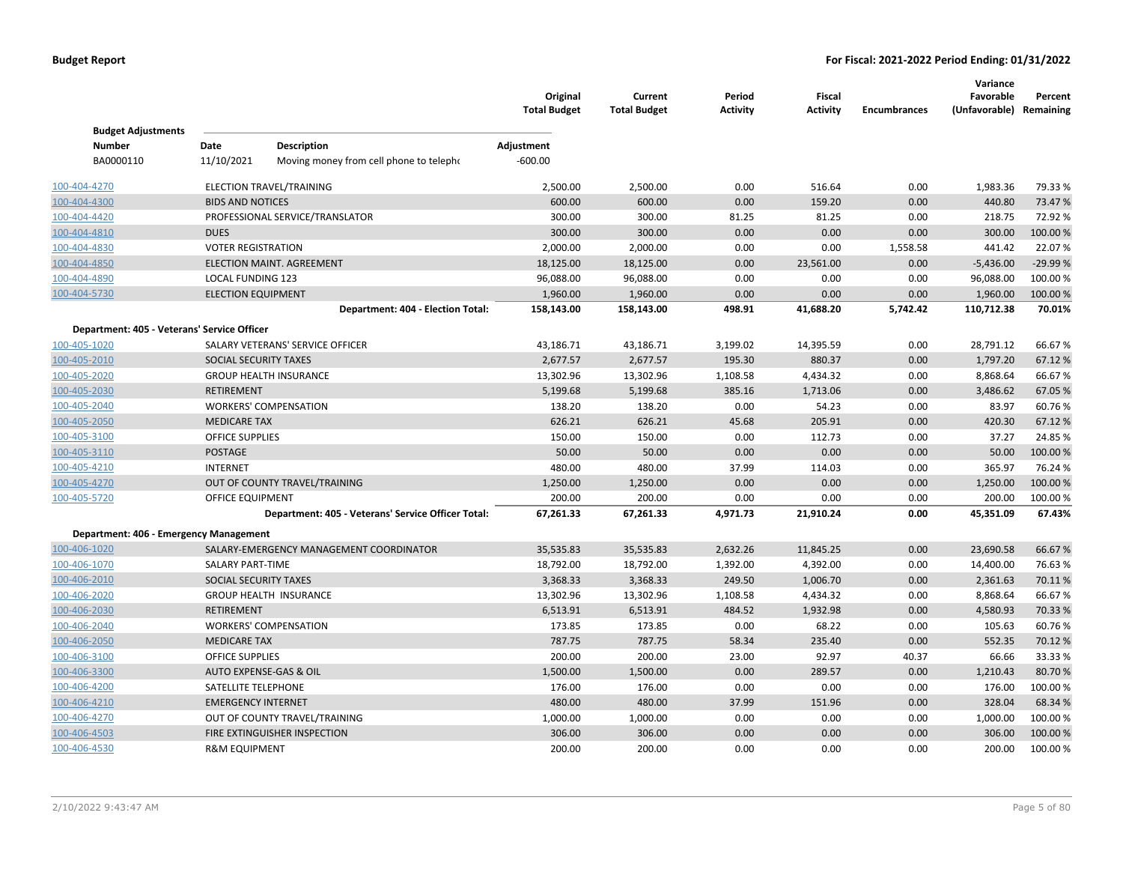|                                             |                           |                                                    | Original<br><b>Total Budget</b> | Current<br><b>Total Budget</b> | Period<br>Activity | <b>Fiscal</b><br><b>Activity</b> | <b>Encumbrances</b> | Variance<br>Favorable<br>(Unfavorable) Remaining | Percent  |
|---------------------------------------------|---------------------------|----------------------------------------------------|---------------------------------|--------------------------------|--------------------|----------------------------------|---------------------|--------------------------------------------------|----------|
| <b>Budget Adjustments</b>                   |                           |                                                    |                                 |                                |                    |                                  |                     |                                                  |          |
| <b>Number</b>                               | Date                      | <b>Description</b>                                 | Adjustment                      |                                |                    |                                  |                     |                                                  |          |
| BA0000110                                   | 11/10/2021                | Moving money from cell phone to telepho            | $-600.00$                       |                                |                    |                                  |                     |                                                  |          |
| 100-404-4270                                |                           | ELECTION TRAVEL/TRAINING                           | 2,500.00                        | 2,500.00                       | 0.00               | 516.64                           | 0.00                | 1,983.36                                         | 79.33 %  |
| 100-404-4300                                | <b>BIDS AND NOTICES</b>   |                                                    | 600.00                          | 600.00                         | 0.00               | 159.20                           | 0.00                | 440.80                                           | 73.47%   |
| 100-404-4420                                |                           | PROFESSIONAL SERVICE/TRANSLATOR                    | 300.00                          | 300.00                         | 81.25              | 81.25                            | 0.00                | 218.75                                           | 72.92%   |
| 100-404-4810                                | <b>DUES</b>               |                                                    | 300.00                          | 300.00                         | 0.00               | 0.00                             | 0.00                | 300.00                                           | 100.00 % |
| 100-404-4830                                | <b>VOTER REGISTRATION</b> |                                                    | 2,000.00                        | 2,000.00                       | 0.00               | 0.00                             | 1,558.58            | 441.42                                           | 22.07%   |
| 100-404-4850                                |                           | ELECTION MAINT. AGREEMENT                          | 18,125.00                       | 18,125.00                      | 0.00               | 23,561.00                        | 0.00                | $-5,436.00$                                      | -29.99 % |
| 100-404-4890                                | LOCAL FUNDING 123         |                                                    | 96,088.00                       | 96,088.00                      | 0.00               | 0.00                             | 0.00                | 96,088.00                                        | 100.00%  |
| 100-404-5730                                | <b>ELECTION EQUIPMENT</b> |                                                    | 1,960.00                        | 1,960.00                       | 0.00               | 0.00                             | 0.00                | 1,960.00                                         | 100.00%  |
|                                             |                           | Department: 404 - Election Total:                  | 158,143.00                      | 158,143.00                     | 498.91             | 41,688.20                        | 5,742.42            | 110,712.38                                       | 70.01%   |
| Department: 405 - Veterans' Service Officer |                           |                                                    |                                 |                                |                    |                                  |                     |                                                  |          |
| 100-405-1020                                |                           | SALARY VETERANS' SERVICE OFFICER                   | 43,186.71                       | 43,186.71                      | 3,199.02           | 14,395.59                        | 0.00                | 28,791.12                                        | 66.67%   |
| 100-405-2010                                | SOCIAL SECURITY TAXES     |                                                    | 2,677.57                        | 2,677.57                       | 195.30             | 880.37                           | 0.00                | 1,797.20                                         | 67.12%   |
| 100-405-2020                                |                           | <b>GROUP HEALTH INSURANCE</b>                      | 13,302.96                       | 13,302.96                      | 1,108.58           | 4,434.32                         | 0.00                | 8,868.64                                         | 66.67%   |
| 100-405-2030                                | <b>RETIREMENT</b>         |                                                    | 5,199.68                        | 5,199.68                       | 385.16             | 1,713.06                         | 0.00                | 3,486.62                                         | 67.05%   |
| 100-405-2040                                |                           | <b>WORKERS' COMPENSATION</b>                       | 138.20                          | 138.20                         | 0.00               | 54.23                            | 0.00                | 83.97                                            | 60.76%   |
| 100-405-2050                                | <b>MEDICARE TAX</b>       |                                                    | 626.21                          | 626.21                         | 45.68              | 205.91                           | 0.00                | 420.30                                           | 67.12%   |
| 100-405-3100                                | <b>OFFICE SUPPLIES</b>    |                                                    | 150.00                          | 150.00                         | 0.00               | 112.73                           | 0.00                | 37.27                                            | 24.85%   |
| 100-405-3110                                | <b>POSTAGE</b>            |                                                    | 50.00                           | 50.00                          | 0.00               | 0.00                             | 0.00                | 50.00                                            | 100.00 % |
| 100-405-4210                                | <b>INTERNET</b>           |                                                    | 480.00                          | 480.00                         | 37.99              | 114.03                           | 0.00                | 365.97                                           | 76.24%   |
| 100-405-4270                                |                           | OUT OF COUNTY TRAVEL/TRAINING                      | 1,250.00                        | 1,250.00                       | 0.00               | 0.00                             | 0.00                | 1,250.00                                         | 100.00 % |
| 100-405-5720                                | OFFICE EQUIPMENT          |                                                    | 200.00                          | 200.00                         | 0.00               | 0.00                             | 0.00                | 200.00                                           | 100.00 % |
|                                             |                           | Department: 405 - Veterans' Service Officer Total: | 67,261.33                       | 67,261.33                      | 4,971.73           | 21,910.24                        | 0.00                | 45,351.09                                        | 67.43%   |
| Department: 406 - Emergency Management      |                           |                                                    |                                 |                                |                    |                                  |                     |                                                  |          |
| 100-406-1020                                |                           | SALARY-EMERGENCY MANAGEMENT COORDINATOR            | 35,535.83                       | 35,535.83                      | 2,632.26           | 11,845.25                        | 0.00                | 23,690.58                                        | 66.67%   |
| 100-406-1070                                | <b>SALARY PART-TIME</b>   |                                                    | 18,792.00                       | 18,792.00                      | 1,392.00           | 4,392.00                         | 0.00                | 14,400.00                                        | 76.63%   |
| 100-406-2010                                | SOCIAL SECURITY TAXES     |                                                    | 3,368.33                        | 3,368.33                       | 249.50             | 1,006.70                         | 0.00                | 2,361.63                                         | 70.11%   |
| 100-406-2020                                |                           | <b>GROUP HEALTH INSURANCE</b>                      | 13,302.96                       | 13,302.96                      | 1,108.58           | 4,434.32                         | 0.00                | 8,868.64                                         | 66.67%   |
| 100-406-2030                                | <b>RETIREMENT</b>         |                                                    | 6,513.91                        | 6,513.91                       | 484.52             | 1,932.98                         | 0.00                | 4,580.93                                         | 70.33 %  |
| 100-406-2040                                |                           | <b>WORKERS' COMPENSATION</b>                       | 173.85                          | 173.85                         | 0.00               | 68.22                            | 0.00                | 105.63                                           | 60.76%   |
| 100-406-2050                                | <b>MEDICARE TAX</b>       |                                                    | 787.75                          | 787.75                         | 58.34              | 235.40                           | 0.00                | 552.35                                           | 70.12 %  |
| 100-406-3100                                | <b>OFFICE SUPPLIES</b>    |                                                    | 200.00                          | 200.00                         | 23.00              | 92.97                            | 40.37               | 66.66                                            | 33.33 %  |
| 100-406-3300                                |                           | AUTO EXPENSE-GAS & OIL                             | 1,500.00                        | 1,500.00                       | 0.00               | 289.57                           | 0.00                | 1,210.43                                         | 80.70%   |
| 100-406-4200                                | SATELLITE TELEPHONE       |                                                    | 176.00                          | 176.00                         | 0.00               | 0.00                             | 0.00                | 176.00                                           | 100.00%  |
| 100-406-4210                                | <b>EMERGENCY INTERNET</b> |                                                    | 480.00                          | 480.00                         | 37.99              | 151.96                           | 0.00                | 328.04                                           | 68.34 %  |
| 100-406-4270                                |                           | OUT OF COUNTY TRAVEL/TRAINING                      | 1,000.00                        | 1,000.00                       | 0.00               | 0.00                             | 0.00                | 1,000.00                                         | 100.00%  |
| 100-406-4503                                |                           | FIRE EXTINGUISHER INSPECTION                       | 306.00                          | 306.00                         | 0.00               | 0.00                             | 0.00                | 306.00                                           | 100.00 % |
| 100-406-4530                                | <b>R&amp;M EQUIPMENT</b>  |                                                    | 200.00                          | 200.00                         | 0.00               | 0.00                             | 0.00                | 200.00                                           | 100.00%  |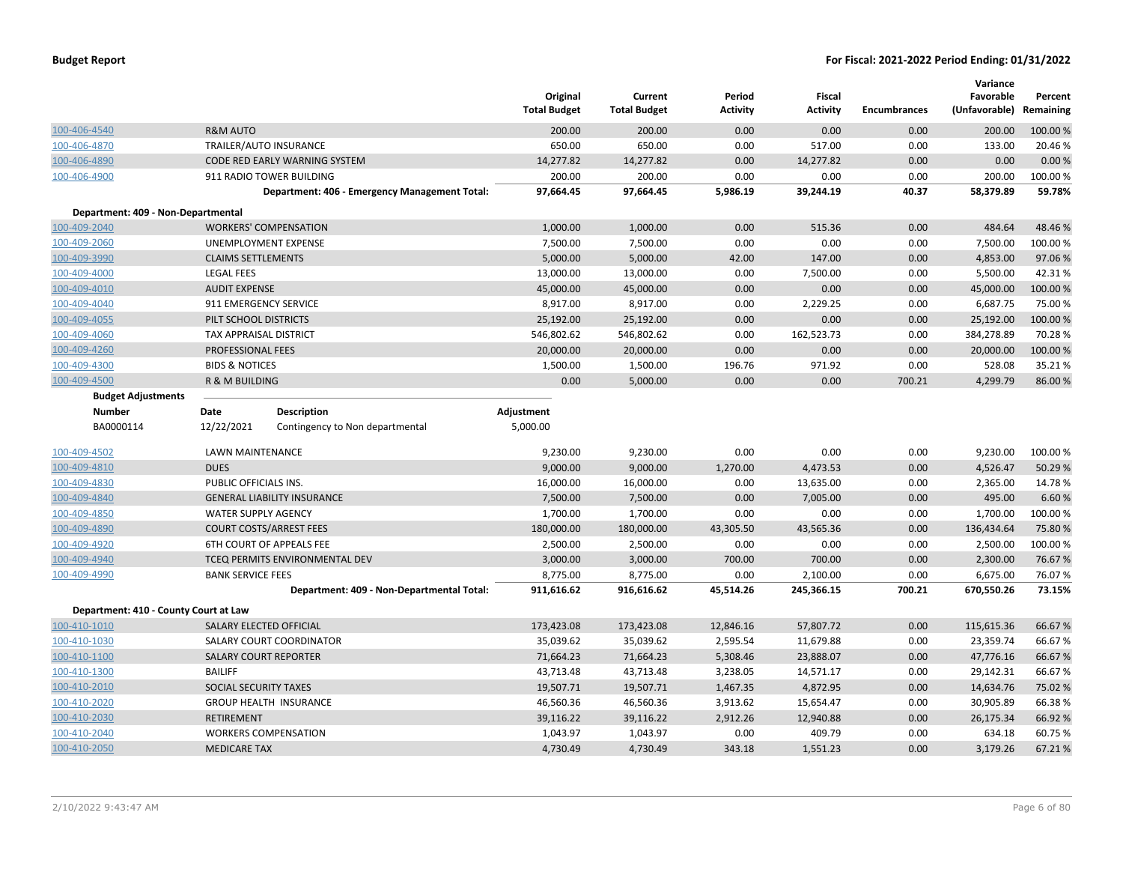|                                       |                                |                                               | Original<br><b>Total Budget</b> | Current<br><b>Total Budget</b> | Period<br>Activity | <b>Fiscal</b><br><b>Activity</b> | <b>Encumbrances</b> | Variance<br>Favorable<br>(Unfavorable) | Percent<br>Remaining |
|---------------------------------------|--------------------------------|-----------------------------------------------|---------------------------------|--------------------------------|--------------------|----------------------------------|---------------------|----------------------------------------|----------------------|
| 100-406-4540                          | <b>R&amp;M AUTO</b>            |                                               | 200.00                          | 200.00                         | 0.00               | 0.00                             | 0.00                | 200.00                                 | 100.00%              |
| 100-406-4870                          | TRAILER/AUTO INSURANCE         |                                               | 650.00                          | 650.00                         | 0.00               | 517.00                           | 0.00                | 133.00                                 | 20.46%               |
| 100-406-4890                          |                                | <b>CODE RED EARLY WARNING SYSTEM</b>          | 14,277.82                       | 14,277.82                      | 0.00               | 14,277.82                        | 0.00                | 0.00                                   | 0.00%                |
| 100-406-4900                          |                                | 911 RADIO TOWER BUILDING                      | 200.00                          | 200.00                         | 0.00               | 0.00                             | 0.00                | 200.00                                 | 100.00%              |
|                                       |                                | Department: 406 - Emergency Management Total: | 97,664.45                       | 97,664.45                      | 5,986.19           | 39,244.19                        | 40.37               | 58,379.89                              | 59.78%               |
| Department: 409 - Non-Departmental    |                                |                                               |                                 |                                |                    |                                  |                     |                                        |                      |
| 100-409-2040                          | <b>WORKERS' COMPENSATION</b>   |                                               | 1,000.00                        | 1,000.00                       | 0.00               | 515.36                           | 0.00                | 484.64                                 | 48.46%               |
| 100-409-2060                          | UNEMPLOYMENT EXPENSE           |                                               | 7,500.00                        | 7,500.00                       | 0.00               | 0.00                             | 0.00                | 7,500.00                               | 100.00%              |
| 100-409-3990                          | <b>CLAIMS SETTLEMENTS</b>      |                                               | 5,000.00                        | 5,000.00                       | 42.00              | 147.00                           | 0.00                | 4,853.00                               | 97.06%               |
| 100-409-4000                          | <b>LEGAL FEES</b>              |                                               | 13,000.00                       | 13,000.00                      | 0.00               | 7,500.00                         | 0.00                | 5,500.00                               | 42.31%               |
| 100-409-4010                          | <b>AUDIT EXPENSE</b>           |                                               | 45,000.00                       | 45,000.00                      | 0.00               | 0.00                             | 0.00                | 45,000.00                              | 100.00%              |
| 100-409-4040                          | 911 EMERGENCY SERVICE          |                                               | 8,917.00                        | 8,917.00                       | 0.00               | 2,229.25                         | 0.00                | 6,687.75                               | 75.00 %              |
| 100-409-4055                          | PILT SCHOOL DISTRICTS          |                                               | 25,192.00                       | 25,192.00                      | 0.00               | 0.00                             | 0.00                | 25,192.00                              | 100.00%              |
| 100-409-4060                          | TAX APPRAISAL DISTRICT         |                                               | 546,802.62                      | 546,802.62                     | 0.00               | 162,523.73                       | 0.00                | 384,278.89                             | 70.28%               |
| 100-409-4260                          | PROFESSIONAL FEES              |                                               | 20,000.00                       | 20,000.00                      | 0.00               | 0.00                             | 0.00                | 20,000.00                              | 100.00%              |
| 100-409-4300                          | <b>BIDS &amp; NOTICES</b>      |                                               | 1,500.00                        | 1,500.00                       | 196.76             | 971.92                           | 0.00                | 528.08                                 | 35.21%               |
| 100-409-4500                          | R & M BUILDING                 |                                               | 0.00                            | 5,000.00                       | 0.00               | 0.00                             | 700.21              | 4,299.79                               | 86.00 %              |
| <b>Budget Adjustments</b>             |                                |                                               |                                 |                                |                    |                                  |                     |                                        |                      |
| <b>Number</b>                         | Date                           | <b>Description</b>                            | Adjustment                      |                                |                    |                                  |                     |                                        |                      |
| BA0000114                             | 12/22/2021                     | Contingency to Non departmental               | 5,000.00                        |                                |                    |                                  |                     |                                        |                      |
| 100-409-4502                          | LAWN MAINTENANCE               |                                               | 9,230.00                        | 9,230.00                       | 0.00               | 0.00                             | 0.00                | 9,230.00                               | 100.00 %             |
| 100-409-4810                          | <b>DUES</b>                    |                                               | 9,000.00                        | 9,000.00                       | 1,270.00           | 4,473.53                         | 0.00                | 4,526.47                               | 50.29 %              |
| 100-409-4830                          | PUBLIC OFFICIALS INS.          |                                               | 16,000.00                       | 16,000.00                      | 0.00               | 13,635.00                        | 0.00                | 2,365.00                               | 14.78%               |
| 100-409-4840                          |                                | <b>GENERAL LIABILITY INSURANCE</b>            | 7,500.00                        | 7,500.00                       | 0.00               | 7,005.00                         | 0.00                | 495.00                                 | 6.60%                |
| 100-409-4850                          | <b>WATER SUPPLY AGENCY</b>     |                                               | 1,700.00                        | 1,700.00                       | 0.00               | 0.00                             | 0.00                | 1,700.00                               | 100.00%              |
| 100-409-4890                          | <b>COURT COSTS/ARREST FEES</b> |                                               | 180,000.00                      | 180,000.00                     | 43,305.50          | 43,565.36                        | 0.00                | 136,434.64                             | 75.80%               |
| 100-409-4920                          |                                | 6TH COURT OF APPEALS FEE                      | 2,500.00                        | 2,500.00                       | 0.00               | 0.00                             | 0.00                | 2,500.00                               | 100.00 %             |
| 100-409-4940                          |                                | TCEQ PERMITS ENVIRONMENTAL DEV                | 3,000.00                        | 3,000.00                       | 700.00             | 700.00                           | 0.00                | 2,300.00                               | 76.67%               |
| 100-409-4990                          | <b>BANK SERVICE FEES</b>       |                                               | 8,775.00                        | 8,775.00                       | 0.00               | 2,100.00                         | 0.00                | 6,675.00                               | 76.07%               |
|                                       |                                | Department: 409 - Non-Departmental Total:     | 911,616.62                      | 916,616.62                     | 45,514.26          | 245,366.15                       | 700.21              | 670,550.26                             | 73.15%               |
| Department: 410 - County Court at Law |                                |                                               |                                 |                                |                    |                                  |                     |                                        |                      |
| 100-410-1010                          | SALARY ELECTED OFFICIAL        |                                               | 173,423.08                      | 173,423.08                     | 12,846.16          | 57,807.72                        | 0.00                | 115,615.36                             | 66.67%               |
| 100-410-1030                          |                                | SALARY COURT COORDINATOR                      | 35,039.62                       | 35,039.62                      | 2,595.54           | 11,679.88                        | 0.00                | 23,359.74                              | 66.67%               |
| 100-410-1100                          | <b>SALARY COURT REPORTER</b>   |                                               | 71,664.23                       | 71,664.23                      | 5,308.46           | 23,888.07                        | 0.00                | 47,776.16                              | 66.67%               |
| 100-410-1300                          | <b>BAILIFF</b>                 |                                               | 43,713.48                       | 43,713.48                      | 3,238.05           | 14,571.17                        | 0.00                | 29,142.31                              | 66.67%               |
| 100-410-2010                          | SOCIAL SECURITY TAXES          |                                               | 19,507.71                       | 19,507.71                      | 1,467.35           | 4,872.95                         | 0.00                | 14,634.76                              | 75.02 %              |
| 100-410-2020                          |                                | <b>GROUP HEALTH INSURANCE</b>                 | 46,560.36                       | 46,560.36                      | 3,913.62           | 15,654.47                        | 0.00                | 30,905.89                              | 66.38%               |
| 100-410-2030                          | <b>RETIREMENT</b>              |                                               | 39,116.22                       | 39,116.22                      | 2,912.26           | 12,940.88                        | 0.00                | 26,175.34                              | 66.92 %              |
| 100-410-2040                          | <b>WORKERS COMPENSATION</b>    |                                               | 1,043.97                        | 1,043.97                       | 0.00               | 409.79                           | 0.00                | 634.18                                 | 60.75 %              |
| 100-410-2050                          | <b>MEDICARE TAX</b>            |                                               | 4,730.49                        | 4,730.49                       | 343.18             | 1,551.23                         | 0.00                | 3,179.26                               | 67.21%               |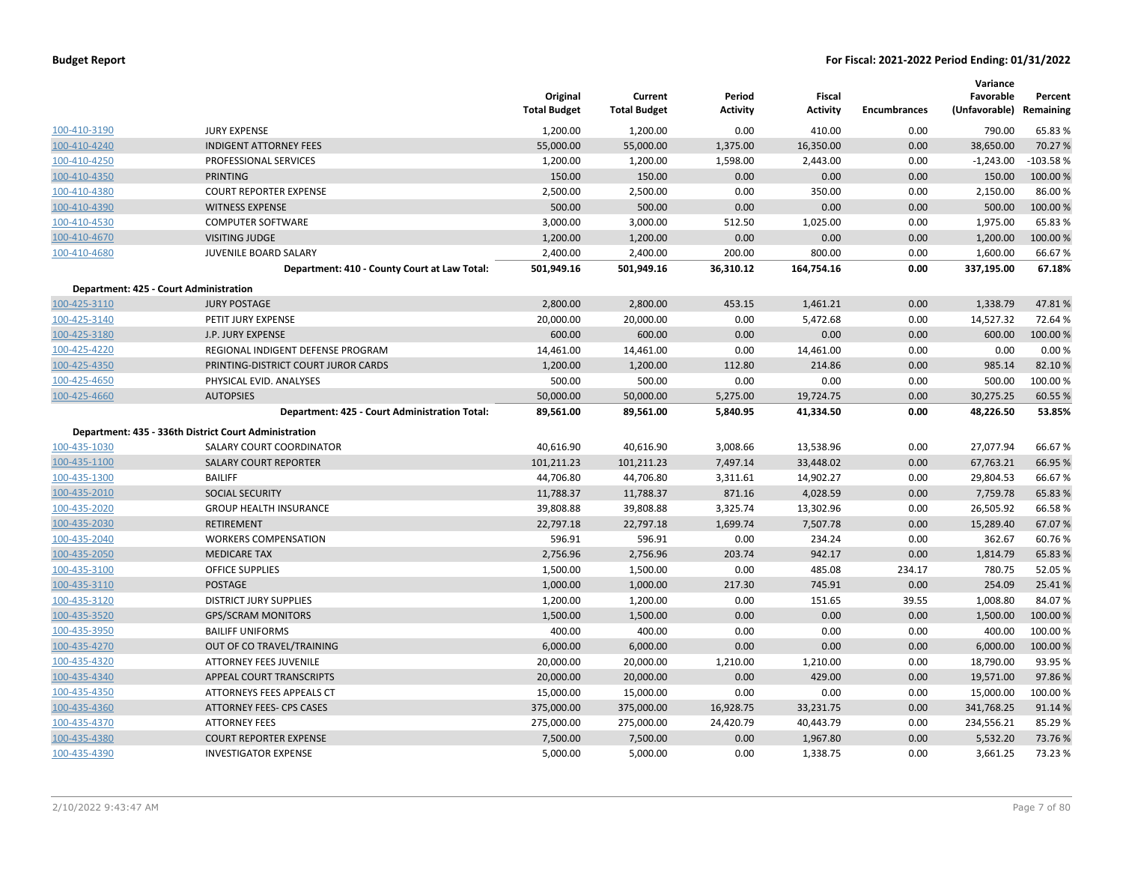|              |                                                       | Original<br><b>Total Budget</b> | Current<br><b>Total Budget</b> | Period<br><b>Activity</b> | Fiscal<br><b>Activity</b> | <b>Encumbrances</b> | Variance<br>Favorable<br>(Unfavorable) Remaining | Percent    |
|--------------|-------------------------------------------------------|---------------------------------|--------------------------------|---------------------------|---------------------------|---------------------|--------------------------------------------------|------------|
| 100-410-3190 | <b>JURY EXPENSE</b>                                   | 1,200.00                        | 1,200.00                       | 0.00                      | 410.00                    | 0.00                | 790.00                                           | 65.83 %    |
| 100-410-4240 | <b>INDIGENT ATTORNEY FEES</b>                         | 55,000.00                       | 55,000.00                      | 1,375.00                  | 16,350.00                 | 0.00                | 38,650.00                                        | 70.27 %    |
| 100-410-4250 | PROFESSIONAL SERVICES                                 | 1,200.00                        | 1,200.00                       | 1,598.00                  | 2,443.00                  | 0.00                | $-1,243.00$                                      | $-103.58%$ |
| 100-410-4350 | <b>PRINTING</b>                                       | 150.00                          | 150.00                         | 0.00                      | 0.00                      | 0.00                | 150.00                                           | 100.00 %   |
| 100-410-4380 | <b>COURT REPORTER EXPENSE</b>                         | 2,500.00                        | 2,500.00                       | 0.00                      | 350.00                    | 0.00                | 2,150.00                                         | 86.00%     |
| 100-410-4390 | <b>WITNESS EXPENSE</b>                                | 500.00                          | 500.00                         | 0.00                      | 0.00                      | 0.00                | 500.00                                           | 100.00 %   |
| 100-410-4530 | <b>COMPUTER SOFTWARE</b>                              | 3,000.00                        | 3,000.00                       | 512.50                    | 1,025.00                  | 0.00                | 1,975.00                                         | 65.83 %    |
| 100-410-4670 | <b>VISITING JUDGE</b>                                 | 1,200.00                        | 1,200.00                       | 0.00                      | 0.00                      | 0.00                | 1,200.00                                         | 100.00 %   |
| 100-410-4680 | JUVENILE BOARD SALARY                                 | 2,400.00                        | 2,400.00                       | 200.00                    | 800.00                    | 0.00                | 1,600.00                                         | 66.67%     |
|              | Department: 410 - County Court at Law Total:          | 501,949.16                      | 501,949.16                     | 36,310.12                 | 164,754.16                | 0.00                | 337,195.00                                       | 67.18%     |
|              | Department: 425 - Court Administration                |                                 |                                |                           |                           |                     |                                                  |            |
| 100-425-3110 | <b>JURY POSTAGE</b>                                   | 2,800.00                        | 2,800.00                       | 453.15                    | 1,461.21                  | 0.00                | 1,338.79                                         | 47.81%     |
| 100-425-3140 | PETIT JURY EXPENSE                                    | 20,000.00                       | 20,000.00                      | 0.00                      | 5,472.68                  | 0.00                | 14,527.32                                        | 72.64 %    |
| 100-425-3180 | J.P. JURY EXPENSE                                     | 600.00                          | 600.00                         | 0.00                      | 0.00                      | 0.00                | 600.00                                           | 100.00 %   |
| 100-425-4220 | REGIONAL INDIGENT DEFENSE PROGRAM                     | 14,461.00                       | 14,461.00                      | 0.00                      | 14,461.00                 | 0.00                | 0.00                                             | 0.00%      |
| 100-425-4350 | PRINTING-DISTRICT COURT JUROR CARDS                   | 1,200.00                        | 1,200.00                       | 112.80                    | 214.86                    | 0.00                | 985.14                                           | 82.10%     |
| 100-425-4650 | PHYSICAL EVID. ANALYSES                               | 500.00                          | 500.00                         | 0.00                      | 0.00                      | 0.00                | 500.00                                           | 100.00%    |
| 100-425-4660 | <b>AUTOPSIES</b>                                      | 50,000.00                       | 50,000.00                      | 5,275.00                  | 19,724.75                 | 0.00                | 30,275.25                                        | 60.55 %    |
|              | Department: 425 - Court Administration Total:         | 89,561.00                       | 89,561.00                      | 5,840.95                  | 41,334.50                 | 0.00                | 48,226.50                                        | 53.85%     |
|              | Department: 435 - 336th District Court Administration |                                 |                                |                           |                           |                     |                                                  |            |
| 100-435-1030 | SALARY COURT COORDINATOR                              | 40,616.90                       | 40,616.90                      | 3,008.66                  | 13,538.96                 | 0.00                | 27,077.94                                        | 66.67%     |
| 100-435-1100 | <b>SALARY COURT REPORTER</b>                          | 101,211.23                      | 101,211.23                     | 7,497.14                  | 33,448.02                 | 0.00                | 67,763.21                                        | 66.95 %    |
| 100-435-1300 | <b>BAILIFF</b>                                        | 44,706.80                       | 44,706.80                      | 3,311.61                  | 14,902.27                 | 0.00                | 29,804.53                                        | 66.67%     |
| 100-435-2010 | <b>SOCIAL SECURITY</b>                                | 11,788.37                       | 11,788.37                      | 871.16                    | 4,028.59                  | 0.00                | 7,759.78                                         | 65.83 %    |
| 100-435-2020 | <b>GROUP HEALTH INSURANCE</b>                         | 39,808.88                       | 39,808.88                      | 3,325.74                  | 13,302.96                 | 0.00                | 26,505.92                                        | 66.58%     |
| 100-435-2030 | <b>RETIREMENT</b>                                     | 22,797.18                       | 22,797.18                      | 1,699.74                  | 7,507.78                  | 0.00                | 15,289.40                                        | 67.07%     |
| 100-435-2040 | <b>WORKERS COMPENSATION</b>                           | 596.91                          | 596.91                         | 0.00                      | 234.24                    | 0.00                | 362.67                                           | 60.76%     |
| 100-435-2050 | <b>MEDICARE TAX</b>                                   | 2,756.96                        | 2,756.96                       | 203.74                    | 942.17                    | 0.00                | 1,814.79                                         | 65.83 %    |
| 100-435-3100 | <b>OFFICE SUPPLIES</b>                                | 1,500.00                        | 1,500.00                       | 0.00                      | 485.08                    | 234.17              | 780.75                                           | 52.05 %    |
| 100-435-3110 | <b>POSTAGE</b>                                        | 1,000.00                        | 1,000.00                       | 217.30                    | 745.91                    | 0.00                | 254.09                                           | 25.41%     |
| 100-435-3120 | <b>DISTRICT JURY SUPPLIES</b>                         | 1,200.00                        | 1,200.00                       | 0.00                      | 151.65                    | 39.55               | 1,008.80                                         | 84.07%     |
| 100-435-3520 | <b>GPS/SCRAM MONITORS</b>                             | 1,500.00                        | 1,500.00                       | 0.00                      | 0.00                      | 0.00                | 1,500.00                                         | 100.00 %   |
| 100-435-3950 | <b>BAILIFF UNIFORMS</b>                               | 400.00                          | 400.00                         | 0.00                      | 0.00                      | 0.00                | 400.00                                           | 100.00 %   |
| 100-435-4270 | OUT OF CO TRAVEL/TRAINING                             | 6,000.00                        | 6,000.00                       | 0.00                      | 0.00                      | 0.00                | 6,000.00                                         | 100.00 %   |
| 100-435-4320 | ATTORNEY FEES JUVENILE                                | 20,000.00                       | 20,000.00                      | 1,210.00                  | 1,210.00                  | 0.00                | 18,790.00                                        | 93.95 %    |
| 100-435-4340 | APPEAL COURT TRANSCRIPTS                              | 20,000.00                       | 20,000.00                      | 0.00                      | 429.00                    | 0.00                | 19,571.00                                        | 97.86%     |
| 100-435-4350 | ATTORNEYS FEES APPEALS CT                             | 15,000.00                       | 15,000.00                      | 0.00                      | 0.00                      | 0.00                | 15,000.00                                        | 100.00%    |
| 100-435-4360 | <b>ATTORNEY FEES- CPS CASES</b>                       | 375,000.00                      | 375,000.00                     | 16,928.75                 | 33,231.75                 | 0.00                | 341,768.25                                       | 91.14 %    |
| 100-435-4370 | <b>ATTORNEY FEES</b>                                  | 275,000.00                      | 275,000.00                     | 24,420.79                 | 40,443.79                 | 0.00                | 234,556.21                                       | 85.29 %    |
| 100-435-4380 | <b>COURT REPORTER EXPENSE</b>                         | 7,500.00                        | 7,500.00                       | 0.00                      | 1,967.80                  | 0.00                | 5,532.20                                         | 73.76 %    |
| 100-435-4390 | <b>INVESTIGATOR EXPENSE</b>                           | 5,000.00                        | 5,000.00                       | 0.00                      | 1,338.75                  | 0.00                | 3,661.25                                         | 73.23 %    |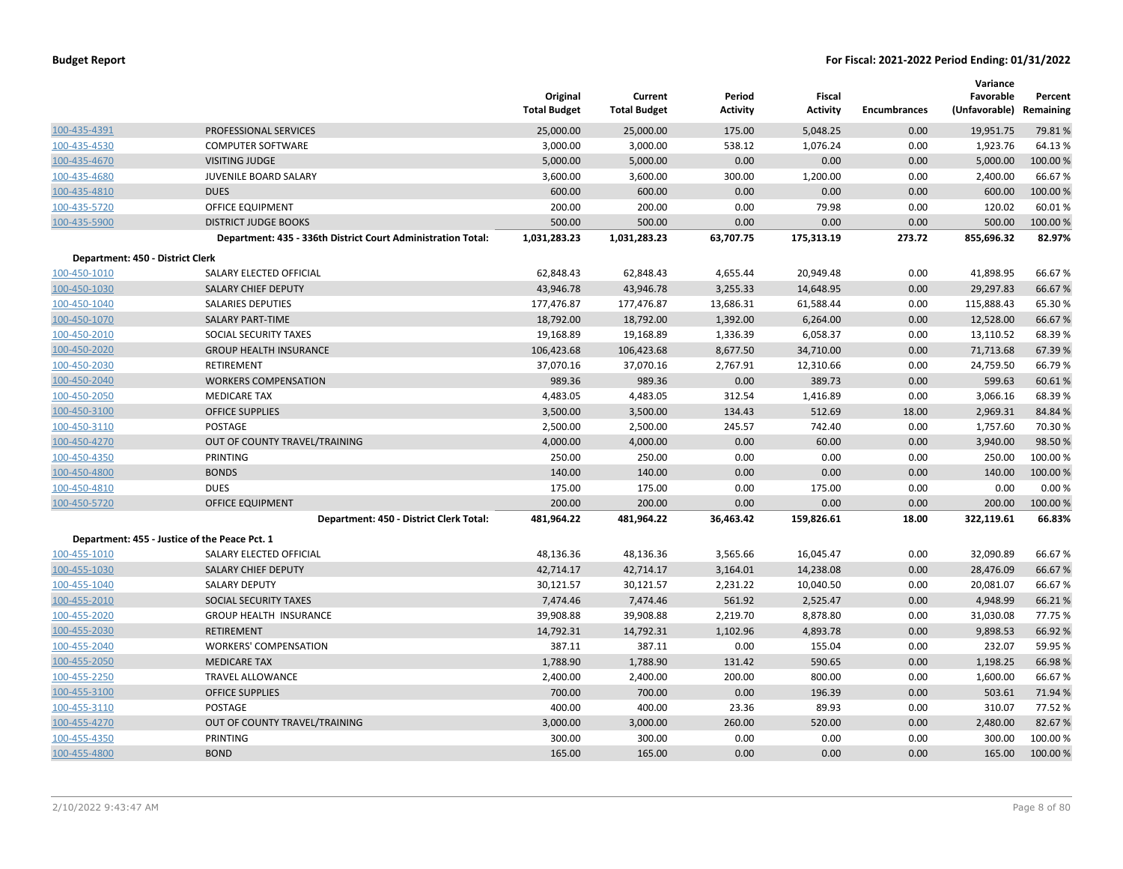|                                  |                                                              | Original<br><b>Total Budget</b> | Current<br><b>Total Budget</b> | Period<br><b>Activity</b> | Fiscal<br><b>Activity</b> | <b>Encumbrances</b> | Variance<br>Favorable<br>(Unfavorable) Remaining | Percent  |
|----------------------------------|--------------------------------------------------------------|---------------------------------|--------------------------------|---------------------------|---------------------------|---------------------|--------------------------------------------------|----------|
| 100-435-4391                     | PROFESSIONAL SERVICES                                        | 25,000.00                       | 25,000.00                      | 175.00                    | 5,048.25                  | 0.00                | 19,951.75                                        | 79.81%   |
| 100-435-4530                     | <b>COMPUTER SOFTWARE</b>                                     | 3,000.00                        | 3,000.00                       | 538.12                    | 1,076.24                  | 0.00                | 1,923.76                                         | 64.13%   |
| 100-435-4670                     | <b>VISITING JUDGE</b>                                        | 5,000.00                        | 5,000.00                       | 0.00                      | 0.00                      | 0.00                | 5,000.00                                         | 100.00 % |
| 100-435-4680                     | JUVENILE BOARD SALARY                                        | 3,600.00                        | 3,600.00                       | 300.00                    | 1,200.00                  | 0.00                | 2,400.00                                         | 66.67%   |
| 100-435-4810                     | <b>DUES</b>                                                  | 600.00                          | 600.00                         | 0.00                      | 0.00                      | 0.00                | 600.00                                           | 100.00 % |
| 100-435-5720                     | <b>OFFICE EQUIPMENT</b>                                      | 200.00                          | 200.00                         | 0.00                      | 79.98                     | 0.00                | 120.02                                           | 60.01%   |
| 100-435-5900                     | <b>DISTRICT JUDGE BOOKS</b>                                  | 500.00                          | 500.00                         | 0.00                      | 0.00                      | 0.00                | 500.00                                           | 100.00 % |
|                                  | Department: 435 - 336th District Court Administration Total: | 1,031,283.23                    | 1,031,283.23                   | 63,707.75                 | 175,313.19                | 273.72              | 855,696.32                                       | 82.97%   |
| Department: 450 - District Clerk |                                                              |                                 |                                |                           |                           |                     |                                                  |          |
| 100-450-1010                     | SALARY ELECTED OFFICIAL                                      | 62,848.43                       | 62,848.43                      | 4,655.44                  | 20,949.48                 | 0.00                | 41,898.95                                        | 66.67%   |
| 100-450-1030                     | SALARY CHIEF DEPUTY                                          | 43,946.78                       | 43,946.78                      | 3,255.33                  | 14,648.95                 | 0.00                | 29,297.83                                        | 66.67%   |
| 100-450-1040                     | <b>SALARIES DEPUTIES</b>                                     | 177,476.87                      | 177,476.87                     | 13,686.31                 | 61,588.44                 | 0.00                | 115,888.43                                       | 65.30%   |
| 100-450-1070                     | <b>SALARY PART-TIME</b>                                      | 18,792.00                       | 18,792.00                      | 1,392.00                  | 6,264.00                  | 0.00                | 12,528.00                                        | 66.67%   |
| 100-450-2010                     | SOCIAL SECURITY TAXES                                        | 19,168.89                       | 19,168.89                      | 1,336.39                  | 6,058.37                  | 0.00                | 13,110.52                                        | 68.39%   |
| 100-450-2020                     | <b>GROUP HEALTH INSURANCE</b>                                | 106,423.68                      | 106,423.68                     | 8,677.50                  | 34,710.00                 | 0.00                | 71,713.68                                        | 67.39 %  |
| 100-450-2030                     | RETIREMENT                                                   | 37,070.16                       | 37,070.16                      | 2,767.91                  | 12,310.66                 | 0.00                | 24,759.50                                        | 66.79%   |
| 100-450-2040                     | <b>WORKERS COMPENSATION</b>                                  | 989.36                          | 989.36                         | 0.00                      | 389.73                    | 0.00                | 599.63                                           | 60.61%   |
| 100-450-2050                     | <b>MEDICARE TAX</b>                                          | 4,483.05                        | 4,483.05                       | 312.54                    | 1,416.89                  | 0.00                | 3,066.16                                         | 68.39%   |
| 100-450-3100                     | <b>OFFICE SUPPLIES</b>                                       | 3,500.00                        | 3,500.00                       | 134.43                    | 512.69                    | 18.00               | 2,969.31                                         | 84.84 %  |
| 100-450-3110                     | POSTAGE                                                      | 2,500.00                        | 2,500.00                       | 245.57                    | 742.40                    | 0.00                | 1,757.60                                         | 70.30%   |
| 100-450-4270                     | OUT OF COUNTY TRAVEL/TRAINING                                | 4,000.00                        | 4,000.00                       | 0.00                      | 60.00                     | 0.00                | 3,940.00                                         | 98.50 %  |
| 100-450-4350                     | PRINTING                                                     | 250.00                          | 250.00                         | 0.00                      | 0.00                      | 0.00                | 250.00                                           | 100.00%  |
| 100-450-4800                     | <b>BONDS</b>                                                 | 140.00                          | 140.00                         | 0.00                      | 0.00                      | 0.00                | 140.00                                           | 100.00 % |
| 100-450-4810                     | <b>DUES</b>                                                  | 175.00                          | 175.00                         | 0.00                      | 175.00                    | 0.00                | 0.00                                             | 0.00%    |
| 100-450-5720                     | <b>OFFICE EQUIPMENT</b>                                      | 200.00                          | 200.00                         | 0.00                      | 0.00                      | 0.00                | 200.00                                           | 100.00 % |
|                                  | Department: 450 - District Clerk Total:                      | 481,964.22                      | 481,964.22                     | 36,463.42                 | 159,826.61                | 18.00               | 322,119.61                                       | 66.83%   |
|                                  | Department: 455 - Justice of the Peace Pct. 1                |                                 |                                |                           |                           |                     |                                                  |          |
| 100-455-1010                     | SALARY ELECTED OFFICIAL                                      | 48,136.36                       | 48,136.36                      | 3,565.66                  | 16,045.47                 | 0.00                | 32,090.89                                        | 66.67%   |
| 100-455-1030                     | <b>SALARY CHIEF DEPUTY</b>                                   | 42,714.17                       | 42,714.17                      | 3,164.01                  | 14,238.08                 | 0.00                | 28,476.09                                        | 66.67%   |
| 100-455-1040                     | <b>SALARY DEPUTY</b>                                         | 30,121.57                       | 30,121.57                      | 2,231.22                  | 10,040.50                 | 0.00                | 20,081.07                                        | 66.67%   |
| 100-455-2010                     | SOCIAL SECURITY TAXES                                        | 7,474.46                        | 7,474.46                       | 561.92                    | 2,525.47                  | 0.00                | 4,948.99                                         | 66.21%   |
| 100-455-2020                     | <b>GROUP HEALTH INSURANCE</b>                                | 39,908.88                       | 39,908.88                      | 2,219.70                  | 8,878.80                  | 0.00                | 31,030.08                                        | 77.75 %  |
| 100-455-2030                     | <b>RETIREMENT</b>                                            | 14,792.31                       | 14,792.31                      | 1,102.96                  | 4,893.78                  | 0.00                | 9,898.53                                         | 66.92%   |
| 100-455-2040                     | <b>WORKERS' COMPENSATION</b>                                 | 387.11                          | 387.11                         | 0.00                      | 155.04                    | 0.00                | 232.07                                           | 59.95 %  |
| 100-455-2050                     | <b>MEDICARE TAX</b>                                          | 1,788.90                        | 1,788.90                       | 131.42                    | 590.65                    | 0.00                | 1,198.25                                         | 66.98%   |
| 100-455-2250                     | <b>TRAVEL ALLOWANCE</b>                                      | 2,400.00                        | 2,400.00                       | 200.00                    | 800.00                    | 0.00                | 1,600.00                                         | 66.67%   |
| 100-455-3100                     | <b>OFFICE SUPPLIES</b>                                       | 700.00                          | 700.00                         | 0.00                      | 196.39                    | 0.00                | 503.61                                           | 71.94 %  |
| 100-455-3110                     | POSTAGE                                                      | 400.00                          | 400.00                         | 23.36                     | 89.93                     | 0.00                | 310.07                                           | 77.52 %  |
| 100-455-4270                     | OUT OF COUNTY TRAVEL/TRAINING                                | 3,000.00                        | 3,000.00                       | 260.00                    | 520.00                    | 0.00                | 2,480.00                                         | 82.67%   |
| 100-455-4350                     | PRINTING                                                     | 300.00                          | 300.00                         | 0.00                      | 0.00                      | 0.00                | 300.00                                           | 100.00%  |
| 100-455-4800                     | <b>BOND</b>                                                  | 165.00                          | 165.00                         | 0.00                      | 0.00                      | 0.00                | 165.00                                           | 100.00 % |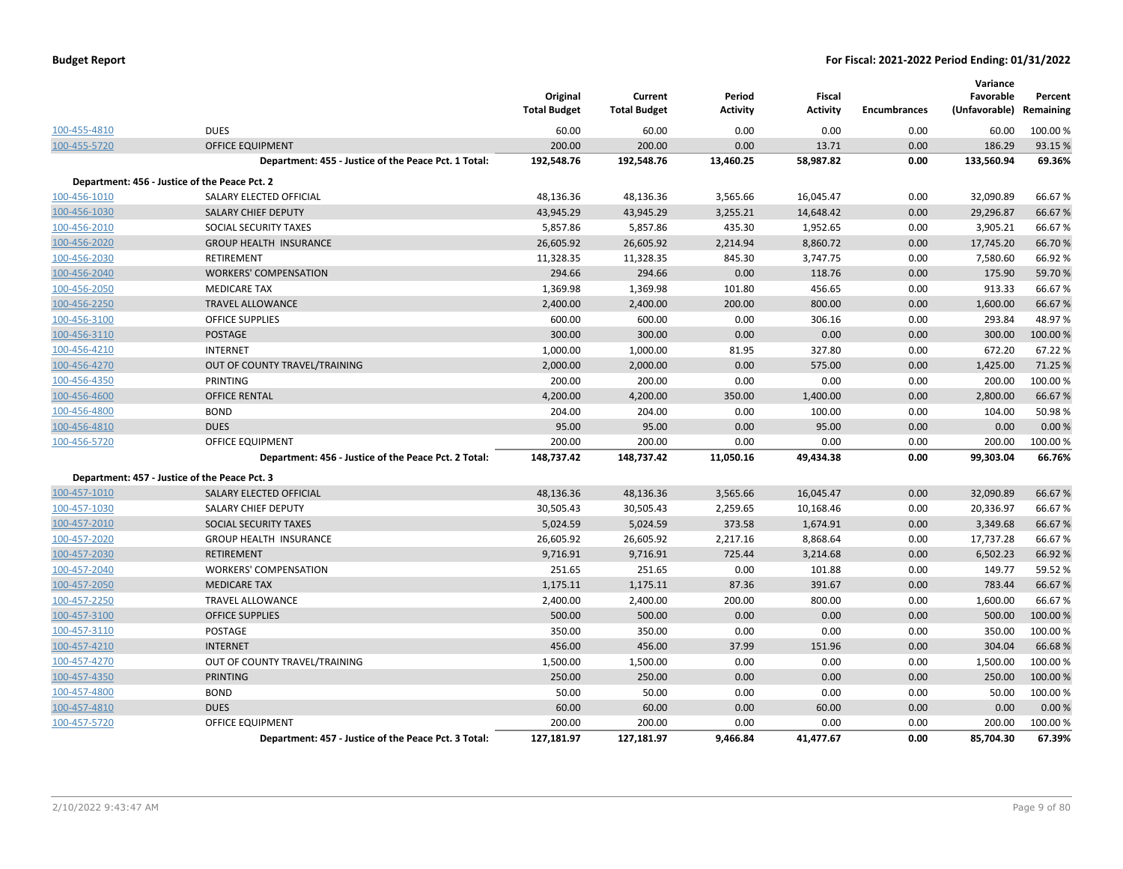|              |                                                      | Original<br><b>Total Budget</b> | Current<br><b>Total Budget</b> | Period<br><b>Activity</b> | <b>Fiscal</b><br><b>Activity</b> | <b>Encumbrances</b> | Variance<br>Favorable<br>(Unfavorable) | Percent<br>Remaining |
|--------------|------------------------------------------------------|---------------------------------|--------------------------------|---------------------------|----------------------------------|---------------------|----------------------------------------|----------------------|
| 100-455-4810 | <b>DUES</b>                                          | 60.00                           | 60.00                          | 0.00                      | 0.00                             | 0.00                | 60.00                                  | 100.00%              |
| 100-455-5720 | <b>OFFICE EQUIPMENT</b>                              | 200.00                          | 200.00                         | 0.00                      | 13.71                            | 0.00                | 186.29                                 | 93.15%               |
|              | Department: 455 - Justice of the Peace Pct. 1 Total: | 192,548.76                      | 192,548.76                     | 13,460.25                 | 58,987.82                        | 0.00                | 133,560.94                             | 69.36%               |
|              | Department: 456 - Justice of the Peace Pct. 2        |                                 |                                |                           |                                  |                     |                                        |                      |
| 100-456-1010 | SALARY ELECTED OFFICIAL                              | 48,136.36                       | 48,136.36                      | 3,565.66                  | 16,045.47                        | 0.00                | 32,090.89                              | 66.67%               |
| 100-456-1030 | <b>SALARY CHIEF DEPUTY</b>                           | 43,945.29                       | 43,945.29                      | 3,255.21                  | 14,648.42                        | 0.00                | 29,296.87                              | 66.67%               |
| 100-456-2010 | SOCIAL SECURITY TAXES                                | 5,857.86                        | 5,857.86                       | 435.30                    | 1,952.65                         | 0.00                | 3,905.21                               | 66.67%               |
| 100-456-2020 | <b>GROUP HEALTH INSURANCE</b>                        | 26,605.92                       | 26,605.92                      | 2,214.94                  | 8,860.72                         | 0.00                | 17,745.20                              | 66.70%               |
| 100-456-2030 | RETIREMENT                                           | 11,328.35                       | 11,328.35                      | 845.30                    | 3,747.75                         | 0.00                | 7,580.60                               | 66.92%               |
| 100-456-2040 | <b>WORKERS' COMPENSATION</b>                         | 294.66                          | 294.66                         | 0.00                      | 118.76                           | 0.00                | 175.90                                 | 59.70%               |
| 100-456-2050 | <b>MEDICARE TAX</b>                                  | 1,369.98                        | 1,369.98                       | 101.80                    | 456.65                           | 0.00                | 913.33                                 | 66.67%               |
| 100-456-2250 | <b>TRAVEL ALLOWANCE</b>                              | 2,400.00                        | 2,400.00                       | 200.00                    | 800.00                           | 0.00                | 1,600.00                               | 66.67%               |
| 100-456-3100 | <b>OFFICE SUPPLIES</b>                               | 600.00                          | 600.00                         | 0.00                      | 306.16                           | 0.00                | 293.84                                 | 48.97%               |
| 100-456-3110 | <b>POSTAGE</b>                                       | 300.00                          | 300.00                         | 0.00                      | 0.00                             | 0.00                | 300.00                                 | 100.00 %             |
| 100-456-4210 | <b>INTERNET</b>                                      | 1,000.00                        | 1,000.00                       | 81.95                     | 327.80                           | 0.00                | 672.20                                 | 67.22%               |
| 100-456-4270 | OUT OF COUNTY TRAVEL/TRAINING                        | 2,000.00                        | 2,000.00                       | 0.00                      | 575.00                           | 0.00                | 1,425.00                               | 71.25 %              |
| 100-456-4350 | <b>PRINTING</b>                                      | 200.00                          | 200.00                         | 0.00                      | 0.00                             | 0.00                | 200.00                                 | 100.00%              |
| 100-456-4600 | <b>OFFICE RENTAL</b>                                 | 4,200.00                        | 4,200.00                       | 350.00                    | 1,400.00                         | 0.00                | 2,800.00                               | 66.67%               |
| 100-456-4800 | <b>BOND</b>                                          | 204.00                          | 204.00                         | 0.00                      | 100.00                           | 0.00                | 104.00                                 | 50.98%               |
| 100-456-4810 | <b>DUES</b>                                          | 95.00                           | 95.00                          | 0.00                      | 95.00                            | 0.00                | 0.00                                   | 0.00%                |
| 100-456-5720 | <b>OFFICE EQUIPMENT</b>                              | 200.00                          | 200.00                         | 0.00                      | 0.00                             | 0.00                | 200.00                                 | 100.00%              |
|              | Department: 456 - Justice of the Peace Pct. 2 Total: | 148,737.42                      | 148,737.42                     | 11,050.16                 | 49,434.38                        | 0.00                | 99,303.04                              | 66.76%               |
|              | Department: 457 - Justice of the Peace Pct. 3        |                                 |                                |                           |                                  |                     |                                        |                      |
| 100-457-1010 | <b>SALARY ELECTED OFFICIAL</b>                       | 48,136.36                       | 48,136.36                      | 3,565.66                  | 16.045.47                        | 0.00                | 32,090.89                              | 66.67%               |
| 100-457-1030 | SALARY CHIEF DEPUTY                                  | 30,505.43                       | 30,505.43                      | 2,259.65                  | 10,168.46                        | 0.00                | 20,336.97                              | 66.67%               |
| 100-457-2010 | SOCIAL SECURITY TAXES                                | 5,024.59                        | 5,024.59                       | 373.58                    | 1,674.91                         | 0.00                | 3,349.68                               | 66.67%               |
| 100-457-2020 | <b>GROUP HEALTH INSURANCE</b>                        | 26,605.92                       | 26,605.92                      | 2,217.16                  | 8,868.64                         | 0.00                | 17,737.28                              | 66.67%               |
| 100-457-2030 | <b>RETIREMENT</b>                                    | 9,716.91                        | 9,716.91                       | 725.44                    | 3,214.68                         | 0.00                | 6,502.23                               | 66.92%               |
| 100-457-2040 | <b>WORKERS' COMPENSATION</b>                         | 251.65                          | 251.65                         | 0.00                      | 101.88                           | 0.00                | 149.77                                 | 59.52%               |
| 100-457-2050 | <b>MEDICARE TAX</b>                                  | 1,175.11                        | 1,175.11                       | 87.36                     | 391.67                           | 0.00                | 783.44                                 | 66.67%               |
| 100-457-2250 | <b>TRAVEL ALLOWANCE</b>                              | 2,400.00                        | 2,400.00                       | 200.00                    | 800.00                           | 0.00                | 1,600.00                               | 66.67%               |
| 100-457-3100 | <b>OFFICE SUPPLIES</b>                               | 500.00                          | 500.00                         | 0.00                      | 0.00                             | 0.00                | 500.00                                 | 100.00 %             |
| 100-457-3110 | <b>POSTAGE</b>                                       | 350.00                          | 350.00                         | 0.00                      | 0.00                             | 0.00                | 350.00                                 | 100.00 %             |
| 100-457-4210 | <b>INTERNET</b>                                      | 456.00                          | 456.00                         | 37.99                     | 151.96                           | 0.00                | 304.04                                 | 66.68%               |
| 100-457-4270 | OUT OF COUNTY TRAVEL/TRAINING                        | 1,500.00                        | 1,500.00                       | 0.00                      | 0.00                             | 0.00                | 1,500.00                               | 100.00 %             |
| 100-457-4350 | <b>PRINTING</b>                                      | 250.00                          | 250.00                         | 0.00                      | 0.00                             | 0.00                | 250.00                                 | 100.00 %             |
| 100-457-4800 | <b>BOND</b>                                          | 50.00                           | 50.00                          | 0.00                      | 0.00                             | 0.00                | 50.00                                  | 100.00 %             |
| 100-457-4810 | <b>DUES</b>                                          | 60.00                           | 60.00                          | 0.00                      | 60.00                            | 0.00                | 0.00                                   | 0.00%                |
| 100-457-5720 | OFFICE EQUIPMENT                                     | 200.00                          | 200.00                         | 0.00                      | 0.00                             | 0.00                | 200.00                                 | 100.00%              |
|              | Department: 457 - Justice of the Peace Pct. 3 Total: | 127,181.97                      | 127,181.97                     | 9,466.84                  | 41,477.67                        | 0.00                | 85,704.30                              | 67.39%               |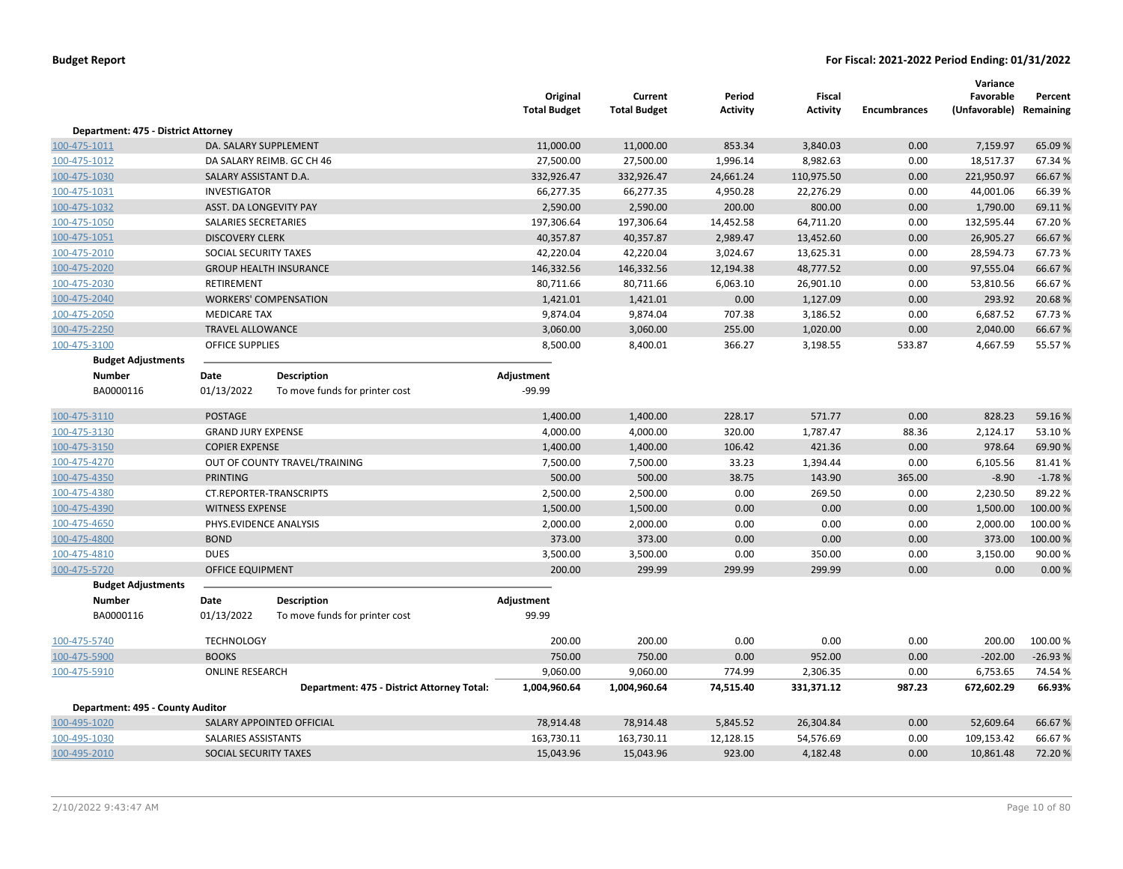|                                     |                            |                                            | Original<br><b>Total Budget</b> | Current<br><b>Total Budget</b> | Period<br><b>Activity</b> | <b>Fiscal</b><br><b>Activity</b> | <b>Encumbrances</b> | Variance<br>Favorable<br>(Unfavorable) Remaining | Percent   |
|-------------------------------------|----------------------------|--------------------------------------------|---------------------------------|--------------------------------|---------------------------|----------------------------------|---------------------|--------------------------------------------------|-----------|
| Department: 475 - District Attorney |                            |                                            |                                 |                                |                           |                                  |                     |                                                  |           |
| 100-475-1011                        | DA. SALARY SUPPLEMENT      |                                            | 11,000.00                       | 11,000.00                      | 853.34                    | 3,840.03                         | 0.00                | 7,159.97                                         | 65.09%    |
| 100-475-1012                        |                            | DA SALARY REIMB. GC CH 46                  | 27,500.00                       | 27,500.00                      | 1,996.14                  | 8,982.63                         | 0.00                | 18,517.37                                        | 67.34 %   |
| 100-475-1030                        | SALARY ASSISTANT D.A.      |                                            | 332,926.47                      | 332,926.47                     | 24,661.24                 | 110,975.50                       | 0.00                | 221,950.97                                       | 66.67%    |
| 100-475-1031                        | <b>INVESTIGATOR</b>        |                                            | 66,277.35                       | 66,277.35                      | 4,950.28                  | 22,276.29                        | 0.00                | 44,001.06                                        | 66.39%    |
| 100-475-1032                        | ASST. DA LONGEVITY PAY     |                                            | 2,590.00                        | 2,590.00                       | 200.00                    | 800.00                           | 0.00                | 1,790.00                                         | 69.11%    |
| 100-475-1050                        | SALARIES SECRETARIES       |                                            | 197,306.64                      | 197,306.64                     | 14,452.58                 | 64,711.20                        | 0.00                | 132,595.44                                       | 67.20%    |
| 100-475-1051                        | <b>DISCOVERY CLERK</b>     |                                            | 40,357.87                       | 40,357.87                      | 2,989.47                  | 13,452.60                        | 0.00                | 26,905.27                                        | 66.67%    |
| 100-475-2010                        | SOCIAL SECURITY TAXES      |                                            | 42,220.04                       | 42,220.04                      | 3,024.67                  | 13,625.31                        | 0.00                | 28,594.73                                        | 67.73%    |
| 100-475-2020                        |                            | <b>GROUP HEALTH INSURANCE</b>              | 146,332.56                      | 146,332.56                     | 12,194.38                 | 48,777.52                        | 0.00                | 97,555.04                                        | 66.67%    |
| 100-475-2030                        | <b>RETIREMENT</b>          |                                            | 80,711.66                       | 80,711.66                      | 6,063.10                  | 26,901.10                        | 0.00                | 53,810.56                                        | 66.67%    |
| 100-475-2040                        |                            | <b>WORKERS' COMPENSATION</b>               | 1,421.01                        | 1,421.01                       | 0.00                      | 1,127.09                         | 0.00                | 293.92                                           | 20.68%    |
| 100-475-2050                        | <b>MEDICARE TAX</b>        |                                            | 9,874.04                        | 9,874.04                       | 707.38                    | 3,186.52                         | 0.00                | 6,687.52                                         | 67.73%    |
| 100-475-2250                        | <b>TRAVEL ALLOWANCE</b>    |                                            | 3,060.00                        | 3,060.00                       | 255.00                    | 1,020.00                         | 0.00                | 2,040.00                                         | 66.67%    |
| 100-475-3100                        | OFFICE SUPPLIES            |                                            | 8,500.00                        | 8,400.01                       | 366.27                    | 3,198.55                         | 533.87              | 4,667.59                                         | 55.57%    |
| <b>Budget Adjustments</b>           |                            |                                            |                                 |                                |                           |                                  |                     |                                                  |           |
| <b>Number</b>                       | Date                       | <b>Description</b>                         | Adjustment                      |                                |                           |                                  |                     |                                                  |           |
| BA0000116                           | 01/13/2022                 | To move funds for printer cost             | $-99.99$                        |                                |                           |                                  |                     |                                                  |           |
| 100-475-3110                        | <b>POSTAGE</b>             |                                            | 1,400.00                        | 1,400.00                       | 228.17                    | 571.77                           | 0.00                | 828.23                                           | 59.16%    |
| 100-475-3130                        | <b>GRAND JURY EXPENSE</b>  |                                            | 4,000.00                        | 4,000.00                       | 320.00                    | 1,787.47                         | 88.36               | 2,124.17                                         | 53.10%    |
| 100-475-3150                        | <b>COPIER EXPENSE</b>      |                                            | 1,400.00                        | 1,400.00                       | 106.42                    | 421.36                           | 0.00                | 978.64                                           | 69.90%    |
| 100-475-4270                        |                            | OUT OF COUNTY TRAVEL/TRAINING              | 7,500.00                        | 7,500.00                       | 33.23                     | 1,394.44                         | 0.00                | 6,105.56                                         | 81.41%    |
| 100-475-4350                        | <b>PRINTING</b>            |                                            | 500.00                          | 500.00                         | 38.75                     | 143.90                           | 365.00              | $-8.90$                                          | $-1.78%$  |
| 100-475-4380                        |                            | CT.REPORTER-TRANSCRIPTS                    | 2,500.00                        | 2,500.00                       | 0.00                      | 269.50                           | 0.00                | 2,230.50                                         | 89.22%    |
| 100-475-4390                        | <b>WITNESS EXPENSE</b>     |                                            | 1,500.00                        | 1,500.00                       | 0.00                      | 0.00                             | 0.00                | 1,500.00                                         | 100.00 %  |
| 100-475-4650                        | PHYS.EVIDENCE ANALYSIS     |                                            | 2,000.00                        | 2,000.00                       | 0.00                      | 0.00                             | 0.00                | 2,000.00                                         | 100.00%   |
| 100-475-4800                        | <b>BOND</b>                |                                            | 373.00                          | 373.00                         | 0.00                      | 0.00                             | 0.00                | 373.00                                           | 100.00 %  |
| 100-475-4810                        | <b>DUES</b>                |                                            | 3,500.00                        | 3,500.00                       | 0.00                      | 350.00                           | 0.00                | 3,150.00                                         | 90.00 %   |
| 100-475-5720                        | <b>OFFICE EQUIPMENT</b>    |                                            | 200.00                          | 299.99                         | 299.99                    | 299.99                           | 0.00                | 0.00                                             | 0.00%     |
| <b>Budget Adjustments</b>           |                            |                                            |                                 |                                |                           |                                  |                     |                                                  |           |
| <b>Number</b>                       | Date                       | <b>Description</b>                         | Adjustment                      |                                |                           |                                  |                     |                                                  |           |
| BA0000116                           | 01/13/2022                 | To move funds for printer cost             | 99.99                           |                                |                           |                                  |                     |                                                  |           |
| 100-475-5740                        | <b>TECHNOLOGY</b>          |                                            | 200.00                          | 200.00                         | 0.00                      | 0.00                             | 0.00                | 200.00                                           | 100.00 %  |
| 100-475-5900                        | <b>BOOKS</b>               |                                            | 750.00                          | 750.00                         | 0.00                      | 952.00                           | 0.00                | $-202.00$                                        | $-26.93%$ |
| 100-475-5910                        | <b>ONLINE RESEARCH</b>     |                                            | 9,060.00                        | 9,060.00                       | 774.99                    | 2,306.35                         | 0.00                | 6,753.65                                         | 74.54 %   |
|                                     |                            | Department: 475 - District Attorney Total: | 1,004,960.64                    | 1,004,960.64                   | 74,515.40                 | 331,371.12                       | 987.23              | 672,602.29                                       | 66.93%    |
| Department: 495 - County Auditor    |                            |                                            |                                 |                                |                           |                                  |                     |                                                  |           |
| 100-495-1020                        |                            | SALARY APPOINTED OFFICIAL                  | 78,914.48                       | 78,914.48                      | 5,845.52                  | 26,304.84                        | 0.00                | 52,609.64                                        | 66.67%    |
| 100-495-1030                        | <b>SALARIES ASSISTANTS</b> |                                            | 163,730.11                      | 163,730.11                     | 12,128.15                 | 54,576.69                        | 0.00                | 109,153.42                                       | 66.67%    |
| 100-495-2010                        | SOCIAL SECURITY TAXES      |                                            | 15,043.96                       | 15,043.96                      | 923.00                    | 4,182.48                         | 0.00                | 10,861.48                                        | 72.20%    |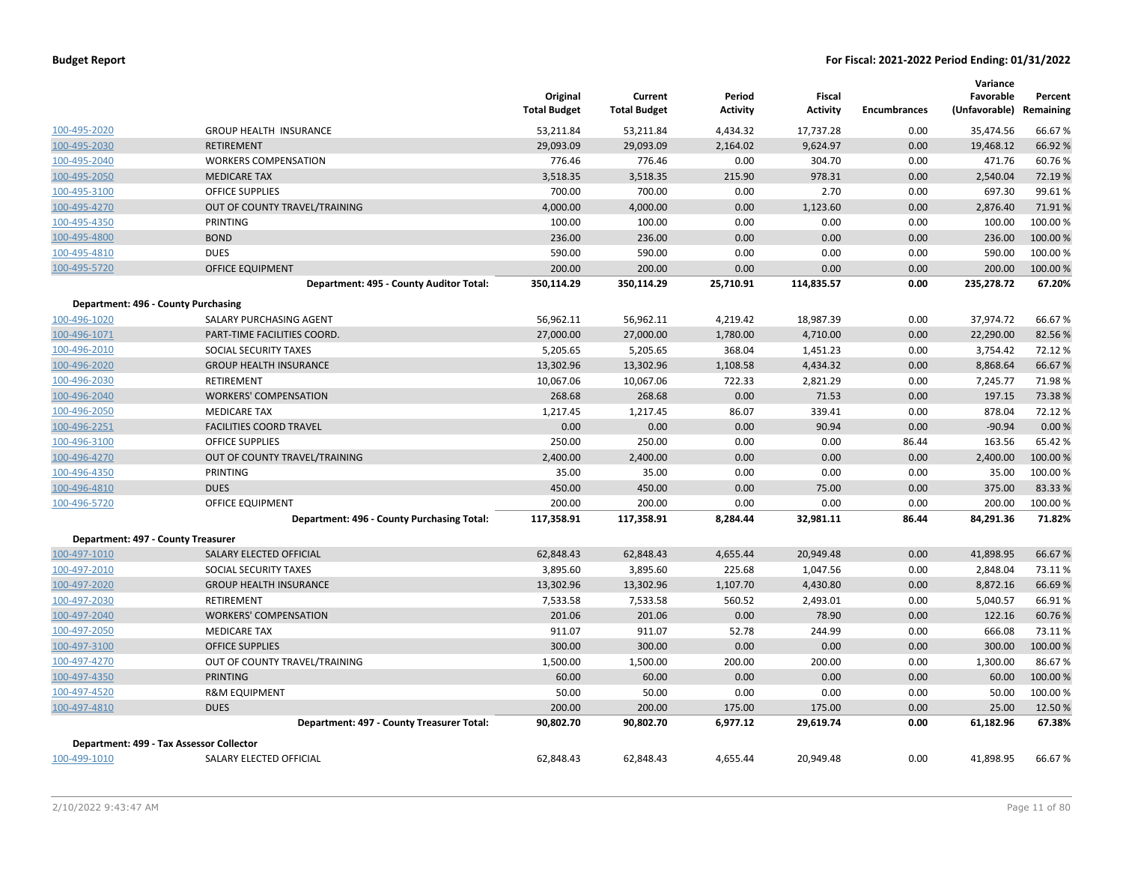|                                     |                                            | Original<br><b>Total Budget</b> | Current<br><b>Total Budget</b> | Period<br>Activity | Fiscal<br><b>Activity</b> | <b>Encumbrances</b> | Variance<br>Favorable<br>(Unfavorable) | Percent<br>Remaining |
|-------------------------------------|--------------------------------------------|---------------------------------|--------------------------------|--------------------|---------------------------|---------------------|----------------------------------------|----------------------|
| 100-495-2020                        | <b>GROUP HEALTH INSURANCE</b>              | 53,211.84                       | 53,211.84                      | 4,434.32           | 17,737.28                 | 0.00                | 35,474.56                              | 66.67%               |
| 100-495-2030                        | <b>RETIREMENT</b>                          | 29,093.09                       | 29,093.09                      | 2,164.02           | 9,624.97                  | 0.00                | 19,468.12                              | 66.92 %              |
| 100-495-2040                        | <b>WORKERS COMPENSATION</b>                | 776.46                          | 776.46                         | 0.00               | 304.70                    | 0.00                | 471.76                                 | 60.76%               |
| 100-495-2050                        | <b>MEDICARE TAX</b>                        | 3,518.35                        | 3,518.35                       | 215.90             | 978.31                    | 0.00                | 2,540.04                               | 72.19 %              |
| 100-495-3100                        | <b>OFFICE SUPPLIES</b>                     | 700.00                          | 700.00                         | 0.00               | 2.70                      | 0.00                | 697.30                                 | 99.61%               |
| 100-495-4270                        | OUT OF COUNTY TRAVEL/TRAINING              | 4,000.00                        | 4,000.00                       | 0.00               | 1,123.60                  | 0.00                | 2,876.40                               | 71.91%               |
| 100-495-4350                        | PRINTING                                   | 100.00                          | 100.00                         | 0.00               | 0.00                      | 0.00                | 100.00                                 | 100.00 %             |
| 100-495-4800                        | <b>BOND</b>                                | 236.00                          | 236.00                         | 0.00               | 0.00                      | 0.00                | 236.00                                 | 100.00 %             |
| 100-495-4810                        | <b>DUES</b>                                | 590.00                          | 590.00                         | 0.00               | 0.00                      | 0.00                | 590.00                                 | 100.00%              |
| 100-495-5720                        | <b>OFFICE EQUIPMENT</b>                    | 200.00                          | 200.00                         | 0.00               | 0.00                      | 0.00                | 200.00                                 | 100.00%              |
|                                     | Department: 495 - County Auditor Total:    | 350,114.29                      | 350,114.29                     | 25,710.91          | 114,835.57                | 0.00                | 235,278.72                             | 67.20%               |
| Department: 496 - County Purchasing |                                            |                                 |                                |                    |                           |                     |                                        |                      |
| 100-496-1020                        | SALARY PURCHASING AGENT                    | 56,962.11                       | 56,962.11                      | 4,219.42           | 18,987.39                 | 0.00                | 37,974.72                              | 66.67%               |
| 100-496-1071                        | PART-TIME FACILITIES COORD.                | 27,000.00                       | 27,000.00                      | 1,780.00           | 4,710.00                  | 0.00                | 22,290.00                              | 82.56%               |
| 100-496-2010                        | SOCIAL SECURITY TAXES                      | 5,205.65                        | 5,205.65                       | 368.04             | 1,451.23                  | 0.00                | 3,754.42                               | 72.12 %              |
| 100-496-2020                        | <b>GROUP HEALTH INSURANCE</b>              | 13,302.96                       | 13,302.96                      | 1,108.58           | 4,434.32                  | 0.00                | 8,868.64                               | 66.67%               |
| 100-496-2030                        | <b>RETIREMENT</b>                          | 10,067.06                       | 10,067.06                      | 722.33             | 2,821.29                  | 0.00                | 7,245.77                               | 71.98%               |
| 100-496-2040                        | <b>WORKERS' COMPENSATION</b>               | 268.68                          | 268.68                         | 0.00               | 71.53                     | 0.00                | 197.15                                 | 73.38%               |
| 100-496-2050                        | <b>MEDICARE TAX</b>                        | 1,217.45                        | 1,217.45                       | 86.07              | 339.41                    | 0.00                | 878.04                                 | 72.12%               |
| 100-496-2251                        | <b>FACILITIES COORD TRAVEL</b>             | 0.00                            | 0.00                           | 0.00               | 90.94                     | 0.00                | $-90.94$                               | 0.00%                |
| 100-496-3100                        | <b>OFFICE SUPPLIES</b>                     | 250.00                          | 250.00                         | 0.00               | 0.00                      | 86.44               | 163.56                                 | 65.42 %              |
| 100-496-4270                        | OUT OF COUNTY TRAVEL/TRAINING              | 2,400.00                        | 2,400.00                       | 0.00               | 0.00                      | 0.00                | 2,400.00                               | 100.00 %             |
| 100-496-4350                        | PRINTING                                   | 35.00                           | 35.00                          | 0.00               | 0.00                      | 0.00                | 35.00                                  | 100.00%              |
| 100-496-4810                        | <b>DUES</b>                                | 450.00                          | 450.00                         | 0.00               | 75.00                     | 0.00                | 375.00                                 | 83.33 %              |
| 100-496-5720                        | OFFICE EQUIPMENT                           | 200.00                          | 200.00                         | 0.00               | 0.00                      | 0.00                | 200.00                                 | 100.00%              |
|                                     | Department: 496 - County Purchasing Total: | 117,358.91                      | 117,358.91                     | 8,284.44           | 32,981.11                 | 86.44               | 84,291.36                              | 71.82%               |
| Department: 497 - County Treasurer  |                                            |                                 |                                |                    |                           |                     |                                        |                      |
| 100-497-1010                        | SALARY ELECTED OFFICIAL                    | 62,848.43                       | 62,848.43                      | 4,655.44           | 20,949.48                 | 0.00                | 41,898.95                              | 66.67%               |
| 100-497-2010                        | SOCIAL SECURITY TAXES                      | 3,895.60                        | 3,895.60                       | 225.68             | 1,047.56                  | 0.00                | 2,848.04                               | 73.11%               |
| 100-497-2020                        | <b>GROUP HEALTH INSURANCE</b>              | 13,302.96                       | 13,302.96                      | 1,107.70           | 4,430.80                  | 0.00                | 8,872.16                               | 66.69%               |
| 100-497-2030                        | RETIREMENT                                 | 7,533.58                        | 7,533.58                       | 560.52             | 2,493.01                  | 0.00                | 5,040.57                               | 66.91%               |
| 100-497-2040                        | <b>WORKERS' COMPENSATION</b>               | 201.06                          | 201.06                         | 0.00               | 78.90                     | 0.00                | 122.16                                 | 60.76%               |
| 100-497-2050                        | <b>MEDICARE TAX</b>                        | 911.07                          | 911.07                         | 52.78              | 244.99                    | 0.00                | 666.08                                 | 73.11%               |
| 100-497-3100                        | <b>OFFICE SUPPLIES</b>                     | 300.00                          | 300.00                         | 0.00               | 0.00                      | 0.00                | 300.00                                 | 100.00%              |
| 100-497-4270                        | OUT OF COUNTY TRAVEL/TRAINING              | 1,500.00                        | 1,500.00                       | 200.00             | 200.00                    | 0.00                | 1,300.00                               | 86.67%               |
| 100-497-4350                        | <b>PRINTING</b>                            | 60.00                           | 60.00                          | 0.00               | 0.00                      | 0.00                | 60.00                                  | 100.00%              |
| 100-497-4520                        | <b>R&amp;M EQUIPMENT</b>                   | 50.00                           | 50.00                          | 0.00               | 0.00                      | 0.00                | 50.00                                  | 100.00%              |
| 100-497-4810                        | <b>DUES</b>                                | 200.00                          | 200.00                         | 175.00             | 175.00                    | 0.00                | 25.00                                  | 12.50 %              |
|                                     | Department: 497 - County Treasurer Total:  | 90,802.70                       | 90,802.70                      | 6,977.12           | 29,619.74                 | 0.00                | 61,182.96                              | 67.38%               |
|                                     | Department: 499 - Tax Assessor Collector   |                                 |                                |                    |                           |                     |                                        |                      |
| 100-499-1010                        | SALARY ELECTED OFFICIAL                    | 62,848.43                       | 62,848.43                      | 4,655.44           | 20,949.48                 | 0.00                | 41,898.95                              | 66.67%               |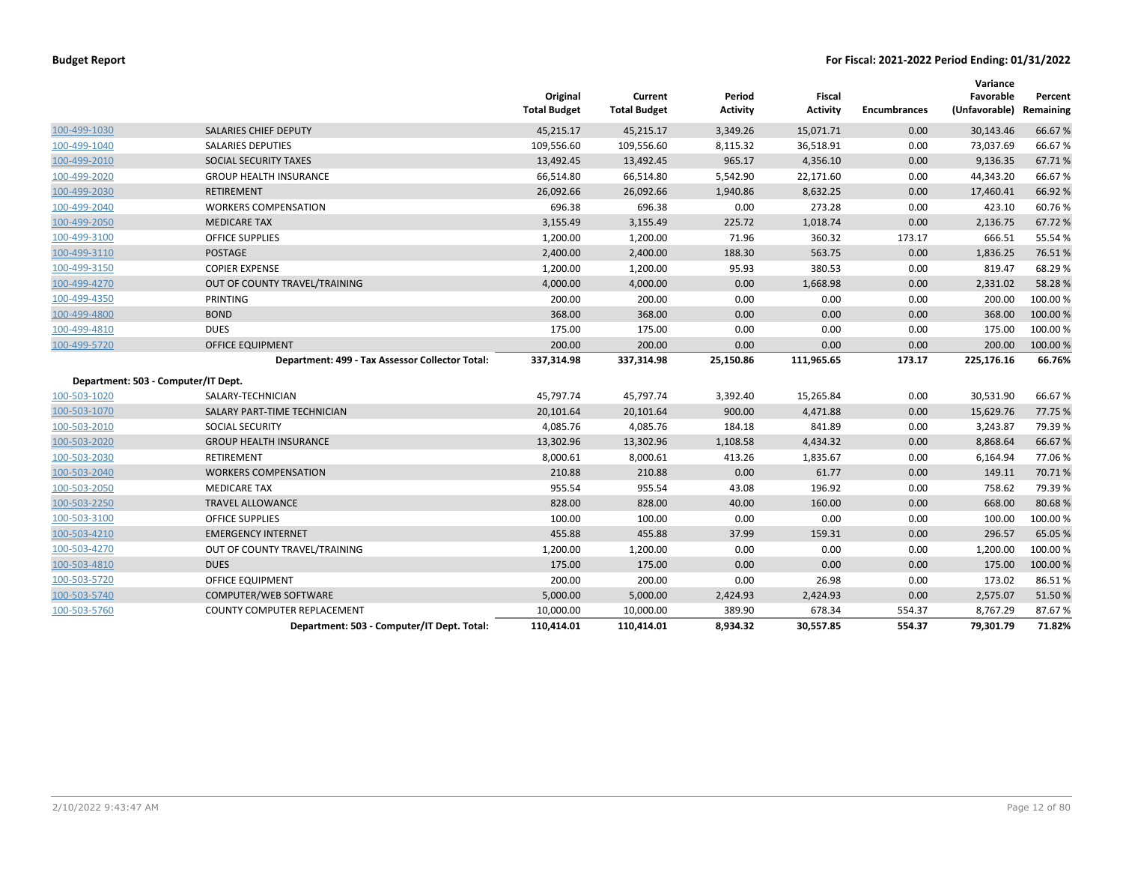|              |                                                 | Original<br><b>Total Budget</b> | Current<br><b>Total Budget</b> | Period<br><b>Activity</b> | <b>Fiscal</b><br><b>Activity</b> | <b>Encumbrances</b> | Variance<br>Favorable<br>(Unfavorable) | Percent<br>Remaining |
|--------------|-------------------------------------------------|---------------------------------|--------------------------------|---------------------------|----------------------------------|---------------------|----------------------------------------|----------------------|
| 100-499-1030 | <b>SALARIES CHIEF DEPUTY</b>                    | 45,215.17                       | 45,215.17                      | 3,349.26                  | 15,071.71                        | 0.00                | 30,143.46                              | 66.67%               |
| 100-499-1040 | <b>SALARIES DEPUTIES</b>                        | 109,556.60                      | 109,556.60                     | 8,115.32                  | 36,518.91                        | 0.00                | 73,037.69                              | 66.67%               |
| 100-499-2010 | SOCIAL SECURITY TAXES                           | 13,492.45                       | 13,492.45                      | 965.17                    | 4,356.10                         | 0.00                | 9,136.35                               | 67.71%               |
| 100-499-2020 | <b>GROUP HEALTH INSURANCE</b>                   | 66,514.80                       | 66,514.80                      | 5,542.90                  | 22,171.60                        | 0.00                | 44,343.20                              | 66.67%               |
| 100-499-2030 | <b>RETIREMENT</b>                               | 26,092.66                       | 26,092.66                      | 1,940.86                  | 8,632.25                         | 0.00                | 17,460.41                              | 66.92%               |
| 100-499-2040 | <b>WORKERS COMPENSATION</b>                     | 696.38                          | 696.38                         | 0.00                      | 273.28                           | 0.00                | 423.10                                 | 60.76%               |
| 100-499-2050 | <b>MEDICARE TAX</b>                             | 3,155.49                        | 3,155.49                       | 225.72                    | 1,018.74                         | 0.00                | 2,136.75                               | 67.72%               |
| 100-499-3100 | <b>OFFICE SUPPLIES</b>                          | 1,200.00                        | 1,200.00                       | 71.96                     | 360.32                           | 173.17              | 666.51                                 | 55.54 %              |
| 100-499-3110 | <b>POSTAGE</b>                                  | 2,400.00                        | 2,400.00                       | 188.30                    | 563.75                           | 0.00                | 1,836.25                               | 76.51%               |
| 100-499-3150 | <b>COPIER EXPENSE</b>                           | 1,200.00                        | 1,200.00                       | 95.93                     | 380.53                           | 0.00                | 819.47                                 | 68.29%               |
| 100-499-4270 | OUT OF COUNTY TRAVEL/TRAINING                   | 4,000.00                        | 4,000.00                       | 0.00                      | 1,668.98                         | 0.00                | 2,331.02                               | 58.28%               |
| 100-499-4350 | PRINTING                                        | 200.00                          | 200.00                         | 0.00                      | 0.00                             | 0.00                | 200.00                                 | 100.00%              |
| 100-499-4800 | <b>BOND</b>                                     | 368.00                          | 368.00                         | 0.00                      | 0.00                             | 0.00                | 368.00                                 | 100.00 %             |
| 100-499-4810 | <b>DUES</b>                                     | 175.00                          | 175.00                         | 0.00                      | 0.00                             | 0.00                | 175.00                                 | 100.00%              |
| 100-499-5720 | <b>OFFICE EQUIPMENT</b>                         | 200.00                          | 200.00                         | 0.00                      | 0.00                             | 0.00                | 200.00                                 | 100.00%              |
|              | Department: 499 - Tax Assessor Collector Total: | 337,314.98                      | 337,314.98                     | 25,150.86                 | 111,965.65                       | 173.17              | 225,176.16                             | 66.76%               |
|              | Department: 503 - Computer/IT Dept.             |                                 |                                |                           |                                  |                     |                                        |                      |
| 100-503-1020 | SALARY-TECHNICIAN                               | 45,797.74                       | 45,797.74                      | 3,392.40                  | 15,265.84                        | 0.00                | 30,531.90                              | 66.67%               |
| 100-503-1070 | SALARY PART-TIME TECHNICIAN                     | 20,101.64                       | 20,101.64                      | 900.00                    | 4,471.88                         | 0.00                | 15,629.76                              | 77.75 %              |
| 100-503-2010 | <b>SOCIAL SECURITY</b>                          | 4,085.76                        | 4,085.76                       | 184.18                    | 841.89                           | 0.00                | 3,243.87                               | 79.39%               |
| 100-503-2020 | <b>GROUP HEALTH INSURANCE</b>                   | 13,302.96                       | 13,302.96                      | 1,108.58                  | 4,434.32                         | 0.00                | 8,868.64                               | 66.67%               |
| 100-503-2030 | RETIREMENT                                      | 8,000.61                        | 8,000.61                       | 413.26                    | 1,835.67                         | 0.00                | 6,164.94                               | 77.06%               |
| 100-503-2040 | <b>WORKERS COMPENSATION</b>                     | 210.88                          | 210.88                         | 0.00                      | 61.77                            | 0.00                | 149.11                                 | 70.71%               |
| 100-503-2050 | <b>MEDICARE TAX</b>                             | 955.54                          | 955.54                         | 43.08                     | 196.92                           | 0.00                | 758.62                                 | 79.39%               |
| 100-503-2250 | <b>TRAVEL ALLOWANCE</b>                         | 828.00                          | 828.00                         | 40.00                     | 160.00                           | 0.00                | 668.00                                 | 80.68%               |
| 100-503-3100 | <b>OFFICE SUPPLIES</b>                          | 100.00                          | 100.00                         | 0.00                      | 0.00                             | 0.00                | 100.00                                 | 100.00%              |
| 100-503-4210 | <b>EMERGENCY INTERNET</b>                       | 455.88                          | 455.88                         | 37.99                     | 159.31                           | 0.00                | 296.57                                 | 65.05 %              |
| 100-503-4270 | OUT OF COUNTY TRAVEL/TRAINING                   | 1,200.00                        | 1,200.00                       | 0.00                      | 0.00                             | 0.00                | 1,200.00                               | 100.00%              |
| 100-503-4810 | <b>DUES</b>                                     | 175.00                          | 175.00                         | 0.00                      | 0.00                             | 0.00                | 175.00                                 | 100.00 %             |
| 100-503-5720 | <b>OFFICE EQUIPMENT</b>                         | 200.00                          | 200.00                         | 0.00                      | 26.98                            | 0.00                | 173.02                                 | 86.51%               |
| 100-503-5740 | COMPUTER/WEB SOFTWARE                           | 5,000.00                        | 5,000.00                       | 2,424.93                  | 2,424.93                         | 0.00                | 2,575.07                               | 51.50 %              |
| 100-503-5760 | COUNTY COMPUTER REPLACEMENT                     | 10,000.00                       | 10,000.00                      | 389.90                    | 678.34                           | 554.37              | 8,767.29                               | 87.67%               |
|              | Department: 503 - Computer/IT Dept. Total:      | 110,414.01                      | 110,414.01                     | 8,934.32                  | 30,557.85                        | 554.37              | 79,301.79                              | 71.82%               |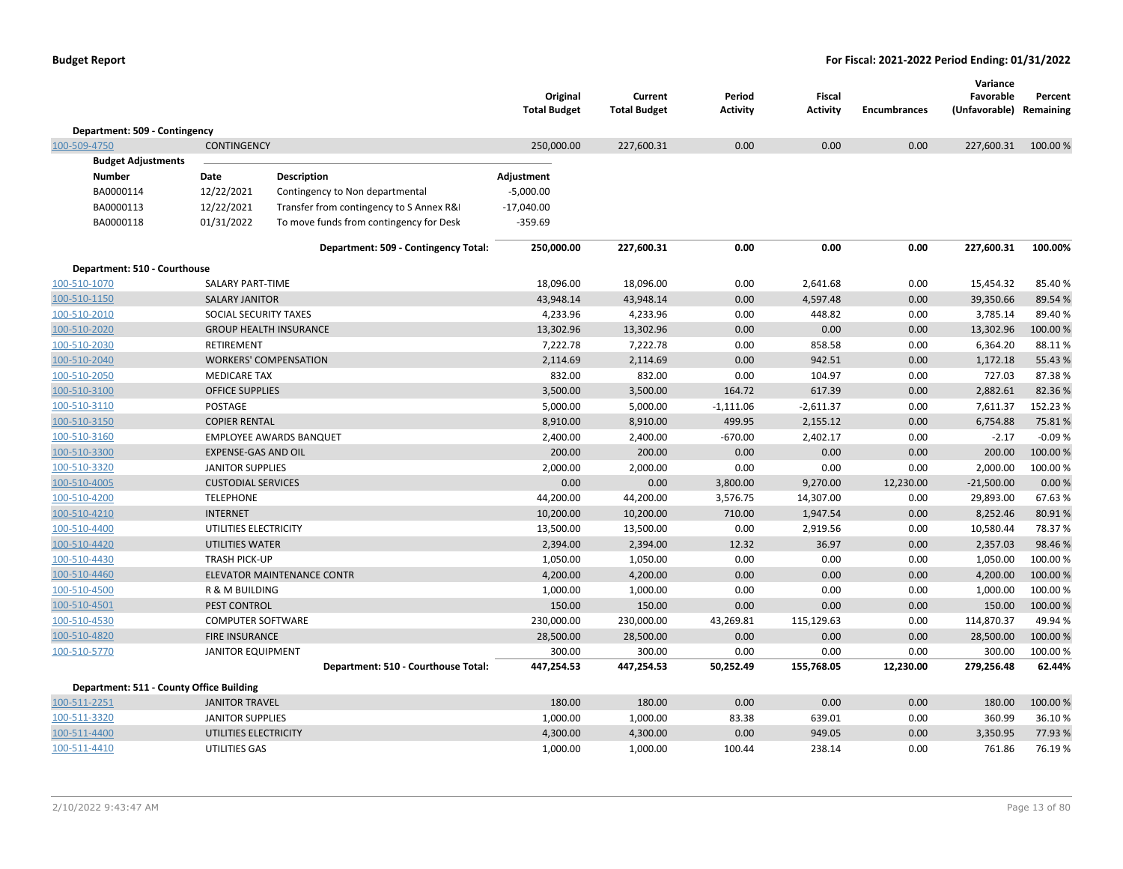|                                          |                            |                                          | Original<br><b>Total Budget</b> | Current<br><b>Total Budget</b> | Period<br>Activity | <b>Fiscal</b><br>Activity | <b>Encumbrances</b> | Variance<br>Favorable<br>(Unfavorable) Remaining | Percent  |
|------------------------------------------|----------------------------|------------------------------------------|---------------------------------|--------------------------------|--------------------|---------------------------|---------------------|--------------------------------------------------|----------|
| Department: 509 - Contingency            |                            |                                          |                                 |                                |                    |                           |                     |                                                  |          |
| 100-509-4750                             | <b>CONTINGENCY</b>         |                                          | 250,000.00                      | 227,600.31                     | 0.00               | 0.00                      | 0.00                | 227,600.31                                       | 100.00 % |
| <b>Budget Adjustments</b>                |                            |                                          |                                 |                                |                    |                           |                     |                                                  |          |
| <b>Number</b>                            | Date                       | Description                              | Adjustment                      |                                |                    |                           |                     |                                                  |          |
| BA0000114                                | 12/22/2021                 | Contingency to Non departmental          | $-5,000.00$                     |                                |                    |                           |                     |                                                  |          |
| BA0000113                                | 12/22/2021                 | Transfer from contingency to S Annex R&I | $-17,040.00$                    |                                |                    |                           |                     |                                                  |          |
| BA0000118                                | 01/31/2022                 | To move funds from contingency for Desk  | $-359.69$                       |                                |                    |                           |                     |                                                  |          |
|                                          |                            | Department: 509 - Contingency Total:     | 250,000.00                      | 227,600.31                     | 0.00               | 0.00                      | 0.00                | 227,600.31                                       | 100.00%  |
| Department: 510 - Courthouse             |                            |                                          |                                 |                                |                    |                           |                     |                                                  |          |
| 100-510-1070                             | SALARY PART-TIME           |                                          | 18,096.00                       | 18,096.00                      | 0.00               | 2,641.68                  | 0.00                | 15,454.32                                        | 85.40%   |
| 100-510-1150                             | <b>SALARY JANITOR</b>      |                                          | 43,948.14                       | 43,948.14                      | 0.00               | 4,597.48                  | 0.00                | 39,350.66                                        | 89.54 %  |
| 100-510-2010                             | SOCIAL SECURITY TAXES      |                                          | 4,233.96                        | 4,233.96                       | 0.00               | 448.82                    | 0.00                | 3,785.14                                         | 89.40%   |
| 100-510-2020                             |                            | <b>GROUP HEALTH INSURANCE</b>            | 13,302.96                       | 13,302.96                      | 0.00               | 0.00                      | 0.00                | 13,302.96                                        | 100.00 % |
| 100-510-2030                             | RETIREMENT                 |                                          | 7,222.78                        | 7,222.78                       | 0.00               | 858.58                    | 0.00                | 6,364.20                                         | 88.11%   |
| 100-510-2040                             |                            | <b>WORKERS' COMPENSATION</b>             | 2,114.69                        | 2,114.69                       | 0.00               | 942.51                    | 0.00                | 1,172.18                                         | 55.43 %  |
| 100-510-2050                             | <b>MEDICARE TAX</b>        |                                          | 832.00                          | 832.00                         | 0.00               | 104.97                    | 0.00                | 727.03                                           | 87.38%   |
| 100-510-3100                             | <b>OFFICE SUPPLIES</b>     |                                          | 3,500.00                        | 3,500.00                       | 164.72             | 617.39                    | 0.00                | 2,882.61                                         | 82.36%   |
| 100-510-3110                             | POSTAGE                    |                                          | 5,000.00                        | 5,000.00                       | $-1,111.06$        | $-2,611.37$               | 0.00                | 7,611.37                                         | 152.23%  |
| 100-510-3150                             | <b>COPIER RENTAL</b>       |                                          | 8,910.00                        | 8,910.00                       | 499.95             | 2,155.12                  | 0.00                | 6,754.88                                         | 75.81%   |
| 100-510-3160                             |                            | <b>EMPLOYEE AWARDS BANQUET</b>           | 2,400.00                        | 2,400.00                       | $-670.00$          | 2,402.17                  | 0.00                | $-2.17$                                          | $-0.09%$ |
| 100-510-3300                             | <b>EXPENSE-GAS AND OIL</b> |                                          | 200.00                          | 200.00                         | 0.00               | 0.00                      | 0.00                | 200.00                                           | 100.00 % |
| 100-510-3320                             | <b>JANITOR SUPPLIES</b>    |                                          | 2,000.00                        | 2,000.00                       | 0.00               | 0.00                      | 0.00                | 2,000.00                                         | 100.00%  |
| 100-510-4005                             | <b>CUSTODIAL SERVICES</b>  |                                          | 0.00                            | 0.00                           | 3,800.00           | 9,270.00                  | 12,230.00           | $-21,500.00$                                     | 0.00%    |
| 100-510-4200                             | <b>TELEPHONE</b>           |                                          | 44,200.00                       | 44,200.00                      | 3,576.75           | 14,307.00                 | 0.00                | 29,893.00                                        | 67.63%   |
| 100-510-4210                             | <b>INTERNET</b>            |                                          | 10,200.00                       | 10,200.00                      | 710.00             | 1,947.54                  | 0.00                | 8,252.46                                         | 80.91%   |
| 100-510-4400                             | UTILITIES ELECTRICITY      |                                          | 13,500.00                       | 13,500.00                      | 0.00               | 2,919.56                  | 0.00                | 10,580.44                                        | 78.37%   |
| 100-510-4420                             | <b>UTILITIES WATER</b>     |                                          | 2,394.00                        | 2,394.00                       | 12.32              | 36.97                     | 0.00                | 2,357.03                                         | 98.46%   |
| 100-510-4430                             | <b>TRASH PICK-UP</b>       |                                          | 1,050.00                        | 1,050.00                       | 0.00               | 0.00                      | 0.00                | 1,050.00                                         | 100.00%  |
| 100-510-4460                             |                            | <b>ELEVATOR MAINTENANCE CONTR</b>        | 4,200.00                        | 4,200.00                       | 0.00               | 0.00                      | 0.00                | 4,200.00                                         | 100.00 % |
| 100-510-4500                             | R & M BUILDING             |                                          | 1,000.00                        | 1,000.00                       | 0.00               | 0.00                      | 0.00                | 1,000.00                                         | 100.00%  |
| 100-510-4501                             | PEST CONTROL               |                                          | 150.00                          | 150.00                         | 0.00               | 0.00                      | 0.00                | 150.00                                           | 100.00 % |
| 100-510-4530                             | <b>COMPUTER SOFTWARE</b>   |                                          | 230,000.00                      | 230,000.00                     | 43,269.81          | 115,129.63                | 0.00                | 114,870.37                                       | 49.94 %  |
| 100-510-4820                             | <b>FIRE INSURANCE</b>      |                                          | 28,500.00                       | 28,500.00                      | 0.00               | 0.00                      | 0.00                | 28,500.00                                        | 100.00 % |
| 100-510-5770                             | <b>JANITOR EQUIPMENT</b>   |                                          | 300.00                          | 300.00                         | 0.00               | 0.00                      | 0.00                | 300.00                                           | 100.00%  |
|                                          |                            | Department: 510 - Courthouse Total:      | 447,254.53                      | 447,254.53                     | 50,252.49          | 155,768.05                | 12,230.00           | 279,256.48                                       | 62.44%   |
| Department: 511 - County Office Building |                            |                                          |                                 |                                |                    |                           |                     |                                                  |          |
| 100-511-2251                             | <b>JANITOR TRAVEL</b>      |                                          | 180.00                          | 180.00                         | 0.00               | 0.00                      | 0.00                | 180.00                                           | 100.00 % |
| 100-511-3320                             | <b>JANITOR SUPPLIES</b>    |                                          | 1,000.00                        | 1,000.00                       | 83.38              | 639.01                    | 0.00                | 360.99                                           | 36.10%   |
| 100-511-4400                             | UTILITIES ELECTRICITY      |                                          | 4,300.00                        | 4,300.00                       | 0.00               | 949.05                    | 0.00                | 3,350.95                                         | 77.93 %  |
| 100-511-4410                             | UTILITIES GAS              |                                          | 1,000.00                        | 1,000.00                       | 100.44             | 238.14                    | 0.00                | 761.86                                           | 76.19%   |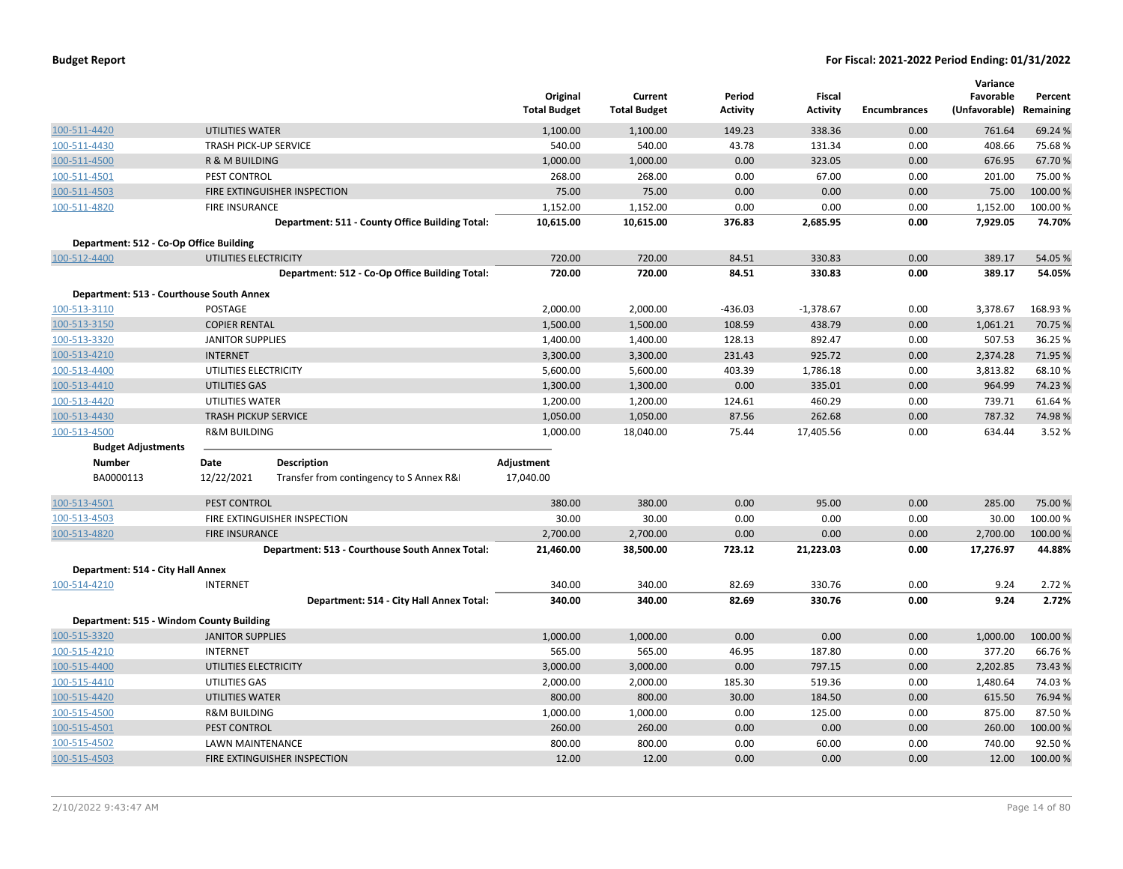|                                          |                              |                                                 | Original<br><b>Total Budget</b> | Current<br><b>Total Budget</b> | Period<br><b>Activity</b> | Fiscal<br><b>Activity</b> | <b>Encumbrances</b> | Variance<br>Favorable<br>(Unfavorable) | Percent<br>Remaining |
|------------------------------------------|------------------------------|-------------------------------------------------|---------------------------------|--------------------------------|---------------------------|---------------------------|---------------------|----------------------------------------|----------------------|
| 100-511-4420                             | <b>UTILITIES WATER</b>       |                                                 | 1,100.00                        | 1,100.00                       | 149.23                    | 338.36                    | 0.00                | 761.64                                 | 69.24 %              |
| 100-511-4430                             | <b>TRASH PICK-UP SERVICE</b> |                                                 | 540.00                          | 540.00                         | 43.78                     | 131.34                    | 0.00                | 408.66                                 | 75.68%               |
| 100-511-4500                             | R & M BUILDING               |                                                 | 1,000.00                        | 1,000.00                       | 0.00                      | 323.05                    | 0.00                | 676.95                                 | 67.70%               |
| 100-511-4501                             | PEST CONTROL                 |                                                 | 268.00                          | 268.00                         | 0.00                      | 67.00                     | 0.00                | 201.00                                 | 75.00 %              |
| 100-511-4503                             |                              | FIRE EXTINGUISHER INSPECTION                    | 75.00                           | 75.00                          | 0.00                      | 0.00                      | 0.00                | 75.00                                  | 100.00 %             |
| 100-511-4820                             | <b>FIRE INSURANCE</b>        |                                                 | 1,152.00                        | 1,152.00                       | 0.00                      | 0.00                      | 0.00                | 1,152.00                               | 100.00%              |
|                                          |                              | Department: 511 - County Office Building Total: | 10,615.00                       | 10,615.00                      | 376.83                    | 2,685.95                  | 0.00                | 7,929.05                               | 74.70%               |
| Department: 512 - Co-Op Office Building  |                              |                                                 |                                 |                                |                           |                           |                     |                                        |                      |
| 100-512-4400                             | UTILITIES ELECTRICITY        |                                                 | 720.00                          | 720.00                         | 84.51                     | 330.83                    | 0.00                | 389.17                                 | 54.05 %              |
|                                          |                              | Department: 512 - Co-Op Office Building Total:  | 720.00                          | 720.00                         | 84.51                     | 330.83                    | 0.00                | 389.17                                 | 54.05%               |
| Department: 513 - Courthouse South Annex |                              |                                                 |                                 |                                |                           |                           |                     |                                        |                      |
| 100-513-3110                             | POSTAGE                      |                                                 | 2,000.00                        | 2,000.00                       | $-436.03$                 | $-1,378.67$               | 0.00                | 3,378.67                               | 168.93%              |
| 100-513-3150                             | <b>COPIER RENTAL</b>         |                                                 | 1,500.00                        | 1,500.00                       | 108.59                    | 438.79                    | 0.00                | 1,061.21                               | 70.75 %              |
| 100-513-3320                             | <b>JANITOR SUPPLIES</b>      |                                                 | 1,400.00                        | 1,400.00                       | 128.13                    | 892.47                    | 0.00                | 507.53                                 | 36.25 %              |
| 100-513-4210                             | <b>INTERNET</b>              |                                                 | 3,300.00                        | 3,300.00                       | 231.43                    | 925.72                    | 0.00                | 2,374.28                               | 71.95 %              |
| 100-513-4400                             | UTILITIES ELECTRICITY        |                                                 | 5,600.00                        | 5,600.00                       | 403.39                    | 1,786.18                  | 0.00                | 3,813.82                               | 68.10%               |
| 100-513-4410                             | UTILITIES GAS                |                                                 | 1,300.00                        | 1,300.00                       | 0.00                      | 335.01                    | 0.00                | 964.99                                 | 74.23 %              |
| 100-513-4420                             | UTILITIES WATER              |                                                 | 1,200.00                        | 1,200.00                       | 124.61                    | 460.29                    | 0.00                | 739.71                                 | 61.64%               |
| 100-513-4430                             | <b>TRASH PICKUP SERVICE</b>  |                                                 | 1,050.00                        | 1,050.00                       | 87.56                     | 262.68                    | 0.00                | 787.32                                 | 74.98%               |
| 100-513-4500                             | <b>R&amp;M BUILDING</b>      |                                                 | 1,000.00                        | 18,040.00                      | 75.44                     | 17,405.56                 | 0.00                | 634.44                                 | 3.52 %               |
| <b>Budget Adjustments</b>                |                              |                                                 |                                 |                                |                           |                           |                     |                                        |                      |
| <b>Number</b>                            | Date                         | <b>Description</b>                              | Adjustment                      |                                |                           |                           |                     |                                        |                      |
| BA0000113                                | 12/22/2021                   | Transfer from contingency to S Annex R&I        | 17,040.00                       |                                |                           |                           |                     |                                        |                      |
| 100-513-4501                             | PEST CONTROL                 |                                                 | 380.00                          | 380.00                         | 0.00                      | 95.00                     | 0.00                | 285.00                                 | 75.00 %              |
| 100-513-4503                             |                              | FIRE EXTINGUISHER INSPECTION                    | 30.00                           | 30.00                          | 0.00                      | 0.00                      | 0.00                | 30.00                                  | 100.00%              |
| 100-513-4820                             | <b>FIRE INSURANCE</b>        |                                                 | 2,700.00                        | 2,700.00                       | 0.00                      | 0.00                      | 0.00                | 2,700.00                               | 100.00 %             |
|                                          |                              | Department: 513 - Courthouse South Annex Total: | 21,460.00                       | 38,500.00                      | 723.12                    | 21,223.03                 | 0.00                | 17,276.97                              | 44.88%               |
| Department: 514 - City Hall Annex        |                              |                                                 |                                 |                                |                           |                           |                     |                                        |                      |
| 100-514-4210                             | <b>INTERNET</b>              |                                                 | 340.00                          | 340.00                         | 82.69                     | 330.76                    | 0.00                | 9.24                                   | 2.72 %               |
|                                          |                              | Department: 514 - City Hall Annex Total:        | 340.00                          | 340.00                         | 82.69                     | 330.76                    | 0.00                | 9.24                                   | 2.72%                |
| Department: 515 - Windom County Building |                              |                                                 |                                 |                                |                           |                           |                     |                                        |                      |
| 100-515-3320                             | <b>JANITOR SUPPLIES</b>      |                                                 | 1,000.00                        | 1,000.00                       | 0.00                      | 0.00                      | 0.00                | 1,000.00                               | 100.00 %             |
| 100-515-4210                             | <b>INTERNET</b>              |                                                 | 565.00                          | 565.00                         | 46.95                     | 187.80                    | 0.00                | 377.20                                 | 66.76%               |
| 100-515-4400                             | UTILITIES ELECTRICITY        |                                                 | 3,000.00                        | 3,000.00                       | 0.00                      | 797.15                    | 0.00                | 2,202.85                               | 73.43 %              |
| 100-515-4410                             | UTILITIES GAS                |                                                 | 2,000.00                        | 2,000.00                       | 185.30                    | 519.36                    | 0.00                | 1,480.64                               | 74.03%               |
| 100-515-4420                             | UTILITIES WATER              |                                                 | 800.00                          | 800.00                         | 30.00                     | 184.50                    | 0.00                | 615.50                                 | 76.94 %              |
| 100-515-4500                             | <b>R&amp;M BUILDING</b>      |                                                 | 1,000.00                        | 1,000.00                       | 0.00                      | 125.00                    | 0.00                | 875.00                                 | 87.50%               |
| 100-515-4501                             | PEST CONTROL                 |                                                 | 260.00                          | 260.00                         | 0.00                      | 0.00                      | 0.00                | 260.00                                 | 100.00 %             |
| 100-515-4502                             | <b>LAWN MAINTENANCE</b>      |                                                 | 800.00                          | 800.00                         | 0.00                      | 60.00                     | 0.00                | 740.00                                 | 92.50%               |
| 100-515-4503                             |                              | FIRE EXTINGUISHER INSPECTION                    | 12.00                           | 12.00                          | 0.00                      | 0.00                      | 0.00                | 12.00                                  | 100.00 %             |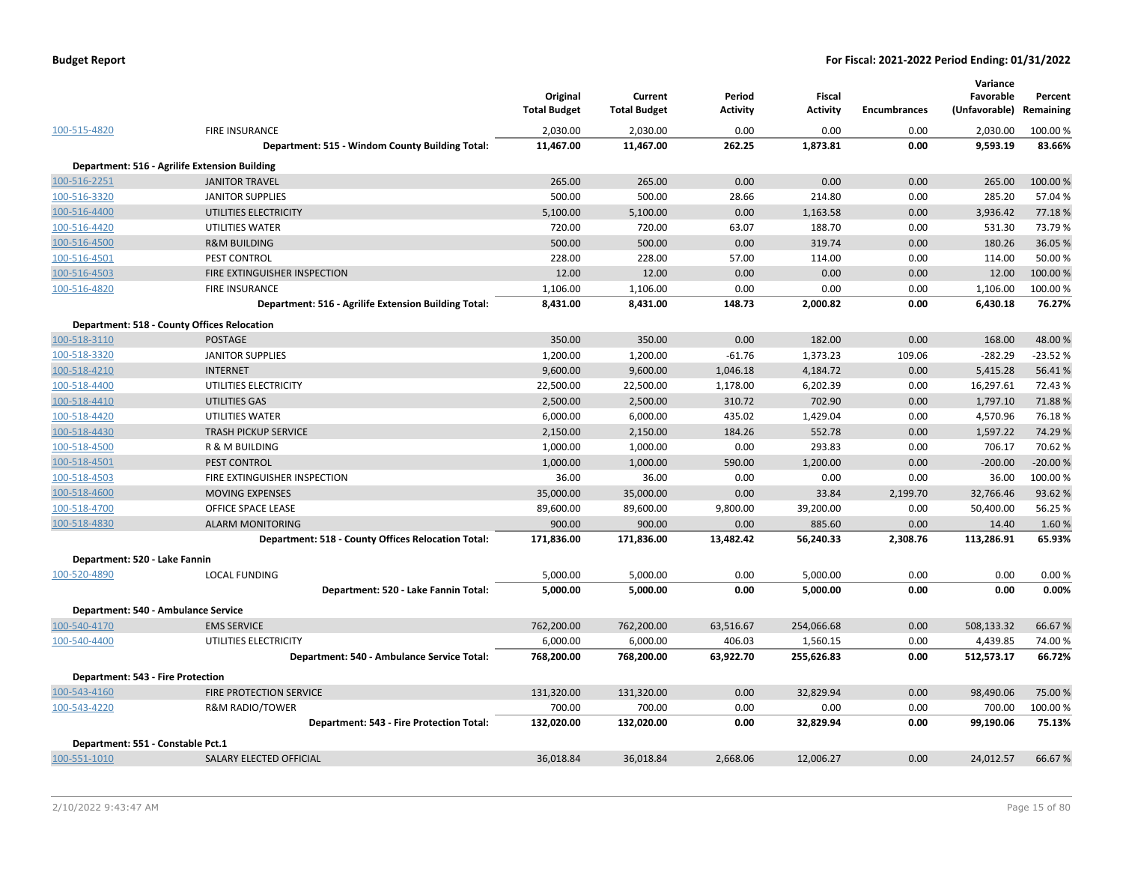|                                          |                                                      | Original<br><b>Total Budget</b> | Current<br><b>Total Budget</b> | Period<br><b>Activity</b> | <b>Fiscal</b><br><b>Activity</b> | <b>Encumbrances</b> | Variance<br>Favorable<br>(Unfavorable) | Percent<br>Remaining |
|------------------------------------------|------------------------------------------------------|---------------------------------|--------------------------------|---------------------------|----------------------------------|---------------------|----------------------------------------|----------------------|
| 100-515-4820                             | <b>FIRE INSURANCE</b>                                | 2,030.00                        | 2,030.00                       | 0.00                      | 0.00                             | 0.00                | 2,030.00                               | 100.00 %             |
|                                          | Department: 515 - Windom County Building Total:      | 11,467.00                       | 11,467.00                      | 262.25                    | 1,873.81                         | 0.00                | 9,593.19                               | 83.66%               |
|                                          | Department: 516 - Agrilife Extension Building        |                                 |                                |                           |                                  |                     |                                        |                      |
| 100-516-2251                             | <b>JANITOR TRAVEL</b>                                | 265.00                          | 265.00                         | 0.00                      | 0.00                             | 0.00                | 265.00                                 | 100.00 %             |
| 100-516-3320                             | <b>JANITOR SUPPLIES</b>                              | 500.00                          | 500.00                         | 28.66                     | 214.80                           | 0.00                | 285.20                                 | 57.04%               |
| 100-516-4400                             | UTILITIES ELECTRICITY                                | 5,100.00                        | 5,100.00                       | 0.00                      | 1,163.58                         | 0.00                | 3,936.42                               | 77.18%               |
| 100-516-4420                             | UTILITIES WATER                                      | 720.00                          | 720.00                         | 63.07                     | 188.70                           | 0.00                | 531.30                                 | 73.79%               |
| 100-516-4500                             | <b>R&amp;M BUILDING</b>                              | 500.00                          | 500.00                         | 0.00                      | 319.74                           | 0.00                | 180.26                                 | 36.05 %              |
| 100-516-4501                             | PEST CONTROL                                         | 228.00                          | 228.00                         | 57.00                     | 114.00                           | 0.00                | 114.00                                 | 50.00 %              |
| 100-516-4503                             | FIRE EXTINGUISHER INSPECTION                         | 12.00                           | 12.00                          | 0.00                      | 0.00                             | 0.00                | 12.00                                  | 100.00 %             |
| 100-516-4820                             | <b>FIRE INSURANCE</b>                                | 1,106.00                        | 1,106.00                       | 0.00                      | 0.00                             | 0.00                | 1,106.00                               | 100.00 %             |
|                                          | Department: 516 - Agrilife Extension Building Total: | 8,431.00                        | 8,431.00                       | 148.73                    | 2,000.82                         | 0.00                | 6,430.18                               | 76.27%               |
|                                          | <b>Department: 518 - County Offices Relocation</b>   |                                 |                                |                           |                                  |                     |                                        |                      |
| 100-518-3110                             | <b>POSTAGE</b>                                       | 350.00                          | 350.00                         | 0.00                      | 182.00                           | 0.00                | 168.00                                 | 48.00%               |
| 100-518-3320                             | <b>JANITOR SUPPLIES</b>                              | 1,200.00                        | 1,200.00                       | $-61.76$                  | 1,373.23                         | 109.06              | $-282.29$                              | $-23.52%$            |
| 100-518-4210                             | <b>INTERNET</b>                                      | 9,600.00                        | 9,600.00                       | 1,046.18                  | 4,184.72                         | 0.00                | 5,415.28                               | 56.41%               |
| 100-518-4400                             | UTILITIES ELECTRICITY                                | 22,500.00                       | 22,500.00                      | 1,178.00                  | 6,202.39                         | 0.00                | 16,297.61                              | 72.43 %              |
| 100-518-4410                             | <b>UTILITIES GAS</b>                                 | 2,500.00                        | 2,500.00                       | 310.72                    | 702.90                           | 0.00                | 1,797.10                               | 71.88%               |
| 100-518-4420                             | UTILITIES WATER                                      | 6,000.00                        | 6,000.00                       | 435.02                    | 1,429.04                         | 0.00                | 4,570.96                               | 76.18%               |
| 100-518-4430                             | <b>TRASH PICKUP SERVICE</b>                          | 2,150.00                        | 2,150.00                       | 184.26                    | 552.78                           | 0.00                | 1,597.22                               | 74.29 %              |
| 100-518-4500                             | R & M BUILDING                                       | 1,000.00                        | 1,000.00                       | 0.00                      | 293.83                           | 0.00                | 706.17                                 | 70.62%               |
| 100-518-4501                             | PEST CONTROL                                         | 1,000.00                        | 1,000.00                       | 590.00                    | 1,200.00                         | 0.00                | $-200.00$                              | $-20.00%$            |
| 100-518-4503                             | FIRE EXTINGUISHER INSPECTION                         | 36.00                           | 36.00                          | 0.00                      | 0.00                             | 0.00                | 36.00                                  | 100.00%              |
| 100-518-4600                             | MOVING EXPENSES                                      | 35,000.00                       | 35,000.00                      | 0.00                      | 33.84                            | 2,199.70            | 32,766.46                              | 93.62%               |
| 100-518-4700                             | OFFICE SPACE LEASE                                   | 89,600.00                       | 89,600.00                      | 9,800.00                  | 39,200.00                        | 0.00                | 50,400.00                              | 56.25 %              |
| 100-518-4830                             | <b>ALARM MONITORING</b>                              | 900.00                          | 900.00                         | 0.00                      | 885.60                           | 0.00                | 14.40                                  | 1.60%                |
|                                          | Department: 518 - County Offices Relocation Total:   | 171,836.00                      | 171,836.00                     | 13,482.42                 | 56,240.33                        | 2,308.76            | 113,286.91                             | 65.93%               |
| Department: 520 - Lake Fannin            |                                                      |                                 |                                |                           |                                  |                     |                                        |                      |
| 100-520-4890                             | <b>LOCAL FUNDING</b>                                 | 5,000.00                        | 5,000.00                       | 0.00                      | 5,000.00                         | 0.00                | 0.00                                   | 0.00%                |
|                                          | Department: 520 - Lake Fannin Total:                 | 5,000.00                        | 5,000.00                       | 0.00                      | 5,000.00                         | 0.00                | 0.00                                   | 0.00%                |
|                                          |                                                      |                                 |                                |                           |                                  |                     |                                        |                      |
|                                          | Department: 540 - Ambulance Service                  |                                 |                                |                           |                                  |                     |                                        |                      |
| 100-540-4170                             | <b>EMS SERVICE</b>                                   | 762,200.00                      | 762,200.00                     | 63,516.67                 | 254,066.68                       | 0.00                | 508,133.32                             | 66.67%               |
| 100-540-4400                             | UTILITIES ELECTRICITY                                | 6,000.00                        | 6,000.00                       | 406.03                    | 1,560.15                         | 0.00                | 4,439.85                               | 74.00%               |
|                                          | Department: 540 - Ambulance Service Total:           | 768,200.00                      | 768,200.00                     | 63,922.70                 | 255,626.83                       | 0.00                | 512,573.17                             | 66.72%               |
| <b>Department: 543 - Fire Protection</b> |                                                      |                                 |                                |                           |                                  |                     |                                        |                      |
| 100-543-4160                             | FIRE PROTECTION SERVICE                              | 131,320.00                      | 131,320.00                     | 0.00                      | 32,829.94                        | 0.00                | 98,490.06                              | 75.00 %              |
| 100-543-4220                             | <b>R&amp;M RADIO/TOWER</b>                           | 700.00                          | 700.00                         | 0.00                      | 0.00                             | 0.00                | 700.00                                 | 100.00 %             |
|                                          | Department: 543 - Fire Protection Total:             | 132,020.00                      | 132,020.00                     | 0.00                      | 32,829.94                        | 0.00                | 99,190.06                              | 75.13%               |
| Department: 551 - Constable Pct.1        |                                                      |                                 |                                |                           |                                  |                     |                                        |                      |
| 100-551-1010                             | SALARY ELECTED OFFICIAL                              | 36,018.84                       | 36,018.84                      | 2,668.06                  | 12,006.27                        | 0.00                | 24,012.57                              | 66.67%               |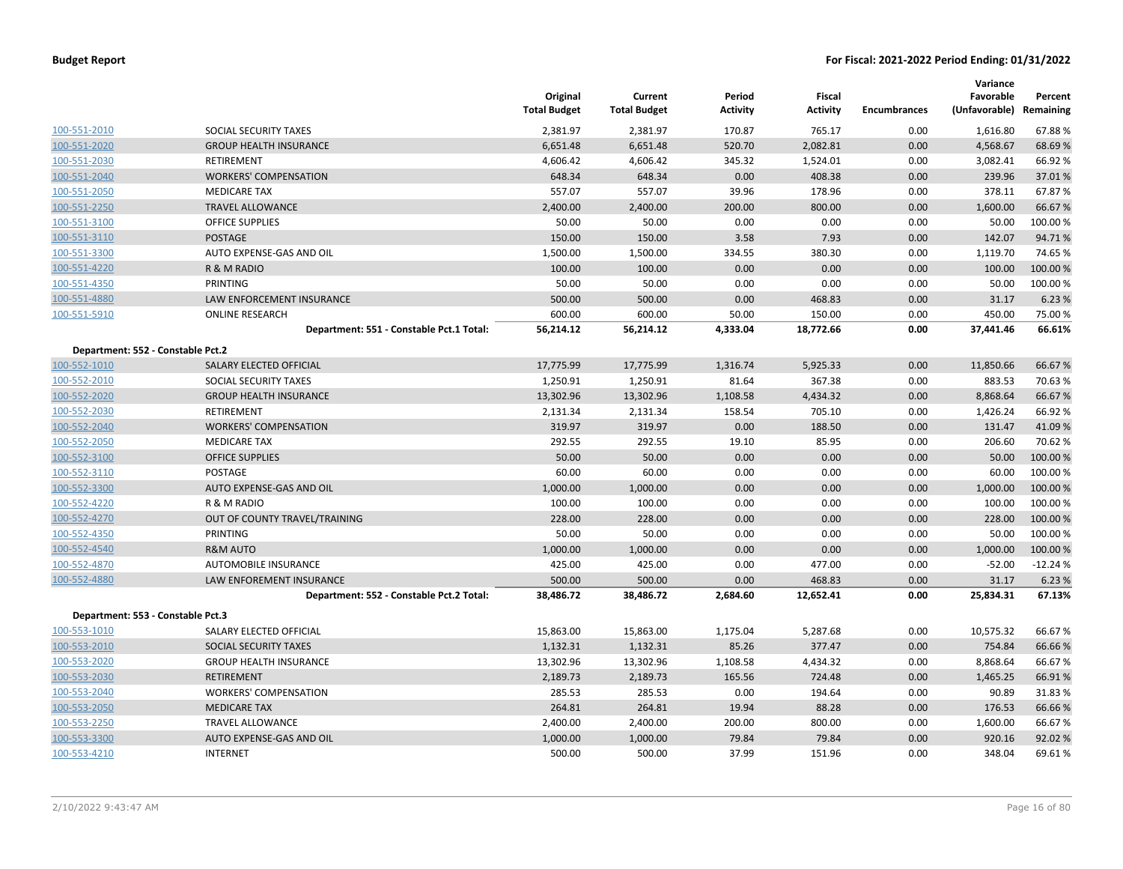|                                   |                                          | Original<br><b>Total Budget</b> | Current<br><b>Total Budget</b> | Period<br><b>Activity</b> | Fiscal<br><b>Activity</b> | <b>Encumbrances</b> | Variance<br>Favorable<br>(Unfavorable) Remaining | Percent   |
|-----------------------------------|------------------------------------------|---------------------------------|--------------------------------|---------------------------|---------------------------|---------------------|--------------------------------------------------|-----------|
| 100-551-2010                      | SOCIAL SECURITY TAXES                    | 2,381.97                        | 2,381.97                       | 170.87                    | 765.17                    | 0.00                | 1,616.80                                         | 67.88%    |
| 100-551-2020                      | <b>GROUP HEALTH INSURANCE</b>            | 6,651.48                        | 6,651.48                       | 520.70                    | 2,082.81                  | 0.00                | 4,568.67                                         | 68.69%    |
| 100-551-2030                      | <b>RETIREMENT</b>                        | 4,606.42                        | 4,606.42                       | 345.32                    | 1,524.01                  | 0.00                | 3,082.41                                         | 66.92%    |
| 100-551-2040                      | <b>WORKERS' COMPENSATION</b>             | 648.34                          | 648.34                         | 0.00                      | 408.38                    | 0.00                | 239.96                                           | 37.01%    |
| 100-551-2050                      | <b>MEDICARE TAX</b>                      | 557.07                          | 557.07                         | 39.96                     | 178.96                    | 0.00                | 378.11                                           | 67.87%    |
| 100-551-2250                      | <b>TRAVEL ALLOWANCE</b>                  | 2,400.00                        | 2,400.00                       | 200.00                    | 800.00                    | 0.00                | 1,600.00                                         | 66.67%    |
| 100-551-3100                      | <b>OFFICE SUPPLIES</b>                   | 50.00                           | 50.00                          | 0.00                      | 0.00                      | 0.00                | 50.00                                            | 100.00%   |
| 100-551-3110                      | <b>POSTAGE</b>                           | 150.00                          | 150.00                         | 3.58                      | 7.93                      | 0.00                | 142.07                                           | 94.71%    |
| 100-551-3300                      | AUTO EXPENSE-GAS AND OIL                 | 1,500.00                        | 1,500.00                       | 334.55                    | 380.30                    | 0.00                | 1,119.70                                         | 74.65 %   |
| 100-551-4220                      | R & M RADIO                              | 100.00                          | 100.00                         | 0.00                      | 0.00                      | 0.00                | 100.00                                           | 100.00 %  |
| 100-551-4350                      | PRINTING                                 | 50.00                           | 50.00                          | 0.00                      | 0.00                      | 0.00                | 50.00                                            | 100.00%   |
| 100-551-4880                      | <b>LAW ENFORCEMENT INSURANCE</b>         | 500.00                          | 500.00                         | 0.00                      | 468.83                    | 0.00                | 31.17                                            | 6.23 %    |
| 100-551-5910                      | <b>ONLINE RESEARCH</b>                   | 600.00                          | 600.00                         | 50.00                     | 150.00                    | 0.00                | 450.00                                           | 75.00 %   |
|                                   | Department: 551 - Constable Pct.1 Total: | 56,214.12                       | 56,214.12                      | 4,333.04                  | 18,772.66                 | 0.00                | 37,441.46                                        | 66.61%    |
| Department: 552 - Constable Pct.2 |                                          |                                 |                                |                           |                           |                     |                                                  |           |
| 100-552-1010                      | SALARY ELECTED OFFICIAL                  | 17,775.99                       | 17,775.99                      | 1,316.74                  | 5,925.33                  | 0.00                | 11,850.66                                        | 66.67%    |
| 100-552-2010                      | SOCIAL SECURITY TAXES                    | 1,250.91                        | 1,250.91                       | 81.64                     | 367.38                    | 0.00                | 883.53                                           | 70.63%    |
| 100-552-2020                      | <b>GROUP HEALTH INSURANCE</b>            | 13,302.96                       | 13,302.96                      | 1,108.58                  | 4,434.32                  | 0.00                | 8,868.64                                         | 66.67%    |
| 100-552-2030                      | <b>RETIREMENT</b>                        | 2,131.34                        | 2,131.34                       | 158.54                    | 705.10                    | 0.00                | 1,426.24                                         | 66.92%    |
| 100-552-2040                      | <b>WORKERS' COMPENSATION</b>             | 319.97                          | 319.97                         | 0.00                      | 188.50                    | 0.00                | 131.47                                           | 41.09%    |
| 100-552-2050                      | <b>MEDICARE TAX</b>                      | 292.55                          | 292.55                         | 19.10                     | 85.95                     | 0.00                | 206.60                                           | 70.62 %   |
| 100-552-3100                      | <b>OFFICE SUPPLIES</b>                   | 50.00                           | 50.00                          | 0.00                      | 0.00                      | 0.00                | 50.00                                            | 100.00 %  |
| 100-552-3110                      | POSTAGE                                  | 60.00                           | 60.00                          | 0.00                      | 0.00                      | 0.00                | 60.00                                            | 100.00 %  |
| 100-552-3300                      | AUTO EXPENSE-GAS AND OIL                 | 1,000.00                        | 1,000.00                       | 0.00                      | 0.00                      | 0.00                | 1,000.00                                         | 100.00%   |
| 100-552-4220                      | R & M RADIO                              | 100.00                          | 100.00                         | 0.00                      | 0.00                      | 0.00                | 100.00                                           | 100.00%   |
| 100-552-4270                      | OUT OF COUNTY TRAVEL/TRAINING            | 228.00                          | 228.00                         | 0.00                      | 0.00                      | 0.00                | 228.00                                           | 100.00 %  |
| 100-552-4350                      | PRINTING                                 | 50.00                           | 50.00                          | 0.00                      | 0.00                      | 0.00                | 50.00                                            | 100.00%   |
| 100-552-4540                      | <b>R&amp;M AUTO</b>                      | 1,000.00                        | 1,000.00                       | 0.00                      | 0.00                      | 0.00                | 1,000.00                                         | 100.00 %  |
| 100-552-4870                      | AUTOMOBILE INSURANCE                     | 425.00                          | 425.00                         | 0.00                      | 477.00                    | 0.00                | $-52.00$                                         | $-12.24%$ |
| 100-552-4880                      | LAW ENFOREMENT INSURANCE                 | 500.00                          | 500.00                         | 0.00                      | 468.83                    | 0.00                | 31.17                                            | 6.23 %    |
|                                   | Department: 552 - Constable Pct.2 Total: | 38,486.72                       | 38,486.72                      | 2,684.60                  | 12,652.41                 | 0.00                | 25,834.31                                        | 67.13%    |
| Department: 553 - Constable Pct.3 |                                          |                                 |                                |                           |                           |                     |                                                  |           |
| 100-553-1010                      | SALARY ELECTED OFFICIAL                  | 15,863.00                       | 15,863.00                      | 1,175.04                  | 5,287.68                  | 0.00                | 10,575.32                                        | 66.67%    |
| 100-553-2010                      | SOCIAL SECURITY TAXES                    | 1,132.31                        | 1,132.31                       | 85.26                     | 377.47                    | 0.00                | 754.84                                           | 66.66%    |
| 100-553-2020                      | <b>GROUP HEALTH INSURANCE</b>            | 13,302.96                       | 13,302.96                      | 1,108.58                  | 4,434.32                  | 0.00                | 8,868.64                                         | 66.67%    |
| 100-553-2030                      | <b>RETIREMENT</b>                        | 2,189.73                        | 2,189.73                       | 165.56                    | 724.48                    | 0.00                | 1,465.25                                         | 66.91%    |
| 100-553-2040                      | <b>WORKERS' COMPENSATION</b>             | 285.53                          | 285.53                         | 0.00                      | 194.64                    | 0.00                | 90.89                                            | 31.83 %   |
| 100-553-2050                      | <b>MEDICARE TAX</b>                      | 264.81                          | 264.81                         | 19.94                     | 88.28                     | 0.00                | 176.53                                           | 66.66%    |
| 100-553-2250                      | <b>TRAVEL ALLOWANCE</b>                  | 2,400.00                        | 2,400.00                       | 200.00                    | 800.00                    | 0.00                | 1,600.00                                         | 66.67%    |
| 100-553-3300                      | AUTO EXPENSE-GAS AND OIL                 | 1,000.00                        | 1,000.00                       | 79.84                     | 79.84                     | 0.00                | 920.16                                           | 92.02 %   |
| 100-553-4210                      | <b>INTERNET</b>                          | 500.00                          | 500.00                         | 37.99                     | 151.96                    | 0.00                | 348.04                                           | 69.61%    |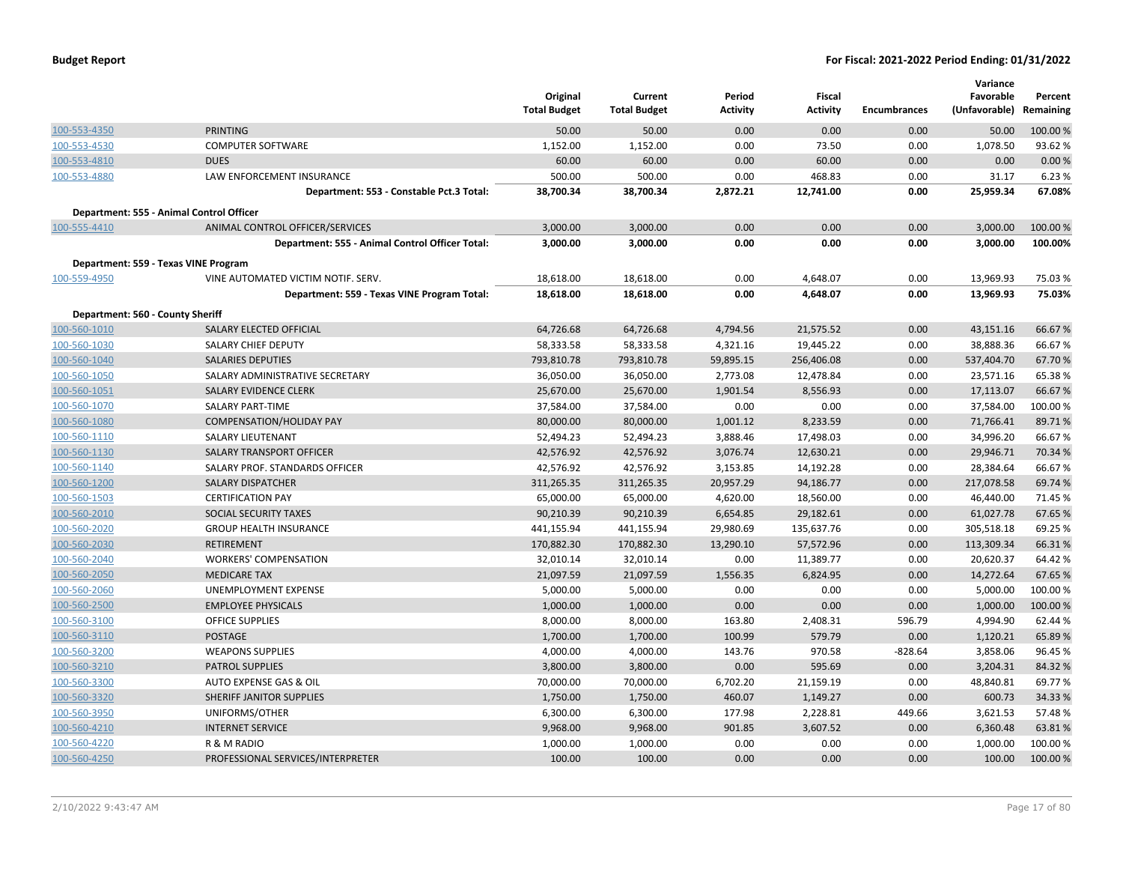|                                  |                                                 | Original<br><b>Total Budget</b> | Current<br><b>Total Budget</b> | Period<br><b>Activity</b> | <b>Fiscal</b><br><b>Activity</b> | <b>Encumbrances</b> | Variance<br>Favorable<br>(Unfavorable) | Percent<br>Remaining |
|----------------------------------|-------------------------------------------------|---------------------------------|--------------------------------|---------------------------|----------------------------------|---------------------|----------------------------------------|----------------------|
| 100-553-4350                     | <b>PRINTING</b>                                 | 50.00                           | 50.00                          | 0.00                      | 0.00                             | 0.00                | 50.00                                  | 100.00%              |
| 100-553-4530                     | <b>COMPUTER SOFTWARE</b>                        | 1,152.00                        | 1,152.00                       | 0.00                      | 73.50                            | 0.00                | 1,078.50                               | 93.62%               |
| 100-553-4810                     | <b>DUES</b>                                     | 60.00                           | 60.00                          | 0.00                      | 60.00                            | 0.00                | 0.00                                   | 0.00%                |
| 100-553-4880                     | LAW ENFORCEMENT INSURANCE                       | 500.00                          | 500.00                         | 0.00                      | 468.83                           | 0.00                | 31.17                                  | 6.23 %               |
|                                  | Department: 553 - Constable Pct.3 Total:        | 38,700.34                       | 38,700.34                      | 2,872.21                  | 12,741.00                        | 0.00                | 25,959.34                              | 67.08%               |
|                                  | Department: 555 - Animal Control Officer        |                                 |                                |                           |                                  |                     |                                        |                      |
| 100-555-4410                     | ANIMAL CONTROL OFFICER/SERVICES                 | 3,000.00                        | 3,000.00                       | 0.00                      | 0.00                             | 0.00                | 3,000.00                               | 100.00 %             |
|                                  | Department: 555 - Animal Control Officer Total: | 3,000.00                        | 3,000.00                       | 0.00                      | 0.00                             | 0.00                | 3,000.00                               | 100.00%              |
|                                  | Department: 559 - Texas VINE Program            |                                 |                                |                           |                                  |                     |                                        |                      |
| 100-559-4950                     | VINE AUTOMATED VICTIM NOTIF. SERV.              | 18,618.00                       | 18,618.00                      | 0.00                      | 4,648.07                         | 0.00                | 13,969.93                              | 75.03%               |
|                                  | Department: 559 - Texas VINE Program Total:     | 18,618.00                       | 18,618.00                      | 0.00                      | 4,648.07                         | 0.00                | 13,969.93                              | 75.03%               |
| Department: 560 - County Sheriff |                                                 |                                 |                                |                           |                                  |                     |                                        |                      |
| 100-560-1010                     | SALARY ELECTED OFFICIAL                         | 64,726.68                       | 64,726.68                      | 4,794.56                  | 21,575.52                        | 0.00                | 43,151.16                              | 66.67%               |
| 100-560-1030                     | SALARY CHIEF DEPUTY                             | 58,333.58                       | 58,333.58                      | 4,321.16                  | 19,445.22                        | 0.00                | 38,888.36                              | 66.67%               |
| 100-560-1040                     | <b>SALARIES DEPUTIES</b>                        | 793,810.78                      | 793,810.78                     | 59,895.15                 | 256,406.08                       | 0.00                | 537,404.70                             | 67.70%               |
| 100-560-1050                     | SALARY ADMINISTRATIVE SECRETARY                 | 36,050.00                       | 36,050.00                      | 2,773.08                  | 12,478.84                        | 0.00                | 23,571.16                              | 65.38%               |
| 100-560-1051                     | SALARY EVIDENCE CLERK                           | 25,670.00                       | 25,670.00                      | 1,901.54                  | 8,556.93                         | 0.00                | 17,113.07                              | 66.67%               |
| 100-560-1070                     | SALARY PART-TIME                                | 37,584.00                       | 37,584.00                      | 0.00                      | 0.00                             | 0.00                | 37,584.00                              | 100.00%              |
| 100-560-1080                     | <b>COMPENSATION/HOLIDAY PAY</b>                 | 80,000.00                       | 80,000.00                      | 1,001.12                  | 8,233.59                         | 0.00                | 71,766.41                              | 89.71%               |
| 100-560-1110                     | SALARY LIEUTENANT                               | 52,494.23                       | 52,494.23                      | 3,888.46                  | 17,498.03                        | 0.00                | 34,996.20                              | 66.67%               |
| 100-560-1130                     | SALARY TRANSPORT OFFICER                        | 42,576.92                       | 42,576.92                      | 3,076.74                  | 12,630.21                        | 0.00                | 29,946.71                              | 70.34 %              |
| 100-560-1140                     | SALARY PROF. STANDARDS OFFICER                  | 42,576.92                       | 42,576.92                      | 3,153.85                  | 14,192.28                        | 0.00                | 28,384.64                              | 66.67%               |
| 100-560-1200                     | <b>SALARY DISPATCHER</b>                        | 311,265.35                      | 311,265.35                     | 20,957.29                 | 94,186.77                        | 0.00                | 217,078.58                             | 69.74 %              |
| 100-560-1503                     | <b>CERTIFICATION PAY</b>                        | 65,000.00                       | 65,000.00                      | 4,620.00                  | 18,560.00                        | 0.00                | 46,440.00                              | 71.45%               |
| 100-560-2010                     | SOCIAL SECURITY TAXES                           | 90,210.39                       | 90,210.39                      | 6,654.85                  | 29,182.61                        | 0.00                | 61,027.78                              | 67.65%               |
| 100-560-2020                     | <b>GROUP HEALTH INSURANCE</b>                   | 441,155.94                      | 441,155.94                     | 29,980.69                 | 135,637.76                       | 0.00                | 305,518.18                             | 69.25 %              |
| 100-560-2030                     | <b>RETIREMENT</b>                               | 170,882.30                      | 170,882.30                     | 13,290.10                 | 57,572.96                        | 0.00                | 113,309.34                             | 66.31%               |
| 100-560-2040                     | <b>WORKERS' COMPENSATION</b>                    | 32,010.14                       | 32,010.14                      | 0.00                      | 11,389.77                        | 0.00                | 20,620.37                              | 64.42%               |
| 100-560-2050                     | <b>MEDICARE TAX</b>                             | 21,097.59                       | 21,097.59                      | 1,556.35                  | 6,824.95                         | 0.00                | 14,272.64                              | 67.65%               |
| 100-560-2060                     | <b>UNEMPLOYMENT EXPENSE</b>                     | 5,000.00                        | 5,000.00                       | 0.00                      | 0.00                             | 0.00                | 5,000.00                               | 100.00%              |
| 100-560-2500                     | <b>EMPLOYEE PHYSICALS</b>                       | 1,000.00                        | 1,000.00                       | 0.00                      | 0.00                             | 0.00                | 1,000.00                               | 100.00 %             |
| 100-560-3100                     | <b>OFFICE SUPPLIES</b>                          | 8,000.00                        | 8,000.00                       | 163.80                    | 2,408.31                         | 596.79              | 4,994.90                               | 62.44 %              |
| 100-560-3110                     | <b>POSTAGE</b>                                  | 1,700.00                        | 1,700.00                       | 100.99                    | 579.79                           | 0.00                | 1,120.21                               | 65.89%               |
| 100-560-3200                     | <b>WEAPONS SUPPLIES</b>                         | 4,000.00                        | 4,000.00                       | 143.76                    | 970.58                           | $-828.64$           | 3,858.06                               | 96.45%               |
| 100-560-3210                     | <b>PATROL SUPPLIES</b>                          | 3,800.00                        | 3,800.00                       | 0.00                      | 595.69                           | 0.00                | 3,204.31                               | 84.32%               |
| 100-560-3300                     | AUTO EXPENSE GAS & OIL                          | 70,000.00                       | 70,000.00                      | 6,702.20                  | 21,159.19                        | 0.00                | 48,840.81                              | 69.77%               |
| 100-560-3320                     | SHERIFF JANITOR SUPPLIES                        | 1,750.00                        | 1,750.00                       | 460.07                    | 1,149.27                         | 0.00                | 600.73                                 | 34.33%               |
| 100-560-3950                     | UNIFORMS/OTHER                                  | 6,300.00                        | 6,300.00                       | 177.98                    | 2,228.81                         | 449.66              | 3,621.53                               | 57.48%               |
| 100-560-4210                     | <b>INTERNET SERVICE</b>                         | 9,968.00                        | 9,968.00                       | 901.85                    | 3,607.52                         | 0.00                | 6,360.48                               | 63.81%               |
| 100-560-4220                     | R & M RADIO                                     | 1,000.00                        | 1,000.00                       | 0.00                      | 0.00                             | 0.00                | 1,000.00                               | 100.00%              |
| 100-560-4250                     | PROFESSIONAL SERVICES/INTERPRETER               | 100.00                          | 100.00                         | 0.00                      | 0.00                             | 0.00                | 100.00                                 | 100.00 %             |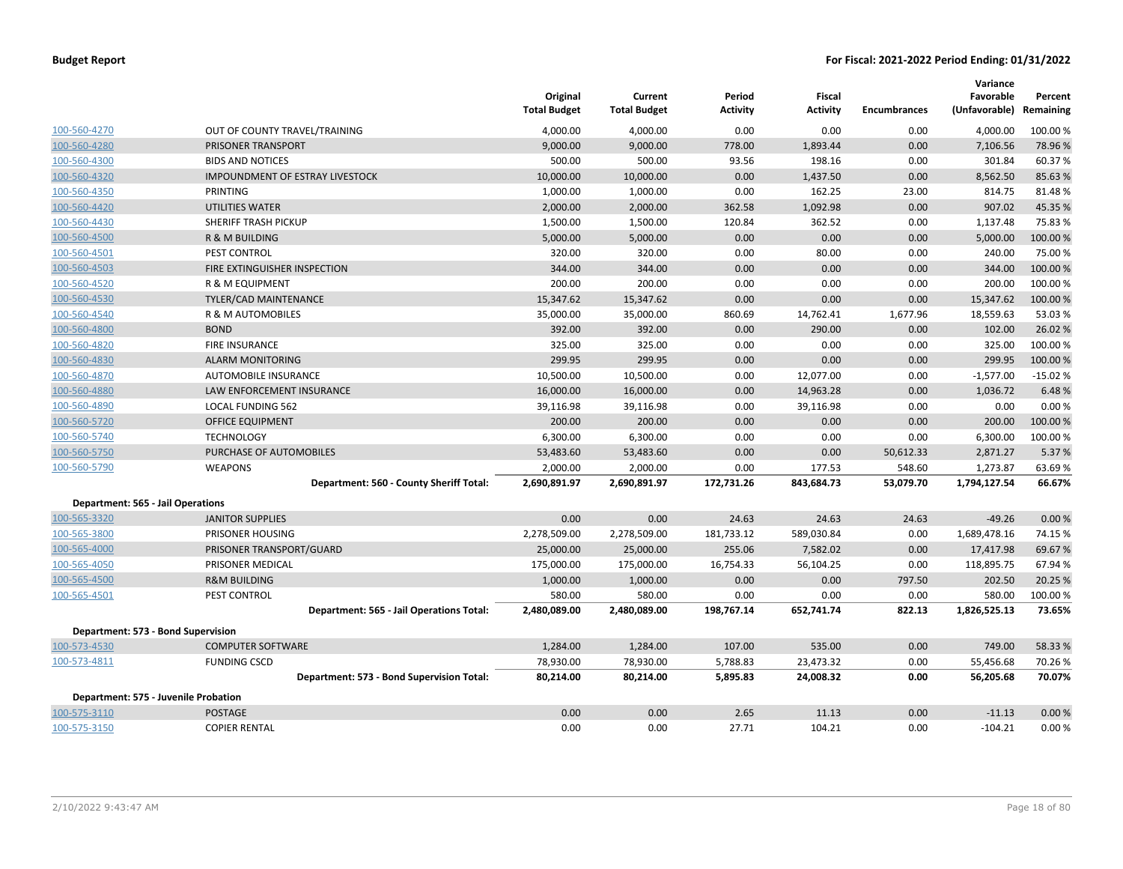|                                          |                                           | Original<br><b>Total Budget</b> | Current<br><b>Total Budget</b> | Period<br><b>Activity</b> | <b>Fiscal</b><br><b>Activity</b> | <b>Encumbrances</b> | Variance<br>Favorable<br>(Unfavorable) | Percent<br>Remaining |
|------------------------------------------|-------------------------------------------|---------------------------------|--------------------------------|---------------------------|----------------------------------|---------------------|----------------------------------------|----------------------|
| 100-560-4270                             | OUT OF COUNTY TRAVEL/TRAINING             | 4,000.00                        | 4,000.00                       | 0.00                      | 0.00                             | 0.00                | 4,000.00                               | 100.00 %             |
| 100-560-4280                             | PRISONER TRANSPORT                        | 9,000.00                        | 9,000.00                       | 778.00                    | 1,893.44                         | 0.00                | 7,106.56                               | 78.96%               |
| 100-560-4300                             | <b>BIDS AND NOTICES</b>                   | 500.00                          | 500.00                         | 93.56                     | 198.16                           | 0.00                | 301.84                                 | 60.37%               |
| 100-560-4320                             | <b>IMPOUNDMENT OF ESTRAY LIVESTOCK</b>    | 10,000.00                       | 10,000.00                      | 0.00                      | 1,437.50                         | 0.00                | 8,562.50                               | 85.63%               |
| 100-560-4350                             | PRINTING                                  | 1,000.00                        | 1,000.00                       | 0.00                      | 162.25                           | 23.00               | 814.75                                 | 81.48%               |
| 100-560-4420                             | <b>UTILITIES WATER</b>                    | 2,000.00                        | 2,000.00                       | 362.58                    | 1,092.98                         | 0.00                | 907.02                                 | 45.35 %              |
| 100-560-4430                             | SHERIFF TRASH PICKUP                      | 1,500.00                        | 1,500.00                       | 120.84                    | 362.52                           | 0.00                | 1,137.48                               | 75.83%               |
| 100-560-4500                             | R & M BUILDING                            | 5,000.00                        | 5,000.00                       | 0.00                      | 0.00                             | 0.00                | 5,000.00                               | 100.00%              |
| 100-560-4501                             | PEST CONTROL                              | 320.00                          | 320.00                         | 0.00                      | 80.00                            | 0.00                | 240.00                                 | 75.00 %              |
| 100-560-4503                             | FIRE EXTINGUISHER INSPECTION              | 344.00                          | 344.00                         | 0.00                      | 0.00                             | 0.00                | 344.00                                 | 100.00%              |
| 100-560-4520                             | R & M EQUIPMENT                           | 200.00                          | 200.00                         | 0.00                      | 0.00                             | 0.00                | 200.00                                 | 100.00%              |
| 100-560-4530                             | TYLER/CAD MAINTENANCE                     | 15,347.62                       | 15,347.62                      | 0.00                      | 0.00                             | 0.00                | 15,347.62                              | 100.00%              |
| 100-560-4540                             | R & M AUTOMOBILES                         | 35,000.00                       | 35,000.00                      | 860.69                    | 14,762.41                        | 1,677.96            | 18,559.63                              | 53.03%               |
| 100-560-4800                             | <b>BOND</b>                               | 392.00                          | 392.00                         | 0.00                      | 290.00                           | 0.00                | 102.00                                 | 26.02%               |
| 100-560-4820                             | <b>FIRE INSURANCE</b>                     | 325.00                          | 325.00                         | 0.00                      | 0.00                             | 0.00                | 325.00                                 | 100.00 %             |
| 100-560-4830                             | <b>ALARM MONITORING</b>                   | 299.95                          | 299.95                         | 0.00                      | 0.00                             | 0.00                | 299.95                                 | 100.00 %             |
| 100-560-4870                             | AUTOMOBILE INSURANCE                      | 10,500.00                       | 10,500.00                      | 0.00                      | 12,077.00                        | 0.00                | $-1,577.00$                            | $-15.02%$            |
| 100-560-4880                             | LAW ENFORCEMENT INSURANCE                 | 16,000.00                       | 16,000.00                      | 0.00                      | 14,963.28                        | 0.00                | 1,036.72                               | 6.48%                |
| 100-560-4890                             | LOCAL FUNDING 562                         | 39,116.98                       | 39,116.98                      | 0.00                      | 39,116.98                        | 0.00                | 0.00                                   | 0.00%                |
| 100-560-5720                             | <b>OFFICE EQUIPMENT</b>                   | 200.00                          | 200.00                         | 0.00                      | 0.00                             | 0.00                | 200.00                                 | 100.00%              |
| 100-560-5740                             | <b>TECHNOLOGY</b>                         | 6,300.00                        | 6,300.00                       | 0.00                      | 0.00                             | 0.00                | 6,300.00                               | 100.00%              |
| 100-560-5750                             | PURCHASE OF AUTOMOBILES                   | 53,483.60                       | 53,483.60                      | 0.00                      | 0.00                             | 50,612.33           | 2,871.27                               | 5.37 %               |
| 100-560-5790                             | <b>WEAPONS</b>                            | 2,000.00                        | 2,000.00                       | 0.00                      | 177.53                           | 548.60              | 1,273.87                               | 63.69%               |
|                                          | Department: 560 - County Sheriff Total:   | 2,690,891.97                    | 2,690,891.97                   | 172,731.26                | 843,684.73                       | 53,079.70           | 1,794,127.54                           | 66.67%               |
| <b>Department: 565 - Jail Operations</b> |                                           |                                 |                                |                           |                                  |                     |                                        |                      |
| 100-565-3320                             | <b>JANITOR SUPPLIES</b>                   | 0.00                            | 0.00                           | 24.63                     | 24.63                            | 24.63               | $-49.26$                               | 0.00%                |
| 100-565-3800                             | PRISONER HOUSING                          | 2,278,509.00                    | 2,278,509.00                   | 181,733.12                | 589,030.84                       | 0.00                | 1,689,478.16                           | 74.15%               |
| 100-565-4000                             | PRISONER TRANSPORT/GUARD                  | 25,000.00                       | 25,000.00                      | 255.06                    | 7,582.02                         | 0.00                | 17,417.98                              | 69.67%               |
| 100-565-4050                             | PRISONER MEDICAL                          | 175,000.00                      | 175,000.00                     | 16,754.33                 | 56,104.25                        | 0.00                | 118,895.75                             | 67.94%               |
| 100-565-4500                             | <b>R&amp;M BUILDING</b>                   | 1,000.00                        | 1,000.00                       | 0.00                      | 0.00                             | 797.50              | 202.50                                 | 20.25 %              |
| 100-565-4501                             | PEST CONTROL                              | 580.00                          | 580.00                         | 0.00                      | 0.00                             | 0.00                | 580.00                                 | 100.00%              |
|                                          | Department: 565 - Jail Operations Total:  | 2,480,089.00                    | 2,480,089.00                   | 198,767.14                | 652,741.74                       | 822.13              | 1,826,525.13                           | 73.65%               |
|                                          | Department: 573 - Bond Supervision        |                                 |                                |                           |                                  |                     |                                        |                      |
| 100-573-4530                             | <b>COMPUTER SOFTWARE</b>                  | 1,284.00                        | 1,284.00                       | 107.00                    | 535.00                           | 0.00                | 749.00                                 | 58.33 %              |
| 100-573-4811                             | <b>FUNDING CSCD</b>                       | 78,930.00                       | 78,930.00                      | 5,788.83                  | 23,473.32                        | 0.00                | 55,456.68                              | 70.26%               |
|                                          | Department: 573 - Bond Supervision Total: | 80,214.00                       | 80,214.00                      | 5,895.83                  | 24,008.32                        | 0.00                | 56,205.68                              | 70.07%               |
|                                          | Department: 575 - Juvenile Probation      |                                 |                                |                           |                                  |                     |                                        |                      |
| 100-575-3110                             | <b>POSTAGE</b>                            | 0.00                            | 0.00                           | 2.65                      | 11.13                            | 0.00                | $-11.13$                               | 0.00%                |
| 100-575-3150                             | <b>COPIER RENTAL</b>                      | 0.00                            | 0.00                           | 27.71                     | 104.21                           | 0.00                | $-104.21$                              | 0.00%                |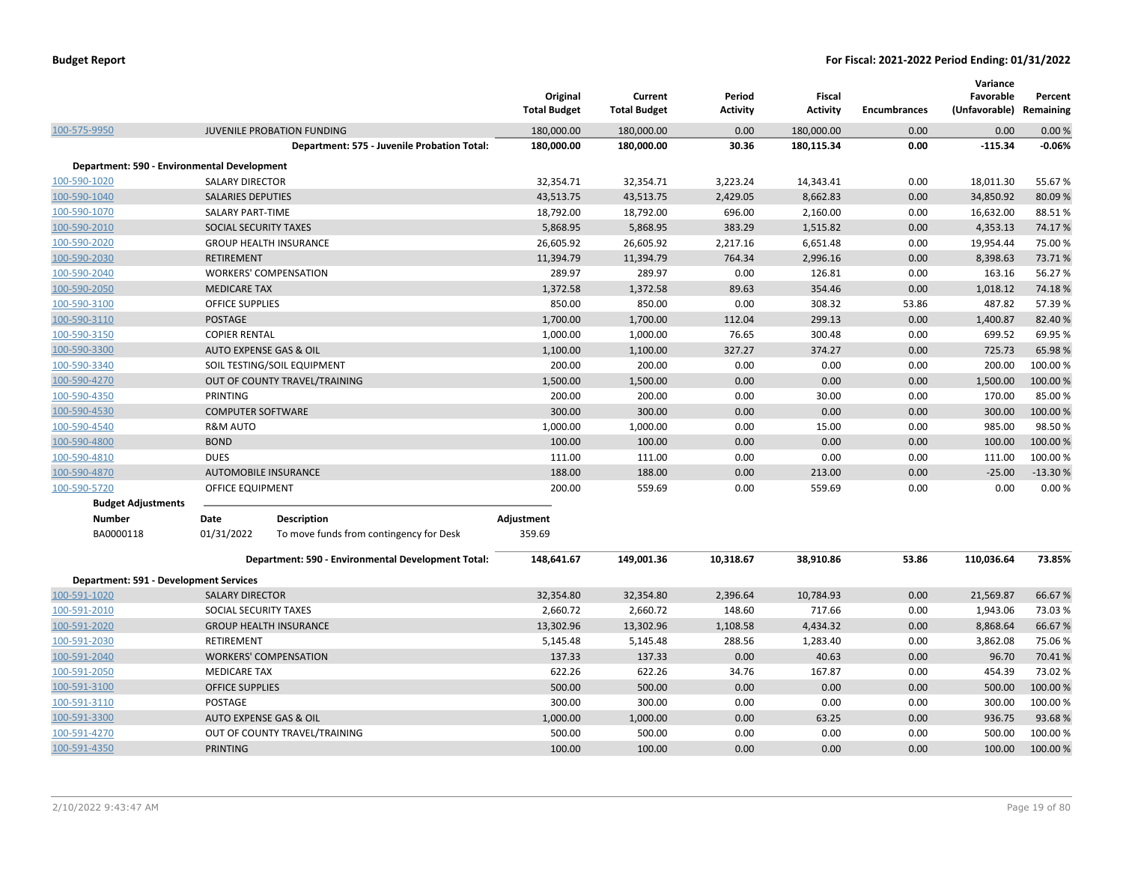|                                               |                                   |                                                    | Original<br><b>Total Budget</b> | Current<br><b>Total Budget</b> | Period<br><b>Activity</b> | <b>Fiscal</b><br><b>Activity</b> | <b>Encumbrances</b> | Variance<br>Favorable<br>(Unfavorable) Remaining | Percent   |
|-----------------------------------------------|-----------------------------------|----------------------------------------------------|---------------------------------|--------------------------------|---------------------------|----------------------------------|---------------------|--------------------------------------------------|-----------|
| 100-575-9950                                  |                                   | JUVENILE PROBATION FUNDING                         | 180,000.00                      | 180,000.00                     | 0.00                      | 180,000.00                       | 0.00                | 0.00                                             | 0.00%     |
|                                               |                                   | Department: 575 - Juvenile Probation Total:        | 180,000.00                      | 180,000.00                     | 30.36                     | 180,115.34                       | 0.00                | $-115.34$                                        | $-0.06%$  |
| Department: 590 - Environmental Development   |                                   |                                                    |                                 |                                |                           |                                  |                     |                                                  |           |
| 100-590-1020                                  | <b>SALARY DIRECTOR</b>            |                                                    | 32,354.71                       | 32,354.71                      | 3,223.24                  | 14,343.41                        | 0.00                | 18,011.30                                        | 55.67%    |
| 100-590-1040                                  | <b>SALARIES DEPUTIES</b>          |                                                    | 43,513.75                       | 43,513.75                      | 2,429.05                  | 8,662.83                         | 0.00                | 34,850.92                                        | 80.09%    |
| 100-590-1070                                  | <b>SALARY PART-TIME</b>           |                                                    | 18,792.00                       | 18,792.00                      | 696.00                    | 2,160.00                         | 0.00                | 16,632.00                                        | 88.51%    |
| 100-590-2010                                  | SOCIAL SECURITY TAXES             |                                                    | 5,868.95                        | 5,868.95                       | 383.29                    | 1,515.82                         | 0.00                | 4,353.13                                         | 74.17%    |
| 100-590-2020                                  |                                   | <b>GROUP HEALTH INSURANCE</b>                      | 26,605.92                       | 26,605.92                      | 2,217.16                  | 6,651.48                         | 0.00                | 19,954.44                                        | 75.00 %   |
| 100-590-2030                                  | <b>RETIREMENT</b>                 |                                                    | 11,394.79                       | 11,394.79                      | 764.34                    | 2,996.16                         | 0.00                | 8,398.63                                         | 73.71%    |
| 100-590-2040                                  |                                   | <b>WORKERS' COMPENSATION</b>                       | 289.97                          | 289.97                         | 0.00                      | 126.81                           | 0.00                | 163.16                                           | 56.27%    |
| 100-590-2050                                  | <b>MEDICARE TAX</b>               |                                                    | 1,372.58                        | 1,372.58                       | 89.63                     | 354.46                           | 0.00                | 1,018.12                                         | 74.18%    |
| 100-590-3100                                  | <b>OFFICE SUPPLIES</b>            |                                                    | 850.00                          | 850.00                         | 0.00                      | 308.32                           | 53.86               | 487.82                                           | 57.39%    |
| 100-590-3110                                  | <b>POSTAGE</b>                    |                                                    | 1,700.00                        | 1,700.00                       | 112.04                    | 299.13                           | 0.00                | 1,400.87                                         | 82.40%    |
| 100-590-3150                                  | <b>COPIER RENTAL</b>              |                                                    | 1,000.00                        | 1,000.00                       | 76.65                     | 300.48                           | 0.00                | 699.52                                           | 69.95%    |
| 100-590-3300                                  | <b>AUTO EXPENSE GAS &amp; OIL</b> |                                                    | 1,100.00                        | 1,100.00                       | 327.27                    | 374.27                           | 0.00                | 725.73                                           | 65.98%    |
| 100-590-3340                                  |                                   | SOIL TESTING/SOIL EQUIPMENT                        | 200.00                          | 200.00                         | 0.00                      | 0.00                             | 0.00                | 200.00                                           | 100.00%   |
| 100-590-4270                                  |                                   | OUT OF COUNTY TRAVEL/TRAINING                      | 1,500.00                        | 1,500.00                       | 0.00                      | 0.00                             | 0.00                | 1,500.00                                         | 100.00%   |
| 100-590-4350                                  | PRINTING                          |                                                    | 200.00                          | 200.00                         | 0.00                      | 30.00                            | 0.00                | 170.00                                           | 85.00 %   |
| 100-590-4530                                  | <b>COMPUTER SOFTWARE</b>          |                                                    | 300.00                          | 300.00                         | 0.00                      | 0.00                             | 0.00                | 300.00                                           | 100.00 %  |
| 100-590-4540                                  | <b>R&amp;M AUTO</b>               |                                                    | 1,000.00                        | 1,000.00                       | 0.00                      | 15.00                            | 0.00                | 985.00                                           | 98.50%    |
| 100-590-4800                                  | <b>BOND</b>                       |                                                    | 100.00                          | 100.00                         | 0.00                      | 0.00                             | 0.00                | 100.00                                           | 100.00%   |
| 100-590-4810                                  | <b>DUES</b>                       |                                                    | 111.00                          | 111.00                         | 0.00                      | 0.00                             | 0.00                | 111.00                                           | 100.00%   |
| 100-590-4870                                  |                                   | <b>AUTOMOBILE INSURANCE</b>                        | 188.00                          | 188.00                         | 0.00                      | 213.00                           | 0.00                | $-25.00$                                         | $-13.30%$ |
| 100-590-5720                                  | OFFICE EQUIPMENT                  |                                                    | 200.00                          | 559.69                         | 0.00                      | 559.69                           | 0.00                | 0.00                                             | 0.00%     |
| <b>Budget Adjustments</b>                     |                                   |                                                    |                                 |                                |                           |                                  |                     |                                                  |           |
| <b>Number</b>                                 | Date                              | <b>Description</b>                                 | Adjustment                      |                                |                           |                                  |                     |                                                  |           |
| BA0000118                                     | 01/31/2022                        | To move funds from contingency for Desk            | 359.69                          |                                |                           |                                  |                     |                                                  |           |
|                                               |                                   | Department: 590 - Environmental Development Total: | 148,641.67                      | 149,001.36                     | 10,318.67                 | 38,910.86                        | 53.86               | 110,036.64                                       | 73.85%    |
| <b>Department: 591 - Development Services</b> |                                   |                                                    |                                 |                                |                           |                                  |                     |                                                  |           |
| 100-591-1020                                  | <b>SALARY DIRECTOR</b>            |                                                    | 32,354.80                       | 32,354.80                      | 2,396.64                  | 10,784.93                        | 0.00                | 21,569.87                                        | 66.67%    |
| 100-591-2010                                  | SOCIAL SECURITY TAXES             |                                                    | 2,660.72                        | 2,660.72                       | 148.60                    | 717.66                           | 0.00                | 1,943.06                                         | 73.03%    |
| 100-591-2020                                  |                                   | <b>GROUP HEALTH INSURANCE</b>                      | 13,302.96                       | 13,302.96                      | 1,108.58                  | 4,434.32                         | 0.00                | 8,868.64                                         | 66.67%    |
| 100-591-2030                                  | <b>RETIREMENT</b>                 |                                                    | 5,145.48                        | 5,145.48                       | 288.56                    | 1,283.40                         | 0.00                | 3,862.08                                         | 75.06%    |
| 100-591-2040                                  |                                   | <b>WORKERS' COMPENSATION</b>                       | 137.33                          | 137.33                         | 0.00                      | 40.63                            | 0.00                | 96.70                                            | 70.41%    |
| 100-591-2050                                  | <b>MEDICARE TAX</b>               |                                                    | 622.26                          | 622.26                         | 34.76                     | 167.87                           | 0.00                | 454.39                                           | 73.02%    |
| 100-591-3100                                  | <b>OFFICE SUPPLIES</b>            |                                                    | 500.00                          | 500.00                         | 0.00                      | 0.00                             | 0.00                | 500.00                                           | 100.00%   |
| 100-591-3110                                  | <b>POSTAGE</b>                    |                                                    | 300.00                          | 300.00                         | 0.00                      | 0.00                             | 0.00                | 300.00                                           | 100.00 %  |
| 100-591-3300                                  | AUTO EXPENSE GAS & OIL            |                                                    | 1,000.00                        | 1,000.00                       | 0.00                      | 63.25                            | 0.00                | 936.75                                           | 93.68%    |
| 100-591-4270                                  |                                   | OUT OF COUNTY TRAVEL/TRAINING                      | 500.00                          | 500.00                         | 0.00                      | 0.00                             | 0.00                | 500.00                                           | 100.00%   |
| 100-591-4350                                  | <b>PRINTING</b>                   |                                                    | 100.00                          | 100.00                         | 0.00                      | 0.00                             | 0.00                | 100.00                                           | 100.00%   |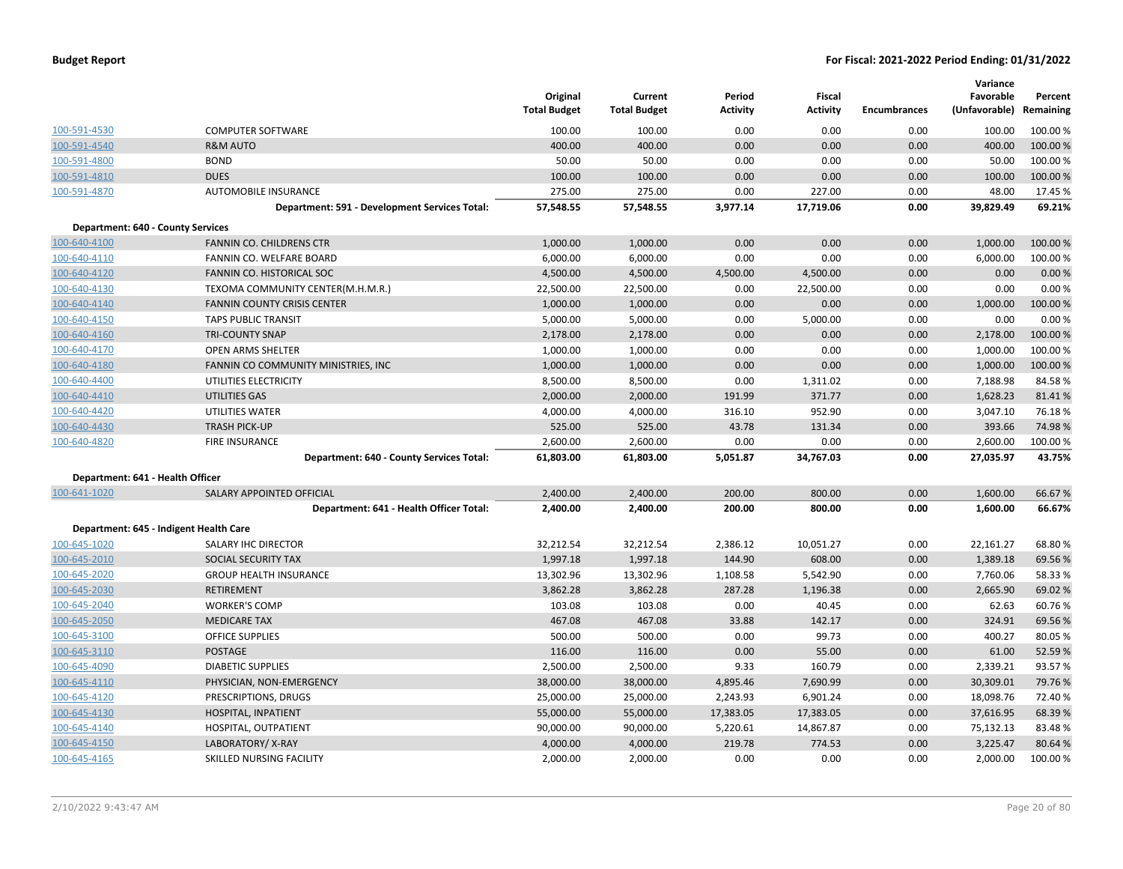|                                          |                                               | Original<br><b>Total Budget</b> | Current<br><b>Total Budget</b> | Period<br><b>Activity</b> | Fiscal<br><b>Activity</b> | <b>Encumbrances</b> | Variance<br>Favorable<br>(Unfavorable) | Percent<br>Remaining |
|------------------------------------------|-----------------------------------------------|---------------------------------|--------------------------------|---------------------------|---------------------------|---------------------|----------------------------------------|----------------------|
| 100-591-4530                             | <b>COMPUTER SOFTWARE</b>                      | 100.00                          | 100.00                         | 0.00                      | 0.00                      | 0.00                | 100.00                                 | 100.00%              |
| 100-591-4540                             | <b>R&amp;M AUTO</b>                           | 400.00                          | 400.00                         | 0.00                      | 0.00                      | 0.00                | 400.00                                 | 100.00 %             |
| 100-591-4800                             | <b>BOND</b>                                   | 50.00                           | 50.00                          | 0.00                      | 0.00                      | 0.00                | 50.00                                  | 100.00 %             |
| 100-591-4810                             | <b>DUES</b>                                   | 100.00                          | 100.00                         | 0.00                      | 0.00                      | 0.00                | 100.00                                 | 100.00 %             |
| 100-591-4870                             | <b>AUTOMOBILE INSURANCE</b>                   | 275.00                          | 275.00                         | 0.00                      | 227.00                    | 0.00                | 48.00                                  | 17.45 %              |
|                                          | Department: 591 - Development Services Total: | 57,548.55                       | 57,548.55                      | 3,977.14                  | 17,719.06                 | 0.00                | 39,829.49                              | 69.21%               |
| <b>Department: 640 - County Services</b> |                                               |                                 |                                |                           |                           |                     |                                        |                      |
| 100-640-4100                             | <b>FANNIN CO. CHILDRENS CTR</b>               | 1,000.00                        | 1,000.00                       | 0.00                      | 0.00                      | 0.00                | 1,000.00                               | 100.00 %             |
| 100-640-4110                             | FANNIN CO. WELFARE BOARD                      | 6,000.00                        | 6,000.00                       | 0.00                      | 0.00                      | 0.00                | 6,000.00                               | 100.00%              |
| 100-640-4120                             | FANNIN CO. HISTORICAL SOC                     | 4,500.00                        | 4,500.00                       | 4,500.00                  | 4,500.00                  | 0.00                | 0.00                                   | 0.00%                |
| 100-640-4130                             | TEXOMA COMMUNITY CENTER(M.H.M.R.)             | 22,500.00                       | 22,500.00                      | 0.00                      | 22,500.00                 | 0.00                | 0.00                                   | 0.00%                |
| 100-640-4140                             | FANNIN COUNTY CRISIS CENTER                   | 1,000.00                        | 1,000.00                       | 0.00                      | 0.00                      | 0.00                | 1,000.00                               | 100.00 %             |
| 100-640-4150                             | <b>TAPS PUBLIC TRANSIT</b>                    | 5,000.00                        | 5,000.00                       | 0.00                      | 5,000.00                  | 0.00                | 0.00                                   | 0.00%                |
| 100-640-4160                             | <b>TRI-COUNTY SNAP</b>                        | 2,178.00                        | 2,178.00                       | 0.00                      | 0.00                      | 0.00                | 2,178.00                               | 100.00 %             |
| 100-640-4170                             | OPEN ARMS SHELTER                             | 1,000.00                        | 1,000.00                       | 0.00                      | 0.00                      | 0.00                | 1,000.00                               | 100.00 %             |
| 100-640-4180                             | FANNIN CO COMMUNITY MINISTRIES, INC           | 1,000.00                        | 1,000.00                       | 0.00                      | 0.00                      | 0.00                | 1,000.00                               | 100.00 %             |
| 100-640-4400                             | UTILITIES ELECTRICITY                         | 8,500.00                        | 8,500.00                       | 0.00                      | 1,311.02                  | 0.00                | 7,188.98                               | 84.58%               |
| 100-640-4410                             | <b>UTILITIES GAS</b>                          | 2,000.00                        | 2,000.00                       | 191.99                    | 371.77                    | 0.00                | 1,628.23                               | 81.41%               |
| 100-640-4420                             | UTILITIES WATER                               | 4,000.00                        | 4,000.00                       | 316.10                    | 952.90                    | 0.00                | 3,047.10                               | 76.18%               |
| 100-640-4430                             | <b>TRASH PICK-UP</b>                          | 525.00                          | 525.00                         | 43.78                     | 131.34                    | 0.00                | 393.66                                 | 74.98%               |
| 100-640-4820                             | <b>FIRE INSURANCE</b>                         | 2,600.00                        | 2,600.00                       | 0.00                      | 0.00                      | 0.00                | 2,600.00                               | 100.00%              |
|                                          | Department: 640 - County Services Total:      | 61,803.00                       | 61,803.00                      | 5,051.87                  | 34,767.03                 | 0.00                | 27,035.97                              | 43.75%               |
| Department: 641 - Health Officer         |                                               |                                 |                                |                           |                           |                     |                                        |                      |
| 100-641-1020                             | SALARY APPOINTED OFFICIAL                     | 2,400.00                        | 2,400.00                       | 200.00                    | 800.00                    | 0.00                | 1,600.00                               | 66.67 %              |
|                                          | Department: 641 - Health Officer Total:       | 2,400.00                        | 2,400.00                       | 200.00                    | 800.00                    | 0.00                | 1,600.00                               | 66.67%               |
|                                          | Department: 645 - Indigent Health Care        |                                 |                                |                           |                           |                     |                                        |                      |
| 100-645-1020                             | SALARY IHC DIRECTOR                           | 32,212.54                       | 32,212.54                      | 2,386.12                  | 10,051.27                 | 0.00                | 22,161.27                              | 68.80%               |
| 100-645-2010                             | SOCIAL SECURITY TAX                           | 1,997.18                        | 1,997.18                       | 144.90                    | 608.00                    | 0.00                | 1,389.18                               | 69.56 %              |
| 100-645-2020                             | <b>GROUP HEALTH INSURANCE</b>                 | 13,302.96                       | 13,302.96                      | 1,108.58                  | 5,542.90                  | 0.00                | 7,760.06                               | 58.33 %              |
| 100-645-2030                             | <b>RETIREMENT</b>                             | 3,862.28                        | 3,862.28                       | 287.28                    | 1,196.38                  | 0.00                | 2,665.90                               | 69.02 %              |
| 100-645-2040                             | <b>WORKER'S COMP</b>                          | 103.08                          | 103.08                         | 0.00                      | 40.45                     | 0.00                | 62.63                                  | 60.76%               |
| 100-645-2050                             | <b>MEDICARE TAX</b>                           | 467.08                          | 467.08                         | 33.88                     | 142.17                    | 0.00                | 324.91                                 | 69.56%               |
| 100-645-3100                             | <b>OFFICE SUPPLIES</b>                        | 500.00                          | 500.00                         | 0.00                      | 99.73                     | 0.00                | 400.27                                 | 80.05 %              |
| 100-645-3110                             | <b>POSTAGE</b>                                | 116.00                          | 116.00                         | 0.00                      | 55.00                     | 0.00                | 61.00                                  | 52.59%               |
| 100-645-4090                             | <b>DIABETIC SUPPLIES</b>                      | 2,500.00                        | 2,500.00                       | 9.33                      | 160.79                    | 0.00                | 2,339.21                               | 93.57%               |
| 100-645-4110                             | PHYSICIAN, NON-EMERGENCY                      | 38,000.00                       | 38,000.00                      | 4,895.46                  | 7,690.99                  | 0.00                | 30,309.01                              | 79.76 %              |
| 100-645-4120                             | PRESCRIPTIONS, DRUGS                          | 25,000.00                       | 25,000.00                      | 2,243.93                  | 6,901.24                  | 0.00                | 18,098.76                              | 72.40 %              |
| 100-645-4130                             | HOSPITAL, INPATIENT                           | 55,000.00                       | 55,000.00                      | 17,383.05                 | 17,383.05                 | 0.00                | 37,616.95                              | 68.39 %              |
| 100-645-4140                             | HOSPITAL, OUTPATIENT                          | 90,000.00                       | 90,000.00                      | 5,220.61                  | 14,867.87                 | 0.00                | 75,132.13                              | 83.48%               |
| 100-645-4150                             | LABORATORY/X-RAY                              | 4,000.00                        | 4,000.00                       | 219.78                    | 774.53                    | 0.00                | 3,225.47                               | 80.64 %              |
| 100-645-4165                             | SKILLED NURSING FACILITY                      | 2,000.00                        | 2,000.00                       | 0.00                      | 0.00                      | 0.00                | 2,000.00                               | 100.00%              |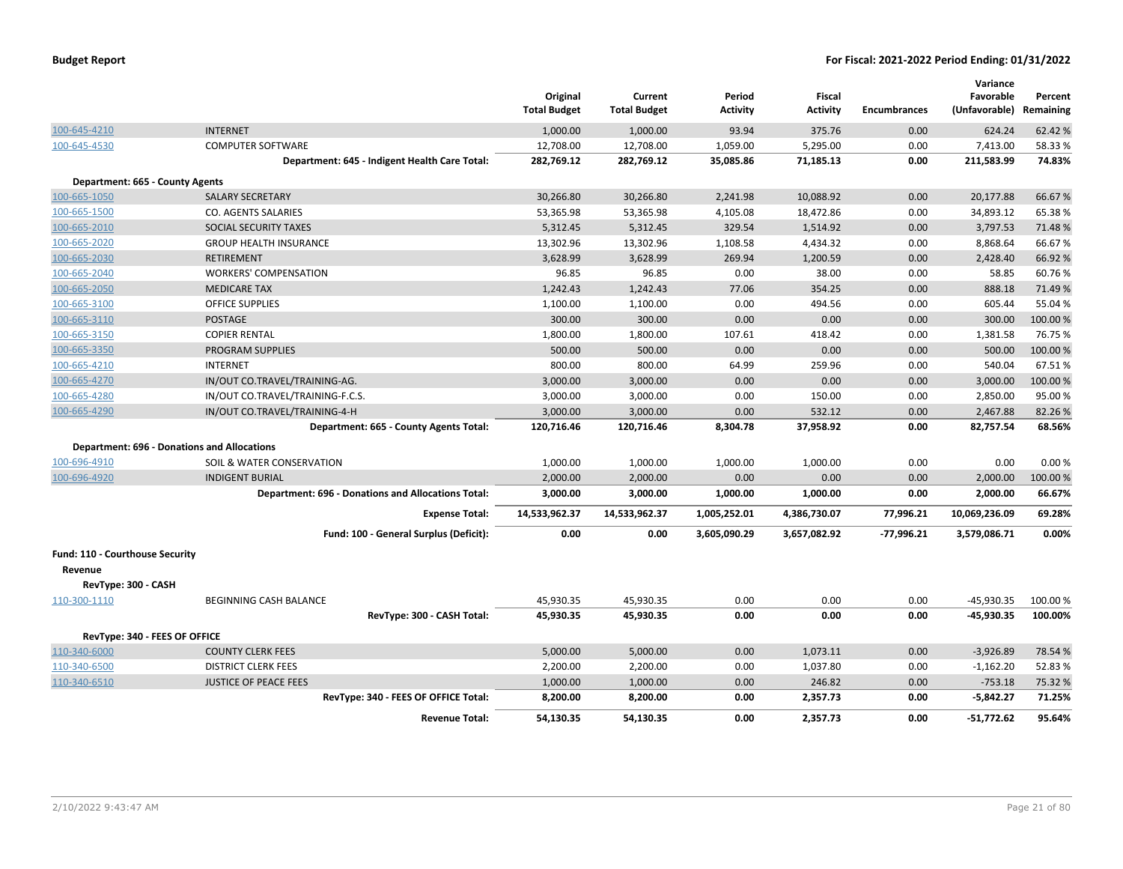|                                 |                                                           | Original<br><b>Total Budget</b> | Current<br><b>Total Budget</b> | Period<br><b>Activity</b> | <b>Fiscal</b><br><b>Activity</b> | <b>Encumbrances</b> | Variance<br>Favorable<br>(Unfavorable) Remaining | Percent  |
|---------------------------------|-----------------------------------------------------------|---------------------------------|--------------------------------|---------------------------|----------------------------------|---------------------|--------------------------------------------------|----------|
| 100-645-4210                    | <b>INTERNET</b>                                           | 1,000.00                        | 1,000.00                       | 93.94                     | 375.76                           | 0.00                | 624.24                                           | 62.42%   |
| 100-645-4530                    | <b>COMPUTER SOFTWARE</b>                                  | 12,708.00                       | 12,708.00                      | 1,059.00                  | 5,295.00                         | 0.00                | 7,413.00                                         | 58.33%   |
|                                 | Department: 645 - Indigent Health Care Total:             | 282,769.12                      | 282,769.12                     | 35,085.86                 | 71,185.13                        | 0.00                | 211,583.99                                       | 74.83%   |
| Department: 665 - County Agents |                                                           |                                 |                                |                           |                                  |                     |                                                  |          |
| 100-665-1050                    | <b>SALARY SECRETARY</b>                                   | 30.266.80                       | 30,266.80                      | 2.241.98                  | 10.088.92                        | 0.00                | 20,177.88                                        | 66.67%   |
| 100-665-1500                    | CO. AGENTS SALARIES                                       | 53,365.98                       | 53,365.98                      | 4,105.08                  | 18,472.86                        | 0.00                | 34,893.12                                        | 65.38%   |
| 100-665-2010                    | SOCIAL SECURITY TAXES                                     | 5,312.45                        | 5,312.45                       | 329.54                    | 1,514.92                         | 0.00                | 3,797.53                                         | 71.48%   |
| 100-665-2020                    | <b>GROUP HEALTH INSURANCE</b>                             | 13,302.96                       | 13,302.96                      | 1,108.58                  | 4,434.32                         | 0.00                | 8,868.64                                         | 66.67%   |
| 100-665-2030                    | <b>RETIREMENT</b>                                         | 3,628.99                        | 3,628.99                       | 269.94                    | 1,200.59                         | 0.00                | 2,428.40                                         | 66.92%   |
| 100-665-2040                    | <b>WORKERS' COMPENSATION</b>                              | 96.85                           | 96.85                          | 0.00                      | 38.00                            | 0.00                | 58.85                                            | 60.76%   |
| 100-665-2050                    | <b>MEDICARE TAX</b>                                       | 1,242.43                        | 1,242.43                       | 77.06                     | 354.25                           | 0.00                | 888.18                                           | 71.49 %  |
| 100-665-3100                    | <b>OFFICE SUPPLIES</b>                                    | 1,100.00                        | 1,100.00                       | 0.00                      | 494.56                           | 0.00                | 605.44                                           | 55.04 %  |
| 100-665-3110                    | <b>POSTAGE</b>                                            | 300.00                          | 300.00                         | 0.00                      | 0.00                             | 0.00                | 300.00                                           | 100.00 % |
| 100-665-3150                    | <b>COPIER RENTAL</b>                                      | 1,800.00                        | 1,800.00                       | 107.61                    | 418.42                           | 0.00                | 1,381.58                                         | 76.75%   |
| 100-665-3350                    | <b>PROGRAM SUPPLIES</b>                                   | 500.00                          | 500.00                         | 0.00                      | 0.00                             | 0.00                | 500.00                                           | 100.00 % |
| 100-665-4210                    | <b>INTERNET</b>                                           | 800.00                          | 800.00                         | 64.99                     | 259.96                           | 0.00                | 540.04                                           | 67.51%   |
| 100-665-4270                    | IN/OUT CO.TRAVEL/TRAINING-AG.                             | 3,000.00                        | 3,000.00                       | 0.00                      | 0.00                             | 0.00                | 3,000.00                                         | 100.00 % |
| 100-665-4280                    | IN/OUT CO.TRAVEL/TRAINING-F.C.S.                          | 3,000.00                        | 3,000.00                       | 0.00                      | 150.00                           | 0.00                | 2,850.00                                         | 95.00%   |
| 100-665-4290                    | IN/OUT CO.TRAVEL/TRAINING-4-H                             | 3,000.00                        | 3,000.00                       | 0.00                      | 532.12                           | 0.00                | 2,467.88                                         | 82.26%   |
|                                 | Department: 665 - County Agents Total:                    | 120,716.46                      | 120,716.46                     | 8,304.78                  | 37,958.92                        | 0.00                | 82,757.54                                        | 68.56%   |
|                                 | <b>Department: 696 - Donations and Allocations</b>        |                                 |                                |                           |                                  |                     |                                                  |          |
| 100-696-4910                    | SOIL & WATER CONSERVATION                                 | 1,000.00                        | 1,000.00                       | 1,000.00                  | 1,000.00                         | 0.00                | 0.00                                             | 0.00%    |
| 100-696-4920                    | <b>INDIGENT BURIAL</b>                                    | 2,000.00                        | 2,000.00                       | 0.00                      | 0.00                             | 0.00                | 2,000.00                                         | 100.00%  |
|                                 | <b>Department: 696 - Donations and Allocations Total:</b> | 3,000.00                        | 3,000.00                       | 1,000.00                  | 1,000.00                         | 0.00                | 2,000.00                                         | 66.67%   |
|                                 | <b>Expense Total:</b>                                     | 14,533,962.37                   | 14,533,962.37                  | 1,005,252.01              | 4,386,730.07                     | 77,996.21           | 10,069,236.09                                    | 69.28%   |
|                                 | Fund: 100 - General Surplus (Deficit):                    | 0.00                            | 0.00                           | 3,605,090.29              | 3,657,082.92                     | $-77,996.21$        | 3,579,086.71                                     | 0.00%    |
| Fund: 110 - Courthouse Security |                                                           |                                 |                                |                           |                                  |                     |                                                  |          |
| Revenue                         |                                                           |                                 |                                |                           |                                  |                     |                                                  |          |
| RevType: 300 - CASH             |                                                           |                                 |                                |                           |                                  |                     |                                                  |          |
| 110-300-1110                    | <b>BEGINNING CASH BALANCE</b>                             | 45,930.35                       | 45,930.35                      | 0.00                      | 0.00                             | 0.00                | -45,930.35                                       | 100.00%  |
|                                 | RevType: 300 - CASH Total:                                | 45,930.35                       | 45,930.35                      | 0.00                      | 0.00                             | 0.00                | -45,930.35                                       | 100.00%  |
| RevType: 340 - FEES OF OFFICE   |                                                           |                                 |                                |                           |                                  |                     |                                                  |          |
| 110-340-6000                    | <b>COUNTY CLERK FEES</b>                                  | 5,000.00                        | 5,000.00                       | 0.00                      | 1,073.11                         | 0.00                | $-3,926.89$                                      | 78.54 %  |
| 110-340-6500                    | <b>DISTRICT CLERK FEES</b>                                | 2,200.00                        | 2,200.00                       | 0.00                      | 1,037.80                         | 0.00                | $-1,162.20$                                      | 52.83%   |
| 110-340-6510                    | <b>JUSTICE OF PEACE FEES</b>                              | 1,000.00                        | 1,000.00                       | 0.00                      | 246.82                           | 0.00                | $-753.18$                                        | 75.32 %  |
|                                 | RevType: 340 - FEES OF OFFICE Total:                      | 8,200.00                        | 8,200.00                       | 0.00                      | 2,357.73                         | 0.00                | $-5,842.27$                                      | 71.25%   |
|                                 | <b>Revenue Total:</b>                                     | 54,130.35                       | 54,130.35                      | 0.00                      | 2.357.73                         | 0.00                | $-51.772.62$                                     | 95.64%   |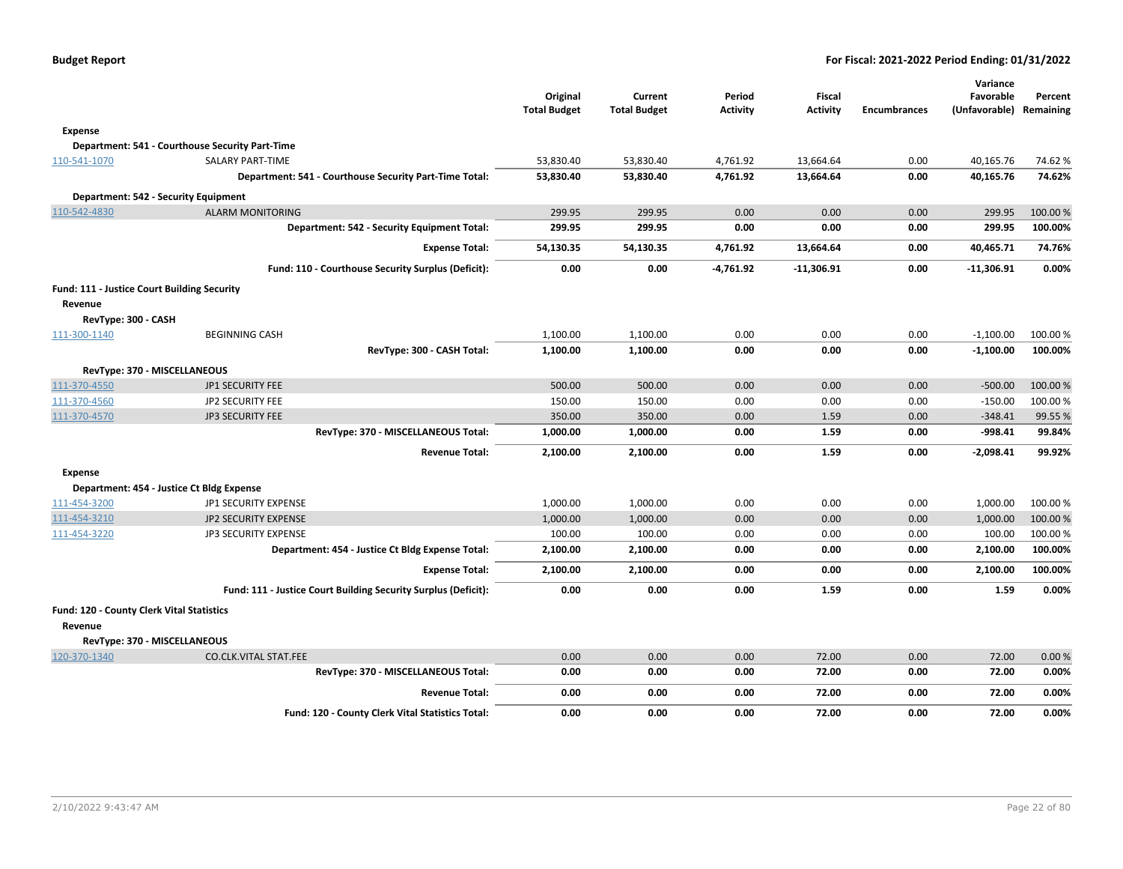|                                                        |                                                                | Original<br><b>Total Budget</b> | Current<br><b>Total Budget</b> | Period<br>Activity | <b>Fiscal</b><br><b>Activity</b> | <b>Encumbrances</b> | Variance<br>Favorable<br>(Unfavorable) | Percent<br>Remaining |
|--------------------------------------------------------|----------------------------------------------------------------|---------------------------------|--------------------------------|--------------------|----------------------------------|---------------------|----------------------------------------|----------------------|
| <b>Expense</b>                                         |                                                                |                                 |                                |                    |                                  |                     |                                        |                      |
|                                                        | Department: 541 - Courthouse Security Part-Time                |                                 |                                |                    |                                  |                     |                                        |                      |
| 110-541-1070                                           | SALARY PART-TIME                                               | 53,830.40                       | 53,830.40                      | 4,761.92           | 13,664.64                        | 0.00                | 40,165.76                              | 74.62%               |
|                                                        | Department: 541 - Courthouse Security Part-Time Total:         | 53,830.40                       | 53,830.40                      | 4,761.92           | 13,664.64                        | 0.00                | 40,165.76                              | 74.62%               |
| Department: 542 - Security Equipment                   |                                                                |                                 |                                |                    |                                  |                     |                                        |                      |
| 110-542-4830                                           | <b>ALARM MONITORING</b>                                        | 299.95                          | 299.95                         | 0.00               | 0.00                             | 0.00                | 299.95                                 | 100.00 %             |
|                                                        | <b>Department: 542 - Security Equipment Total:</b>             | 299.95                          | 299.95                         | 0.00               | 0.00                             | 0.00                | 299.95                                 | 100.00%              |
|                                                        | <b>Expense Total:</b>                                          | 54,130.35                       | 54,130.35                      | 4,761.92           | 13,664.64                        | 0.00                | 40,465.71                              | 74.76%               |
|                                                        | Fund: 110 - Courthouse Security Surplus (Deficit):             | 0.00                            | 0.00                           | $-4,761.92$        | $-11,306.91$                     | 0.00                | $-11,306.91$                           | 0.00%                |
| Fund: 111 - Justice Court Building Security<br>Revenue |                                                                |                                 |                                |                    |                                  |                     |                                        |                      |
| RevType: 300 - CASH                                    |                                                                |                                 |                                |                    |                                  |                     |                                        |                      |
| 111-300-1140                                           | <b>BEGINNING CASH</b>                                          | 1,100.00                        | 1,100.00                       | 0.00               | 0.00                             | 0.00                | $-1,100.00$                            | 100.00 %             |
|                                                        | RevType: 300 - CASH Total:                                     | 1,100.00                        | 1,100.00                       | 0.00               | 0.00                             | 0.00                | $-1,100.00$                            | 100.00%              |
| RevType: 370 - MISCELLANEOUS                           |                                                                |                                 |                                |                    |                                  |                     |                                        |                      |
| 111-370-4550                                           | JP1 SECURITY FEE                                               | 500.00                          | 500.00                         | 0.00               | 0.00                             | 0.00                | $-500.00$                              | 100.00%              |
| 111-370-4560                                           | JP2 SECURITY FEE                                               | 150.00                          | 150.00                         | 0.00               | 0.00                             | 0.00                | $-150.00$                              | 100.00 %             |
| 111-370-4570                                           | <b>JP3 SECURITY FEE</b>                                        | 350.00                          | 350.00                         | 0.00               | 1.59                             | 0.00                | $-348.41$                              | 99.55%               |
|                                                        | RevType: 370 - MISCELLANEOUS Total:                            | 1,000.00                        | 1,000.00                       | 0.00               | 1.59                             | 0.00                | $-998.41$                              | 99.84%               |
|                                                        | <b>Revenue Total:</b>                                          | 2,100.00                        | 2,100.00                       | 0.00               | 1.59                             | 0.00                | -2,098.41                              | 99.92%               |
| <b>Expense</b>                                         |                                                                |                                 |                                |                    |                                  |                     |                                        |                      |
|                                                        | Department: 454 - Justice Ct Bldg Expense                      |                                 |                                |                    |                                  |                     |                                        |                      |
| 111-454-3200                                           | JP1 SECURITY EXPENSE                                           | 1,000.00                        | 1,000.00                       | 0.00               | 0.00                             | 0.00                | 1,000.00                               | 100.00 %             |
| 111-454-3210                                           | JP2 SECURITY EXPENSE                                           | 1,000.00                        | 1,000.00                       | 0.00               | 0.00                             | 0.00                | 1,000.00                               | 100.00%              |
| 111-454-3220                                           | JP3 SECURITY EXPENSE                                           | 100.00                          | 100.00                         | 0.00               | 0.00                             | 0.00                | 100.00                                 | 100.00 %             |
|                                                        | Department: 454 - Justice Ct Bldg Expense Total:               | 2,100.00                        | 2,100.00                       | 0.00               | 0.00                             | 0.00                | 2,100.00                               | 100.00%              |
|                                                        | <b>Expense Total:</b>                                          | 2,100.00                        | 2,100.00                       | 0.00               | 0.00                             | 0.00                | 2,100.00                               | 100.00%              |
|                                                        | Fund: 111 - Justice Court Building Security Surplus (Deficit): | 0.00                            | 0.00                           | 0.00               | 1.59                             | 0.00                | 1.59                                   | 0.00%                |
| Fund: 120 - County Clerk Vital Statistics              |                                                                |                                 |                                |                    |                                  |                     |                                        |                      |
| Revenue                                                |                                                                |                                 |                                |                    |                                  |                     |                                        |                      |
| RevType: 370 - MISCELLANEOUS                           |                                                                |                                 |                                |                    |                                  |                     |                                        |                      |
| 120-370-1340                                           | <b>CO.CLK.VITAL STAT.FEE</b>                                   | 0.00                            | 0.00                           | 0.00               | 72.00                            | 0.00                | 72.00                                  | 0.00%                |
|                                                        | RevType: 370 - MISCELLANEOUS Total:                            | 0.00                            | 0.00                           | 0.00               | 72.00                            | 0.00                | 72.00                                  | 0.00%                |
|                                                        | <b>Revenue Total:</b>                                          | 0.00                            | 0.00                           | 0.00               | 72.00                            | 0.00                | 72.00                                  | 0.00%                |
|                                                        | Fund: 120 - County Clerk Vital Statistics Total:               | 0.00                            | 0.00                           | 0.00               | 72.00                            | 0.00                | 72.00                                  | 0.00%                |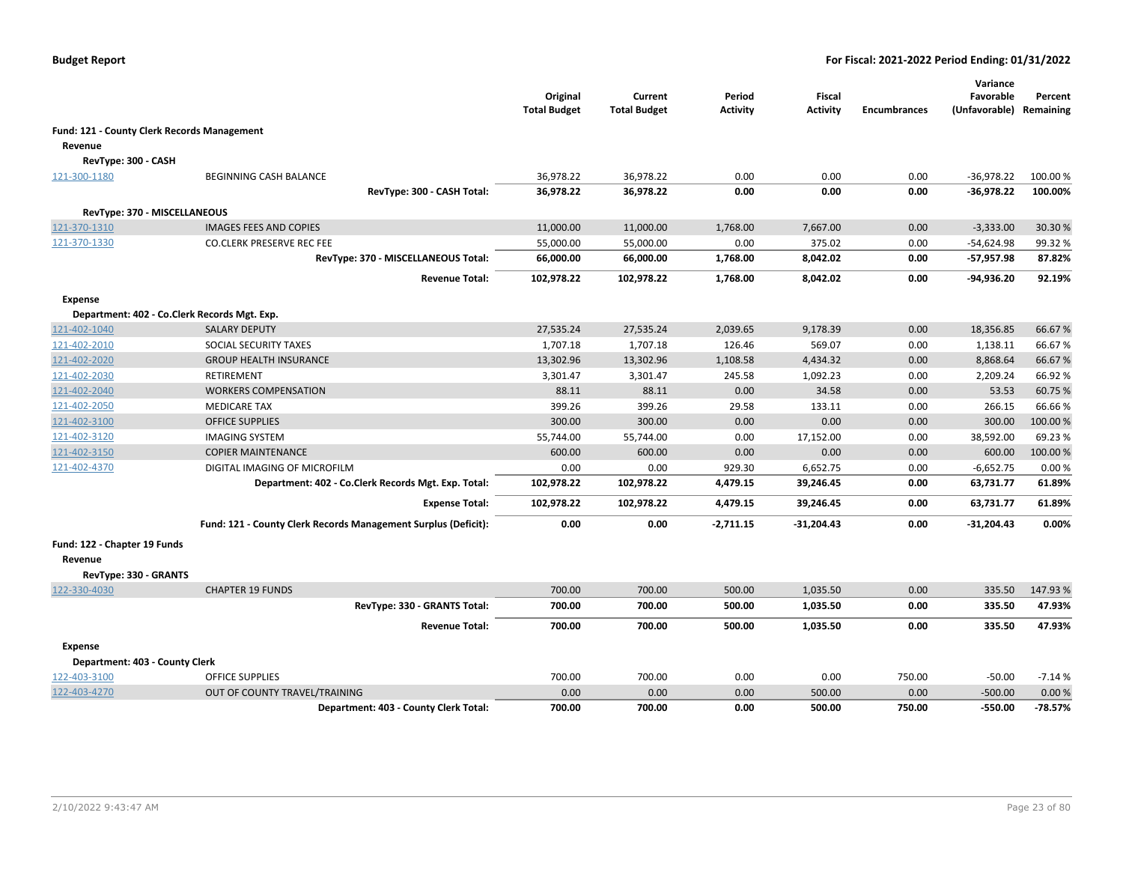|                                |                                                                   | Original<br><b>Total Budget</b> | Current<br><b>Total Budget</b> | Period<br><b>Activity</b> | Fiscal<br><b>Activity</b> | <b>Encumbrances</b> | Variance<br>Favorable<br>(Unfavorable) | Percent<br>Remaining |
|--------------------------------|-------------------------------------------------------------------|---------------------------------|--------------------------------|---------------------------|---------------------------|---------------------|----------------------------------------|----------------------|
|                                | Fund: 121 - County Clerk Records Management                       |                                 |                                |                           |                           |                     |                                        |                      |
| Revenue                        |                                                                   |                                 |                                |                           |                           |                     |                                        |                      |
| RevType: 300 - CASH            |                                                                   |                                 |                                |                           |                           |                     |                                        |                      |
| 121-300-1180                   | <b>BEGINNING CASH BALANCE</b>                                     | 36,978.22                       | 36,978.22                      | 0.00                      | 0.00                      | 0.00                | $-36,978.22$                           | 100.00%              |
|                                | RevType: 300 - CASH Total:                                        | 36,978.22                       | 36,978.22                      | 0.00                      | 0.00                      | 0.00                | -36,978.22                             | 100.00%              |
|                                |                                                                   |                                 |                                |                           |                           |                     |                                        |                      |
| RevType: 370 - MISCELLANEOUS   |                                                                   |                                 |                                |                           |                           | 0.00                |                                        |                      |
| 121-370-1310                   | <b>IMAGES FEES AND COPIES</b><br><b>CO.CLERK PRESERVE REC FEE</b> | 11,000.00<br>55,000.00          | 11,000.00<br>55,000.00         | 1,768.00<br>0.00          | 7,667.00<br>375.02        | 0.00                | $-3,333.00$                            | 30.30%<br>99.32%     |
| 121-370-1330                   | RevType: 370 - MISCELLANEOUS Total:                               |                                 |                                |                           | 8,042.02                  | 0.00                | $-54,624.98$                           | 87.82%               |
|                                |                                                                   | 66,000.00                       | 66,000.00                      | 1,768.00                  |                           |                     | -57,957.98                             |                      |
|                                | <b>Revenue Total:</b>                                             | 102,978.22                      | 102,978.22                     | 1,768.00                  | 8,042.02                  | 0.00                | -94,936.20                             | 92.19%               |
| <b>Expense</b>                 |                                                                   |                                 |                                |                           |                           |                     |                                        |                      |
|                                | Department: 402 - Co.Clerk Records Mgt. Exp.                      |                                 |                                |                           |                           |                     |                                        |                      |
| 121-402-1040                   | <b>SALARY DEPUTY</b>                                              | 27,535.24                       | 27,535.24                      | 2,039.65                  | 9,178.39                  | 0.00                | 18,356.85                              | 66.67%               |
| 121-402-2010                   | SOCIAL SECURITY TAXES                                             | 1,707.18                        | 1,707.18                       | 126.46                    | 569.07                    | 0.00                | 1,138.11                               | 66.67%               |
| 121-402-2020                   | <b>GROUP HEALTH INSURANCE</b>                                     | 13,302.96                       | 13,302.96                      | 1,108.58                  | 4,434.32                  | 0.00                | 8,868.64                               | 66.67%               |
| 121-402-2030                   | RETIREMENT                                                        | 3,301.47                        | 3,301.47                       | 245.58                    | 1,092.23                  | 0.00                | 2,209.24                               | 66.92%               |
| 121-402-2040                   | <b>WORKERS COMPENSATION</b>                                       | 88.11                           | 88.11                          | 0.00                      | 34.58                     | 0.00                | 53.53                                  | 60.75%               |
| 121-402-2050                   | <b>MEDICARE TAX</b>                                               | 399.26                          | 399.26                         | 29.58                     | 133.11                    | 0.00                | 266.15                                 | 66.66%               |
| 121-402-3100                   | <b>OFFICE SUPPLIES</b>                                            | 300.00                          | 300.00                         | 0.00                      | 0.00                      | 0.00                | 300.00                                 | 100.00 %             |
| 121-402-3120                   | <b>IMAGING SYSTEM</b>                                             | 55,744.00                       | 55,744.00                      | 0.00                      | 17,152.00                 | 0.00                | 38,592.00                              | 69.23%               |
| 121-402-3150                   | <b>COPIER MAINTENANCE</b>                                         | 600.00                          | 600.00                         | 0.00                      | 0.00                      | 0.00                | 600.00                                 | 100.00%              |
| 121-402-4370                   | DIGITAL IMAGING OF MICROFILM                                      | 0.00                            | 0.00                           | 929.30                    | 6,652.75                  | 0.00                | $-6,652.75$                            | 0.00%                |
|                                | Department: 402 - Co.Clerk Records Mgt. Exp. Total:               | 102,978.22                      | 102,978.22                     | 4,479.15                  | 39,246.45                 | 0.00                | 63,731.77                              | 61.89%               |
|                                | <b>Expense Total:</b>                                             | 102,978.22                      | 102,978.22                     | 4,479.15                  | 39,246.45                 | 0.00                | 63,731.77                              | 61.89%               |
|                                | Fund: 121 - County Clerk Records Management Surplus (Deficit):    | 0.00                            | 0.00                           | $-2,711.15$               | $-31,204.43$              | 0.00                | -31,204.43                             | 0.00%                |
| Fund: 122 - Chapter 19 Funds   |                                                                   |                                 |                                |                           |                           |                     |                                        |                      |
| Revenue                        |                                                                   |                                 |                                |                           |                           |                     |                                        |                      |
| RevType: 330 - GRANTS          |                                                                   |                                 |                                |                           |                           |                     |                                        |                      |
| 122-330-4030                   | <b>CHAPTER 19 FUNDS</b>                                           | 700.00                          | 700.00                         | 500.00                    | 1,035.50                  | 0.00                | 335.50                                 | 147.93%              |
|                                | RevType: 330 - GRANTS Total:                                      | 700.00                          | 700.00                         | 500.00                    | 1,035.50                  | 0.00                | 335.50                                 | 47.93%               |
|                                | <b>Revenue Total:</b>                                             | 700.00                          | 700.00                         | 500.00                    | 1,035.50                  | 0.00                | 335.50                                 | 47.93%               |
| <b>Expense</b>                 |                                                                   |                                 |                                |                           |                           |                     |                                        |                      |
| Department: 403 - County Clerk |                                                                   |                                 |                                |                           |                           |                     |                                        |                      |
| 122-403-3100                   | <b>OFFICE SUPPLIES</b>                                            | 700.00                          | 700.00                         | 0.00                      | 0.00                      | 750.00              | $-50.00$                               | $-7.14%$             |
| 122-403-4270                   | OUT OF COUNTY TRAVEL/TRAINING                                     | 0.00                            | 0.00                           | 0.00                      | 500.00                    | 0.00                | $-500.00$                              | 0.00%                |
|                                | Department: 403 - County Clerk Total:                             | 700.00                          | 700.00                         | 0.00                      | 500.00                    | 750.00              | -550.00                                | $-78.57%$            |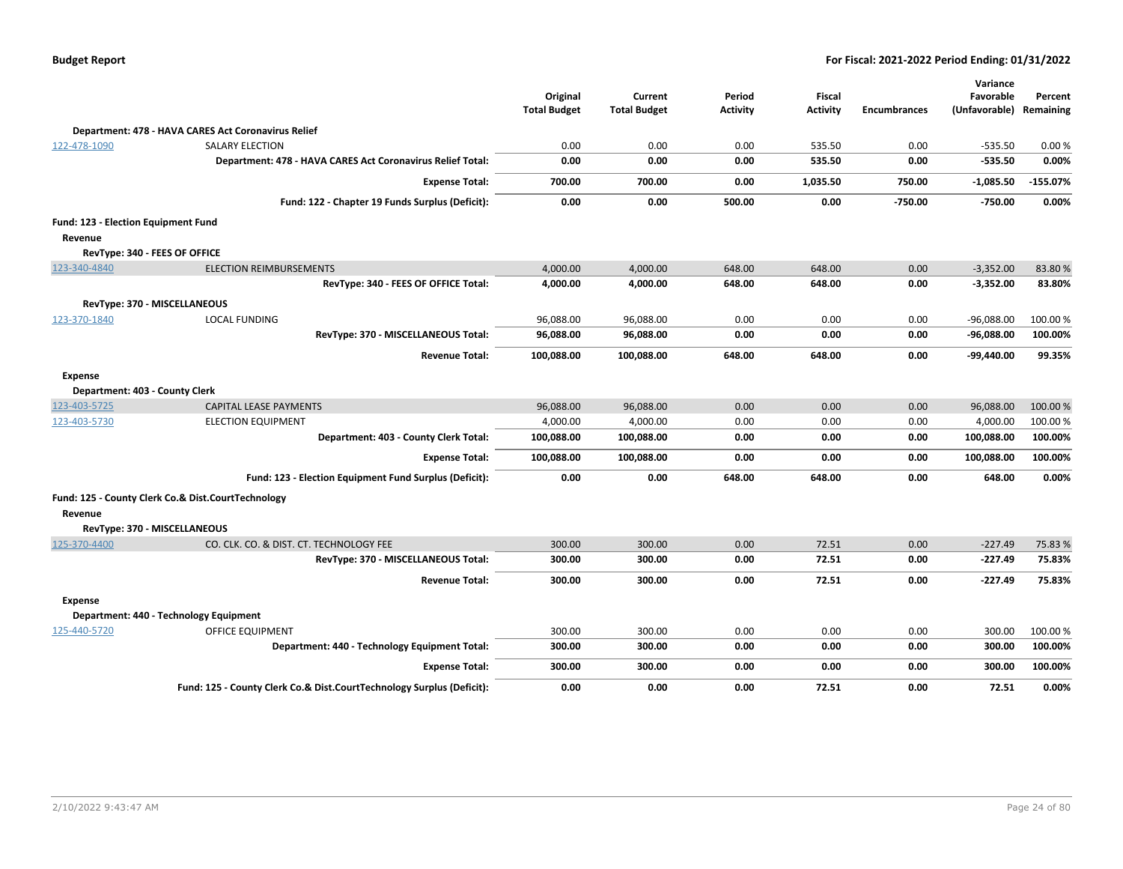| <b>Budget Report</b> |  |
|----------------------|--|
|----------------------|--|

|                                     |                                                                       |                     |                     |                 |                 |                     | Variance                |            |
|-------------------------------------|-----------------------------------------------------------------------|---------------------|---------------------|-----------------|-----------------|---------------------|-------------------------|------------|
|                                     |                                                                       | Original            | Current             | Period          | <b>Fiscal</b>   |                     | Favorable               | Percent    |
|                                     |                                                                       | <b>Total Budget</b> | <b>Total Budget</b> | <b>Activity</b> | <b>Activity</b> | <b>Encumbrances</b> | (Unfavorable) Remaining |            |
|                                     | Department: 478 - HAVA CARES Act Coronavirus Relief                   |                     |                     |                 |                 |                     |                         |            |
| 122-478-1090                        | <b>SALARY ELECTION</b>                                                | 0.00                | 0.00                | 0.00            | 535.50          | 0.00                | $-535.50$               | 0.00%      |
|                                     | Department: 478 - HAVA CARES Act Coronavirus Relief Total:            | 0.00                | 0.00                | 0.00            | 535.50          | 0.00                | $-535.50$               | 0.00%      |
|                                     | <b>Expense Total:</b>                                                 | 700.00              | 700.00              | 0.00            | 1,035.50        | 750.00              | $-1,085.50$             | $-155.07%$ |
|                                     | Fund: 122 - Chapter 19 Funds Surplus (Deficit):                       | 0.00                | 0.00                | 500.00          | 0.00            | $-750.00$           | $-750.00$               | 0.00%      |
| Fund: 123 - Election Equipment Fund |                                                                       |                     |                     |                 |                 |                     |                         |            |
| Revenue                             |                                                                       |                     |                     |                 |                 |                     |                         |            |
|                                     | RevType: 340 - FEES OF OFFICE                                         |                     |                     |                 |                 |                     |                         |            |
| 123-340-4840                        | <b>ELECTION REIMBURSEMENTS</b>                                        | 4,000.00            | 4,000.00            | 648.00          | 648.00          | 0.00                | $-3,352.00$             | 83.80%     |
|                                     | RevType: 340 - FEES OF OFFICE Total:                                  | 4,000.00            | 4,000.00            | 648.00          | 648.00          | 0.00                | $-3,352.00$             | 83.80%     |
|                                     | RevType: 370 - MISCELLANEOUS                                          |                     |                     |                 |                 |                     |                         |            |
| 123-370-1840                        | <b>LOCAL FUNDING</b>                                                  | 96,088.00           | 96,088.00           | 0.00            | 0.00            | 0.00                | $-96,088.00$            | 100.00%    |
|                                     | RevType: 370 - MISCELLANEOUS Total:                                   | 96,088.00           | 96,088.00           | 0.00            | 0.00            | 0.00                | $-96,088.00$            | 100.00%    |
|                                     | <b>Revenue Total:</b>                                                 | 100,088.00          | 100,088.00          | 648.00          | 648.00          | 0.00                | -99,440.00              | 99.35%     |
| Expense                             |                                                                       |                     |                     |                 |                 |                     |                         |            |
| Department: 403 - County Clerk      |                                                                       |                     |                     |                 |                 |                     |                         |            |
| 123-403-5725                        | CAPITAL LEASE PAYMENTS                                                | 96,088.00           | 96,088.00           | 0.00            | 0.00            | 0.00                | 96,088.00               | 100.00 %   |
| 123-403-5730                        | <b>ELECTION EQUIPMENT</b>                                             | 4,000.00            | 4,000.00            | 0.00            | 0.00            | 0.00                | 4,000.00                | 100.00 %   |
|                                     | Department: 403 - County Clerk Total:                                 | 100,088.00          | 100,088.00          | 0.00            | 0.00            | 0.00                | 100,088.00              | 100.00%    |
|                                     | <b>Expense Total:</b>                                                 | 100,088.00          | 100,088.00          | 0.00            | 0.00            | 0.00                | 100,088.00              | 100.00%    |
|                                     | Fund: 123 - Election Equipment Fund Surplus (Deficit):                | 0.00                | 0.00                | 648.00          | 648.00          | 0.00                | 648.00                  | 0.00%      |
|                                     | Fund: 125 - County Clerk Co.& Dist.CourtTechnology                    |                     |                     |                 |                 |                     |                         |            |
| Revenue                             |                                                                       |                     |                     |                 |                 |                     |                         |            |
|                                     | RevType: 370 - MISCELLANEOUS                                          |                     |                     |                 |                 |                     |                         |            |
| 125-370-4400                        | CO. CLK. CO. & DIST. CT. TECHNOLOGY FEE                               | 300.00              | 300.00              | 0.00            | 72.51           | 0.00                | $-227.49$               | 75.83%     |
|                                     | RevType: 370 - MISCELLANEOUS Total:                                   | 300.00              | 300.00              | 0.00            | 72.51           | 0.00                | $-227.49$               | 75.83%     |
|                                     | <b>Revenue Total:</b>                                                 | 300.00              | 300.00              | 0.00            | 72.51           | 0.00                | $-227.49$               | 75.83%     |
| Expense                             |                                                                       |                     |                     |                 |                 |                     |                         |            |
|                                     | Department: 440 - Technology Equipment                                |                     |                     |                 |                 |                     |                         |            |
| 125-440-5720                        | <b>OFFICE EQUIPMENT</b>                                               | 300.00              | 300.00              | 0.00            | 0.00            | 0.00                | 300.00                  | 100.00%    |
|                                     | Department: 440 - Technology Equipment Total:                         | 300.00              | 300.00              | 0.00            | 0.00            | 0.00                | 300.00                  | 100.00%    |
|                                     | <b>Expense Total:</b>                                                 | 300.00              | 300.00              | 0.00            | 0.00            | 0.00                | 300.00                  | 100.00%    |
|                                     | Fund: 125 - County Clerk Co.& Dist.CourtTechnology Surplus (Deficit): | 0.00                | 0.00                | 0.00            | 72.51           | 0.00                | 72.51                   | 0.00%      |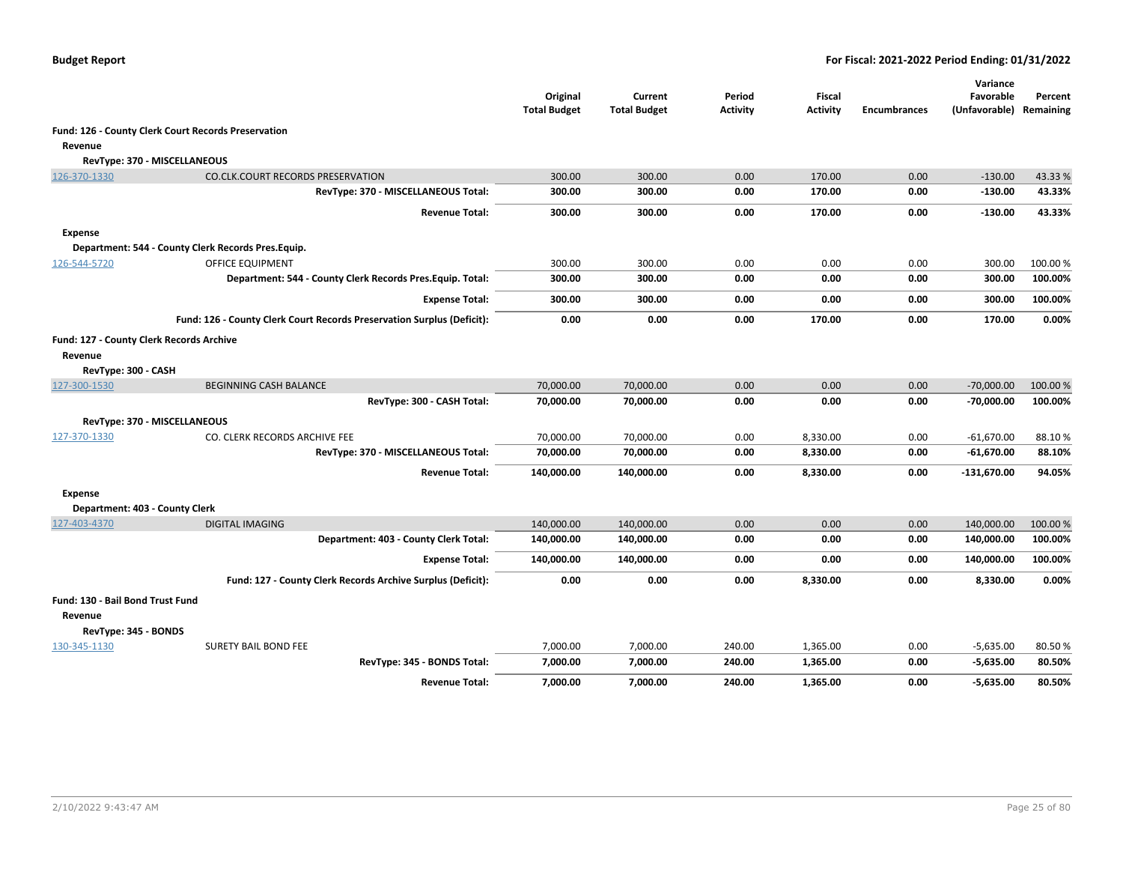|                                                     |                                                                        | Original<br><b>Total Budget</b> | Current<br><b>Total Budget</b> | Period<br><b>Activity</b> | Fiscal<br><b>Activity</b> | <b>Encumbrances</b> | Variance<br>Favorable<br>(Unfavorable) Remaining | Percent          |
|-----------------------------------------------------|------------------------------------------------------------------------|---------------------------------|--------------------------------|---------------------------|---------------------------|---------------------|--------------------------------------------------|------------------|
|                                                     | Fund: 126 - County Clerk Court Records Preservation                    |                                 |                                |                           |                           |                     |                                                  |                  |
| Revenue                                             |                                                                        |                                 |                                |                           |                           |                     |                                                  |                  |
| RevType: 370 - MISCELLANEOUS                        |                                                                        |                                 |                                |                           |                           |                     |                                                  |                  |
| 126-370-1330                                        | CO.CLK.COURT RECORDS PRESERVATION                                      | 300.00                          | 300.00                         | 0.00                      | 170.00                    | 0.00                | $-130.00$                                        | 43.33 %          |
|                                                     | RevType: 370 - MISCELLANEOUS Total:                                    | 300.00                          | 300.00                         | 0.00                      | 170.00                    | 0.00                | $-130.00$                                        | 43.33%           |
|                                                     | <b>Revenue Total:</b>                                                  | 300.00                          | 300.00                         | 0.00                      | 170.00                    | 0.00                | $-130.00$                                        | 43.33%           |
| Expense                                             |                                                                        |                                 |                                |                           |                           |                     |                                                  |                  |
|                                                     | Department: 544 - County Clerk Records Pres.Equip.                     |                                 |                                |                           |                           |                     |                                                  |                  |
| 126-544-5720                                        | <b>OFFICE EQUIPMENT</b>                                                | 300.00                          | 300.00                         | 0.00                      | 0.00                      | 0.00                | 300.00                                           | 100.00 %         |
|                                                     | Department: 544 - County Clerk Records Pres. Equip. Total:             | 300.00                          | 300.00                         | 0.00                      | 0.00                      | 0.00                | 300.00                                           | 100.00%          |
|                                                     | <b>Expense Total:</b>                                                  | 300.00                          | 300.00                         | 0.00                      | 0.00                      | 0.00                | 300.00                                           | 100.00%          |
|                                                     | Fund: 126 - County Clerk Court Records Preservation Surplus (Deficit): | 0.00                            | 0.00                           | 0.00                      | 170.00                    | 0.00                | 170.00                                           | 0.00%            |
| Fund: 127 - County Clerk Records Archive<br>Revenue |                                                                        |                                 |                                |                           |                           |                     |                                                  |                  |
| RevType: 300 - CASH                                 |                                                                        |                                 |                                |                           |                           |                     |                                                  |                  |
| 127-300-1530                                        | <b>BEGINNING CASH BALANCE</b>                                          | 70,000.00                       | 70,000.00                      | 0.00                      | 0.00                      | 0.00                | $-70,000.00$                                     | 100.00 %         |
|                                                     | RevType: 300 - CASH Total:                                             | 70,000.00                       | 70,000.00                      | 0.00                      | 0.00                      | 0.00                | $-70,000.00$                                     | 100.00%          |
| RevType: 370 - MISCELLANEOUS                        |                                                                        |                                 |                                |                           |                           |                     |                                                  |                  |
| 127-370-1330                                        | CO. CLERK RECORDS ARCHIVE FEE                                          | 70,000.00                       | 70,000.00                      | 0.00                      | 8,330.00                  | 0.00                | $-61,670.00$                                     | 88.10%           |
|                                                     | RevType: 370 - MISCELLANEOUS Total:                                    | 70,000.00                       | 70,000.00                      | 0.00                      | 8,330.00                  | 0.00                | $-61,670.00$                                     | 88.10%           |
|                                                     | <b>Revenue Total:</b>                                                  | 140,000.00                      | 140,000.00                     | 0.00                      | 8,330.00                  | 0.00                | -131,670.00                                      | 94.05%           |
| <b>Expense</b>                                      |                                                                        |                                 |                                |                           |                           |                     |                                                  |                  |
| Department: 403 - County Clerk                      |                                                                        |                                 |                                |                           |                           |                     |                                                  |                  |
| 127-403-4370                                        | <b>DIGITAL IMAGING</b>                                                 | 140,000.00                      | 140,000.00                     | 0.00                      | 0.00                      | 0.00                | 140,000.00                                       | 100.00%          |
|                                                     | Department: 403 - County Clerk Total:                                  | 140,000.00                      | 140,000.00                     | 0.00                      | 0.00                      | 0.00                | 140,000.00                                       | 100.00%          |
|                                                     | <b>Expense Total:</b>                                                  | 140,000.00                      | 140,000.00                     | 0.00                      | 0.00                      | 0.00                | 140,000.00                                       | 100.00%          |
|                                                     | Fund: 127 - County Clerk Records Archive Surplus (Deficit):            | 0.00                            | 0.00                           | 0.00                      | 8,330.00                  | 0.00                | 8,330.00                                         | 0.00%            |
| Fund: 130 - Bail Bond Trust Fund<br>Revenue         |                                                                        |                                 |                                |                           |                           |                     |                                                  |                  |
| RevType: 345 - BONDS                                |                                                                        |                                 |                                |                           |                           |                     |                                                  |                  |
| 130-345-1130                                        | <b>SURETY BAIL BOND FEE</b><br>RevType: 345 - BONDS Total:             | 7,000.00<br>7,000.00            | 7,000.00<br>7,000.00           | 240.00<br>240.00          | 1,365.00<br>1,365.00      | 0.00<br>0.00        | $-5,635.00$<br>$-5,635.00$                       | 80.50%<br>80.50% |
|                                                     | <b>Revenue Total:</b>                                                  | 7,000.00                        | 7,000.00                       | 240.00                    | 1,365.00                  | 0.00                | $-5,635.00$                                      | 80.50%           |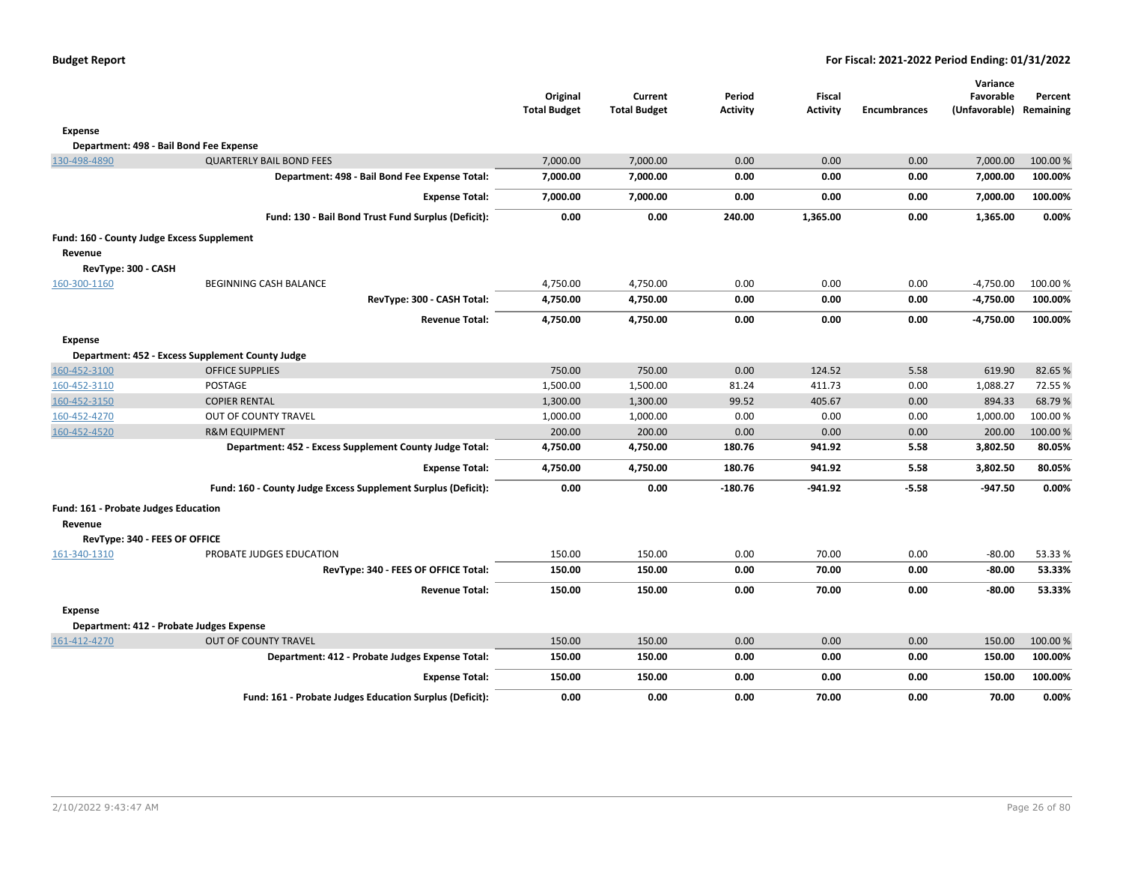|                                            |                                                               | Original<br><b>Total Budget</b> | Current<br><b>Total Budget</b> | Period<br><b>Activity</b> | <b>Fiscal</b><br><b>Activity</b> | <b>Encumbrances</b> | Variance<br>Favorable<br>(Unfavorable) Remaining | Percent  |
|--------------------------------------------|---------------------------------------------------------------|---------------------------------|--------------------------------|---------------------------|----------------------------------|---------------------|--------------------------------------------------|----------|
| Expense                                    |                                                               |                                 |                                |                           |                                  |                     |                                                  |          |
|                                            | Department: 498 - Bail Bond Fee Expense                       |                                 |                                |                           |                                  |                     |                                                  |          |
| 130-498-4890                               | <b>QUARTERLY BAIL BOND FEES</b>                               | 7,000.00                        | 7,000.00                       | 0.00                      | 0.00                             | 0.00                | 7,000.00                                         | 100.00 % |
|                                            | Department: 498 - Bail Bond Fee Expense Total:                | 7,000.00                        | 7,000.00                       | 0.00                      | 0.00                             | 0.00                | 7,000.00                                         | 100.00%  |
|                                            | <b>Expense Total:</b>                                         | 7,000.00                        | 7,000.00                       | 0.00                      | 0.00                             | 0.00                | 7,000.00                                         | 100.00%  |
|                                            | Fund: 130 - Bail Bond Trust Fund Surplus (Deficit):           | 0.00                            | 0.00                           | 240.00                    | 1,365.00                         | 0.00                | 1,365.00                                         | 0.00%    |
| Fund: 160 - County Judge Excess Supplement |                                                               |                                 |                                |                           |                                  |                     |                                                  |          |
| Revenue                                    |                                                               |                                 |                                |                           |                                  |                     |                                                  |          |
| RevType: 300 - CASH                        |                                                               |                                 |                                |                           |                                  |                     |                                                  |          |
| 160-300-1160                               | <b>BEGINNING CASH BALANCE</b>                                 | 4,750.00                        | 4,750.00                       | 0.00                      | 0.00                             | 0.00                | $-4,750.00$                                      | 100.00%  |
|                                            | RevType: 300 - CASH Total:                                    | 4,750.00                        | 4,750.00                       | 0.00                      | 0.00                             | 0.00                | $-4,750.00$                                      | 100.00%  |
|                                            | <b>Revenue Total:</b>                                         | 4,750.00                        | 4,750.00                       | 0.00                      | 0.00                             | 0.00                | -4,750.00                                        | 100.00%  |
| <b>Expense</b>                             |                                                               |                                 |                                |                           |                                  |                     |                                                  |          |
|                                            | Department: 452 - Excess Supplement County Judge              |                                 |                                |                           |                                  |                     |                                                  |          |
| 160-452-3100                               | <b>OFFICE SUPPLIES</b>                                        | 750.00                          | 750.00                         | 0.00                      | 124.52                           | 5.58                | 619.90                                           | 82.65%   |
| 160-452-3110                               | POSTAGE                                                       | 1,500.00                        | 1,500.00                       | 81.24                     | 411.73                           | 0.00                | 1,088.27                                         | 72.55%   |
| 160-452-3150                               | <b>COPIER RENTAL</b>                                          | 1,300.00                        | 1,300.00                       | 99.52                     | 405.67                           | 0.00                | 894.33                                           | 68.79%   |
| 160-452-4270                               | OUT OF COUNTY TRAVEL                                          | 1,000.00                        | 1,000.00                       | 0.00                      | 0.00                             | 0.00                | 1,000.00                                         | 100.00%  |
| 160-452-4520                               | <b>R&amp;M EQUIPMENT</b>                                      | 200.00                          | 200.00                         | 0.00                      | 0.00                             | 0.00                | 200.00                                           | 100.00%  |
|                                            | Department: 452 - Excess Supplement County Judge Total:       | 4,750.00                        | 4,750.00                       | 180.76                    | 941.92                           | 5.58                | 3,802.50                                         | 80.05%   |
|                                            | <b>Expense Total:</b>                                         | 4,750.00                        | 4,750.00                       | 180.76                    | 941.92                           | 5.58                | 3,802.50                                         | 80.05%   |
|                                            | Fund: 160 - County Judge Excess Supplement Surplus (Deficit): | 0.00                            | 0.00                           | $-180.76$                 | $-941.92$                        | $-5.58$             | $-947.50$                                        | 0.00%    |
| Fund: 161 - Probate Judges Education       |                                                               |                                 |                                |                           |                                  |                     |                                                  |          |
| Revenue                                    |                                                               |                                 |                                |                           |                                  |                     |                                                  |          |
| RevType: 340 - FEES OF OFFICE              |                                                               |                                 |                                |                           |                                  |                     |                                                  |          |
| 161-340-1310                               | PROBATE JUDGES EDUCATION                                      | 150.00                          | 150.00                         | 0.00                      | 70.00                            | 0.00                | $-80.00$                                         | 53.33%   |
|                                            | RevType: 340 - FEES OF OFFICE Total:                          | 150.00                          | 150.00                         | 0.00                      | 70.00                            | 0.00                | $-80.00$                                         | 53.33%   |
|                                            | <b>Revenue Total:</b>                                         | 150.00                          | 150.00                         | 0.00                      | 70.00                            | 0.00                | $-80.00$                                         | 53.33%   |
| Expense                                    |                                                               |                                 |                                |                           |                                  |                     |                                                  |          |
|                                            | Department: 412 - Probate Judges Expense                      |                                 |                                |                           |                                  |                     |                                                  |          |
| 161-412-4270                               | <b>OUT OF COUNTY TRAVEL</b>                                   | 150.00                          | 150.00                         | 0.00                      | 0.00                             | 0.00                | 150.00                                           | 100.00%  |
|                                            | Department: 412 - Probate Judges Expense Total:               | 150.00                          | 150.00                         | 0.00                      | 0.00                             | 0.00                | 150.00                                           | 100.00%  |
|                                            | <b>Expense Total:</b>                                         | 150.00                          | 150.00                         | 0.00                      | 0.00                             | 0.00                | 150.00                                           | 100.00%  |
|                                            | Fund: 161 - Probate Judges Education Surplus (Deficit):       | 0.00                            | 0.00                           | 0.00                      | 70.00                            | 0.00                | 70.00                                            | 0.00%    |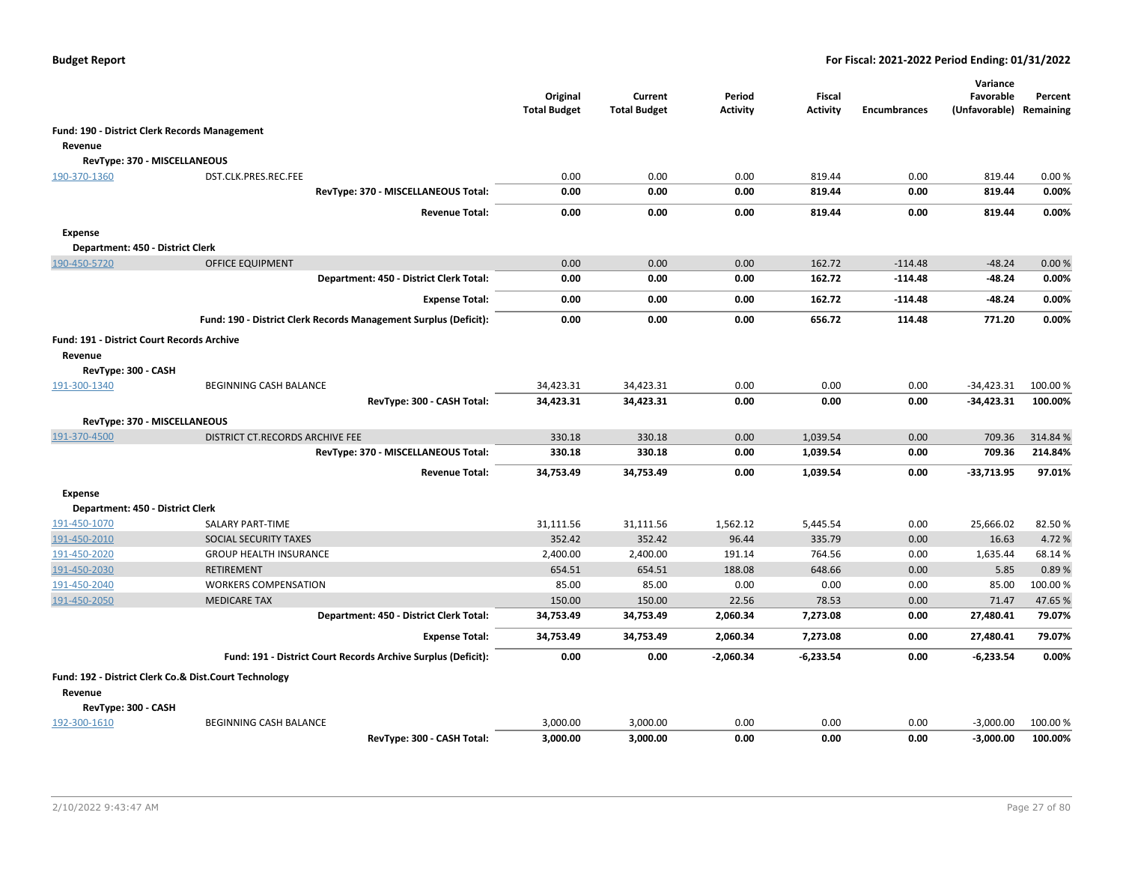|                                                   |                                                                  | Original<br><b>Total Budget</b> | Current<br><b>Total Budget</b> | Period<br><b>Activity</b> | <b>Fiscal</b><br><b>Activity</b> | <b>Encumbrances</b> | Variance<br>Favorable<br>(Unfavorable) Remaining | Percent  |
|---------------------------------------------------|------------------------------------------------------------------|---------------------------------|--------------------------------|---------------------------|----------------------------------|---------------------|--------------------------------------------------|----------|
|                                                   | Fund: 190 - District Clerk Records Management                    |                                 |                                |                           |                                  |                     |                                                  |          |
| Revenue                                           |                                                                  |                                 |                                |                           |                                  |                     |                                                  |          |
| RevType: 370 - MISCELLANEOUS                      |                                                                  |                                 |                                |                           |                                  |                     |                                                  |          |
| 190-370-1360                                      | DST.CLK.PRES.REC.FEE                                             | 0.00                            | 0.00                           | 0.00                      | 819.44                           | 0.00                | 819.44                                           | 0.00%    |
|                                                   | RevType: 370 - MISCELLANEOUS Total:                              | 0.00                            | 0.00                           | 0.00                      | 819.44                           | 0.00                | 819.44                                           | 0.00%    |
|                                                   | <b>Revenue Total:</b>                                            | 0.00                            | 0.00                           | 0.00                      | 819.44                           | 0.00                | 819.44                                           | 0.00%    |
| <b>Expense</b>                                    |                                                                  |                                 |                                |                           |                                  |                     |                                                  |          |
| Department: 450 - District Clerk                  |                                                                  |                                 |                                |                           |                                  |                     |                                                  |          |
| 190-450-5720                                      | <b>OFFICE EQUIPMENT</b>                                          | 0.00                            | 0.00                           | 0.00                      | 162.72                           | $-114.48$           | $-48.24$                                         | 0.00%    |
|                                                   | Department: 450 - District Clerk Total:                          | 0.00                            | 0.00                           | 0.00                      | 162.72                           | $-114.48$           | -48.24                                           | 0.00%    |
|                                                   | <b>Expense Total:</b>                                            | 0.00                            | 0.00                           | 0.00                      | 162.72                           | $-114.48$           | $-48.24$                                         | 0.00%    |
|                                                   | Fund: 190 - District Clerk Records Management Surplus (Deficit): | 0.00                            | 0.00                           | 0.00                      | 656.72                           | 114.48              | 771.20                                           | 0.00%    |
| <b>Fund: 191 - District Court Records Archive</b> |                                                                  |                                 |                                |                           |                                  |                     |                                                  |          |
| Revenue                                           |                                                                  |                                 |                                |                           |                                  |                     |                                                  |          |
| RevType: 300 - CASH                               |                                                                  |                                 |                                |                           |                                  |                     |                                                  |          |
| 191-300-1340                                      | BEGINNING CASH BALANCE                                           | 34,423.31                       | 34,423.31                      | 0.00                      | 0.00                             | 0.00                | $-34,423.31$                                     | 100.00 % |
|                                                   | RevType: 300 - CASH Total:                                       | 34,423.31                       | 34,423.31                      | 0.00                      | 0.00                             | 0.00                | $-34,423.31$                                     | 100.00%  |
| RevType: 370 - MISCELLANEOUS                      |                                                                  |                                 |                                |                           |                                  |                     |                                                  |          |
| 191-370-4500                                      | DISTRICT CT.RECORDS ARCHIVE FEE                                  | 330.18                          | 330.18                         | 0.00                      | 1,039.54                         | 0.00                | 709.36                                           | 314.84 % |
|                                                   | RevType: 370 - MISCELLANEOUS Total:                              | 330.18                          | 330.18                         | 0.00                      | 1,039.54                         | 0.00                | 709.36                                           | 214.84%  |
|                                                   | <b>Revenue Total:</b>                                            | 34,753.49                       | 34,753.49                      | 0.00                      | 1,039.54                         | 0.00                | $-33,713.95$                                     | 97.01%   |
| <b>Expense</b>                                    |                                                                  |                                 |                                |                           |                                  |                     |                                                  |          |
| Department: 450 - District Clerk                  |                                                                  |                                 |                                |                           |                                  |                     |                                                  |          |
| 191-450-1070                                      | SALARY PART-TIME                                                 | 31,111.56                       | 31,111.56                      | 1,562.12                  | 5,445.54                         | 0.00                | 25,666.02                                        | 82.50%   |
| 191-450-2010                                      | SOCIAL SECURITY TAXES                                            | 352.42                          | 352.42                         | 96.44                     | 335.79                           | 0.00                | 16.63                                            | 4.72%    |
| 191-450-2020                                      | <b>GROUP HEALTH INSURANCE</b>                                    | 2,400.00                        | 2,400.00                       | 191.14                    | 764.56                           | 0.00                | 1,635.44                                         | 68.14%   |
| 191-450-2030                                      | <b>RETIREMENT</b>                                                | 654.51                          | 654.51                         | 188.08                    | 648.66                           | 0.00                | 5.85                                             | 0.89%    |
| 191-450-2040                                      | <b>WORKERS COMPENSATION</b>                                      | 85.00                           | 85.00                          | 0.00                      | 0.00                             | 0.00                | 85.00                                            | 100.00%  |
| 191-450-2050                                      | <b>MEDICARE TAX</b>                                              | 150.00                          | 150.00                         | 22.56                     | 78.53                            | 0.00                | 71.47                                            | 47.65%   |
|                                                   | Department: 450 - District Clerk Total:                          | 34,753.49                       | 34,753.49                      | 2,060.34                  | 7,273.08                         | 0.00                | 27,480.41                                        | 79.07%   |
|                                                   | <b>Expense Total:</b>                                            | 34,753.49                       | 34,753.49                      | 2,060.34                  | 7,273.08                         | 0.00                | 27,480.41                                        | 79.07%   |
|                                                   | Fund: 191 - District Court Records Archive Surplus (Deficit):    | 0.00                            | 0.00                           | $-2.060.34$               | $-6,233.54$                      | 0.00                | $-6,233.54$                                      | 0.00%    |
|                                                   | Fund: 192 - District Clerk Co.& Dist.Court Technology            |                                 |                                |                           |                                  |                     |                                                  |          |
| Revenue                                           |                                                                  |                                 |                                |                           |                                  |                     |                                                  |          |
| RevType: 300 - CASH                               |                                                                  |                                 |                                |                           |                                  |                     |                                                  |          |
| 192-300-1610                                      | BEGINNING CASH BALANCE                                           | 3,000.00                        | 3,000.00                       | 0.00                      | 0.00                             | 0.00                | $-3,000.00$                                      | 100.00 % |
|                                                   | RevType: 300 - CASH Total:                                       | 3,000.00                        | 3,000.00                       | 0.00                      | 0.00                             | 0.00                | $-3,000.00$                                      | 100.00%  |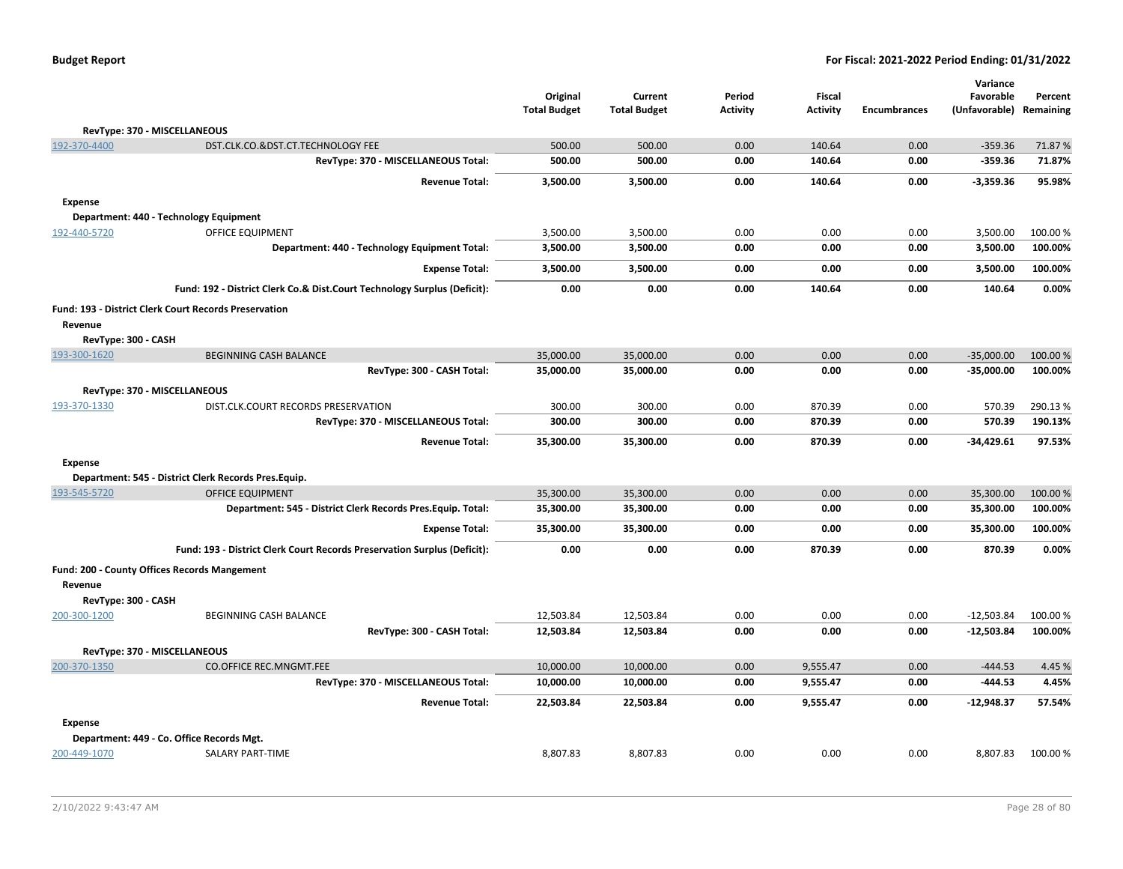|                                                                                |                                                                          | Original<br><b>Total Budget</b> | Current<br><b>Total Budget</b> | Period<br><b>Activity</b> | Fiscal<br>Activity | <b>Encumbrances</b> | Variance<br>Favorable<br>(Unfavorable) | Percent<br>Remaining |
|--------------------------------------------------------------------------------|--------------------------------------------------------------------------|---------------------------------|--------------------------------|---------------------------|--------------------|---------------------|----------------------------------------|----------------------|
| RevType: 370 - MISCELLANEOUS                                                   |                                                                          |                                 |                                |                           |                    |                     |                                        |                      |
| 192-370-4400<br>DST.CLK.CO.&DST.CT.TECHNOLOGY FEE                              |                                                                          | 500.00                          | 500.00                         | 0.00                      | 140.64             | 0.00                | $-359.36$                              | 71.87%               |
|                                                                                | RevType: 370 - MISCELLANEOUS Total:                                      | 500.00                          | 500.00                         | 0.00                      | 140.64             | 0.00                | $-359.36$                              | 71.87%               |
|                                                                                | <b>Revenue Total:</b>                                                    | 3,500.00                        | 3,500.00                       | 0.00                      | 140.64             | 0.00                | $-3,359.36$                            | 95.98%               |
| <b>Expense</b>                                                                 |                                                                          |                                 |                                |                           |                    |                     |                                        |                      |
| Department: 440 - Technology Equipment                                         |                                                                          |                                 |                                |                           |                    |                     |                                        |                      |
| OFFICE EQUIPMENT<br>192-440-5720                                               |                                                                          | 3,500.00                        | 3,500.00                       | 0.00                      | 0.00               | 0.00                | 3,500.00                               | 100.00%              |
|                                                                                | Department: 440 - Technology Equipment Total:                            | 3,500.00                        | 3,500.00                       | 0.00                      | 0.00               | 0.00                | 3,500.00                               | 100.00%              |
|                                                                                | <b>Expense Total:</b>                                                    | 3,500.00                        | 3,500.00                       | 0.00                      | 0.00               | 0.00                | 3,500.00                               | 100.00%              |
|                                                                                | Fund: 192 - District Clerk Co.& Dist.Court Technology Surplus (Deficit): | 0.00                            | 0.00                           | 0.00                      | 140.64             | 0.00                | 140.64                                 | 0.00%                |
| Fund: 193 - District Clerk Court Records Preservation                          |                                                                          |                                 |                                |                           |                    |                     |                                        |                      |
| Revenue                                                                        |                                                                          |                                 |                                |                           |                    |                     |                                        |                      |
| RevType: 300 - CASH                                                            |                                                                          |                                 |                                |                           |                    |                     |                                        |                      |
| <b>BEGINNING CASH BALANCE</b><br>193-300-1620                                  |                                                                          | 35,000.00                       | 35,000.00                      | 0.00                      | 0.00               | 0.00                | $-35,000.00$                           | 100.00 %             |
|                                                                                | RevType: 300 - CASH Total:                                               | 35,000.00                       | 35,000.00                      | 0.00                      | 0.00               | 0.00                | $-35,000.00$                           | 100.00%              |
| RevType: 370 - MISCELLANEOUS                                                   |                                                                          |                                 |                                |                           |                    |                     |                                        |                      |
| 193-370-1330<br>DIST.CLK.COURT RECORDS PRESERVATION                            |                                                                          | 300.00                          | 300.00                         | 0.00                      | 870.39             | 0.00                | 570.39                                 | 290.13%              |
|                                                                                | RevType: 370 - MISCELLANEOUS Total:                                      | 300.00                          | 300.00                         | 0.00                      | 870.39             | 0.00                | 570.39                                 | 190.13%              |
|                                                                                | <b>Revenue Total:</b>                                                    | 35,300.00                       | 35,300.00                      | 0.00                      | 870.39             | 0.00                | $-34,429.61$                           | 97.53%               |
| <b>Expense</b>                                                                 |                                                                          |                                 |                                |                           |                    |                     |                                        |                      |
| Department: 545 - District Clerk Records Pres.Equip.                           |                                                                          |                                 |                                |                           |                    |                     |                                        |                      |
| 193-545-5720<br><b>OFFICE EQUIPMENT</b>                                        |                                                                          | 35,300.00                       | 35,300.00                      | 0.00                      | 0.00               | 0.00                | 35,300.00                              | 100.00%              |
|                                                                                | Department: 545 - District Clerk Records Pres. Equip. Total:             | 35,300.00                       | 35,300.00                      | 0.00                      | 0.00               | 0.00                | 35,300.00                              | 100.00%              |
|                                                                                | <b>Expense Total:</b>                                                    | 35,300.00                       | 35,300.00                      | 0.00                      | 0.00               | 0.00                | 35,300.00                              | 100.00%              |
|                                                                                | Fund: 193 - District Clerk Court Records Preservation Surplus (Deficit): | 0.00                            | 0.00                           | 0.00                      | 870.39             | 0.00                | 870.39                                 | 0.00%                |
| Fund: 200 - County Offices Records Mangement                                   |                                                                          |                                 |                                |                           |                    |                     |                                        |                      |
| Revenue                                                                        |                                                                          |                                 |                                |                           |                    |                     |                                        |                      |
| RevType: 300 - CASH                                                            |                                                                          |                                 |                                |                           |                    |                     |                                        |                      |
| 200-300-1200<br>BEGINNING CASH BALANCE                                         | RevType: 300 - CASH Total:                                               | 12,503.84<br>12,503.84          | 12,503.84<br>12,503.84         | 0.00<br>0.00              | 0.00<br>0.00       | 0.00<br>0.00        | $-12,503.84$<br>$-12,503.84$           | 100.00%<br>100.00%   |
|                                                                                |                                                                          |                                 |                                |                           |                    |                     |                                        |                      |
| RevType: 370 - MISCELLANEOUS<br>200-370-1350<br><b>CO.OFFICE REC.MNGMT.FEE</b> |                                                                          | 10,000.00                       | 10,000.00                      | 0.00                      | 9,555.47           | 0.00                | $-444.53$                              | 4.45 %               |
|                                                                                | RevType: 370 - MISCELLANEOUS Total:                                      | 10,000.00                       | 10,000.00                      | 0.00                      | 9,555.47           | 0.00                | -444.53                                | 4.45%                |
|                                                                                | <b>Revenue Total:</b>                                                    | 22,503.84                       | 22,503.84                      | 0.00                      | 9,555.47           | 0.00                | $-12,948.37$                           | 57.54%               |
|                                                                                |                                                                          |                                 |                                |                           |                    |                     |                                        |                      |
| <b>Expense</b><br>Department: 449 - Co. Office Records Mgt.                    |                                                                          |                                 |                                |                           |                    |                     |                                        |                      |
| <b>SALARY PART-TIME</b><br>200-449-1070                                        |                                                                          | 8,807.83                        | 8,807.83                       | 0.00                      | 0.00               | 0.00                | 8,807.83                               | 100.00%              |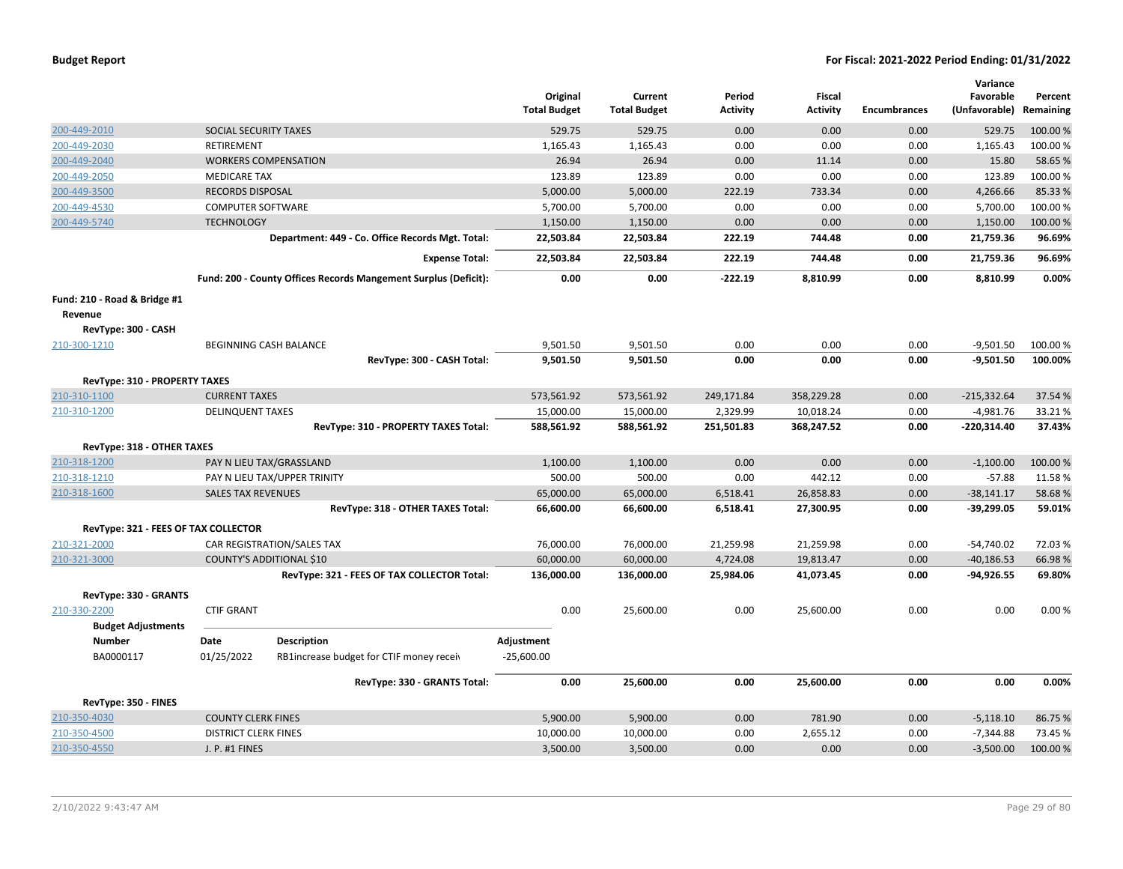| 200-449-2010<br>SOCIAL SECURITY TAXES<br>529.75<br>529.75<br>0.00<br>0.00<br>0.00<br>529.75<br>100.00%<br>1,165.43<br>1,165.43<br>100.00%<br>200-449-2030<br><b>RETIREMENT</b><br>1,165.43<br>0.00<br>0.00<br>0.00<br>200-449-2040<br>26.94<br>0.00<br>15.80<br>58.65%<br><b>WORKERS COMPENSATION</b><br>26.94<br>0.00<br>11.14<br>123.89<br>123.89<br>0.00<br>0.00<br>0.00<br>123.89<br>100.00%<br>200-449-2050<br><b>MEDICARE TAX</b><br>200-449-3500<br>5,000.00<br>5,000.00<br>222.19<br>733.34<br>0.00<br>4,266.66<br>85.33%<br><b>RECORDS DISPOSAL</b><br>200-449-4530<br><b>COMPUTER SOFTWARE</b><br>5,700.00<br>5,700.00<br>0.00<br>0.00<br>0.00<br>5,700.00<br>100.00%<br>1,150.00<br>0.00<br>0.00<br>200-449-5740<br><b>TECHNOLOGY</b><br>1,150.00<br>0.00<br>1,150.00<br>100.00 %<br>Department: 449 - Co. Office Records Mgt. Total:<br>96.69%<br>22,503.84<br>22,503.84<br>222.19<br>744.48<br>21,759.36<br>0.00<br>222.19<br>744.48<br>96.69%<br><b>Expense Total:</b><br>22,503.84<br>22,503.84<br>0.00<br>21,759.36<br>Fund: 200 - County Offices Records Mangement Surplus (Deficit):<br>0.00<br>0.00<br>$-222.19$<br>8,810.99<br>8,810.99<br>0.00%<br>0.00<br>Fund: 210 - Road & Bridge #1<br>Revenue<br>RevType: 300 - CASH<br>BEGINNING CASH BALANCE<br>9,501.50<br>9,501.50<br>0.00<br>0.00<br>0.00<br>$-9,501.50$<br>100.00%<br>210-300-1210<br>$-9,501.50$<br>100.00%<br>RevType: 300 - CASH Total:<br>9,501.50<br>9,501.50<br>0.00<br>0.00<br>0.00<br><b>RevType: 310 - PROPERTY TAXES</b><br><b>CURRENT TAXES</b><br>573,561.92<br>358,229.28<br>0.00<br>$-215,332.64$<br>37.54 %<br>210-310-1100<br>573,561.92<br>249,171.84<br>15,000.00<br>15,000.00<br>2,329.99<br>10,018.24<br>0.00<br>$-4,981.76$<br>33.21%<br>210-310-1200<br><b>DELINQUENT TAXES</b><br>RevType: 310 - PROPERTY TAXES Total:<br>588,561.92<br>588,561.92<br>251,501.83<br>368,247.52<br>0.00<br>$-220,314.40$<br>37.43%<br>RevType: 318 - OTHER TAXES<br>0.00<br>210-318-1200<br>PAY N LIEU TAX/GRASSLAND<br>1,100.00<br>1,100.00<br>0.00<br>0.00<br>$-1,100.00$<br>100.00%<br>500.00<br>500.00<br>0.00<br>442.12<br>0.00<br>$-57.88$<br>11.58%<br>210-318-1210<br>PAY N LIEU TAX/UPPER TRINITY<br>210-318-1600<br><b>SALES TAX REVENUES</b><br>65,000.00<br>65,000.00<br>6,518.41<br>26,858.83<br>0.00<br>$-38,141.17$<br>58.68%<br>RevType: 318 - OTHER TAXES Total:<br>66,600.00<br>66,600.00<br>6,518.41<br>27,300.95<br>0.00<br>$-39,299.05$<br>59.01%<br>RevType: 321 - FEES OF TAX COLLECTOR<br>210-321-2000<br>CAR REGISTRATION/SALES TAX<br>76,000.00<br>76,000.00<br>21,259.98<br>21,259.98<br>0.00<br>$-54,740.02$<br>72.03%<br>60,000.00<br>60,000.00<br>4,724.08<br>0.00<br>66.98%<br>210-321-3000<br>COUNTY'S ADDITIONAL \$10<br>19,813.47<br>$-40,186.53$<br>RevType: 321 - FEES OF TAX COLLECTOR Total:<br>25,984.06<br>41,073.45<br>0.00<br>$-94,926.55$<br>69.80%<br>136,000.00<br>136,000.00<br>RevType: 330 - GRANTS<br>0.00<br>210-330-2200<br><b>CTIF GRANT</b><br>0.00<br>25,600.00<br>0.00<br>0.00<br>0.00%<br>25,600.00<br><b>Budget Adjustments</b><br><b>Number</b><br>Date<br><b>Description</b><br>Adjustment<br>BA0000117<br>01/25/2022<br>RB1increase budget for CTIF money receiv<br>$-25,600.00$<br>0.00<br>0.00<br>25,600.00<br>0.00<br>0.00<br>0.00%<br>RevType: 330 - GRANTS Total:<br>25,600.00<br>RevType: 350 - FINES<br>210-350-4030<br><b>COUNTY CLERK FINES</b><br>5,900.00<br>5,900.00<br>0.00<br>781.90<br>0.00<br>$-5,118.10$<br>86.75%<br>10,000.00<br>10,000.00<br>2,655.12<br>0.00<br>$-7,344.88$<br>73.45 %<br>210-350-4500<br><b>DISTRICT CLERK FINES</b><br>0.00 |              |                | Original<br><b>Total Budget</b> | Current<br><b>Total Budget</b> | Period<br><b>Activity</b> | Fiscal<br><b>Activity</b> | <b>Encumbrances</b> | Variance<br>Favorable<br>(Unfavorable) Remaining | Percent  |
|----------------------------------------------------------------------------------------------------------------------------------------------------------------------------------------------------------------------------------------------------------------------------------------------------------------------------------------------------------------------------------------------------------------------------------------------------------------------------------------------------------------------------------------------------------------------------------------------------------------------------------------------------------------------------------------------------------------------------------------------------------------------------------------------------------------------------------------------------------------------------------------------------------------------------------------------------------------------------------------------------------------------------------------------------------------------------------------------------------------------------------------------------------------------------------------------------------------------------------------------------------------------------------------------------------------------------------------------------------------------------------------------------------------------------------------------------------------------------------------------------------------------------------------------------------------------------------------------------------------------------------------------------------------------------------------------------------------------------------------------------------------------------------------------------------------------------------------------------------------------------------------------------------------------------------------------------------------------------------------------------------------------------------------------------------------------------------------------------------------------------------------------------------------------------------------------------------------------------------------------------------------------------------------------------------------------------------------------------------------------------------------------------------------------------------------------------------------------------------------------------------------------------------------------------------------------------------------------------------------------------------------------------------------------------------------------------------------------------------------------------------------------------------------------------------------------------------------------------------------------------------------------------------------------------------------------------------------------------------------------------------------------------------------------------------------------------------------------------------------------------------------------------------------------------------------------------------------------------------------------------------------------------------------------------------------------------------------------------------------------------------------------------------------------------------------------------------------------------------------------------------------------------------------------------------------------------------------------------------------------|--------------|----------------|---------------------------------|--------------------------------|---------------------------|---------------------------|---------------------|--------------------------------------------------|----------|
|                                                                                                                                                                                                                                                                                                                                                                                                                                                                                                                                                                                                                                                                                                                                                                                                                                                                                                                                                                                                                                                                                                                                                                                                                                                                                                                                                                                                                                                                                                                                                                                                                                                                                                                                                                                                                                                                                                                                                                                                                                                                                                                                                                                                                                                                                                                                                                                                                                                                                                                                                                                                                                                                                                                                                                                                                                                                                                                                                                                                                                                                                                                                                                                                                                                                                                                                                                                                                                                                                                                                                                                                                      |              |                |                                 |                                |                           |                           |                     |                                                  |          |
|                                                                                                                                                                                                                                                                                                                                                                                                                                                                                                                                                                                                                                                                                                                                                                                                                                                                                                                                                                                                                                                                                                                                                                                                                                                                                                                                                                                                                                                                                                                                                                                                                                                                                                                                                                                                                                                                                                                                                                                                                                                                                                                                                                                                                                                                                                                                                                                                                                                                                                                                                                                                                                                                                                                                                                                                                                                                                                                                                                                                                                                                                                                                                                                                                                                                                                                                                                                                                                                                                                                                                                                                                      |              |                |                                 |                                |                           |                           |                     |                                                  |          |
|                                                                                                                                                                                                                                                                                                                                                                                                                                                                                                                                                                                                                                                                                                                                                                                                                                                                                                                                                                                                                                                                                                                                                                                                                                                                                                                                                                                                                                                                                                                                                                                                                                                                                                                                                                                                                                                                                                                                                                                                                                                                                                                                                                                                                                                                                                                                                                                                                                                                                                                                                                                                                                                                                                                                                                                                                                                                                                                                                                                                                                                                                                                                                                                                                                                                                                                                                                                                                                                                                                                                                                                                                      |              |                |                                 |                                |                           |                           |                     |                                                  |          |
|                                                                                                                                                                                                                                                                                                                                                                                                                                                                                                                                                                                                                                                                                                                                                                                                                                                                                                                                                                                                                                                                                                                                                                                                                                                                                                                                                                                                                                                                                                                                                                                                                                                                                                                                                                                                                                                                                                                                                                                                                                                                                                                                                                                                                                                                                                                                                                                                                                                                                                                                                                                                                                                                                                                                                                                                                                                                                                                                                                                                                                                                                                                                                                                                                                                                                                                                                                                                                                                                                                                                                                                                                      |              |                |                                 |                                |                           |                           |                     |                                                  |          |
|                                                                                                                                                                                                                                                                                                                                                                                                                                                                                                                                                                                                                                                                                                                                                                                                                                                                                                                                                                                                                                                                                                                                                                                                                                                                                                                                                                                                                                                                                                                                                                                                                                                                                                                                                                                                                                                                                                                                                                                                                                                                                                                                                                                                                                                                                                                                                                                                                                                                                                                                                                                                                                                                                                                                                                                                                                                                                                                                                                                                                                                                                                                                                                                                                                                                                                                                                                                                                                                                                                                                                                                                                      |              |                |                                 |                                |                           |                           |                     |                                                  |          |
|                                                                                                                                                                                                                                                                                                                                                                                                                                                                                                                                                                                                                                                                                                                                                                                                                                                                                                                                                                                                                                                                                                                                                                                                                                                                                                                                                                                                                                                                                                                                                                                                                                                                                                                                                                                                                                                                                                                                                                                                                                                                                                                                                                                                                                                                                                                                                                                                                                                                                                                                                                                                                                                                                                                                                                                                                                                                                                                                                                                                                                                                                                                                                                                                                                                                                                                                                                                                                                                                                                                                                                                                                      |              |                |                                 |                                |                           |                           |                     |                                                  |          |
|                                                                                                                                                                                                                                                                                                                                                                                                                                                                                                                                                                                                                                                                                                                                                                                                                                                                                                                                                                                                                                                                                                                                                                                                                                                                                                                                                                                                                                                                                                                                                                                                                                                                                                                                                                                                                                                                                                                                                                                                                                                                                                                                                                                                                                                                                                                                                                                                                                                                                                                                                                                                                                                                                                                                                                                                                                                                                                                                                                                                                                                                                                                                                                                                                                                                                                                                                                                                                                                                                                                                                                                                                      |              |                |                                 |                                |                           |                           |                     |                                                  |          |
|                                                                                                                                                                                                                                                                                                                                                                                                                                                                                                                                                                                                                                                                                                                                                                                                                                                                                                                                                                                                                                                                                                                                                                                                                                                                                                                                                                                                                                                                                                                                                                                                                                                                                                                                                                                                                                                                                                                                                                                                                                                                                                                                                                                                                                                                                                                                                                                                                                                                                                                                                                                                                                                                                                                                                                                                                                                                                                                                                                                                                                                                                                                                                                                                                                                                                                                                                                                                                                                                                                                                                                                                                      |              |                |                                 |                                |                           |                           |                     |                                                  |          |
|                                                                                                                                                                                                                                                                                                                                                                                                                                                                                                                                                                                                                                                                                                                                                                                                                                                                                                                                                                                                                                                                                                                                                                                                                                                                                                                                                                                                                                                                                                                                                                                                                                                                                                                                                                                                                                                                                                                                                                                                                                                                                                                                                                                                                                                                                                                                                                                                                                                                                                                                                                                                                                                                                                                                                                                                                                                                                                                                                                                                                                                                                                                                                                                                                                                                                                                                                                                                                                                                                                                                                                                                                      |              |                |                                 |                                |                           |                           |                     |                                                  |          |
|                                                                                                                                                                                                                                                                                                                                                                                                                                                                                                                                                                                                                                                                                                                                                                                                                                                                                                                                                                                                                                                                                                                                                                                                                                                                                                                                                                                                                                                                                                                                                                                                                                                                                                                                                                                                                                                                                                                                                                                                                                                                                                                                                                                                                                                                                                                                                                                                                                                                                                                                                                                                                                                                                                                                                                                                                                                                                                                                                                                                                                                                                                                                                                                                                                                                                                                                                                                                                                                                                                                                                                                                                      |              |                |                                 |                                |                           |                           |                     |                                                  |          |
|                                                                                                                                                                                                                                                                                                                                                                                                                                                                                                                                                                                                                                                                                                                                                                                                                                                                                                                                                                                                                                                                                                                                                                                                                                                                                                                                                                                                                                                                                                                                                                                                                                                                                                                                                                                                                                                                                                                                                                                                                                                                                                                                                                                                                                                                                                                                                                                                                                                                                                                                                                                                                                                                                                                                                                                                                                                                                                                                                                                                                                                                                                                                                                                                                                                                                                                                                                                                                                                                                                                                                                                                                      |              |                |                                 |                                |                           |                           |                     |                                                  |          |
|                                                                                                                                                                                                                                                                                                                                                                                                                                                                                                                                                                                                                                                                                                                                                                                                                                                                                                                                                                                                                                                                                                                                                                                                                                                                                                                                                                                                                                                                                                                                                                                                                                                                                                                                                                                                                                                                                                                                                                                                                                                                                                                                                                                                                                                                                                                                                                                                                                                                                                                                                                                                                                                                                                                                                                                                                                                                                                                                                                                                                                                                                                                                                                                                                                                                                                                                                                                                                                                                                                                                                                                                                      |              |                |                                 |                                |                           |                           |                     |                                                  |          |
|                                                                                                                                                                                                                                                                                                                                                                                                                                                                                                                                                                                                                                                                                                                                                                                                                                                                                                                                                                                                                                                                                                                                                                                                                                                                                                                                                                                                                                                                                                                                                                                                                                                                                                                                                                                                                                                                                                                                                                                                                                                                                                                                                                                                                                                                                                                                                                                                                                                                                                                                                                                                                                                                                                                                                                                                                                                                                                                                                                                                                                                                                                                                                                                                                                                                                                                                                                                                                                                                                                                                                                                                                      |              |                |                                 |                                |                           |                           |                     |                                                  |          |
|                                                                                                                                                                                                                                                                                                                                                                                                                                                                                                                                                                                                                                                                                                                                                                                                                                                                                                                                                                                                                                                                                                                                                                                                                                                                                                                                                                                                                                                                                                                                                                                                                                                                                                                                                                                                                                                                                                                                                                                                                                                                                                                                                                                                                                                                                                                                                                                                                                                                                                                                                                                                                                                                                                                                                                                                                                                                                                                                                                                                                                                                                                                                                                                                                                                                                                                                                                                                                                                                                                                                                                                                                      |              |                |                                 |                                |                           |                           |                     |                                                  |          |
|                                                                                                                                                                                                                                                                                                                                                                                                                                                                                                                                                                                                                                                                                                                                                                                                                                                                                                                                                                                                                                                                                                                                                                                                                                                                                                                                                                                                                                                                                                                                                                                                                                                                                                                                                                                                                                                                                                                                                                                                                                                                                                                                                                                                                                                                                                                                                                                                                                                                                                                                                                                                                                                                                                                                                                                                                                                                                                                                                                                                                                                                                                                                                                                                                                                                                                                                                                                                                                                                                                                                                                                                                      |              |                |                                 |                                |                           |                           |                     |                                                  |          |
|                                                                                                                                                                                                                                                                                                                                                                                                                                                                                                                                                                                                                                                                                                                                                                                                                                                                                                                                                                                                                                                                                                                                                                                                                                                                                                                                                                                                                                                                                                                                                                                                                                                                                                                                                                                                                                                                                                                                                                                                                                                                                                                                                                                                                                                                                                                                                                                                                                                                                                                                                                                                                                                                                                                                                                                                                                                                                                                                                                                                                                                                                                                                                                                                                                                                                                                                                                                                                                                                                                                                                                                                                      |              |                |                                 |                                |                           |                           |                     |                                                  |          |
|                                                                                                                                                                                                                                                                                                                                                                                                                                                                                                                                                                                                                                                                                                                                                                                                                                                                                                                                                                                                                                                                                                                                                                                                                                                                                                                                                                                                                                                                                                                                                                                                                                                                                                                                                                                                                                                                                                                                                                                                                                                                                                                                                                                                                                                                                                                                                                                                                                                                                                                                                                                                                                                                                                                                                                                                                                                                                                                                                                                                                                                                                                                                                                                                                                                                                                                                                                                                                                                                                                                                                                                                                      |              |                |                                 |                                |                           |                           |                     |                                                  |          |
|                                                                                                                                                                                                                                                                                                                                                                                                                                                                                                                                                                                                                                                                                                                                                                                                                                                                                                                                                                                                                                                                                                                                                                                                                                                                                                                                                                                                                                                                                                                                                                                                                                                                                                                                                                                                                                                                                                                                                                                                                                                                                                                                                                                                                                                                                                                                                                                                                                                                                                                                                                                                                                                                                                                                                                                                                                                                                                                                                                                                                                                                                                                                                                                                                                                                                                                                                                                                                                                                                                                                                                                                                      |              |                |                                 |                                |                           |                           |                     |                                                  |          |
|                                                                                                                                                                                                                                                                                                                                                                                                                                                                                                                                                                                                                                                                                                                                                                                                                                                                                                                                                                                                                                                                                                                                                                                                                                                                                                                                                                                                                                                                                                                                                                                                                                                                                                                                                                                                                                                                                                                                                                                                                                                                                                                                                                                                                                                                                                                                                                                                                                                                                                                                                                                                                                                                                                                                                                                                                                                                                                                                                                                                                                                                                                                                                                                                                                                                                                                                                                                                                                                                                                                                                                                                                      |              |                |                                 |                                |                           |                           |                     |                                                  |          |
|                                                                                                                                                                                                                                                                                                                                                                                                                                                                                                                                                                                                                                                                                                                                                                                                                                                                                                                                                                                                                                                                                                                                                                                                                                                                                                                                                                                                                                                                                                                                                                                                                                                                                                                                                                                                                                                                                                                                                                                                                                                                                                                                                                                                                                                                                                                                                                                                                                                                                                                                                                                                                                                                                                                                                                                                                                                                                                                                                                                                                                                                                                                                                                                                                                                                                                                                                                                                                                                                                                                                                                                                                      |              |                |                                 |                                |                           |                           |                     |                                                  |          |
|                                                                                                                                                                                                                                                                                                                                                                                                                                                                                                                                                                                                                                                                                                                                                                                                                                                                                                                                                                                                                                                                                                                                                                                                                                                                                                                                                                                                                                                                                                                                                                                                                                                                                                                                                                                                                                                                                                                                                                                                                                                                                                                                                                                                                                                                                                                                                                                                                                                                                                                                                                                                                                                                                                                                                                                                                                                                                                                                                                                                                                                                                                                                                                                                                                                                                                                                                                                                                                                                                                                                                                                                                      |              |                |                                 |                                |                           |                           |                     |                                                  |          |
|                                                                                                                                                                                                                                                                                                                                                                                                                                                                                                                                                                                                                                                                                                                                                                                                                                                                                                                                                                                                                                                                                                                                                                                                                                                                                                                                                                                                                                                                                                                                                                                                                                                                                                                                                                                                                                                                                                                                                                                                                                                                                                                                                                                                                                                                                                                                                                                                                                                                                                                                                                                                                                                                                                                                                                                                                                                                                                                                                                                                                                                                                                                                                                                                                                                                                                                                                                                                                                                                                                                                                                                                                      |              |                |                                 |                                |                           |                           |                     |                                                  |          |
|                                                                                                                                                                                                                                                                                                                                                                                                                                                                                                                                                                                                                                                                                                                                                                                                                                                                                                                                                                                                                                                                                                                                                                                                                                                                                                                                                                                                                                                                                                                                                                                                                                                                                                                                                                                                                                                                                                                                                                                                                                                                                                                                                                                                                                                                                                                                                                                                                                                                                                                                                                                                                                                                                                                                                                                                                                                                                                                                                                                                                                                                                                                                                                                                                                                                                                                                                                                                                                                                                                                                                                                                                      |              |                |                                 |                                |                           |                           |                     |                                                  |          |
|                                                                                                                                                                                                                                                                                                                                                                                                                                                                                                                                                                                                                                                                                                                                                                                                                                                                                                                                                                                                                                                                                                                                                                                                                                                                                                                                                                                                                                                                                                                                                                                                                                                                                                                                                                                                                                                                                                                                                                                                                                                                                                                                                                                                                                                                                                                                                                                                                                                                                                                                                                                                                                                                                                                                                                                                                                                                                                                                                                                                                                                                                                                                                                                                                                                                                                                                                                                                                                                                                                                                                                                                                      |              |                |                                 |                                |                           |                           |                     |                                                  |          |
|                                                                                                                                                                                                                                                                                                                                                                                                                                                                                                                                                                                                                                                                                                                                                                                                                                                                                                                                                                                                                                                                                                                                                                                                                                                                                                                                                                                                                                                                                                                                                                                                                                                                                                                                                                                                                                                                                                                                                                                                                                                                                                                                                                                                                                                                                                                                                                                                                                                                                                                                                                                                                                                                                                                                                                                                                                                                                                                                                                                                                                                                                                                                                                                                                                                                                                                                                                                                                                                                                                                                                                                                                      |              |                |                                 |                                |                           |                           |                     |                                                  |          |
|                                                                                                                                                                                                                                                                                                                                                                                                                                                                                                                                                                                                                                                                                                                                                                                                                                                                                                                                                                                                                                                                                                                                                                                                                                                                                                                                                                                                                                                                                                                                                                                                                                                                                                                                                                                                                                                                                                                                                                                                                                                                                                                                                                                                                                                                                                                                                                                                                                                                                                                                                                                                                                                                                                                                                                                                                                                                                                                                                                                                                                                                                                                                                                                                                                                                                                                                                                                                                                                                                                                                                                                                                      |              |                |                                 |                                |                           |                           |                     |                                                  |          |
|                                                                                                                                                                                                                                                                                                                                                                                                                                                                                                                                                                                                                                                                                                                                                                                                                                                                                                                                                                                                                                                                                                                                                                                                                                                                                                                                                                                                                                                                                                                                                                                                                                                                                                                                                                                                                                                                                                                                                                                                                                                                                                                                                                                                                                                                                                                                                                                                                                                                                                                                                                                                                                                                                                                                                                                                                                                                                                                                                                                                                                                                                                                                                                                                                                                                                                                                                                                                                                                                                                                                                                                                                      |              |                |                                 |                                |                           |                           |                     |                                                  |          |
|                                                                                                                                                                                                                                                                                                                                                                                                                                                                                                                                                                                                                                                                                                                                                                                                                                                                                                                                                                                                                                                                                                                                                                                                                                                                                                                                                                                                                                                                                                                                                                                                                                                                                                                                                                                                                                                                                                                                                                                                                                                                                                                                                                                                                                                                                                                                                                                                                                                                                                                                                                                                                                                                                                                                                                                                                                                                                                                                                                                                                                                                                                                                                                                                                                                                                                                                                                                                                                                                                                                                                                                                                      |              |                |                                 |                                |                           |                           |                     |                                                  |          |
|                                                                                                                                                                                                                                                                                                                                                                                                                                                                                                                                                                                                                                                                                                                                                                                                                                                                                                                                                                                                                                                                                                                                                                                                                                                                                                                                                                                                                                                                                                                                                                                                                                                                                                                                                                                                                                                                                                                                                                                                                                                                                                                                                                                                                                                                                                                                                                                                                                                                                                                                                                                                                                                                                                                                                                                                                                                                                                                                                                                                                                                                                                                                                                                                                                                                                                                                                                                                                                                                                                                                                                                                                      |              |                |                                 |                                |                           |                           |                     |                                                  |          |
|                                                                                                                                                                                                                                                                                                                                                                                                                                                                                                                                                                                                                                                                                                                                                                                                                                                                                                                                                                                                                                                                                                                                                                                                                                                                                                                                                                                                                                                                                                                                                                                                                                                                                                                                                                                                                                                                                                                                                                                                                                                                                                                                                                                                                                                                                                                                                                                                                                                                                                                                                                                                                                                                                                                                                                                                                                                                                                                                                                                                                                                                                                                                                                                                                                                                                                                                                                                                                                                                                                                                                                                                                      |              |                |                                 |                                |                           |                           |                     |                                                  |          |
|                                                                                                                                                                                                                                                                                                                                                                                                                                                                                                                                                                                                                                                                                                                                                                                                                                                                                                                                                                                                                                                                                                                                                                                                                                                                                                                                                                                                                                                                                                                                                                                                                                                                                                                                                                                                                                                                                                                                                                                                                                                                                                                                                                                                                                                                                                                                                                                                                                                                                                                                                                                                                                                                                                                                                                                                                                                                                                                                                                                                                                                                                                                                                                                                                                                                                                                                                                                                                                                                                                                                                                                                                      |              |                |                                 |                                |                           |                           |                     |                                                  |          |
|                                                                                                                                                                                                                                                                                                                                                                                                                                                                                                                                                                                                                                                                                                                                                                                                                                                                                                                                                                                                                                                                                                                                                                                                                                                                                                                                                                                                                                                                                                                                                                                                                                                                                                                                                                                                                                                                                                                                                                                                                                                                                                                                                                                                                                                                                                                                                                                                                                                                                                                                                                                                                                                                                                                                                                                                                                                                                                                                                                                                                                                                                                                                                                                                                                                                                                                                                                                                                                                                                                                                                                                                                      |              |                |                                 |                                |                           |                           |                     |                                                  |          |
|                                                                                                                                                                                                                                                                                                                                                                                                                                                                                                                                                                                                                                                                                                                                                                                                                                                                                                                                                                                                                                                                                                                                                                                                                                                                                                                                                                                                                                                                                                                                                                                                                                                                                                                                                                                                                                                                                                                                                                                                                                                                                                                                                                                                                                                                                                                                                                                                                                                                                                                                                                                                                                                                                                                                                                                                                                                                                                                                                                                                                                                                                                                                                                                                                                                                                                                                                                                                                                                                                                                                                                                                                      |              |                |                                 |                                |                           |                           |                     |                                                  |          |
|                                                                                                                                                                                                                                                                                                                                                                                                                                                                                                                                                                                                                                                                                                                                                                                                                                                                                                                                                                                                                                                                                                                                                                                                                                                                                                                                                                                                                                                                                                                                                                                                                                                                                                                                                                                                                                                                                                                                                                                                                                                                                                                                                                                                                                                                                                                                                                                                                                                                                                                                                                                                                                                                                                                                                                                                                                                                                                                                                                                                                                                                                                                                                                                                                                                                                                                                                                                                                                                                                                                                                                                                                      |              |                |                                 |                                |                           |                           |                     |                                                  |          |
|                                                                                                                                                                                                                                                                                                                                                                                                                                                                                                                                                                                                                                                                                                                                                                                                                                                                                                                                                                                                                                                                                                                                                                                                                                                                                                                                                                                                                                                                                                                                                                                                                                                                                                                                                                                                                                                                                                                                                                                                                                                                                                                                                                                                                                                                                                                                                                                                                                                                                                                                                                                                                                                                                                                                                                                                                                                                                                                                                                                                                                                                                                                                                                                                                                                                                                                                                                                                                                                                                                                                                                                                                      |              |                |                                 |                                |                           |                           |                     |                                                  |          |
|                                                                                                                                                                                                                                                                                                                                                                                                                                                                                                                                                                                                                                                                                                                                                                                                                                                                                                                                                                                                                                                                                                                                                                                                                                                                                                                                                                                                                                                                                                                                                                                                                                                                                                                                                                                                                                                                                                                                                                                                                                                                                                                                                                                                                                                                                                                                                                                                                                                                                                                                                                                                                                                                                                                                                                                                                                                                                                                                                                                                                                                                                                                                                                                                                                                                                                                                                                                                                                                                                                                                                                                                                      |              |                |                                 |                                |                           |                           |                     |                                                  |          |
|                                                                                                                                                                                                                                                                                                                                                                                                                                                                                                                                                                                                                                                                                                                                                                                                                                                                                                                                                                                                                                                                                                                                                                                                                                                                                                                                                                                                                                                                                                                                                                                                                                                                                                                                                                                                                                                                                                                                                                                                                                                                                                                                                                                                                                                                                                                                                                                                                                                                                                                                                                                                                                                                                                                                                                                                                                                                                                                                                                                                                                                                                                                                                                                                                                                                                                                                                                                                                                                                                                                                                                                                                      |              |                |                                 |                                |                           |                           |                     |                                                  |          |
|                                                                                                                                                                                                                                                                                                                                                                                                                                                                                                                                                                                                                                                                                                                                                                                                                                                                                                                                                                                                                                                                                                                                                                                                                                                                                                                                                                                                                                                                                                                                                                                                                                                                                                                                                                                                                                                                                                                                                                                                                                                                                                                                                                                                                                                                                                                                                                                                                                                                                                                                                                                                                                                                                                                                                                                                                                                                                                                                                                                                                                                                                                                                                                                                                                                                                                                                                                                                                                                                                                                                                                                                                      |              |                |                                 |                                |                           |                           |                     |                                                  |          |
|                                                                                                                                                                                                                                                                                                                                                                                                                                                                                                                                                                                                                                                                                                                                                                                                                                                                                                                                                                                                                                                                                                                                                                                                                                                                                                                                                                                                                                                                                                                                                                                                                                                                                                                                                                                                                                                                                                                                                                                                                                                                                                                                                                                                                                                                                                                                                                                                                                                                                                                                                                                                                                                                                                                                                                                                                                                                                                                                                                                                                                                                                                                                                                                                                                                                                                                                                                                                                                                                                                                                                                                                                      |              |                |                                 |                                |                           |                           |                     |                                                  |          |
|                                                                                                                                                                                                                                                                                                                                                                                                                                                                                                                                                                                                                                                                                                                                                                                                                                                                                                                                                                                                                                                                                                                                                                                                                                                                                                                                                                                                                                                                                                                                                                                                                                                                                                                                                                                                                                                                                                                                                                                                                                                                                                                                                                                                                                                                                                                                                                                                                                                                                                                                                                                                                                                                                                                                                                                                                                                                                                                                                                                                                                                                                                                                                                                                                                                                                                                                                                                                                                                                                                                                                                                                                      | 210-350-4550 | J. P. #1 FINES | 3,500.00                        | 3,500.00                       | 0.00                      | 0.00                      | 0.00                | $-3,500.00$                                      | 100.00 % |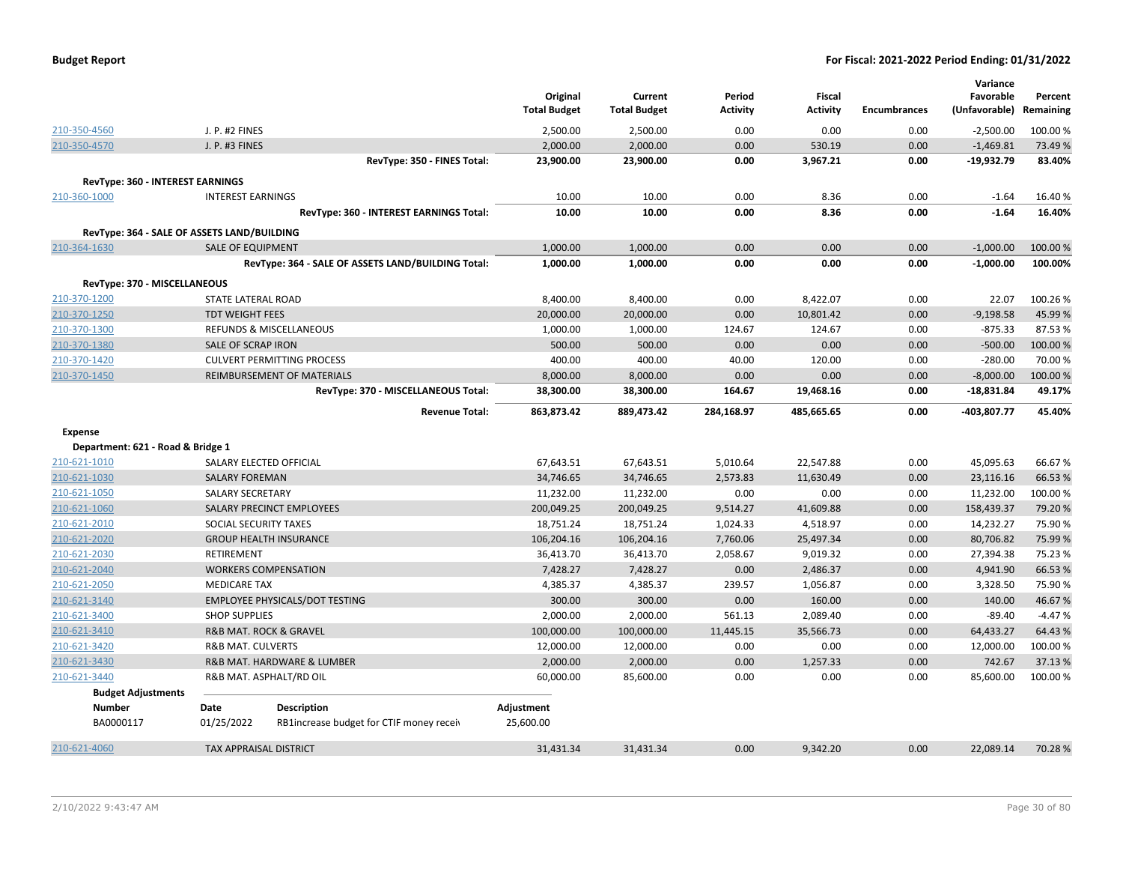| <b>Budget Report</b> |  |
|----------------------|--|
|----------------------|--|

|                                             |                               |                                                    |                     |                     |                 |               |                     | Variance      |           |
|---------------------------------------------|-------------------------------|----------------------------------------------------|---------------------|---------------------|-----------------|---------------|---------------------|---------------|-----------|
|                                             |                               |                                                    | Original            | Current             | Period          | <b>Fiscal</b> |                     | Favorable     | Percent   |
|                                             |                               |                                                    | <b>Total Budget</b> | <b>Total Budget</b> | <b>Activity</b> | Activity      | <b>Encumbrances</b> | (Unfavorable) | Remaining |
| 210-350-4560                                | J. P. #2 FINES                |                                                    | 2,500.00            | 2,500.00            | 0.00            | 0.00          | 0.00                | $-2,500.00$   | 100.00%   |
| 210-350-4570                                | J. P. #3 FINES                |                                                    | 2,000.00            | 2,000.00            | 0.00            | 530.19        | 0.00                | $-1,469.81$   | 73.49%    |
|                                             |                               | RevType: 350 - FINES Total:                        | 23,900.00           | 23,900.00           | 0.00            | 3,967.21      | 0.00                | $-19,932.79$  | 83.40%    |
| <b>RevType: 360 - INTEREST EARNINGS</b>     |                               |                                                    |                     |                     |                 |               |                     |               |           |
| 210-360-1000                                | <b>INTEREST EARNINGS</b>      |                                                    | 10.00               | 10.00               | 0.00            | 8.36          | 0.00                | $-1.64$       | 16.40%    |
|                                             |                               | RevType: 360 - INTEREST EARNINGS Total:            | 10.00               | 10.00               | 0.00            | 8.36          | 0.00                | $-1.64$       | 16.40%    |
| RevType: 364 - SALE OF ASSETS LAND/BUILDING |                               |                                                    |                     |                     |                 |               |                     |               |           |
| 210-364-1630                                | <b>SALE OF EQUIPMENT</b>      |                                                    | 1,000.00            | 1,000.00            | 0.00            | 0.00          | 0.00                | $-1,000.00$   | 100.00%   |
|                                             |                               | RevType: 364 - SALE OF ASSETS LAND/BUILDING Total: | 1,000.00            | 1,000.00            | 0.00            | 0.00          | 0.00                | $-1,000.00$   | 100.00%   |
|                                             |                               |                                                    |                     |                     |                 |               |                     |               |           |
| RevType: 370 - MISCELLANEOUS                |                               |                                                    |                     |                     |                 |               |                     |               |           |
| 210-370-1200                                | <b>STATE LATERAL ROAD</b>     |                                                    | 8,400.00            | 8,400.00            | 0.00            | 8,422.07      | 0.00                | 22.07         | 100.26%   |
| 210-370-1250                                | <b>TDT WEIGHT FEES</b>        |                                                    | 20,000.00           | 20,000.00           | 0.00            | 10,801.42     | 0.00                | $-9,198.58$   | 45.99%    |
| 210-370-1300                                |                               | REFUNDS & MISCELLANEOUS                            | 1,000.00            | 1,000.00            | 124.67          | 124.67        | 0.00                | $-875.33$     | 87.53%    |
| 210-370-1380                                | <b>SALE OF SCRAP IRON</b>     |                                                    | 500.00              | 500.00              | 0.00            | 0.00          | 0.00                | $-500.00$     | 100.00 %  |
| 210-370-1420                                |                               | <b>CULVERT PERMITTING PROCESS</b>                  | 400.00              | 400.00              | 40.00           | 120.00        | 0.00                | $-280.00$     | 70.00 %   |
| 210-370-1450                                |                               | <b>REIMBURSEMENT OF MATERIALS</b>                  | 8,000.00            | 8,000.00            | 0.00            | 0.00          | 0.00                | $-8,000.00$   | 100.00 %  |
|                                             |                               | RevType: 370 - MISCELLANEOUS Total:                | 38,300.00           | 38,300.00           | 164.67          | 19,468.16     | 0.00                | $-18,831.84$  | 49.17%    |
|                                             |                               | <b>Revenue Total:</b>                              | 863,873.42          | 889,473.42          | 284,168.97      | 485,665.65    | 0.00                | -403,807.77   | 45.40%    |
| <b>Expense</b>                              |                               |                                                    |                     |                     |                 |               |                     |               |           |
| Department: 621 - Road & Bridge 1           |                               |                                                    |                     |                     |                 |               |                     |               |           |
| 210-621-1010                                |                               | SALARY ELECTED OFFICIAL                            | 67,643.51           | 67,643.51           | 5,010.64        | 22,547.88     | 0.00                | 45,095.63     | 66.67%    |
| 210-621-1030                                | <b>SALARY FOREMAN</b>         |                                                    | 34,746.65           | 34,746.65           | 2,573.83        | 11,630.49     | 0.00                | 23,116.16     | 66.53%    |
| 210-621-1050                                | <b>SALARY SECRETARY</b>       |                                                    | 11,232.00           | 11,232.00           | 0.00            | 0.00          | 0.00                | 11,232.00     | 100.00%   |
| 210-621-1060                                |                               | SALARY PRECINCT EMPLOYEES                          | 200,049.25          | 200,049.25          | 9,514.27        | 41,609.88     | 0.00                | 158,439.37    | 79.20%    |
| 210-621-2010                                | SOCIAL SECURITY TAXES         |                                                    | 18,751.24           | 18,751.24           | 1,024.33        | 4,518.97      | 0.00                | 14,232.27     | 75.90%    |
| 210-621-2020                                |                               | <b>GROUP HEALTH INSURANCE</b>                      | 106,204.16          | 106,204.16          | 7,760.06        | 25,497.34     | 0.00                | 80,706.82     | 75.99%    |
| 210-621-2030                                | RETIREMENT                    |                                                    | 36,413.70           | 36,413.70           | 2,058.67        | 9,019.32      | 0.00                | 27,394.38     | 75.23 %   |
| 210-621-2040                                |                               | <b>WORKERS COMPENSATION</b>                        | 7,428.27            | 7,428.27            | 0.00            | 2,486.37      | 0.00                | 4,941.90      | 66.53%    |
| 210-621-2050                                | <b>MEDICARE TAX</b>           |                                                    | 4,385.37            | 4,385.37            | 239.57          | 1,056.87      | 0.00                | 3,328.50      | 75.90%    |
| 210-621-3140                                |                               | EMPLOYEE PHYSICALS/DOT TESTING                     | 300.00              | 300.00              | 0.00            | 160.00        | 0.00                | 140.00        | 46.67%    |
| 210-621-3400                                | <b>SHOP SUPPLIES</b>          |                                                    | 2,000.00            | 2,000.00            | 561.13          | 2,089.40      | 0.00                | $-89.40$      | $-4.47%$  |
| 210-621-3410                                |                               | R&B MAT. ROCK & GRAVEL                             | 100,000.00          | 100,000.00          | 11,445.15       | 35,566.73     | 0.00                | 64,433.27     | 64.43%    |
| 210-621-3420                                | <b>R&amp;B MAT. CULVERTS</b>  |                                                    | 12,000.00           | 12,000.00           | 0.00            | 0.00          | 0.00                | 12,000.00     | 100.00%   |
| 210-621-3430                                |                               | R&B MAT. HARDWARE & LUMBER                         | 2,000.00            | 2,000.00            | 0.00            | 1,257.33      | 0.00                | 742.67        | 37.13 %   |
| 210-621-3440                                |                               | R&B MAT. ASPHALT/RD OIL                            | 60,000.00           | 85,600.00           | 0.00            | 0.00          | 0.00                | 85,600.00     | 100.00%   |
| <b>Budget Adjustments</b>                   |                               |                                                    |                     |                     |                 |               |                     |               |           |
| <b>Number</b>                               | Date                          | <b>Description</b>                                 | Adjustment          |                     |                 |               |                     |               |           |
| BA0000117                                   | 01/25/2022                    | RB1increase budget for CTIF money receiv           | 25,600.00           |                     |                 |               |                     |               |           |
| 210-621-4060                                | <b>TAX APPRAISAL DISTRICT</b> |                                                    | 31,431.34           | 31,431.34           | 0.00            | 9,342.20      | 0.00                | 22.089.14     | 70.28%    |
|                                             |                               |                                                    |                     |                     |                 |               |                     |               |           |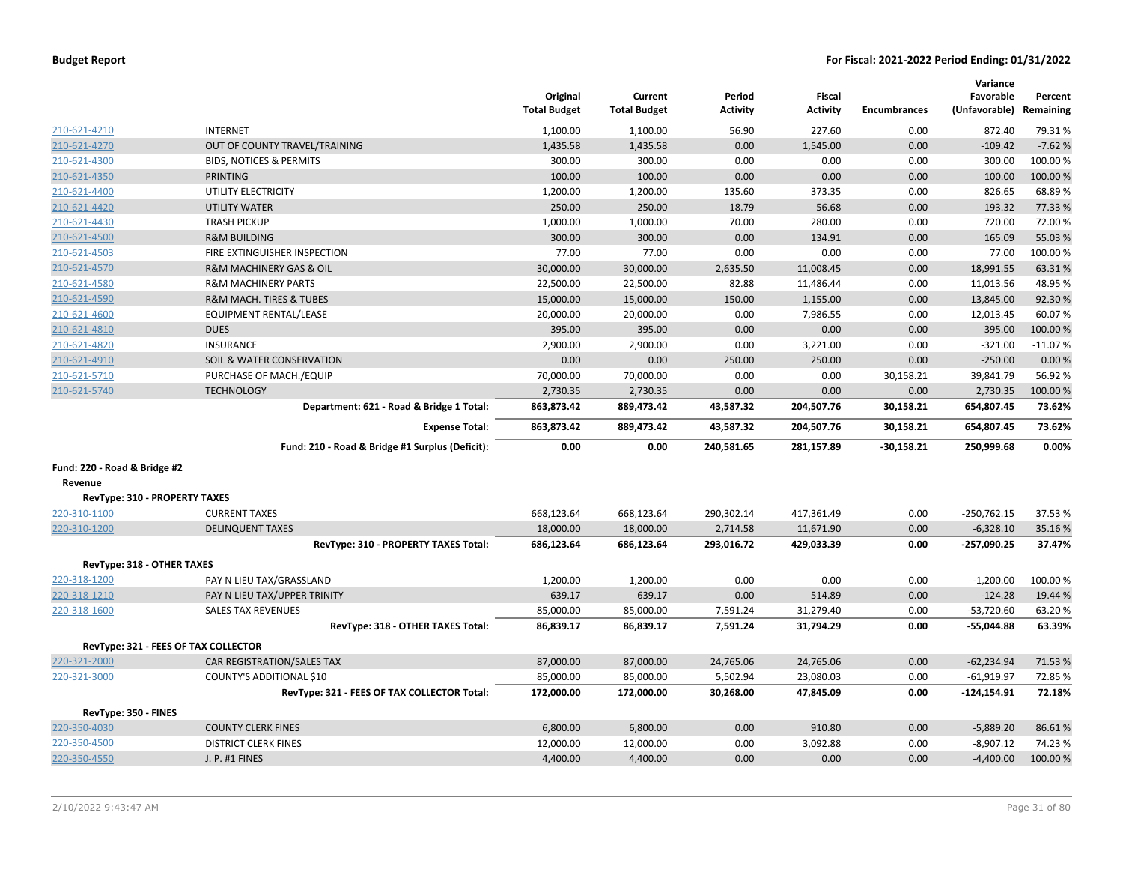| <b>Budget Report</b> |  |
|----------------------|--|
|----------------------|--|

|                                      |                                                 | Original<br><b>Total Budget</b> | Current<br><b>Total Budget</b> | Period<br><b>Activity</b> | Fiscal<br><b>Activity</b> | <b>Encumbrances</b> | Variance<br>Favorable<br>(Unfavorable) | Percent<br>Remaining |
|--------------------------------------|-------------------------------------------------|---------------------------------|--------------------------------|---------------------------|---------------------------|---------------------|----------------------------------------|----------------------|
| 210-621-4210                         | <b>INTERNET</b>                                 | 1,100.00                        | 1,100.00                       | 56.90                     | 227.60                    | 0.00                | 872.40                                 | 79.31%               |
| 210-621-4270                         | OUT OF COUNTY TRAVEL/TRAINING                   | 1,435.58                        | 1,435.58                       | 0.00                      | 1,545.00                  | 0.00                | $-109.42$                              | $-7.62%$             |
| 210-621-4300                         | <b>BIDS, NOTICES &amp; PERMITS</b>              | 300.00                          | 300.00                         | 0.00                      | 0.00                      | 0.00                | 300.00                                 | 100.00%              |
| 210-621-4350                         | <b>PRINTING</b>                                 | 100.00                          | 100.00                         | 0.00                      | 0.00                      | 0.00                | 100.00                                 | 100.00%              |
| 210-621-4400                         | UTILITY ELECTRICITY                             | 1,200.00                        | 1,200.00                       | 135.60                    | 373.35                    | 0.00                | 826.65                                 | 68.89%               |
| 210-621-4420                         | <b>UTILITY WATER</b>                            | 250.00                          | 250.00                         | 18.79                     | 56.68                     | 0.00                | 193.32                                 | 77.33 %              |
| 210-621-4430                         | <b>TRASH PICKUP</b>                             | 1,000.00                        | 1,000.00                       | 70.00                     | 280.00                    | 0.00                | 720.00                                 | 72.00 %              |
| 210-621-4500                         | <b>R&amp;M BUILDING</b>                         | 300.00                          | 300.00                         | 0.00                      | 134.91                    | 0.00                | 165.09                                 | 55.03 %              |
| 210-621-4503                         | FIRE EXTINGUISHER INSPECTION                    | 77.00                           | 77.00                          | 0.00                      | 0.00                      | 0.00                | 77.00                                  | 100.00%              |
| 210-621-4570                         | R&M MACHINERY GAS & OIL                         | 30,000.00                       | 30,000.00                      | 2,635.50                  | 11,008.45                 | 0.00                | 18,991.55                              | 63.31%               |
| 210-621-4580                         | <b>R&amp;M MACHINERY PARTS</b>                  | 22,500.00                       | 22,500.00                      | 82.88                     | 11,486.44                 | 0.00                | 11,013.56                              | 48.95%               |
| 210-621-4590                         | <b>R&amp;M MACH. TIRES &amp; TUBES</b>          | 15,000.00                       | 15,000.00                      | 150.00                    | 1,155.00                  | 0.00                | 13,845.00                              | 92.30%               |
| 210-621-4600                         | <b>EQUIPMENT RENTAL/LEASE</b>                   | 20,000.00                       | 20,000.00                      | 0.00                      | 7,986.55                  | 0.00                | 12,013.45                              | 60.07%               |
| 210-621-4810                         | <b>DUES</b>                                     | 395.00                          | 395.00                         | 0.00                      | 0.00                      | 0.00                | 395.00                                 | 100.00%              |
| 210-621-4820                         | INSURANCE                                       | 2,900.00                        | 2,900.00                       | 0.00                      | 3,221.00                  | 0.00                | $-321.00$                              | $-11.07%$            |
| 210-621-4910                         | SOIL & WATER CONSERVATION                       | 0.00                            | 0.00                           | 250.00                    | 250.00                    | 0.00                | $-250.00$                              | 0.00%                |
| 210-621-5710                         | PURCHASE OF MACH./EQUIP                         | 70,000.00                       | 70,000.00                      | 0.00                      | 0.00                      | 30,158.21           | 39,841.79                              | 56.92%               |
| 210-621-5740                         | <b>TECHNOLOGY</b>                               | 2,730.35                        | 2,730.35                       | 0.00                      | 0.00                      | 0.00                | 2,730.35                               | 100.00%              |
|                                      | Department: 621 - Road & Bridge 1 Total:        | 863,873.42                      | 889,473.42                     | 43,587.32                 | 204,507.76                | 30,158.21           | 654,807.45                             | 73.62%               |
|                                      | <b>Expense Total:</b>                           | 863,873.42                      | 889,473.42                     | 43,587.32                 | 204,507.76                | 30,158.21           | 654,807.45                             | 73.62%               |
|                                      | Fund: 210 - Road & Bridge #1 Surplus (Deficit): | 0.00                            | 0.00                           | 240.581.65                | 281.157.89                | $-30,158.21$        | 250,999.68                             | 0.00%                |
| Fund: 220 - Road & Bridge #2         |                                                 |                                 |                                |                           |                           |                     |                                        |                      |
| Revenue                              |                                                 |                                 |                                |                           |                           |                     |                                        |                      |
| RevType: 310 - PROPERTY TAXES        |                                                 |                                 |                                |                           |                           |                     |                                        |                      |
| 220-310-1100                         | <b>CURRENT TAXES</b>                            | 668,123.64                      | 668,123.64                     | 290,302.14                | 417,361.49                | 0.00                | $-250,762.15$                          | 37.53%               |
| 220-310-1200                         | <b>DELINQUENT TAXES</b>                         | 18,000.00                       | 18,000.00                      | 2,714.58                  | 11,671.90                 | 0.00                | $-6,328.10$                            | 35.16%               |
|                                      | RevType: 310 - PROPERTY TAXES Total:            | 686,123.64                      | 686,123.64                     | 293,016.72                | 429,033.39                | 0.00                | $-257,090.25$                          | 37.47%               |
| RevType: 318 - OTHER TAXES           |                                                 |                                 |                                |                           |                           |                     |                                        |                      |
| 220-318-1200                         | PAY N LIEU TAX/GRASSLAND                        | 1,200.00                        | 1,200.00                       | 0.00                      | 0.00                      | 0.00                | $-1,200.00$                            | 100.00%              |
| 220-318-1210                         | PAY N LIEU TAX/UPPER TRINITY                    | 639.17                          | 639.17                         | 0.00                      | 514.89                    | 0.00                | $-124.28$                              | 19.44 %              |
| 220-318-1600                         | <b>SALES TAX REVENUES</b>                       | 85,000.00                       | 85,000.00                      | 7,591.24                  | 31,279.40                 | 0.00                | $-53,720.60$                           | 63.20%               |
|                                      | RevType: 318 - OTHER TAXES Total:               | 86,839.17                       | 86,839.17                      | 7,591.24                  | 31,794.29                 | 0.00                | $-55,044.88$                           | 63.39%               |
| RevType: 321 - FEES OF TAX COLLECTOR |                                                 |                                 |                                |                           |                           |                     |                                        |                      |
| 220-321-2000                         | CAR REGISTRATION/SALES TAX                      | 87,000.00                       | 87,000.00                      | 24,765.06                 | 24,765.06                 | 0.00                | $-62,234.94$                           | 71.53 %              |
| 220-321-3000                         | COUNTY'S ADDITIONAL \$10                        | 85,000.00                       | 85,000.00                      | 5,502.94                  | 23,080.03                 | 0.00                | $-61,919.97$                           | 72.85%               |
|                                      | RevType: 321 - FEES OF TAX COLLECTOR Total:     | 172,000.00                      | 172,000.00                     | 30,268.00                 | 47,845.09                 | 0.00                | $-124, 154.91$                         | 72.18%               |
| RevType: 350 - FINES                 |                                                 |                                 |                                |                           |                           |                     |                                        |                      |
| 220-350-4030                         | <b>COUNTY CLERK FINES</b>                       | 6,800.00                        | 6,800.00                       | 0.00                      | 910.80                    | 0.00                | $-5,889.20$                            | 86.61%               |
| 220-350-4500                         | <b>DISTRICT CLERK FINES</b>                     | 12,000.00                       | 12,000.00                      | 0.00                      | 3,092.88                  | 0.00                | $-8,907.12$                            | 74.23 %              |
| 220-350-4550                         | J. P. #1 FINES                                  | 4,400.00                        | 4,400.00                       | 0.00                      | 0.00                      | 0.00                | $-4,400.00$                            | 100.00 %             |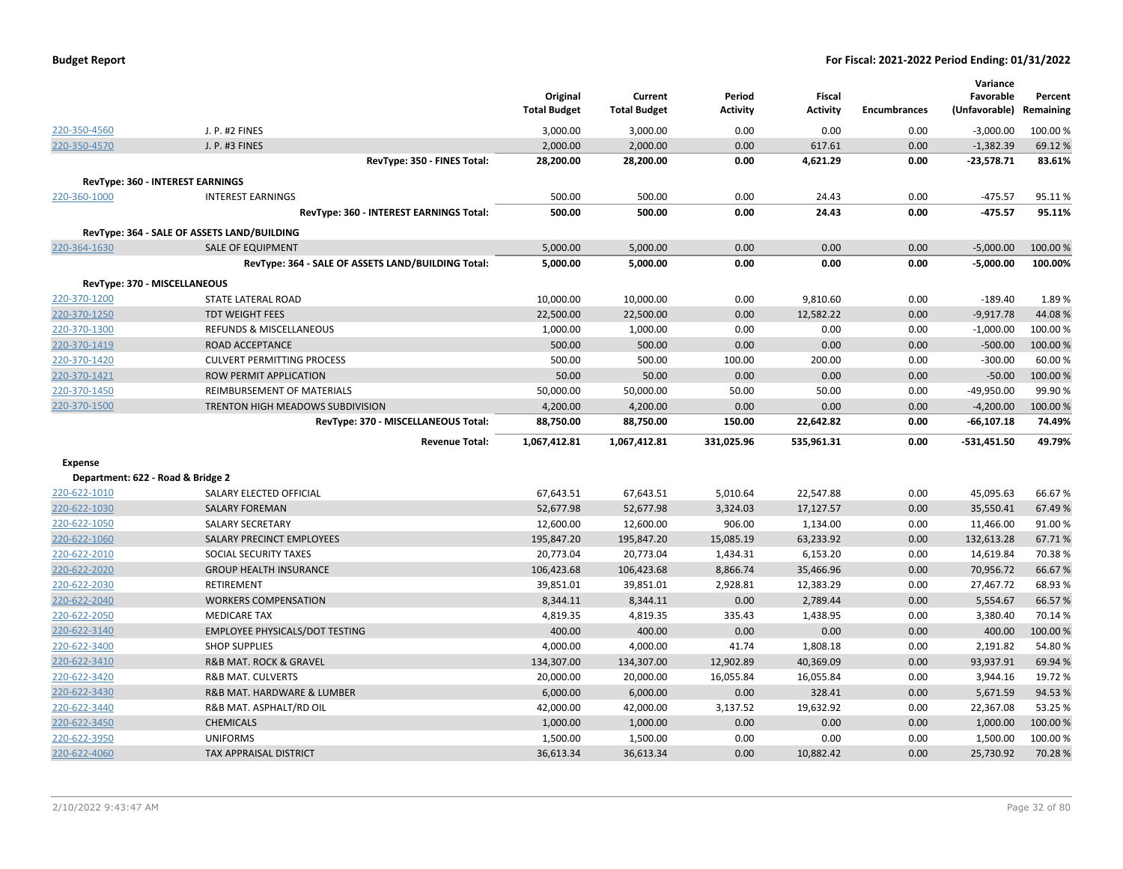| <b>Budget Report</b> |  |
|----------------------|--|
|----------------------|--|

|                                   |                                                    | Original<br><b>Total Budget</b> | Current<br><b>Total Budget</b> | Period<br><b>Activity</b> | <b>Fiscal</b><br><b>Activity</b> | <b>Encumbrances</b> | Variance<br>Favorable<br>(Unfavorable) | Percent<br>Remaining |
|-----------------------------------|----------------------------------------------------|---------------------------------|--------------------------------|---------------------------|----------------------------------|---------------------|----------------------------------------|----------------------|
| 220-350-4560                      | J. P. #2 FINES                                     | 3,000.00                        | 3,000.00                       | 0.00                      | 0.00                             | 0.00                | $-3,000.00$                            | 100.00 %             |
| 220-350-4570                      | J. P. #3 FINES                                     | 2,000.00                        | 2,000.00                       | 0.00                      | 617.61                           | 0.00                | $-1,382.39$                            | 69.12%               |
|                                   | RevType: 350 - FINES Total:                        | 28,200.00                       | 28,200.00                      | 0.00                      | 4,621.29                         | 0.00                | $-23,578.71$                           | 83.61%               |
|                                   | RevType: 360 - INTEREST EARNINGS                   |                                 |                                |                           |                                  |                     |                                        |                      |
| 220-360-1000                      | <b>INTEREST EARNINGS</b>                           | 500.00                          | 500.00                         | 0.00                      | 24.43                            | 0.00                | $-475.57$                              | 95.11%               |
|                                   | RevType: 360 - INTEREST EARNINGS Total:            | 500.00                          | 500.00                         | 0.00                      | 24.43                            | 0.00                | $-475.57$                              | 95.11%               |
|                                   |                                                    |                                 |                                |                           |                                  |                     |                                        |                      |
|                                   | RevType: 364 - SALE OF ASSETS LAND/BUILDING        |                                 |                                |                           |                                  |                     |                                        |                      |
| 220-364-1630                      | <b>SALE OF EQUIPMENT</b>                           | 5,000.00                        | 5,000.00                       | 0.00                      | 0.00                             | 0.00                | $-5,000.00$                            | 100.00 %             |
|                                   | RevType: 364 - SALE OF ASSETS LAND/BUILDING Total: | 5,000.00                        | 5,000.00                       | 0.00                      | 0.00                             | 0.00                | $-5,000.00$                            | 100.00%              |
| RevType: 370 - MISCELLANEOUS      |                                                    |                                 |                                |                           |                                  |                     |                                        |                      |
| 220-370-1200                      | STATE LATERAL ROAD                                 | 10,000.00                       | 10,000.00                      | 0.00                      | 9,810.60                         | 0.00                | $-189.40$                              | 1.89%                |
| 220-370-1250                      | <b>TDT WEIGHT FEES</b>                             | 22,500.00                       | 22,500.00                      | 0.00                      | 12,582.22                        | 0.00                | $-9,917.78$                            | 44.08%               |
| 220-370-1300                      | REFUNDS & MISCELLANEOUS                            | 1,000.00                        | 1,000.00                       | 0.00                      | 0.00                             | 0.00                | $-1,000.00$                            | 100.00 %             |
| 220-370-1419                      | ROAD ACCEPTANCE                                    | 500.00                          | 500.00                         | 0.00                      | 0.00                             | 0.00                | $-500.00$                              | 100.00%              |
| 220-370-1420                      | <b>CULVERT PERMITTING PROCESS</b>                  | 500.00                          | 500.00                         | 100.00                    | 200.00                           | 0.00                | $-300.00$                              | 60.00%               |
| 220-370-1421                      | ROW PERMIT APPLICATION                             | 50.00                           | 50.00                          | 0.00                      | 0.00                             | 0.00                | $-50.00$                               | 100.00%              |
| 220-370-1450                      | REIMBURSEMENT OF MATERIALS                         | 50,000.00                       | 50,000.00                      | 50.00                     | 50.00                            | 0.00                | $-49,950.00$                           | 99.90%               |
| 220-370-1500                      | TRENTON HIGH MEADOWS SUBDIVISION                   | 4,200.00                        | 4,200.00                       | 0.00                      | 0.00                             | 0.00                | $-4,200.00$                            | 100.00%              |
|                                   | RevType: 370 - MISCELLANEOUS Total:                | 88,750.00                       | 88,750.00                      | 150.00                    | 22,642.82                        | 0.00                | $-66, 107.18$                          | 74.49%               |
|                                   | <b>Revenue Total:</b>                              | 1,067,412.81                    | 1,067,412.81                   | 331,025.96                | 535,961.31                       | 0.00                | $-531,451.50$                          | 49.79%               |
| <b>Expense</b>                    |                                                    |                                 |                                |                           |                                  |                     |                                        |                      |
| Department: 622 - Road & Bridge 2 |                                                    |                                 |                                |                           |                                  |                     |                                        |                      |
| 220-622-1010                      | SALARY ELECTED OFFICIAL                            | 67,643.51                       | 67,643.51                      | 5,010.64                  | 22,547.88                        | 0.00                | 45,095.63                              | 66.67%               |
| 220-622-1030                      | <b>SALARY FOREMAN</b>                              | 52,677.98                       | 52,677.98                      | 3,324.03                  | 17,127.57                        | 0.00                | 35,550.41                              | 67.49%               |
| 220-622-1050                      | <b>SALARY SECRETARY</b>                            | 12,600.00                       | 12,600.00                      | 906.00                    | 1,134.00                         | 0.00                | 11,466.00                              | 91.00%               |
| 220-622-1060                      | SALARY PRECINCT EMPLOYEES                          | 195,847.20                      | 195,847.20                     | 15,085.19                 | 63,233.92                        | 0.00                | 132,613.28                             | 67.71%               |
| 220-622-2010                      | SOCIAL SECURITY TAXES                              | 20,773.04                       | 20,773.04                      | 1,434.31                  | 6,153.20                         | 0.00                | 14,619.84                              | 70.38%               |
| 220-622-2020                      | <b>GROUP HEALTH INSURANCE</b>                      | 106,423.68                      | 106,423.68                     | 8,866.74                  | 35,466.96                        | 0.00                | 70,956.72                              | 66.67%               |
| 220-622-2030                      | <b>RETIREMENT</b>                                  | 39,851.01                       | 39,851.01                      | 2,928.81                  | 12,383.29                        | 0.00                | 27,467.72                              | 68.93%               |
| 220-622-2040                      | <b>WORKERS COMPENSATION</b>                        | 8,344.11                        | 8,344.11                       | 0.00                      | 2,789.44                         | 0.00                | 5,554.67                               | 66.57%               |
| 220-622-2050                      | <b>MEDICARE TAX</b>                                | 4,819.35                        | 4,819.35                       | 335.43                    | 1,438.95                         | 0.00                | 3,380.40                               | 70.14%               |
| 220-622-3140                      | <b>EMPLOYEE PHYSICALS/DOT TESTING</b>              | 400.00                          | 400.00                         | 0.00                      | 0.00                             | 0.00                | 400.00                                 | 100.00%              |
| 220-622-3400                      | <b>SHOP SUPPLIES</b>                               | 4,000.00                        | 4,000.00                       | 41.74                     | 1,808.18                         | 0.00                | 2,191.82                               | 54.80%               |
| 220-622-3410                      | R&B MAT. ROCK & GRAVEL                             | 134,307.00                      | 134,307.00                     | 12,902.89                 | 40,369.09                        | 0.00                | 93,937.91                              | 69.94%               |
| 220-622-3420                      | <b>R&amp;B MAT. CULVERTS</b>                       | 20,000.00                       | 20,000.00                      | 16,055.84                 | 16,055.84                        | 0.00                | 3,944.16                               | 19.72%               |
| 220-622-3430                      | R&B MAT. HARDWARE & LUMBER                         | 6,000.00                        | 6,000.00                       | 0.00                      | 328.41                           | 0.00                | 5,671.59                               | 94.53%               |
| 220-622-3440                      | R&B MAT. ASPHALT/RD OIL                            | 42,000.00                       | 42,000.00                      | 3,137.52                  | 19,632.92                        | 0.00                | 22,367.08                              | 53.25 %              |
| 220-622-3450                      | <b>CHEMICALS</b>                                   | 1,000.00                        | 1,000.00                       | 0.00                      | 0.00                             | 0.00                | 1,000.00                               | 100.00 %             |
| 220-622-3950                      |                                                    |                                 |                                |                           |                                  |                     |                                        |                      |
|                                   | <b>UNIFORMS</b>                                    | 1,500.00                        | 1,500.00                       | 0.00                      | 0.00                             | 0.00                | 1,500.00                               | 100.00 %<br>70.28%   |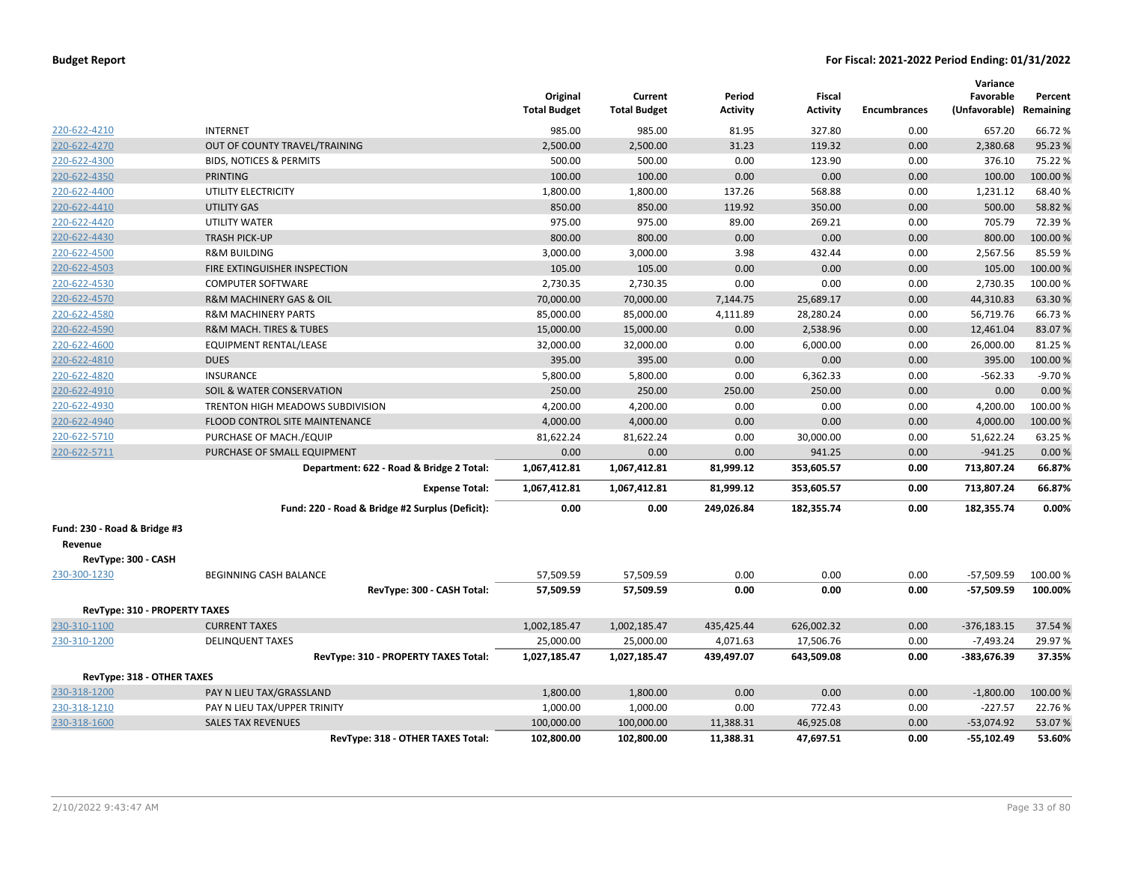|                                      |                                                 | Original<br><b>Total Budget</b> | Current<br><b>Total Budget</b> | Period<br>Activity | Fiscal<br><b>Activity</b> | <b>Encumbrances</b> | Variance<br>Favorable<br>(Unfavorable) Remaining | Percent  |
|--------------------------------------|-------------------------------------------------|---------------------------------|--------------------------------|--------------------|---------------------------|---------------------|--------------------------------------------------|----------|
| 220-622-4210                         | <b>INTERNET</b>                                 | 985.00                          | 985.00                         | 81.95              | 327.80                    | 0.00                | 657.20                                           | 66.72%   |
| 220-622-4270                         | OUT OF COUNTY TRAVEL/TRAINING                   | 2,500.00                        | 2,500.00                       | 31.23              | 119.32                    | 0.00                | 2,380.68                                         | 95.23 %  |
| 220-622-4300                         | <b>BIDS, NOTICES &amp; PERMITS</b>              | 500.00                          | 500.00                         | 0.00               | 123.90                    | 0.00                | 376.10                                           | 75.22 %  |
| 220-622-4350                         | <b>PRINTING</b>                                 | 100.00                          | 100.00                         | 0.00               | 0.00                      | 0.00                | 100.00                                           | 100.00%  |
| 220-622-4400                         | UTILITY ELECTRICITY                             | 1,800.00                        | 1,800.00                       | 137.26             | 568.88                    | 0.00                | 1,231.12                                         | 68.40%   |
| 220-622-4410                         | <b>UTILITY GAS</b>                              | 850.00                          | 850.00                         | 119.92             | 350.00                    | 0.00                | 500.00                                           | 58.82%   |
| 220-622-4420                         | UTILITY WATER                                   | 975.00                          | 975.00                         | 89.00              | 269.21                    | 0.00                | 705.79                                           | 72.39%   |
| 220-622-4430                         | <b>TRASH PICK-UP</b>                            | 800.00                          | 800.00                         | 0.00               | 0.00                      | 0.00                | 800.00                                           | 100.00%  |
| 220-622-4500                         | <b>R&amp;M BUILDING</b>                         | 3,000.00                        | 3,000.00                       | 3.98               | 432.44                    | 0.00                | 2,567.56                                         | 85.59%   |
| 220-622-4503                         | FIRE EXTINGUISHER INSPECTION                    | 105.00                          | 105.00                         | 0.00               | 0.00                      | 0.00                | 105.00                                           | 100.00 % |
| 220-622-4530                         | <b>COMPUTER SOFTWARE</b>                        | 2,730.35                        | 2,730.35                       | 0.00               | 0.00                      | 0.00                | 2,730.35                                         | 100.00%  |
| 220-622-4570                         | R&M MACHINERY GAS & OIL                         | 70,000.00                       | 70,000.00                      | 7,144.75           | 25,689.17                 | 0.00                | 44,310.83                                        | 63.30%   |
| 220-622-4580                         | <b>R&amp;M MACHINERY PARTS</b>                  | 85,000.00                       | 85,000.00                      | 4,111.89           | 28,280.24                 | 0.00                | 56,719.76                                        | 66.73%   |
| 220-622-4590                         | <b>R&amp;M MACH. TIRES &amp; TUBES</b>          | 15,000.00                       | 15,000.00                      | 0.00               | 2,538.96                  | 0.00                | 12,461.04                                        | 83.07%   |
| 220-622-4600                         | EQUIPMENT RENTAL/LEASE                          | 32,000.00                       | 32,000.00                      | 0.00               | 6,000.00                  | 0.00                | 26,000.00                                        | 81.25 %  |
| 220-622-4810                         | <b>DUES</b>                                     | 395.00                          | 395.00                         | 0.00               | 0.00                      | 0.00                | 395.00                                           | 100.00%  |
| 220-622-4820                         | <b>INSURANCE</b>                                | 5,800.00                        | 5,800.00                       | 0.00               | 6,362.33                  | 0.00                | $-562.33$                                        | $-9.70%$ |
| 220-622-4910                         | SOIL & WATER CONSERVATION                       | 250.00                          | 250.00                         | 250.00             | 250.00                    | 0.00                | 0.00                                             | 0.00%    |
| 220-622-4930                         | TRENTON HIGH MEADOWS SUBDIVISION                | 4,200.00                        | 4,200.00                       | 0.00               | 0.00                      | 0.00                | 4,200.00                                         | 100.00%  |
| 220-622-4940                         | FLOOD CONTROL SITE MAINTENANCE                  | 4,000.00                        | 4,000.00                       | 0.00               | 0.00                      | 0.00                | 4,000.00                                         | 100.00%  |
| 220-622-5710                         | PURCHASE OF MACH./EQUIP                         | 81,622.24                       | 81,622.24                      | 0.00               | 30,000.00                 | 0.00                | 51,622.24                                        | 63.25 %  |
| 220-622-5711                         | PURCHASE OF SMALL EQUIPMENT                     | 0.00                            | 0.00                           | 0.00               | 941.25                    | 0.00                | $-941.25$                                        | 0.00%    |
|                                      | Department: 622 - Road & Bridge 2 Total:        | 1,067,412.81                    | 1,067,412.81                   | 81,999.12          | 353,605.57                | 0.00                | 713,807.24                                       | 66.87%   |
|                                      | <b>Expense Total:</b>                           | 1,067,412.81                    | 1,067,412.81                   | 81,999.12          | 353,605.57                | 0.00                | 713,807.24                                       | 66.87%   |
|                                      | Fund: 220 - Road & Bridge #2 Surplus (Deficit): | 0.00                            | 0.00                           | 249,026.84         | 182,355.74                | 0.00                | 182,355.74                                       | 0.00%    |
| Fund: 230 - Road & Bridge #3         |                                                 |                                 |                                |                    |                           |                     |                                                  |          |
| Revenue                              |                                                 |                                 |                                |                    |                           |                     |                                                  |          |
| RevType: 300 - CASH                  |                                                 |                                 |                                |                    |                           |                     |                                                  |          |
| 230-300-1230                         | BEGINNING CASH BALANCE                          | 57,509.59                       | 57,509.59                      | 0.00               | 0.00                      | 0.00                | $-57,509.59$                                     | 100.00 % |
|                                      | RevType: 300 - CASH Total:                      | 57,509.59                       | 57,509.59                      | 0.00               | 0.00                      | 0.00                | $-57,509.59$                                     | 100.00%  |
| <b>RevType: 310 - PROPERTY TAXES</b> |                                                 |                                 |                                |                    |                           |                     |                                                  |          |
| 230-310-1100                         | <b>CURRENT TAXES</b>                            | 1,002,185.47                    | 1,002,185.47                   | 435,425.44         | 626,002.32                | 0.00                | $-376,183.15$                                    | 37.54 %  |
| 230-310-1200                         | <b>DELINQUENT TAXES</b>                         | 25,000.00                       | 25,000.00                      | 4,071.63           | 17,506.76                 | 0.00                | $-7,493.24$                                      | 29.97%   |
|                                      | RevType: 310 - PROPERTY TAXES Total:            | 1,027,185.47                    | 1,027,185.47                   | 439,497.07         | 643,509.08                | 0.00                | -383,676.39                                      | 37.35%   |
| RevType: 318 - OTHER TAXES           |                                                 |                                 |                                |                    |                           |                     |                                                  |          |
| 230-318-1200                         | PAY N LIEU TAX/GRASSLAND                        | 1,800.00                        | 1,800.00                       | 0.00               | 0.00                      | 0.00                | $-1,800.00$                                      | 100.00%  |
| 230-318-1210                         | PAY N LIEU TAX/UPPER TRINITY                    | 1,000.00                        | 1,000.00                       | 0.00               | 772.43                    | 0.00                | $-227.57$                                        | 22.76%   |
| 230-318-1600                         | <b>SALES TAX REVENUES</b>                       | 100,000.00                      | 100,000.00                     | 11,388.31          | 46,925.08                 | 0.00                | $-53,074.92$                                     | 53.07%   |
|                                      | RevType: 318 - OTHER TAXES Total:               | 102,800.00                      | 102,800.00                     | 11,388.31          | 47,697.51                 | 0.00                | $-55,102.49$                                     | 53.60%   |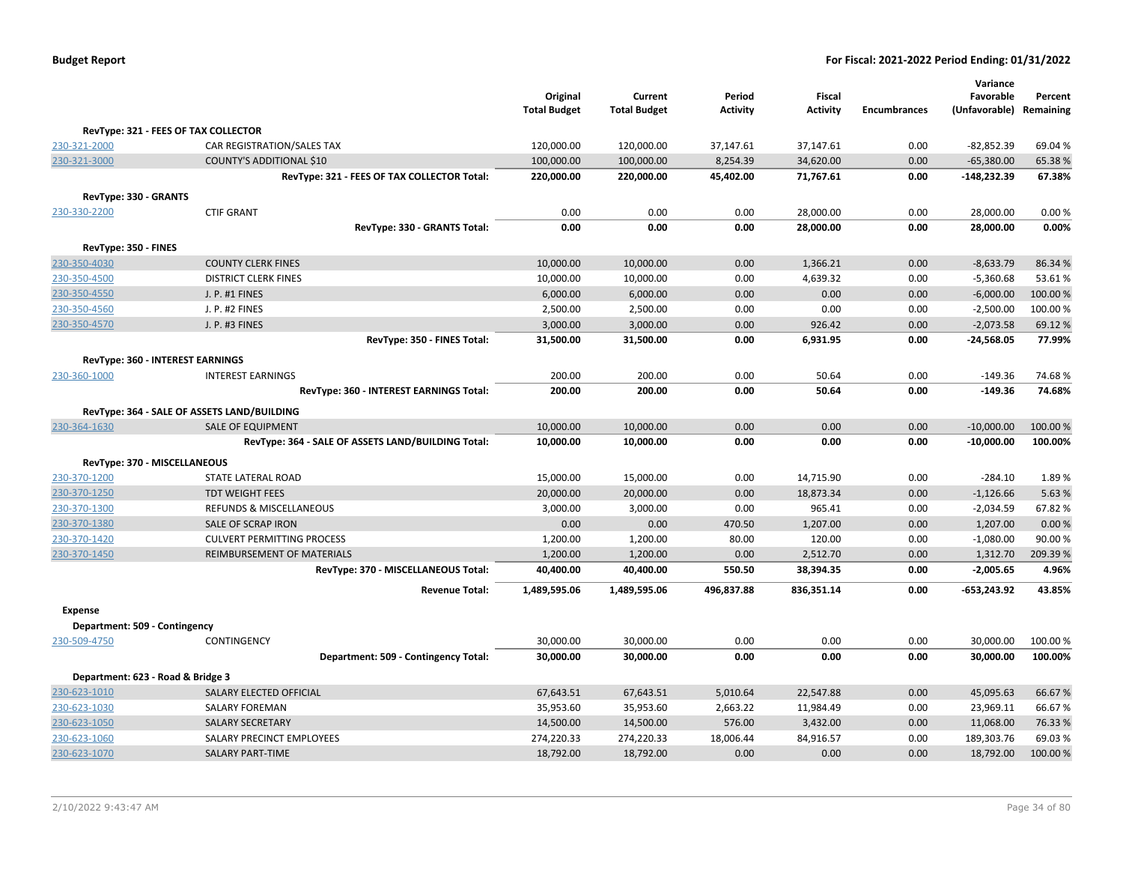| <b>Budget Report</b> |  |
|----------------------|--|
|----------------------|--|

|                               |                                                    | Original<br><b>Total Budget</b> | Current<br><b>Total Budget</b> | Period<br><b>Activity</b> | <b>Fiscal</b><br><b>Activity</b> | <b>Encumbrances</b> | Variance<br>Favorable<br>(Unfavorable) Remaining | Percent |
|-------------------------------|----------------------------------------------------|---------------------------------|--------------------------------|---------------------------|----------------------------------|---------------------|--------------------------------------------------|---------|
|                               | RevType: 321 - FEES OF TAX COLLECTOR               |                                 |                                |                           |                                  |                     |                                                  |         |
| 230-321-2000                  | CAR REGISTRATION/SALES TAX                         | 120,000.00                      | 120,000.00                     | 37,147.61                 | 37,147.61                        | 0.00                | $-82,852.39$                                     | 69.04%  |
| 230-321-3000                  | COUNTY'S ADDITIONAL \$10                           | 100,000.00                      | 100,000.00                     | 8,254.39                  | 34,620.00                        | 0.00                | $-65,380.00$                                     | 65.38%  |
|                               | RevType: 321 - FEES OF TAX COLLECTOR Total:        | 220,000.00                      | 220,000.00                     | 45,402.00                 | 71,767.61                        | 0.00                | -148,232.39                                      | 67.38%  |
| RevType: 330 - GRANTS         |                                                    |                                 |                                |                           |                                  |                     |                                                  |         |
| 230-330-2200                  | <b>CTIF GRANT</b>                                  | 0.00                            | 0.00                           | 0.00                      | 28,000.00                        | 0.00                | 28,000.00                                        | 0.00%   |
|                               | RevType: 330 - GRANTS Total:                       | 0.00                            | 0.00                           | 0.00                      | 28,000.00                        | 0.00                | 28,000.00                                        | 0.00%   |
| RevType: 350 - FINES          |                                                    |                                 |                                |                           |                                  |                     |                                                  |         |
| 230-350-4030                  | <b>COUNTY CLERK FINES</b>                          | 10,000.00                       | 10,000.00                      | 0.00                      | 1,366.21                         | 0.00                | $-8,633.79$                                      | 86.34 % |
| 230-350-4500                  | <b>DISTRICT CLERK FINES</b>                        | 10,000.00                       | 10,000.00                      | 0.00                      | 4,639.32                         | 0.00                | $-5,360.68$                                      | 53.61%  |
| 230-350-4550                  | J. P. #1 FINES                                     | 6,000.00                        | 6,000.00                       | 0.00                      | 0.00                             | 0.00                | $-6,000.00$                                      | 100.00% |
| 230-350-4560                  | J. P. #2 FINES                                     | 2,500.00                        | 2,500.00                       | 0.00                      | 0.00                             | 0.00                | $-2,500.00$                                      | 100.00% |
| 230-350-4570                  | J. P. #3 FINES                                     | 3,000.00                        | 3,000.00                       | 0.00                      | 926.42                           | 0.00                | $-2,073.58$                                      | 69.12%  |
|                               | RevType: 350 - FINES Total:                        | 31,500.00                       | 31,500.00                      | 0.00                      | 6,931.95                         | 0.00                | $-24,568.05$                                     | 77.99%  |
|                               | RevType: 360 - INTEREST EARNINGS                   |                                 |                                |                           |                                  |                     |                                                  |         |
| 230-360-1000                  | <b>INTEREST EARNINGS</b>                           | 200.00                          | 200.00                         | 0.00                      | 50.64                            | 0.00                | $-149.36$                                        | 74.68%  |
|                               | RevType: 360 - INTEREST EARNINGS Total:            | 200.00                          | 200.00                         | 0.00                      | 50.64                            | 0.00                | $-149.36$                                        | 74.68%  |
|                               | RevType: 364 - SALE OF ASSETS LAND/BUILDING        |                                 |                                |                           |                                  |                     |                                                  |         |
| 230-364-1630                  | <b>SALE OF EQUIPMENT</b>                           | 10,000.00                       | 10,000.00                      | 0.00                      | 0.00                             | 0.00                | $-10,000.00$                                     | 100.00% |
|                               | RevType: 364 - SALE OF ASSETS LAND/BUILDING Total: | 10,000.00                       | 10,000.00                      | 0.00                      | 0.00                             | 0.00                | $-10,000.00$                                     | 100.00% |
|                               | RevType: 370 - MISCELLANEOUS                       |                                 |                                |                           |                                  |                     |                                                  |         |
| 230-370-1200                  | STATE LATERAL ROAD                                 | 15,000.00                       | 15,000.00                      | 0.00                      | 14,715.90                        | 0.00                | $-284.10$                                        | 1.89%   |
| 230-370-1250                  | <b>TDT WEIGHT FEES</b>                             | 20,000.00                       | 20,000.00                      | 0.00                      | 18,873.34                        | 0.00                | $-1,126.66$                                      | 5.63%   |
| 230-370-1300                  | REFUNDS & MISCELLANEOUS                            | 3,000.00                        | 3,000.00                       | 0.00                      | 965.41                           | 0.00                | $-2,034.59$                                      | 67.82%  |
| 230-370-1380                  | SALE OF SCRAP IRON                                 | 0.00                            | 0.00                           | 470.50                    | 1,207.00                         | 0.00                | 1,207.00                                         | 0.00%   |
| 230-370-1420                  | <b>CULVERT PERMITTING PROCESS</b>                  | 1,200.00                        | 1,200.00                       | 80.00                     | 120.00                           | 0.00                | $-1,080.00$                                      | 90.00%  |
| 230-370-1450                  | REIMBURSEMENT OF MATERIALS                         | 1,200.00                        | 1,200.00                       | 0.00                      | 2,512.70                         | 0.00                | 1,312.70                                         | 209.39% |
|                               | RevType: 370 - MISCELLANEOUS Total:                | 40,400.00                       | 40,400.00                      | 550.50                    | 38,394.35                        | 0.00                | $-2,005.65$                                      | 4.96%   |
|                               | <b>Revenue Total:</b>                              | 1,489,595.06                    | 1,489,595.06                   | 496,837.88                | 836,351.14                       | 0.00                | -653,243.92                                      | 43.85%  |
| <b>Expense</b>                |                                                    |                                 |                                |                           |                                  |                     |                                                  |         |
| Department: 509 - Contingency |                                                    |                                 |                                |                           |                                  |                     |                                                  |         |
| 230-509-4750                  | CONTINGENCY                                        | 30,000.00                       | 30,000.00                      | 0.00                      | 0.00                             | 0.00                | 30,000.00                                        | 100.00% |
|                               | Department: 509 - Contingency Total:               | 30,000.00                       | 30,000.00                      | 0.00                      | 0.00                             | 0.00                | 30,000.00                                        | 100.00% |
|                               | Department: 623 - Road & Bridge 3                  |                                 |                                |                           |                                  |                     |                                                  |         |
| 230-623-1010                  | SALARY ELECTED OFFICIAL                            | 67,643.51                       | 67,643.51                      | 5,010.64                  | 22,547.88                        | 0.00                | 45,095.63                                        | 66.67%  |
| 230-623-1030                  | SALARY FOREMAN                                     | 35,953.60                       | 35,953.60                      | 2,663.22                  | 11,984.49                        | 0.00                | 23,969.11                                        | 66.67%  |
| 230-623-1050                  | <b>SALARY SECRETARY</b>                            | 14,500.00                       | 14,500.00                      | 576.00                    | 3,432.00                         | 0.00                | 11,068.00                                        | 76.33 % |
| 230-623-1060                  | SALARY PRECINCT EMPLOYEES                          | 274,220.33                      | 274,220.33                     | 18,006.44                 | 84,916.57                        | 0.00                | 189,303.76                                       | 69.03%  |
| 230-623-1070                  | <b>SALARY PART-TIME</b>                            | 18,792.00                       | 18,792.00                      | 0.00                      | 0.00                             | 0.00                | 18,792.00                                        | 100.00% |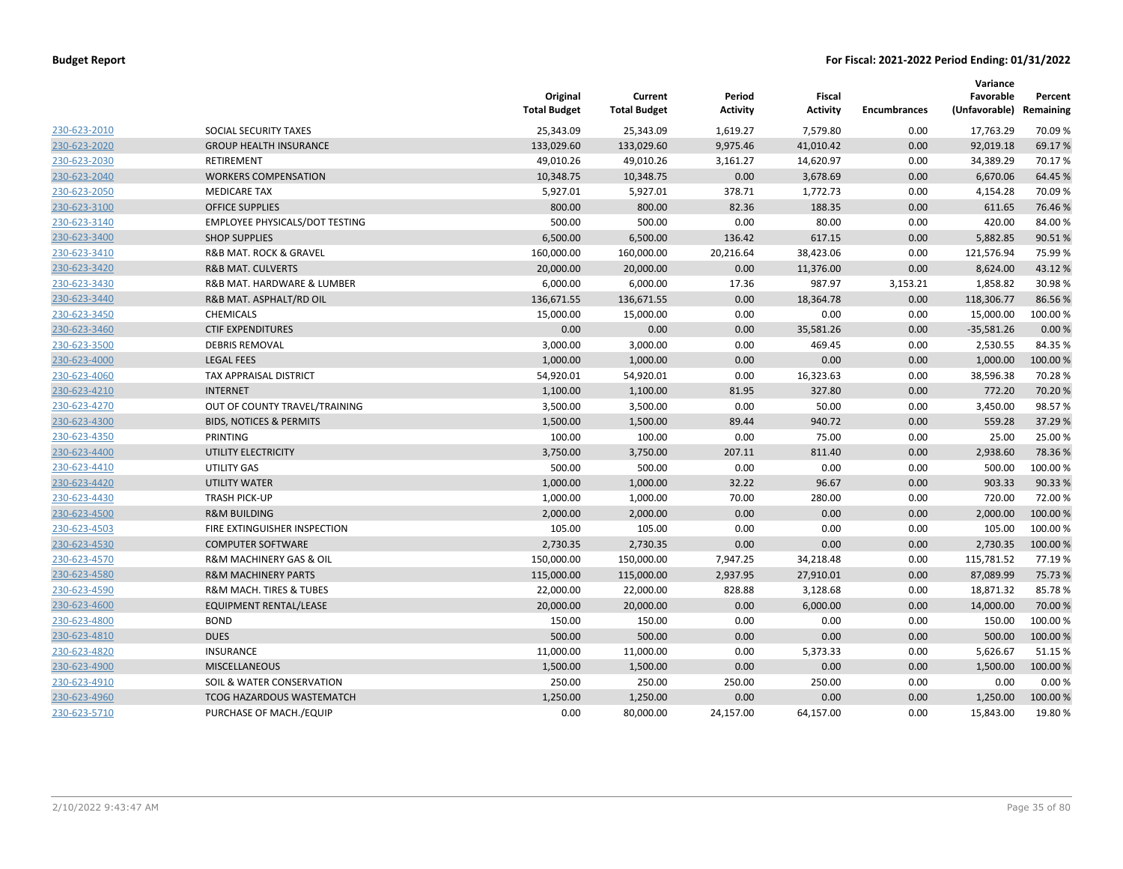|              |                                    | Original<br><b>Total Budget</b> | Current<br><b>Total Budget</b> | Period<br><b>Activity</b> | Fiscal<br><b>Activity</b> | <b>Encumbrances</b> | Variance<br>Favorable<br>(Unfavorable) | Percent<br>Remaining |
|--------------|------------------------------------|---------------------------------|--------------------------------|---------------------------|---------------------------|---------------------|----------------------------------------|----------------------|
| 230-623-2010 | SOCIAL SECURITY TAXES              | 25,343.09                       | 25,343.09                      | 1,619.27                  | 7,579.80                  | 0.00                | 17,763.29                              | 70.09%               |
| 230-623-2020 | <b>GROUP HEALTH INSURANCE</b>      | 133,029.60                      | 133,029.60                     | 9,975.46                  | 41,010.42                 | 0.00                | 92,019.18                              | 69.17%               |
| 230-623-2030 | <b>RETIREMENT</b>                  | 49,010.26                       | 49,010.26                      | 3,161.27                  | 14,620.97                 | 0.00                | 34,389.29                              | 70.17%               |
| 230-623-2040 | <b>WORKERS COMPENSATION</b>        | 10,348.75                       | 10,348.75                      | 0.00                      | 3,678.69                  | 0.00                | 6,670.06                               | 64.45 %              |
| 230-623-2050 | <b>MEDICARE TAX</b>                | 5,927.01                        | 5,927.01                       | 378.71                    | 1,772.73                  | 0.00                | 4,154.28                               | 70.09 %              |
| 230-623-3100 | <b>OFFICE SUPPLIES</b>             | 800.00                          | 800.00                         | 82.36                     | 188.35                    | 0.00                | 611.65                                 | 76.46%               |
| 230-623-3140 | EMPLOYEE PHYSICALS/DOT TESTING     | 500.00                          | 500.00                         | 0.00                      | 80.00                     | 0.00                | 420.00                                 | 84.00%               |
| 230-623-3400 | <b>SHOP SUPPLIES</b>               | 6,500.00                        | 6,500.00                       | 136.42                    | 617.15                    | 0.00                | 5,882.85                               | 90.51%               |
| 230-623-3410 | R&B MAT. ROCK & GRAVEL             | 160,000.00                      | 160,000.00                     | 20,216.64                 | 38,423.06                 | 0.00                | 121,576.94                             | 75.99%               |
| 230-623-3420 | <b>R&amp;B MAT. CULVERTS</b>       | 20,000.00                       | 20,000.00                      | 0.00                      | 11,376.00                 | 0.00                | 8,624.00                               | 43.12%               |
| 230-623-3430 | R&B MAT. HARDWARE & LUMBER         | 6,000.00                        | 6,000.00                       | 17.36                     | 987.97                    | 3,153.21            | 1,858.82                               | 30.98%               |
| 230-623-3440 | R&B MAT. ASPHALT/RD OIL            | 136,671.55                      | 136,671.55                     | 0.00                      | 18,364.78                 | 0.00                | 118,306.77                             | 86.56%               |
| 230-623-3450 | <b>CHEMICALS</b>                   | 15,000.00                       | 15,000.00                      | 0.00                      | 0.00                      | 0.00                | 15,000.00                              | 100.00%              |
| 230-623-3460 | <b>CTIF EXPENDITURES</b>           | 0.00                            | 0.00                           | 0.00                      | 35,581.26                 | 0.00                | $-35,581.26$                           | 0.00%                |
| 230-623-3500 | <b>DEBRIS REMOVAL</b>              | 3,000.00                        | 3,000.00                       | 0.00                      | 469.45                    | 0.00                | 2,530.55                               | 84.35%               |
| 230-623-4000 | <b>LEGAL FEES</b>                  | 1,000.00                        | 1,000.00                       | 0.00                      | 0.00                      | 0.00                | 1,000.00                               | 100.00 %             |
| 230-623-4060 | TAX APPRAISAL DISTRICT             | 54,920.01                       | 54,920.01                      | 0.00                      | 16,323.63                 | 0.00                | 38,596.38                              | 70.28%               |
| 230-623-4210 | <b>INTERNET</b>                    | 1,100.00                        | 1,100.00                       | 81.95                     | 327.80                    | 0.00                | 772.20                                 | 70.20%               |
| 230-623-4270 | OUT OF COUNTY TRAVEL/TRAINING      | 3,500.00                        | 3,500.00                       | 0.00                      | 50.00                     | 0.00                | 3,450.00                               | 98.57%               |
| 230-623-4300 | <b>BIDS, NOTICES &amp; PERMITS</b> | 1,500.00                        | 1,500.00                       | 89.44                     | 940.72                    | 0.00                | 559.28                                 | 37.29 %              |
| 230-623-4350 | PRINTING                           | 100.00                          | 100.00                         | 0.00                      | 75.00                     | 0.00                | 25.00                                  | 25.00 %              |
| 230-623-4400 | UTILITY ELECTRICITY                | 3,750.00                        | 3,750.00                       | 207.11                    | 811.40                    | 0.00                | 2,938.60                               | 78.36%               |
| 230-623-4410 | UTILITY GAS                        | 500.00                          | 500.00                         | 0.00                      | 0.00                      | 0.00                | 500.00                                 | 100.00 %             |
| 230-623-4420 | UTILITY WATER                      | 1,000.00                        | 1,000.00                       | 32.22                     | 96.67                     | 0.00                | 903.33                                 | 90.33 %              |
| 230-623-4430 | <b>TRASH PICK-UP</b>               | 1,000.00                        | 1,000.00                       | 70.00                     | 280.00                    | 0.00                | 720.00                                 | 72.00%               |
| 230-623-4500 | <b>R&amp;M BUILDING</b>            | 2,000.00                        | 2,000.00                       | 0.00                      | 0.00                      | 0.00                | 2,000.00                               | 100.00%              |
| 230-623-4503 | FIRE EXTINGUISHER INSPECTION       | 105.00                          | 105.00                         | 0.00                      | 0.00                      | 0.00                | 105.00                                 | 100.00 %             |
| 230-623-4530 | <b>COMPUTER SOFTWARE</b>           | 2,730.35                        | 2,730.35                       | 0.00                      | 0.00                      | 0.00                | 2,730.35                               | 100.00%              |
| 230-623-4570 | R&M MACHINERY GAS & OIL            | 150,000.00                      | 150,000.00                     | 7,947.25                  | 34,218.48                 | 0.00                | 115,781.52                             | 77.19%               |
| 230-623-4580 | <b>R&amp;M MACHINERY PARTS</b>     | 115,000.00                      | 115,000.00                     | 2,937.95                  | 27,910.01                 | 0.00                | 87,089.99                              | 75.73 %              |
| 230-623-4590 | R&M MACH. TIRES & TUBES            | 22,000.00                       | 22,000.00                      | 828.88                    | 3,128.68                  | 0.00                | 18,871.32                              | 85.78%               |
| 230-623-4600 | EQUIPMENT RENTAL/LEASE             | 20,000.00                       | 20,000.00                      | 0.00                      | 6,000.00                  | 0.00                | 14,000.00                              | 70.00 %              |
| 230-623-4800 | <b>BOND</b>                        | 150.00                          | 150.00                         | 0.00                      | 0.00                      | 0.00                | 150.00                                 | 100.00%              |
| 230-623-4810 | <b>DUES</b>                        | 500.00                          | 500.00                         | 0.00                      | 0.00                      | 0.00                | 500.00                                 | 100.00 %             |
| 230-623-4820 | INSURANCE                          | 11,000.00                       | 11,000.00                      | 0.00                      | 5,373.33                  | 0.00                | 5,626.67                               | 51.15 %              |
| 230-623-4900 | <b>MISCELLANEOUS</b>               | 1,500.00                        | 1,500.00                       | 0.00                      | 0.00                      | 0.00                | 1,500.00                               | 100.00 %             |
| 230-623-4910 | SOIL & WATER CONSERVATION          | 250.00                          | 250.00                         | 250.00                    | 250.00                    | 0.00                | 0.00                                   | 0.00%                |
| 230-623-4960 | <b>TCOG HAZARDOUS WASTEMATCH</b>   | 1,250.00                        | 1,250.00                       | 0.00                      | 0.00                      | 0.00                | 1,250.00                               | 100.00%              |
| 230-623-5710 | PURCHASE OF MACH./EQUIP            | 0.00                            | 80.000.00                      | 24.157.00                 | 64.157.00                 | 0.00                | 15.843.00                              | 19.80%               |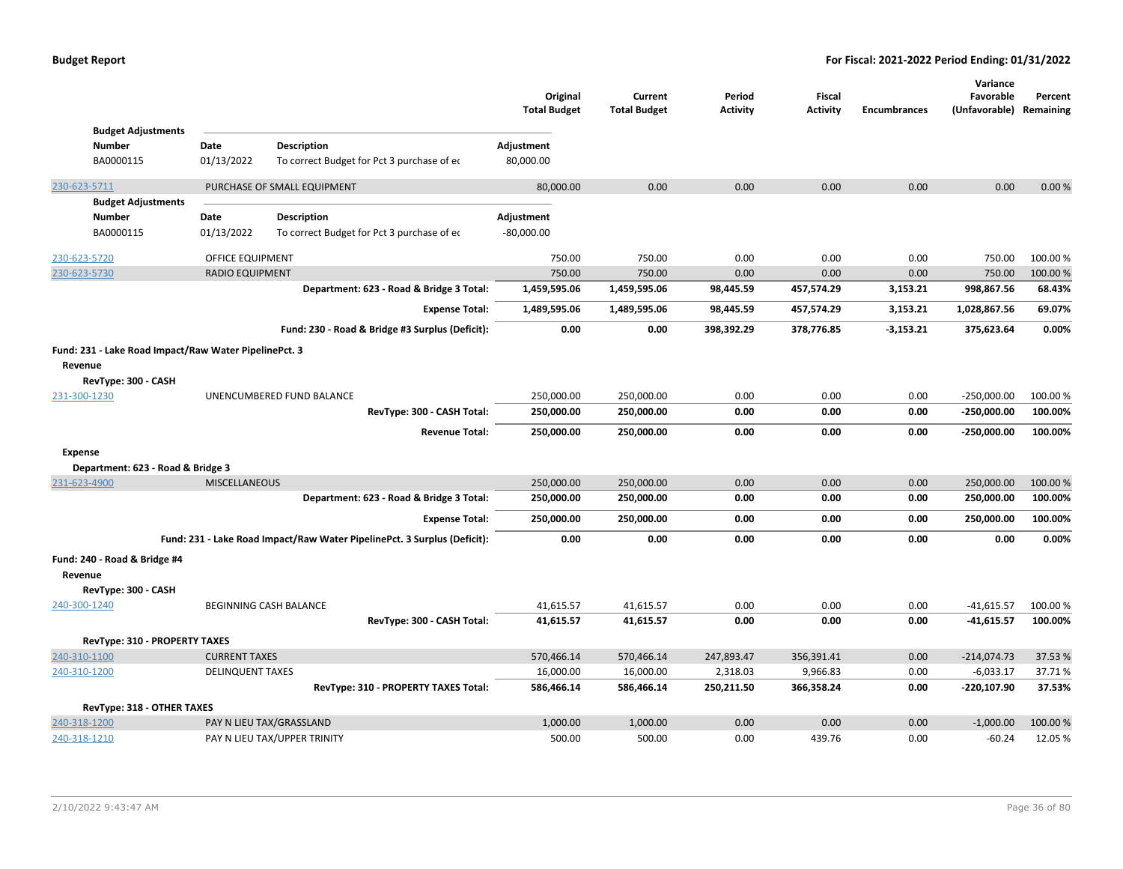| <b>Budget Adjustments</b>                             |                         |                                                                          | Original<br><b>Total Budget</b> | Current<br><b>Total Budget</b> | Period<br><b>Activity</b> | Fiscal<br><b>Activity</b> | <b>Encumbrances</b> | Variance<br>Favorable<br>(Unfavorable) Remaining | Percent  |
|-------------------------------------------------------|-------------------------|--------------------------------------------------------------------------|---------------------------------|--------------------------------|---------------------------|---------------------------|---------------------|--------------------------------------------------|----------|
| <b>Number</b>                                         | <b>Date</b>             | <b>Description</b>                                                       | Adjustment                      |                                |                           |                           |                     |                                                  |          |
| BA0000115                                             | 01/13/2022              | To correct Budget for Pct 3 purchase of eq                               | 80,000.00                       |                                |                           |                           |                     |                                                  |          |
| 230-623-5711                                          |                         | PURCHASE OF SMALL EQUIPMENT                                              | 80,000.00                       | 0.00                           | 0.00                      | 0.00                      | 0.00                | 0.00                                             | 0.00%    |
| <b>Budget Adjustments</b>                             |                         |                                                                          |                                 |                                |                           |                           |                     |                                                  |          |
| <b>Number</b>                                         | Date                    | <b>Description</b>                                                       | Adjustment                      |                                |                           |                           |                     |                                                  |          |
| BA0000115                                             | 01/13/2022              | To correct Budget for Pct 3 purchase of ec                               | $-80,000.00$                    |                                |                           |                           |                     |                                                  |          |
| 230-623-5720                                          | <b>OFFICE EQUIPMENT</b> |                                                                          | 750.00                          | 750.00                         | 0.00                      | 0.00                      | 0.00                | 750.00                                           | 100.00%  |
| 230-623-5730                                          | <b>RADIO EQUIPMENT</b>  |                                                                          | 750.00                          | 750.00                         | 0.00                      | 0.00                      | 0.00                | 750.00                                           | 100.00%  |
|                                                       |                         | Department: 623 - Road & Bridge 3 Total:                                 | 1,459,595.06                    | 1,459,595.06                   | 98,445.59                 | 457,574.29                | 3,153.21            | 998,867.56                                       | 68.43%   |
|                                                       |                         | <b>Expense Total:</b>                                                    | 1,489,595.06                    | 1,489,595.06                   | 98,445.59                 | 457,574.29                | 3,153.21            | 1,028,867.56                                     | 69.07%   |
|                                                       |                         | Fund: 230 - Road & Bridge #3 Surplus (Deficit):                          | 0.00                            | 0.00                           | 398,392.29                | 378,776.85                | $-3,153.21$         | 375,623.64                                       | 0.00%    |
| Fund: 231 - Lake Road Impact/Raw Water PipelinePct. 3 |                         |                                                                          |                                 |                                |                           |                           |                     |                                                  |          |
| Revenue                                               |                         |                                                                          |                                 |                                |                           |                           |                     |                                                  |          |
| RevType: 300 - CASH                                   |                         |                                                                          |                                 |                                |                           |                           |                     |                                                  |          |
| 231-300-1230                                          |                         | UNENCUMBERED FUND BALANCE                                                | 250,000.00                      | 250,000.00                     | 0.00                      | 0.00                      | 0.00                | $-250,000.00$                                    | 100.00%  |
|                                                       |                         | RevType: 300 - CASH Total:                                               | 250,000.00                      | 250,000.00                     | 0.00                      | 0.00                      | 0.00                | $-250,000.00$                                    | 100.00%  |
|                                                       |                         | <b>Revenue Total:</b>                                                    | 250,000.00                      | 250,000.00                     | 0.00                      | 0.00                      | 0.00                | $-250,000.00$                                    | 100.00%  |
| <b>Expense</b>                                        |                         |                                                                          |                                 |                                |                           |                           |                     |                                                  |          |
| Department: 623 - Road & Bridge 3<br>231-623-4900     | <b>MISCELLANEOUS</b>    |                                                                          |                                 |                                |                           | 0.00                      |                     |                                                  | 100.00 % |
|                                                       |                         | Department: 623 - Road & Bridge 3 Total:                                 | 250,000.00                      | 250,000.00<br>250,000.00       | 0.00<br>0.00              | 0.00                      | 0.00<br>0.00        | 250,000.00<br>250,000.00                         | 100.00%  |
|                                                       |                         |                                                                          | 250,000.00                      |                                |                           |                           |                     |                                                  |          |
|                                                       |                         | <b>Expense Total:</b>                                                    | 250,000.00                      | 250,000.00                     | 0.00                      | 0.00                      | 0.00                | 250,000.00                                       | 100.00%  |
|                                                       |                         | Fund: 231 - Lake Road Impact/Raw Water PipelinePct. 3 Surplus (Deficit): | 0.00                            | 0.00                           | 0.00                      | 0.00                      | 0.00                | 0.00                                             | 0.00%    |
| Fund: 240 - Road & Bridge #4                          |                         |                                                                          |                                 |                                |                           |                           |                     |                                                  |          |
| Revenue                                               |                         |                                                                          |                                 |                                |                           |                           |                     |                                                  |          |
| RevType: 300 - CASH                                   |                         |                                                                          |                                 |                                |                           |                           |                     |                                                  |          |
| 240-300-1240                                          |                         | <b>BEGINNING CASH BALANCE</b>                                            | 41,615.57                       | 41,615.57                      | 0.00                      | 0.00                      | 0.00                | $-41,615.57$                                     | 100.00 % |
|                                                       |                         | RevType: 300 - CASH Total:                                               | 41,615.57                       | 41,615.57                      | 0.00                      | 0.00                      | 0.00                | $-41,615.57$                                     | 100.00%  |
| RevType: 310 - PROPERTY TAXES                         |                         |                                                                          |                                 |                                |                           |                           |                     |                                                  |          |
| 240-310-1100                                          | <b>CURRENT TAXES</b>    |                                                                          | 570,466.14                      | 570,466.14                     | 247,893.47                | 356,391.41                | 0.00                | $-214,074.73$                                    | 37.53 %  |
| 240-310-1200                                          | <b>DELINQUENT TAXES</b> |                                                                          | 16,000.00                       | 16,000.00                      | 2,318.03                  | 9,966.83                  | 0.00                | $-6,033.17$                                      | 37.71%   |
|                                                       |                         | RevType: 310 - PROPERTY TAXES Total:                                     | 586,466.14                      | 586,466.14                     | 250,211.50                | 366,358.24                | 0.00                | -220,107.90                                      | 37.53%   |
| RevType: 318 - OTHER TAXES                            |                         |                                                                          |                                 |                                |                           |                           |                     |                                                  |          |
| 240-318-1200                                          |                         | PAY N LIEU TAX/GRASSLAND                                                 | 1,000.00                        | 1,000.00                       | 0.00                      | 0.00                      | 0.00                | $-1,000.00$                                      | 100.00%  |
| 240-318-1210                                          |                         | PAY N LIEU TAX/UPPER TRINITY                                             | 500.00                          | 500.00                         | 0.00                      | 439.76                    | 0.00                | $-60.24$                                         | 12.05 %  |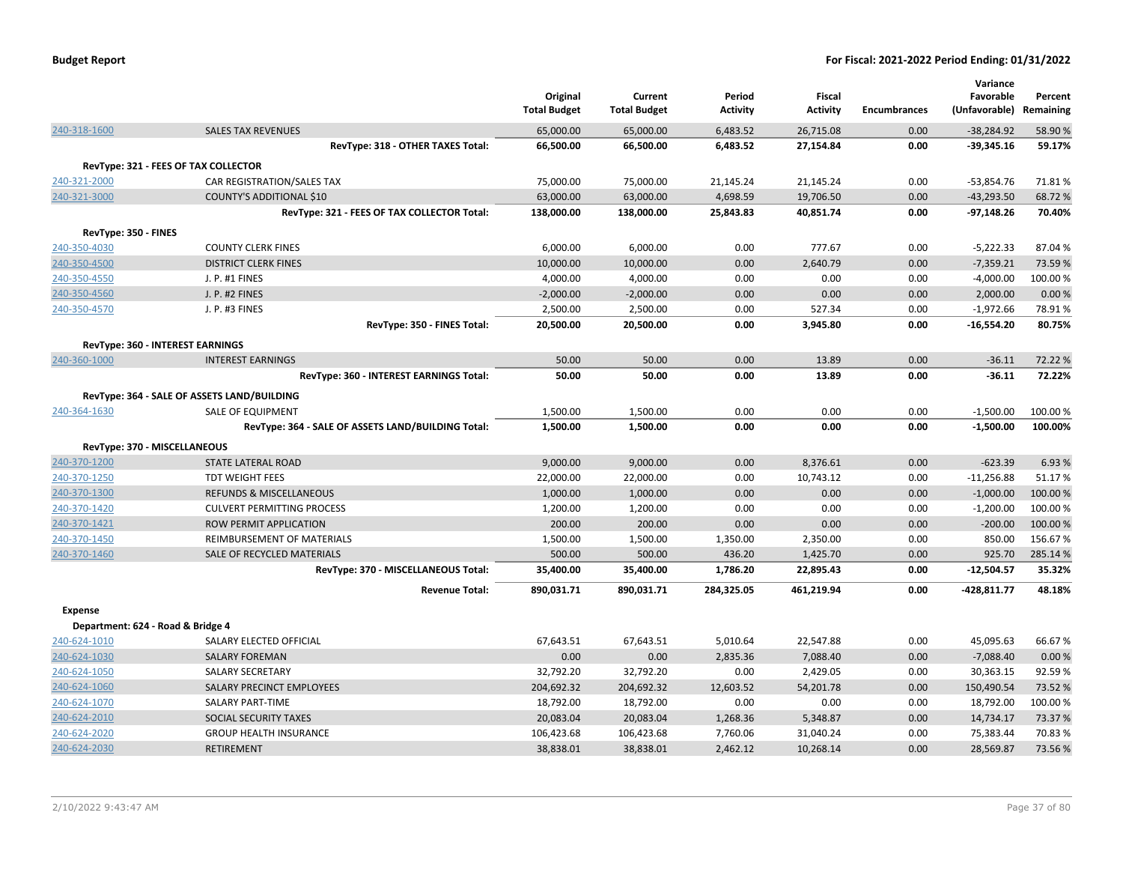| <b>Budget Report</b> |  |
|----------------------|--|
|----------------------|--|

|                      |                                                    | Original            | Current             | Period          | <b>Fiscal</b>   |                     | Variance<br>Favorable | Percent   |
|----------------------|----------------------------------------------------|---------------------|---------------------|-----------------|-----------------|---------------------|-----------------------|-----------|
|                      |                                                    | <b>Total Budget</b> | <b>Total Budget</b> | <b>Activity</b> | <b>Activity</b> | <b>Encumbrances</b> | (Unfavorable)         | Remaining |
| 240-318-1600         | <b>SALES TAX REVENUES</b>                          | 65,000.00           | 65,000.00           | 6,483.52        | 26,715.08       | 0.00                | $-38,284.92$          | 58.90%    |
|                      | RevType: 318 - OTHER TAXES Total:                  | 66,500.00           | 66,500.00           | 6,483.52        | 27,154.84       | 0.00                | $-39,345.16$          | 59.17%    |
|                      | RevType: 321 - FEES OF TAX COLLECTOR               |                     |                     |                 |                 |                     |                       |           |
| 240-321-2000         | CAR REGISTRATION/SALES TAX                         | 75,000.00           | 75,000.00           | 21,145.24       | 21,145.24       | 0.00                | $-53,854.76$          | 71.81%    |
| 240-321-3000         | COUNTY'S ADDITIONAL \$10                           | 63,000.00           | 63,000.00           | 4,698.59        | 19,706.50       | 0.00                | $-43,293.50$          | 68.72%    |
|                      | RevType: 321 - FEES OF TAX COLLECTOR Total:        | 138,000.00          | 138,000.00          | 25,843.83       | 40,851.74       | 0.00                | $-97,148.26$          | 70.40%    |
| RevType: 350 - FINES |                                                    |                     |                     |                 |                 |                     |                       |           |
| 240-350-4030         | <b>COUNTY CLERK FINES</b>                          | 6,000.00            | 6,000.00            | 0.00            | 777.67          | 0.00                | $-5,222.33$           | 87.04%    |
| 240-350-4500         | <b>DISTRICT CLERK FINES</b>                        | 10,000.00           | 10,000.00           | 0.00            | 2,640.79        | 0.00                | $-7,359.21$           | 73.59%    |
| 240-350-4550         | J. P. #1 FINES                                     | 4,000.00            | 4,000.00            | 0.00            | 0.00            | 0.00                | $-4,000.00$           | 100.00%   |
| 240-350-4560         | J. P. #2 FINES                                     | $-2,000.00$         | $-2,000.00$         | 0.00            | 0.00            | 0.00                | 2,000.00              | 0.00%     |
| 240-350-4570         | J. P. #3 FINES                                     | 2,500.00            | 2,500.00            | 0.00            | 527.34          | 0.00                | $-1,972.66$           | 78.91%    |
|                      | RevType: 350 - FINES Total:                        | 20,500.00           | 20,500.00           | 0.00            | 3,945.80        | 0.00                | $-16,554.20$          | 80.75%    |
|                      | RevType: 360 - INTEREST EARNINGS                   |                     |                     |                 |                 |                     |                       |           |
| 240-360-1000         | <b>INTEREST EARNINGS</b>                           | 50.00               | 50.00               | 0.00            | 13.89           | 0.00                | $-36.11$              | 72.22 %   |
|                      | RevType: 360 - INTEREST EARNINGS Total:            | 50.00               | 50.00               | 0.00            | 13.89           | 0.00                | $-36.11$              | 72.22%    |
|                      |                                                    |                     |                     |                 |                 |                     |                       |           |
|                      | RevType: 364 - SALE OF ASSETS LAND/BUILDING        |                     |                     |                 |                 |                     |                       |           |
| 240-364-1630         | SALE OF EQUIPMENT                                  | 1,500.00            | 1,500.00            | 0.00            | 0.00            | 0.00                | $-1,500.00$           | 100.00%   |
|                      | RevType: 364 - SALE OF ASSETS LAND/BUILDING Total: | 1,500.00            | 1,500.00            | 0.00            | 0.00            | 0.00                | $-1,500.00$           | 100.00%   |
|                      | RevType: 370 - MISCELLANEOUS                       |                     |                     |                 |                 |                     |                       |           |
| 240-370-1200         | <b>STATE LATERAL ROAD</b>                          | 9,000.00            | 9,000.00            | 0.00            | 8,376.61        | 0.00                | $-623.39$             | 6.93%     |
| 240-370-1250         | <b>TDT WEIGHT FEES</b>                             | 22,000.00           | 22,000.00           | 0.00            | 10,743.12       | 0.00                | $-11,256.88$          | 51.17%    |
| 240-370-1300         | <b>REFUNDS &amp; MISCELLANEOUS</b>                 | 1,000.00            | 1,000.00            | 0.00            | 0.00            | 0.00                | $-1,000.00$           | 100.00 %  |
| 240-370-1420         | <b>CULVERT PERMITTING PROCESS</b>                  | 1,200.00            | 1,200.00            | 0.00            | 0.00            | 0.00                | $-1,200.00$           | 100.00%   |
| 240-370-1421         | ROW PERMIT APPLICATION                             | 200.00              | 200.00              | 0.00            | 0.00            | 0.00                | $-200.00$             | 100.00 %  |
| 240-370-1450         | REIMBURSEMENT OF MATERIALS                         | 1,500.00            | 1,500.00            | 1,350.00        | 2,350.00        | 0.00                | 850.00                | 156.67%   |
| 240-370-1460         | SALE OF RECYCLED MATERIALS                         | 500.00              | 500.00              | 436.20          | 1,425.70        | 0.00                | 925.70                | 285.14%   |
|                      | RevType: 370 - MISCELLANEOUS Total:                | 35,400.00           | 35,400.00           | 1,786.20        | 22,895.43       | 0.00                | $-12,504.57$          | 35.32%    |
|                      | <b>Revenue Total:</b>                              | 890,031.71          | 890,031.71          | 284,325.05      | 461,219.94      | 0.00                | $-428,811.77$         | 48.18%    |
| <b>Expense</b>       |                                                    |                     |                     |                 |                 |                     |                       |           |
|                      | Department: 624 - Road & Bridge 4                  |                     |                     |                 |                 |                     |                       |           |
| 240-624-1010         | SALARY ELECTED OFFICIAL                            | 67,643.51           | 67,643.51           | 5,010.64        | 22,547.88       | 0.00                | 45,095.63             | 66.67%    |
| 240-624-1030         | <b>SALARY FOREMAN</b>                              | 0.00                | 0.00                | 2,835.36        | 7,088.40        | 0.00                | $-7,088.40$           | 0.00%     |
| 240-624-1050         | <b>SALARY SECRETARY</b>                            | 32,792.20           | 32,792.20           | 0.00            | 2,429.05        | 0.00                | 30,363.15             | 92.59%    |
| 240-624-1060         | SALARY PRECINCT EMPLOYEES                          | 204,692.32          | 204,692.32          | 12,603.52       | 54,201.78       | 0.00                | 150,490.54            | 73.52 %   |
| 240-624-1070         | <b>SALARY PART-TIME</b>                            | 18,792.00           | 18,792.00           | 0.00            | 0.00            | 0.00                | 18,792.00             | 100.00%   |
| 240-624-2010         | SOCIAL SECURITY TAXES                              | 20,083.04           | 20,083.04           | 1,268.36        | 5,348.87        | 0.00                | 14,734.17             | 73.37%    |
| 240-624-2020         | <b>GROUP HEALTH INSURANCE</b>                      | 106,423.68          | 106,423.68          | 7,760.06        | 31,040.24       | 0.00                | 75,383.44             | 70.83%    |
| 240-624-2030         | <b>RETIREMENT</b>                                  | 38,838.01           | 38,838.01           | 2,462.12        | 10,268.14       | 0.00                | 28,569.87             | 73.56%    |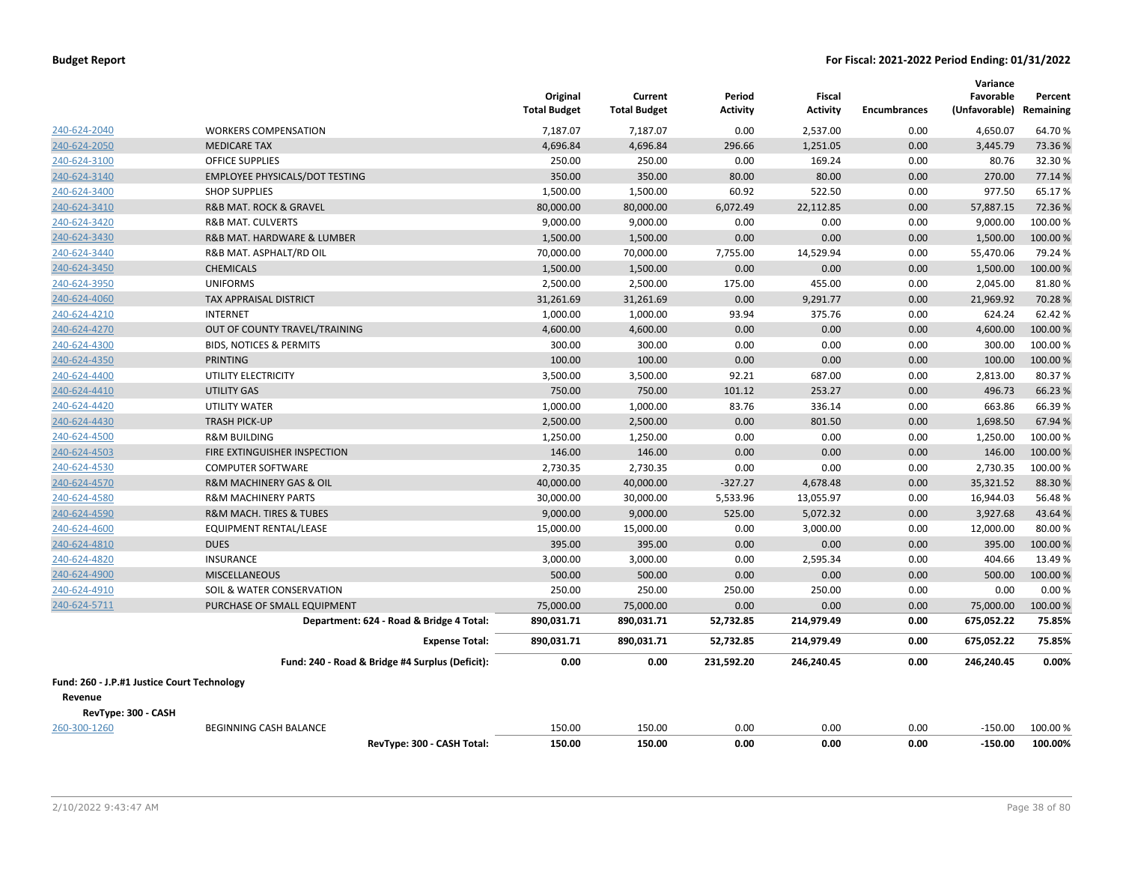|                                             |                                                 | Original<br><b>Total Budget</b> | Current<br><b>Total Budget</b> | Period<br><b>Activity</b> | <b>Fiscal</b><br><b>Activity</b> | <b>Encumbrances</b> | Variance<br>Favorable<br>(Unfavorable) | Percent<br>Remaining |
|---------------------------------------------|-------------------------------------------------|---------------------------------|--------------------------------|---------------------------|----------------------------------|---------------------|----------------------------------------|----------------------|
| 240-624-2040                                | <b>WORKERS COMPENSATION</b>                     | 7,187.07                        | 7,187.07                       | 0.00                      | 2,537.00                         | 0.00                | 4,650.07                               | 64.70%               |
| 240-624-2050                                | <b>MEDICARE TAX</b>                             | 4,696.84                        | 4,696.84                       | 296.66                    | 1,251.05                         | 0.00                | 3,445.79                               | 73.36 %              |
| 240-624-3100                                | <b>OFFICE SUPPLIES</b>                          | 250.00                          | 250.00                         | 0.00                      | 169.24                           | 0.00                | 80.76                                  | 32.30%               |
| 240-624-3140                                | <b>EMPLOYEE PHYSICALS/DOT TESTING</b>           | 350.00                          | 350.00                         | 80.00                     | 80.00                            | 0.00                | 270.00                                 | 77.14 %              |
| 240-624-3400                                | <b>SHOP SUPPLIES</b>                            | 1,500.00                        | 1,500.00                       | 60.92                     | 522.50                           | 0.00                | 977.50                                 | 65.17%               |
| 240-624-3410                                | R&B MAT. ROCK & GRAVEL                          | 80,000.00                       | 80,000.00                      | 6,072.49                  | 22,112.85                        | 0.00                | 57,887.15                              | 72.36%               |
| 240-624-3420                                | <b>R&amp;B MAT. CULVERTS</b>                    | 9,000.00                        | 9,000.00                       | 0.00                      | 0.00                             | 0.00                | 9,000.00                               | 100.00%              |
| 240-624-3430                                | R&B MAT. HARDWARE & LUMBER                      | 1,500.00                        | 1,500.00                       | 0.00                      | 0.00                             | 0.00                | 1,500.00                               | 100.00%              |
| 240-624-3440                                | R&B MAT. ASPHALT/RD OIL                         | 70,000.00                       | 70,000.00                      | 7,755.00                  | 14,529.94                        | 0.00                | 55,470.06                              | 79.24 %              |
| 240-624-3450                                | <b>CHEMICALS</b>                                | 1,500.00                        | 1,500.00                       | 0.00                      | 0.00                             | 0.00                | 1,500.00                               | 100.00 %             |
| 240-624-3950                                | <b>UNIFORMS</b>                                 | 2,500.00                        | 2,500.00                       | 175.00                    | 455.00                           | 0.00                | 2,045.00                               | 81.80%               |
| 240-624-4060                                | <b>TAX APPRAISAL DISTRICT</b>                   | 31,261.69                       | 31,261.69                      | 0.00                      | 9,291.77                         | 0.00                | 21,969.92                              | 70.28%               |
| 240-624-4210                                | <b>INTERNET</b>                                 | 1,000.00                        | 1,000.00                       | 93.94                     | 375.76                           | 0.00                | 624.24                                 | 62.42%               |
| 240-624-4270                                | OUT OF COUNTY TRAVEL/TRAINING                   | 4,600.00                        | 4,600.00                       | 0.00                      | 0.00                             | 0.00                | 4,600.00                               | 100.00%              |
| 240-624-4300                                | <b>BIDS, NOTICES &amp; PERMITS</b>              | 300.00                          | 300.00                         | 0.00                      | 0.00                             | 0.00                | 300.00                                 | 100.00 %             |
| 240-624-4350                                | <b>PRINTING</b>                                 | 100.00                          | 100.00                         | 0.00                      | 0.00                             | 0.00                | 100.00                                 | 100.00%              |
| 240-624-4400                                | UTILITY ELECTRICITY                             | 3,500.00                        | 3,500.00                       | 92.21                     | 687.00                           | 0.00                | 2,813.00                               | 80.37%               |
| 240-624-4410                                | <b>UTILITY GAS</b>                              | 750.00                          | 750.00                         | 101.12                    | 253.27                           | 0.00                | 496.73                                 | 66.23 %              |
| 240-624-4420                                | <b>UTILITY WATER</b>                            | 1,000.00                        | 1,000.00                       | 83.76                     | 336.14                           | 0.00                | 663.86                                 | 66.39 %              |
| 240-624-4430                                | <b>TRASH PICK-UP</b>                            | 2,500.00                        | 2,500.00                       | 0.00                      | 801.50                           | 0.00                | 1,698.50                               | 67.94 %              |
| 240-624-4500                                | <b>R&amp;M BUILDING</b>                         | 1,250.00                        | 1,250.00                       | 0.00                      | 0.00                             | 0.00                | 1,250.00                               | 100.00%              |
| 240-624-4503                                | FIRE EXTINGUISHER INSPECTION                    | 146.00                          | 146.00                         | 0.00                      | 0.00                             | 0.00                | 146.00                                 | 100.00%              |
| 240-624-4530                                | <b>COMPUTER SOFTWARE</b>                        | 2,730.35                        | 2,730.35                       | 0.00                      | 0.00                             | 0.00                | 2,730.35                               | 100.00%              |
| 240-624-4570                                | R&M MACHINERY GAS & OIL                         | 40,000.00                       | 40,000.00                      | $-327.27$                 | 4,678.48                         | 0.00                | 35,321.52                              | 88.30%               |
| 240-624-4580                                | <b>R&amp;M MACHINERY PARTS</b>                  | 30,000.00                       | 30,000.00                      | 5,533.96                  | 13,055.97                        | 0.00                | 16,944.03                              | 56.48%               |
| 240-624-4590                                | R&M MACH. TIRES & TUBES                         | 9,000.00                        | 9,000.00                       | 525.00                    | 5,072.32                         | 0.00                | 3,927.68                               | 43.64%               |
| 240-624-4600                                | EQUIPMENT RENTAL/LEASE                          | 15,000.00                       | 15,000.00                      | 0.00                      | 3,000.00                         | 0.00                | 12,000.00                              | 80.00%               |
| 240-624-4810                                | <b>DUES</b>                                     | 395.00                          | 395.00                         | 0.00                      | 0.00                             | 0.00                | 395.00                                 | 100.00%              |
| 240-624-4820                                | <b>INSURANCE</b>                                | 3,000.00                        | 3,000.00                       | 0.00                      | 2,595.34                         | 0.00                | 404.66                                 | 13.49 %              |
| 240-624-4900                                | <b>MISCELLANEOUS</b>                            | 500.00                          | 500.00                         | 0.00                      | 0.00                             | 0.00                | 500.00                                 | 100.00%              |
| 240-624-4910                                | SOIL & WATER CONSERVATION                       | 250.00                          | 250.00                         | 250.00                    | 250.00                           | 0.00                | 0.00                                   | 0.00%                |
| 240-624-5711                                | PURCHASE OF SMALL EQUIPMENT                     | 75,000.00                       | 75,000.00                      | 0.00                      | 0.00                             | 0.00                | 75,000.00                              | 100.00%              |
|                                             | Department: 624 - Road & Bridge 4 Total:        | 890,031.71                      | 890,031.71                     | 52,732.85                 | 214,979.49                       | 0.00                | 675,052.22                             | 75.85%               |
|                                             | <b>Expense Total:</b>                           | 890,031.71                      | 890,031.71                     | 52,732.85                 | 214,979.49                       | 0.00                | 675,052.22                             | 75.85%               |
|                                             | Fund: 240 - Road & Bridge #4 Surplus (Deficit): | 0.00                            | 0.00                           | 231,592.20                | 246,240.45                       | 0.00                | 246,240.45                             | 0.00%                |
| Fund: 260 - J.P.#1 Justice Court Technology |                                                 |                                 |                                |                           |                                  |                     |                                        |                      |
| Revenue                                     |                                                 |                                 |                                |                           |                                  |                     |                                        |                      |
| RevType: 300 - CASH                         |                                                 |                                 |                                |                           |                                  |                     |                                        |                      |
| 260-300-1260                                | <b>BEGINNING CASH BALANCE</b>                   | 150.00                          | 150.00                         | 0.00                      | 0.00                             | 0.00                | $-150.00$                              | 100.00 %             |
|                                             | RevType: 300 - CASH Total:                      | 150.00                          | 150.00                         | 0.00                      | 0.00                             | 0.00                | $-150.00$                              | 100.00%              |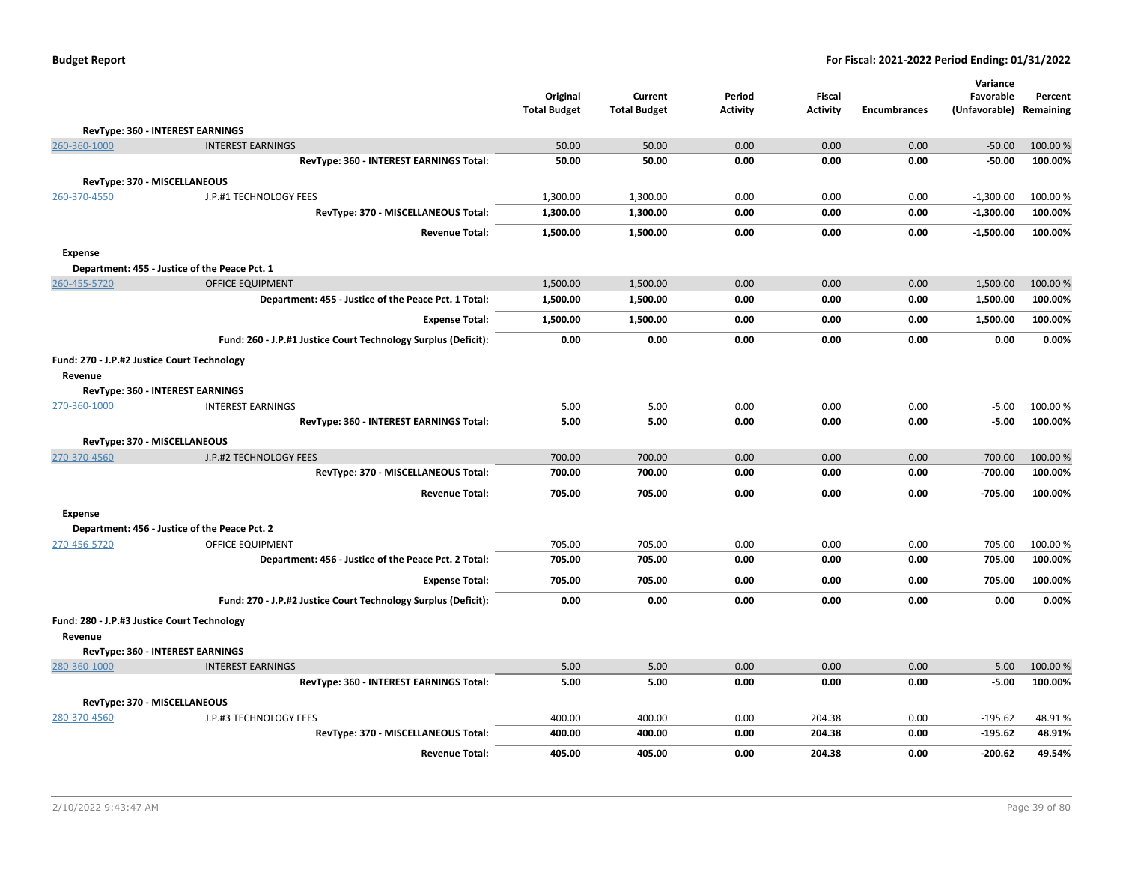|                |                                                                |                                 |                                |                           |                           |              | Variance                   |                      |
|----------------|----------------------------------------------------------------|---------------------------------|--------------------------------|---------------------------|---------------------------|--------------|----------------------------|----------------------|
|                |                                                                | Original<br><b>Total Budget</b> | Current<br><b>Total Budget</b> | Period<br><b>Activity</b> | Fiscal<br><b>Activity</b> | Encumbrances | Favorable<br>(Unfavorable) | Percent<br>Remaining |
|                |                                                                |                                 |                                |                           |                           |              |                            |                      |
|                | RevType: 360 - INTEREST EARNINGS                               |                                 |                                |                           |                           |              |                            |                      |
| 260-360-1000   | <b>INTEREST EARNINGS</b>                                       | 50.00                           | 50.00                          | 0.00                      | 0.00                      | 0.00         | $-50.00$                   | 100.00 %             |
|                | RevType: 360 - INTEREST EARNINGS Total:                        | 50.00                           | 50.00                          | 0.00                      | 0.00                      | 0.00         | $-50.00$                   | 100.00%              |
|                | RevType: 370 - MISCELLANEOUS                                   |                                 |                                |                           |                           |              |                            |                      |
| 260-370-4550   | J.P.#1 TECHNOLOGY FEES                                         | 1,300.00                        | 1,300.00                       | 0.00                      | 0.00                      | 0.00         | $-1,300.00$                | 100.00%              |
|                | RevType: 370 - MISCELLANEOUS Total:                            | 1,300.00                        | 1,300.00                       | 0.00                      | 0.00                      | 0.00         | $-1,300.00$                | 100.00%              |
|                | <b>Revenue Total:</b>                                          | 1,500.00                        | 1,500.00                       | 0.00                      | 0.00                      | 0.00         | $-1,500.00$                | 100.00%              |
| <b>Expense</b> |                                                                |                                 |                                |                           |                           |              |                            |                      |
|                | Department: 455 - Justice of the Peace Pct. 1                  |                                 |                                |                           |                           |              |                            |                      |
| 260-455-5720   | <b>OFFICE EQUIPMENT</b>                                        | 1,500.00                        | 1,500.00                       | 0.00                      | 0.00                      | 0.00         | 1,500.00                   | 100.00 %             |
|                | Department: 455 - Justice of the Peace Pct. 1 Total:           | 1,500.00                        | 1,500.00                       | 0.00                      | 0.00                      | 0.00         | 1,500.00                   | 100.00%              |
|                | <b>Expense Total:</b>                                          | 1,500.00                        | 1,500.00                       | 0.00                      | 0.00                      | 0.00         | 1,500.00                   | 100.00%              |
|                | Fund: 260 - J.P.#1 Justice Court Technology Surplus (Deficit): | 0.00                            | 0.00                           | 0.00                      | 0.00                      | 0.00         | 0.00                       | 0.00%                |
|                | Fund: 270 - J.P.#2 Justice Court Technology                    |                                 |                                |                           |                           |              |                            |                      |
| Revenue        |                                                                |                                 |                                |                           |                           |              |                            |                      |
|                | RevType: 360 - INTEREST EARNINGS                               |                                 |                                |                           |                           |              |                            |                      |
| 270-360-1000   | <b>INTEREST EARNINGS</b>                                       | 5.00                            | 5.00                           | 0.00                      | 0.00                      | 0.00         | $-5.00$                    | 100.00%              |
|                | RevType: 360 - INTEREST EARNINGS Total:                        | 5.00                            | 5.00                           | 0.00                      | 0.00                      | 0.00         | $-5.00$                    | 100.00%              |
|                | RevType: 370 - MISCELLANEOUS                                   |                                 |                                |                           |                           |              |                            |                      |
| 270-370-4560   | J.P.#2 TECHNOLOGY FEES                                         | 700.00                          | 700.00                         | 0.00                      | 0.00                      | 0.00         | $-700.00$                  | 100.00 %             |
|                | RevType: 370 - MISCELLANEOUS Total:                            | 700.00                          | 700.00                         | 0.00                      | 0.00                      | 0.00         | $-700.00$                  | 100.00%              |
|                | <b>Revenue Total:</b>                                          | 705.00                          | 705.00                         | 0.00                      | 0.00                      | 0.00         | $-705.00$                  | 100.00%              |
| <b>Expense</b> |                                                                |                                 |                                |                           |                           |              |                            |                      |
|                | Department: 456 - Justice of the Peace Pct. 2                  |                                 |                                |                           |                           |              |                            |                      |
| 270-456-5720   | OFFICE EQUIPMENT                                               | 705.00                          | 705.00                         | 0.00                      | 0.00                      | 0.00         | 705.00                     | 100.00%              |
|                | Department: 456 - Justice of the Peace Pct. 2 Total:           | 705.00                          | 705.00                         | 0.00                      | 0.00                      | 0.00         | 705.00                     | 100.00%              |
|                | <b>Expense Total:</b>                                          | 705.00                          | 705.00                         | 0.00                      | 0.00                      | 0.00         | 705.00                     | 100.00%              |
|                | Fund: 270 - J.P.#2 Justice Court Technology Surplus (Deficit): | 0.00                            | 0.00                           | 0.00                      | 0.00                      | 0.00         | 0.00                       | 0.00%                |
|                | Fund: 280 - J.P.#3 Justice Court Technology                    |                                 |                                |                           |                           |              |                            |                      |
| Revenue        |                                                                |                                 |                                |                           |                           |              |                            |                      |
|                | RevType: 360 - INTEREST EARNINGS                               |                                 |                                |                           |                           |              |                            |                      |
| 280-360-1000   | <b>INTEREST EARNINGS</b>                                       | 5.00                            | 5.00                           | 0.00                      | 0.00                      | 0.00         | $-5.00$                    | 100.00%              |
|                | RevType: 360 - INTEREST EARNINGS Total:                        | 5.00                            | 5.00                           | 0.00                      | 0.00                      | 0.00         | $-5.00$                    | 100.00%              |
|                | RevType: 370 - MISCELLANEOUS                                   |                                 |                                |                           |                           |              |                            |                      |
| 280-370-4560   | J.P.#3 TECHNOLOGY FEES                                         | 400.00                          | 400.00                         | 0.00                      | 204.38                    | 0.00         | $-195.62$                  | 48.91%               |
|                | RevType: 370 - MISCELLANEOUS Total:                            | 400.00                          | 400.00                         | 0.00                      | 204.38                    | 0.00         | $-195.62$                  | 48.91%               |
|                | <b>Revenue Total:</b>                                          | 405.00                          | 405.00                         | 0.00                      | 204.38                    | 0.00         | $-200.62$                  | 49.54%               |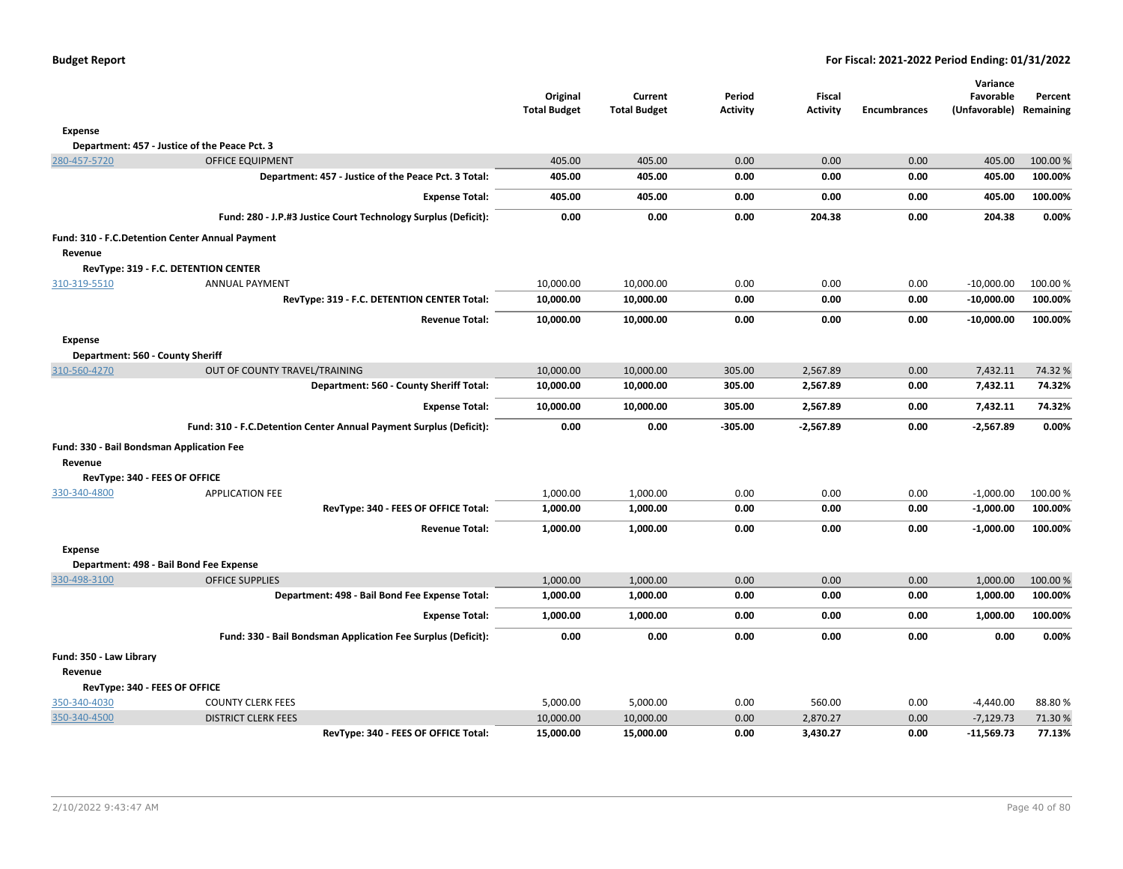|  |  |  | <b>Budget Report</b> |
|--|--|--|----------------------|
|--|--|--|----------------------|

|                                           |                                                                    |                                 |                                |                           |                           |                     | Variance                             |         |
|-------------------------------------------|--------------------------------------------------------------------|---------------------------------|--------------------------------|---------------------------|---------------------------|---------------------|--------------------------------------|---------|
|                                           |                                                                    | Original<br><b>Total Budget</b> | Current<br><b>Total Budget</b> | Period<br><b>Activity</b> | Fiscal<br><b>Activity</b> | <b>Encumbrances</b> | Favorable<br>(Unfavorable) Remaining | Percent |
| Expense                                   |                                                                    |                                 |                                |                           |                           |                     |                                      |         |
|                                           | Department: 457 - Justice of the Peace Pct. 3                      |                                 |                                |                           |                           |                     |                                      |         |
| 280-457-5720                              | <b>OFFICE EQUIPMENT</b>                                            | 405.00                          | 405.00                         | 0.00                      | 0.00                      | 0.00                | 405.00                               | 100.00% |
|                                           | Department: 457 - Justice of the Peace Pct. 3 Total:               | 405.00                          | 405.00                         | 0.00                      | 0.00                      | 0.00                | 405.00                               | 100.00% |
|                                           | <b>Expense Total:</b>                                              | 405.00                          | 405.00                         | 0.00                      | 0.00                      | 0.00                | 405.00                               | 100.00% |
|                                           | Fund: 280 - J.P.#3 Justice Court Technology Surplus (Deficit):     | 0.00                            | 0.00                           | 0.00                      | 204.38                    | 0.00                | 204.38                               | 0.00%   |
|                                           | Fund: 310 - F.C.Detention Center Annual Payment                    |                                 |                                |                           |                           |                     |                                      |         |
| Revenue                                   |                                                                    |                                 |                                |                           |                           |                     |                                      |         |
|                                           | RevType: 319 - F.C. DETENTION CENTER                               |                                 |                                |                           |                           |                     |                                      |         |
| 310-319-5510                              | <b>ANNUAL PAYMENT</b>                                              | 10,000.00                       | 10,000.00                      | 0.00                      | 0.00                      | 0.00                | $-10,000.00$                         | 100.00% |
|                                           | RevType: 319 - F.C. DETENTION CENTER Total:                        | 10,000.00                       | 10,000.00                      | 0.00                      | 0.00                      | 0.00                | $-10,000.00$                         | 100.00% |
|                                           | <b>Revenue Total:</b>                                              | 10,000.00                       | 10,000.00                      | 0.00                      | 0.00                      | 0.00                | $-10,000.00$                         | 100.00% |
| <b>Expense</b>                            |                                                                    |                                 |                                |                           |                           |                     |                                      |         |
| Department: 560 - County Sheriff          |                                                                    |                                 |                                |                           |                           |                     |                                      |         |
| 310-560-4270                              | OUT OF COUNTY TRAVEL/TRAINING                                      | 10,000.00                       | 10,000.00                      | 305.00                    | 2,567.89                  | 0.00                | 7,432.11                             | 74.32 % |
|                                           | Department: 560 - County Sheriff Total:                            | 10,000.00                       | 10,000.00                      | 305.00                    | 2,567.89                  | 0.00                | 7,432.11                             | 74.32%  |
|                                           | <b>Expense Total:</b>                                              | 10,000.00                       | 10,000.00                      | 305.00                    | 2,567.89                  | 0.00                | 7,432.11                             | 74.32%  |
|                                           | Fund: 310 - F.C.Detention Center Annual Payment Surplus (Deficit): | 0.00                            | 0.00                           | $-305.00$                 | $-2,567.89$               | 0.00                | $-2,567.89$                          | 0.00%   |
| Fund: 330 - Bail Bondsman Application Fee |                                                                    |                                 |                                |                           |                           |                     |                                      |         |
| Revenue                                   |                                                                    |                                 |                                |                           |                           |                     |                                      |         |
| RevType: 340 - FEES OF OFFICE             |                                                                    |                                 |                                |                           |                           |                     |                                      |         |
| 330-340-4800                              | <b>APPLICATION FEE</b>                                             | 1,000.00                        | 1,000.00                       | 0.00                      | 0.00                      | 0.00                | $-1,000.00$                          | 100.00% |
|                                           | RevType: 340 - FEES OF OFFICE Total:                               | 1,000.00                        | 1,000.00                       | 0.00                      | 0.00                      | 0.00                | $-1,000.00$                          | 100.00% |
|                                           | <b>Revenue Total:</b>                                              | 1,000.00                        | 1,000.00                       | 0.00                      | 0.00                      | 0.00                | $-1,000.00$                          | 100.00% |
| Expense                                   |                                                                    |                                 |                                |                           |                           |                     |                                      |         |
|                                           | Department: 498 - Bail Bond Fee Expense                            |                                 |                                |                           |                           |                     |                                      |         |
| 330-498-3100                              | <b>OFFICE SUPPLIES</b>                                             | 1,000.00                        | 1,000.00                       | 0.00                      | 0.00                      | 0.00                | 1,000.00                             | 100.00% |
|                                           | Department: 498 - Bail Bond Fee Expense Total:                     | 1,000.00                        | 1,000.00                       | 0.00                      | 0.00                      | 0.00                | 1,000.00                             | 100.00% |
|                                           | <b>Expense Total:</b>                                              | 1,000.00                        | 1,000.00                       | 0.00                      | 0.00                      | 0.00                | 1,000.00                             | 100.00% |
|                                           | Fund: 330 - Bail Bondsman Application Fee Surplus (Deficit):       | 0.00                            | 0.00                           | 0.00                      | 0.00                      | 0.00                | 0.00                                 | 0.00%   |
| Fund: 350 - Law Library                   |                                                                    |                                 |                                |                           |                           |                     |                                      |         |
| Revenue                                   |                                                                    |                                 |                                |                           |                           |                     |                                      |         |
| RevType: 340 - FEES OF OFFICE             |                                                                    |                                 |                                |                           |                           |                     |                                      |         |
| 350-340-4030                              | <b>COUNTY CLERK FEES</b>                                           | 5,000.00                        | 5,000.00                       | 0.00                      | 560.00                    | 0.00                | $-4,440.00$                          | 88.80%  |
| 350-340-4500                              | <b>DISTRICT CLERK FEES</b>                                         | 10,000.00                       | 10,000.00                      | 0.00                      | 2,870.27                  | 0.00                | $-7,129.73$                          | 71.30%  |
|                                           | RevType: 340 - FEES OF OFFICE Total:                               | 15,000.00                       | 15,000.00                      | 0.00                      | 3,430.27                  | 0.00                | $-11,569.73$                         | 77.13%  |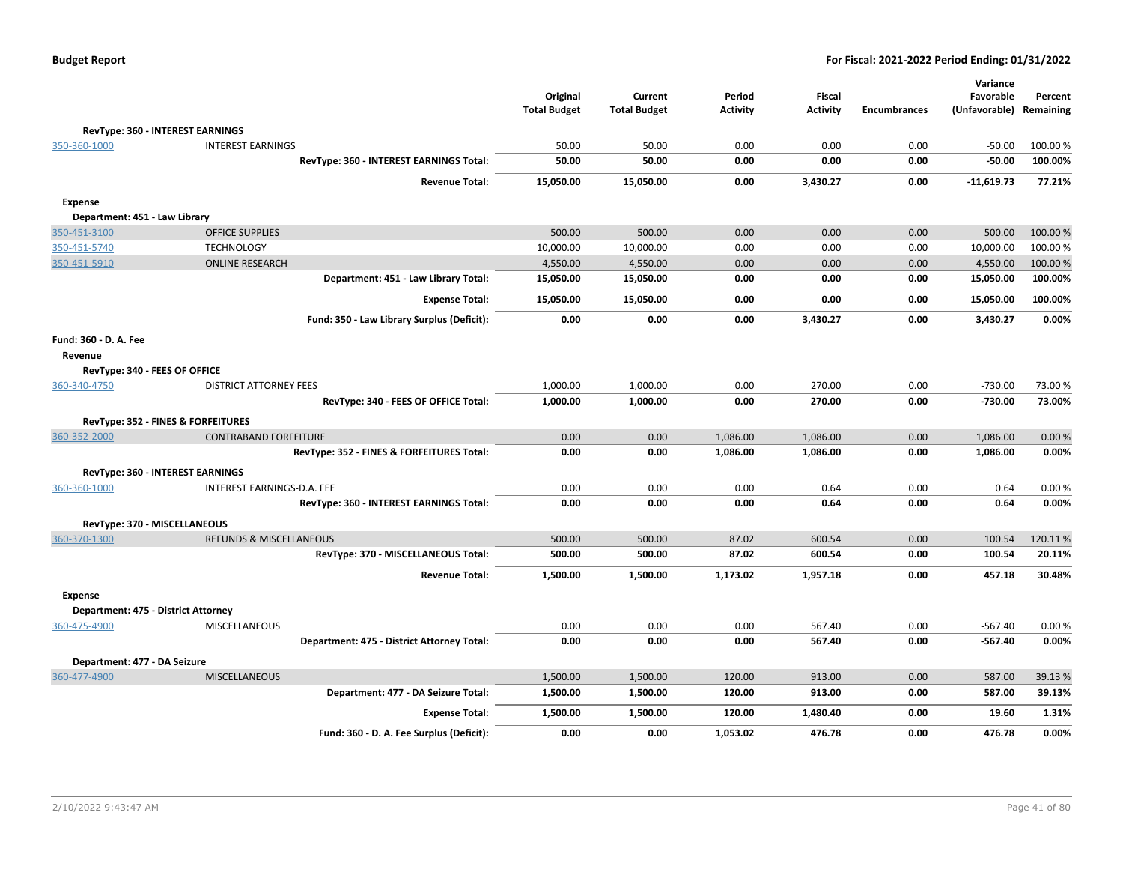|                       |                                            | Original            | Current             | Period          | Fiscal          |                     | Variance<br>Favorable | Percent   |
|-----------------------|--------------------------------------------|---------------------|---------------------|-----------------|-----------------|---------------------|-----------------------|-----------|
|                       |                                            | <b>Total Budget</b> | <b>Total Budget</b> | <b>Activity</b> | <b>Activity</b> | <b>Encumbrances</b> | (Unfavorable)         | Remaining |
|                       | RevType: 360 - INTEREST EARNINGS           |                     |                     |                 |                 |                     |                       |           |
| 350-360-1000          | <b>INTEREST EARNINGS</b>                   | 50.00               | 50.00               | 0.00            | 0.00            | 0.00                | $-50.00$              | 100.00%   |
|                       | RevType: 360 - INTEREST EARNINGS Total:    | 50.00               | 50.00               | 0.00            | 0.00            | 0.00                | $-50.00$              | 100.00%   |
|                       | <b>Revenue Total:</b>                      | 15,050.00           | 15,050.00           | 0.00            | 3,430.27        | 0.00                | $-11,619.73$          | 77.21%    |
| <b>Expense</b>        |                                            |                     |                     |                 |                 |                     |                       |           |
|                       | Department: 451 - Law Library              |                     |                     |                 |                 |                     |                       |           |
| 350-451-3100          | <b>OFFICE SUPPLIES</b>                     | 500.00              | 500.00              | 0.00            | 0.00            | 0.00                | 500.00                | 100.00%   |
| 350-451-5740          | <b>TECHNOLOGY</b>                          | 10,000.00           | 10,000.00           | 0.00            | 0.00            | 0.00                | 10,000.00             | 100.00%   |
| 350-451-5910          | <b>ONLINE RESEARCH</b>                     | 4,550.00            | 4,550.00            | 0.00            | 0.00            | 0.00                | 4,550.00              | 100.00%   |
|                       | Department: 451 - Law Library Total:       | 15,050.00           | 15,050.00           | 0.00            | 0.00            | 0.00                | 15,050.00             | 100.00%   |
|                       | <b>Expense Total:</b>                      | 15,050.00           | 15,050.00           | 0.00            | 0.00            | 0.00                | 15,050.00             | 100.00%   |
|                       | Fund: 350 - Law Library Surplus (Deficit): | 0.00                | 0.00                | 0.00            | 3,430.27        | 0.00                | 3,430.27              | 0.00%     |
| Fund: 360 - D. A. Fee |                                            |                     |                     |                 |                 |                     |                       |           |
| Revenue               |                                            |                     |                     |                 |                 |                     |                       |           |
|                       | RevType: 340 - FEES OF OFFICE              |                     |                     |                 |                 |                     |                       |           |
| 360-340-4750          | <b>DISTRICT ATTORNEY FEES</b>              | 1,000.00            | 1,000.00            | 0.00            | 270.00          | 0.00                | $-730.00$             | 73.00 %   |
|                       | RevType: 340 - FEES OF OFFICE Total:       | 1,000.00            | 1,000.00            | 0.00            | 270.00          | 0.00                | $-730.00$             | 73.00%    |
|                       | RevType: 352 - FINES & FORFEITURES         |                     |                     |                 |                 |                     |                       |           |
| 360-352-2000          | <b>CONTRABAND FORFEITURE</b>               | 0.00                | 0.00                | 1,086.00        | 1,086.00        | 0.00                | 1,086.00              | 0.00%     |
|                       | RevType: 352 - FINES & FORFEITURES Total:  | 0.00                | 0.00                | 1,086.00        | 1,086.00        | 0.00                | 1,086.00              | 0.00%     |
|                       | <b>RevType: 360 - INTEREST EARNINGS</b>    |                     |                     |                 |                 |                     |                       |           |
| 360-360-1000          | INTEREST EARNINGS-D.A. FEE                 | 0.00                | 0.00                | 0.00            | 0.64            | 0.00                | 0.64                  | 0.00%     |
|                       | RevType: 360 - INTEREST EARNINGS Total:    | 0.00                | 0.00                | 0.00            | 0.64            | 0.00                | 0.64                  | 0.00%     |
|                       | RevType: 370 - MISCELLANEOUS               |                     |                     |                 |                 |                     |                       |           |
| 360-370-1300          | <b>REFUNDS &amp; MISCELLANEOUS</b>         | 500.00              | 500.00              | 87.02           | 600.54          | 0.00                | 100.54                | 120.11%   |
|                       | RevType: 370 - MISCELLANEOUS Total:        | 500.00              | 500.00              | 87.02           | 600.54          | 0.00                | 100.54                | 20.11%    |
|                       | <b>Revenue Total:</b>                      | 1,500.00            | 1,500.00            | 1,173.02        | 1,957.18        | 0.00                | 457.18                | 30.48%    |
| <b>Expense</b>        |                                            |                     |                     |                 |                 |                     |                       |           |
|                       | Department: 475 - District Attorney        |                     |                     |                 |                 |                     |                       |           |
| 360-475-4900          | <b>MISCELLANEOUS</b>                       | 0.00                | 0.00                | 0.00            | 567.40          | 0.00                | $-567.40$             | 0.00%     |
|                       | Department: 475 - District Attorney Total: | 0.00                | 0.00                | 0.00            | 567.40          | 0.00                | $-567.40$             | 0.00%     |
|                       | Department: 477 - DA Seizure               |                     |                     |                 |                 |                     |                       |           |
| 360-477-4900          | <b>MISCELLANEOUS</b>                       | 1,500.00            | 1,500.00            | 120.00          | 913.00          | 0.00                | 587.00                | 39.13%    |
|                       | Department: 477 - DA Seizure Total:        | 1,500.00            | 1,500.00            | 120.00          | 913.00          | 0.00                | 587.00                | 39.13%    |
|                       | <b>Expense Total:</b>                      | 1,500.00            | 1,500.00            | 120.00          | 1,480.40        | 0.00                | 19.60                 | 1.31%     |
|                       | Fund: 360 - D. A. Fee Surplus (Deficit):   | 0.00                | 0.00                | 1,053.02        | 476.78          | 0.00                | 476.78                | 0.00%     |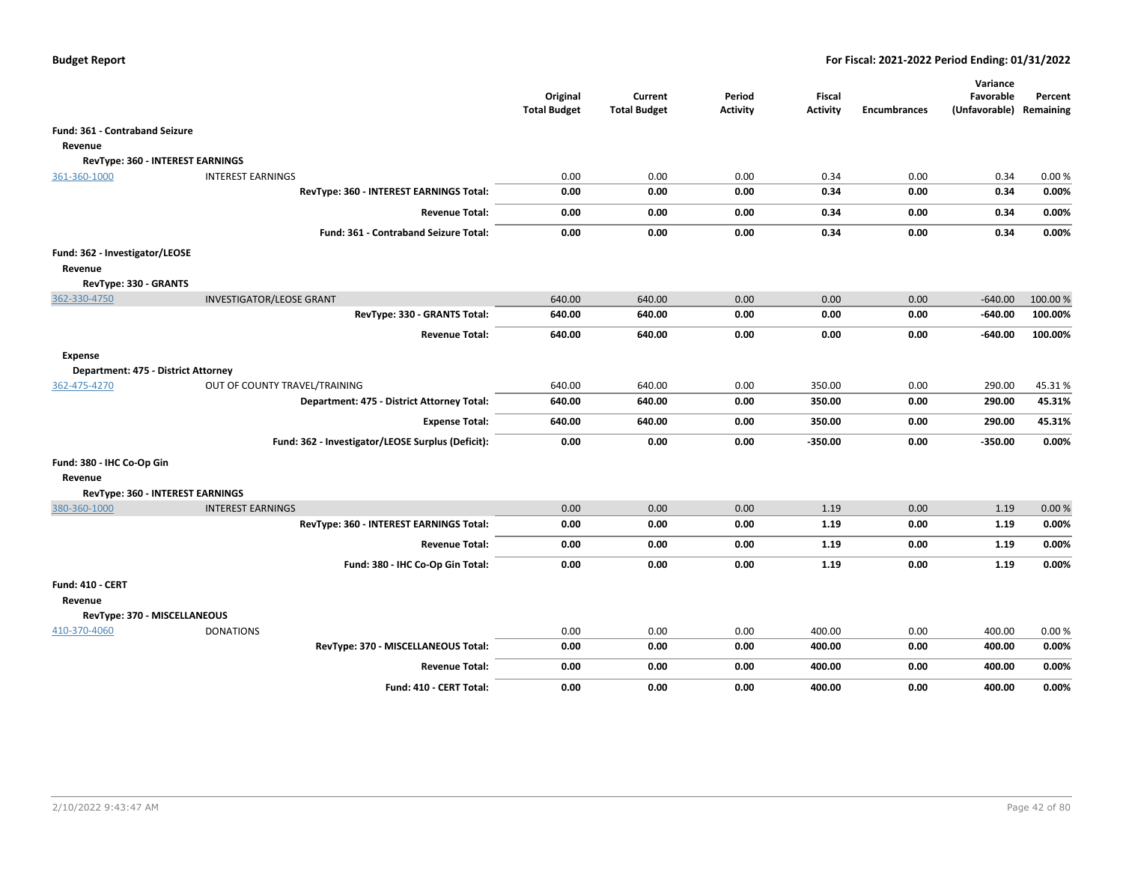|                                                       |                                                   | Original<br><b>Total Budget</b> | Current<br><b>Total Budget</b> | Period<br><b>Activity</b> | <b>Fiscal</b><br><b>Activity</b> | <b>Encumbrances</b> | Variance<br>Favorable<br>(Unfavorable) Remaining | Percent            |
|-------------------------------------------------------|---------------------------------------------------|---------------------------------|--------------------------------|---------------------------|----------------------------------|---------------------|--------------------------------------------------|--------------------|
| <b>Fund: 361 - Contraband Seizure</b>                 |                                                   |                                 |                                |                           |                                  |                     |                                                  |                    |
| Revenue                                               |                                                   |                                 |                                |                           |                                  |                     |                                                  |                    |
| RevType: 360 - INTEREST EARNINGS                      |                                                   |                                 |                                |                           |                                  |                     |                                                  |                    |
| 361-360-1000                                          | <b>INTEREST EARNINGS</b>                          | 0.00                            | 0.00                           | 0.00                      | 0.34                             | 0.00                | 0.34                                             | 0.00%              |
|                                                       | RevType: 360 - INTEREST EARNINGS Total:           | 0.00                            | 0.00                           | 0.00                      | 0.34                             | 0.00                | 0.34                                             | 0.00%              |
|                                                       | <b>Revenue Total:</b>                             | 0.00                            | 0.00                           | 0.00                      | 0.34                             | 0.00                | 0.34                                             | 0.00%              |
|                                                       | Fund: 361 - Contraband Seizure Total:             | 0.00                            | 0.00                           | 0.00                      | 0.34                             | 0.00                | 0.34                                             | 0.00%              |
| Fund: 362 - Investigator/LEOSE<br>Revenue             |                                                   |                                 |                                |                           |                                  |                     |                                                  |                    |
| RevType: 330 - GRANTS                                 | <b>INVESTIGATOR/LEOSE GRANT</b>                   | 640.00                          | 640.00                         | 0.00                      | 0.00                             | 0.00                |                                                  |                    |
| 362-330-4750                                          | RevType: 330 - GRANTS Total:                      | 640.00                          | 640.00                         | 0.00                      | 0.00                             | 0.00                | $-640.00$<br>-640.00                             | 100.00%<br>100.00% |
|                                                       | <b>Revenue Total:</b>                             | 640.00                          | 640.00                         | 0.00                      | 0.00                             | 0.00                | $-640.00$                                        | 100.00%            |
|                                                       |                                                   |                                 |                                |                           |                                  |                     |                                                  |                    |
| <b>Expense</b><br>Department: 475 - District Attorney |                                                   |                                 |                                |                           |                                  |                     |                                                  |                    |
| 362-475-4270                                          | OUT OF COUNTY TRAVEL/TRAINING                     | 640.00                          | 640.00                         | 0.00                      | 350.00                           | 0.00                | 290.00                                           | 45.31%             |
|                                                       | Department: 475 - District Attorney Total:        | 640.00                          | 640.00                         | 0.00                      | 350.00                           | 0.00                | 290.00                                           | 45.31%             |
|                                                       | <b>Expense Total:</b>                             | 640.00                          | 640.00                         | 0.00                      | 350.00                           | 0.00                | 290.00                                           | 45.31%             |
|                                                       | Fund: 362 - Investigator/LEOSE Surplus (Deficit): | 0.00                            | 0.00                           | 0.00                      | $-350.00$                        | 0.00                | $-350.00$                                        | 0.00%              |
| Fund: 380 - IHC Co-Op Gin                             |                                                   |                                 |                                |                           |                                  |                     |                                                  |                    |
| Revenue                                               |                                                   |                                 |                                |                           |                                  |                     |                                                  |                    |
| RevType: 360 - INTEREST EARNINGS                      |                                                   |                                 |                                |                           |                                  |                     |                                                  |                    |
| 380-360-1000                                          | <b>INTEREST EARNINGS</b>                          | 0.00                            | 0.00                           | 0.00                      | 1.19                             | 0.00                | 1.19                                             | 0.00%              |
|                                                       | RevType: 360 - INTEREST EARNINGS Total:           | 0.00                            | 0.00                           | 0.00                      | 1.19                             | 0.00                | 1.19                                             | 0.00%              |
|                                                       | <b>Revenue Total:</b>                             | 0.00                            | 0.00                           | 0.00                      | 1.19                             | 0.00                | 1.19                                             | 0.00%              |
|                                                       | Fund: 380 - IHC Co-Op Gin Total:                  | 0.00                            | 0.00                           | 0.00                      | 1.19                             | 0.00                | 1.19                                             | 0.00%              |
| Fund: 410 - CERT                                      |                                                   |                                 |                                |                           |                                  |                     |                                                  |                    |
| Revenue                                               |                                                   |                                 |                                |                           |                                  |                     |                                                  |                    |
| RevType: 370 - MISCELLANEOUS                          |                                                   |                                 |                                |                           |                                  |                     |                                                  |                    |
| 410-370-4060                                          | <b>DONATIONS</b>                                  | 0.00                            | 0.00                           | 0.00                      | 400.00                           | 0.00                | 400.00                                           | 0.00%              |
|                                                       | RevType: 370 - MISCELLANEOUS Total:               | 0.00                            | 0.00                           | 0.00                      | 400.00                           | 0.00                | 400.00                                           | 0.00%              |
|                                                       | <b>Revenue Total:</b>                             | 0.00                            | 0.00                           | 0.00                      | 400.00                           | 0.00                | 400.00                                           | 0.00%              |
|                                                       | Fund: 410 - CERT Total:                           | 0.00                            | 0.00                           | 0.00                      | 400.00                           | 0.00                | 400.00                                           | 0.00%              |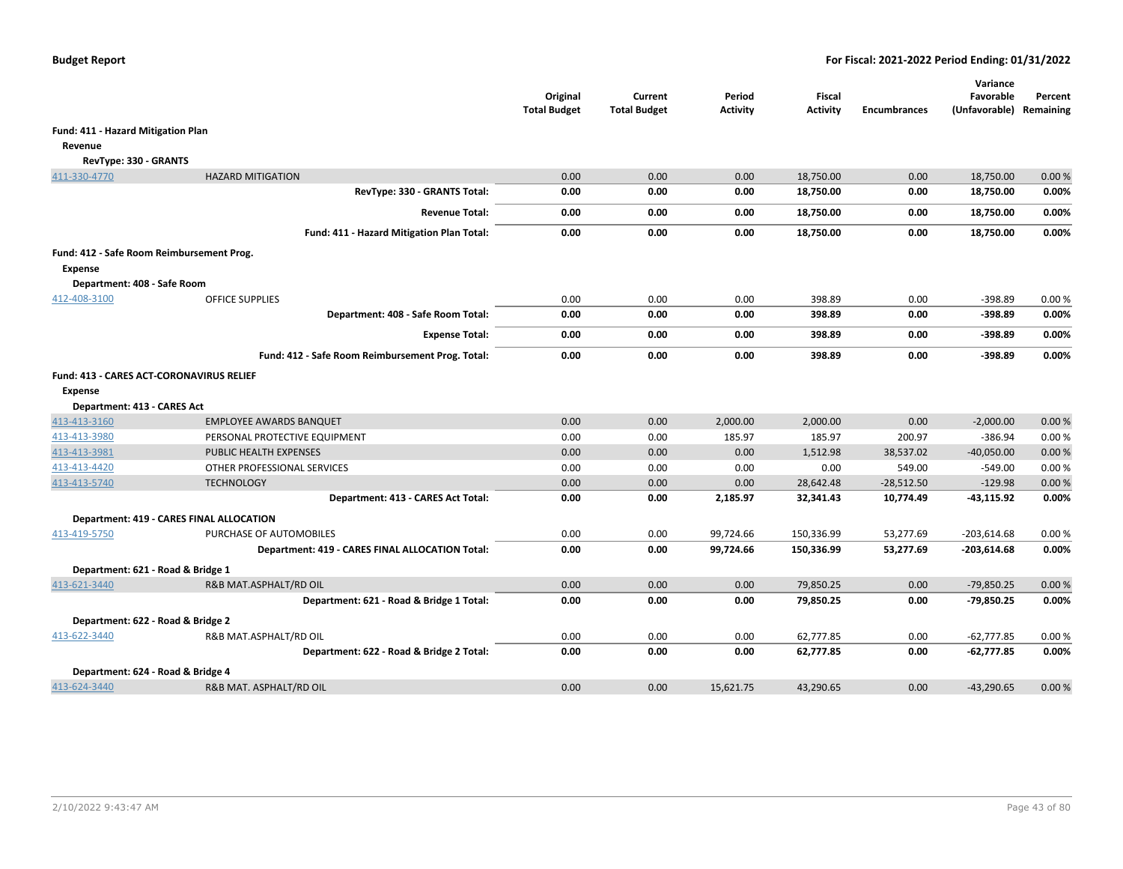|                                                             |                                                  | Original<br><b>Total Budget</b> | Current<br><b>Total Budget</b> | Period<br><b>Activity</b> | <b>Fiscal</b><br><b>Activity</b> | <b>Encumbrances</b> | Variance<br>Favorable<br>(Unfavorable) | Percent<br>Remaining |
|-------------------------------------------------------------|--------------------------------------------------|---------------------------------|--------------------------------|---------------------------|----------------------------------|---------------------|----------------------------------------|----------------------|
| Fund: 411 - Hazard Mitigation Plan                          |                                                  |                                 |                                |                           |                                  |                     |                                        |                      |
| Revenue                                                     |                                                  |                                 |                                |                           |                                  |                     |                                        |                      |
| RevType: 330 - GRANTS                                       |                                                  |                                 |                                |                           |                                  |                     |                                        |                      |
| 411-330-4770                                                | <b>HAZARD MITIGATION</b>                         | 0.00                            | 0.00                           | 0.00                      | 18,750.00                        | 0.00                | 18,750.00                              | 0.00%                |
|                                                             | RevType: 330 - GRANTS Total:                     | 0.00                            | 0.00                           | 0.00                      | 18,750.00                        | 0.00                | 18,750.00                              | 0.00%                |
|                                                             | <b>Revenue Total:</b>                            | 0.00                            | 0.00                           | 0.00                      | 18,750.00                        | 0.00                | 18,750.00                              | 0.00%                |
|                                                             | Fund: 411 - Hazard Mitigation Plan Total:        | 0.00                            | 0.00                           | 0.00                      | 18,750.00                        | 0.00                | 18,750.00                              | 0.00%                |
| Fund: 412 - Safe Room Reimbursement Prog.<br><b>Expense</b> |                                                  |                                 |                                |                           |                                  |                     |                                        |                      |
| Department: 408 - Safe Room<br>412-408-3100                 | <b>OFFICE SUPPLIES</b>                           | 0.00                            | 0.00                           | 0.00                      | 398.89                           | 0.00                | $-398.89$                              | 0.00%                |
|                                                             | Department: 408 - Safe Room Total:               | 0.00                            | 0.00                           | 0.00                      | 398.89                           | 0.00                | -398.89                                | 0.00%                |
|                                                             | <b>Expense Total:</b>                            | 0.00                            | 0.00                           | 0.00                      | 398.89                           | 0.00                | $-398.89$                              | 0.00%                |
|                                                             | Fund: 412 - Safe Room Reimbursement Prog. Total: | 0.00                            | 0.00                           | 0.00                      | 398.89                           | 0.00                | $-398.89$                              | 0.00%                |
| Fund: 413 - CARES ACT-CORONAVIRUS RELIEF<br><b>Expense</b>  |                                                  |                                 |                                |                           |                                  |                     |                                        |                      |
| Department: 413 - CARES Act                                 |                                                  |                                 |                                |                           |                                  |                     |                                        |                      |
| 413-413-3160                                                | <b>EMPLOYEE AWARDS BANQUET</b>                   | 0.00                            | 0.00                           | 2,000.00                  | 2,000.00                         | 0.00                | $-2,000.00$                            | 0.00%                |
| 413-413-3980                                                | PERSONAL PROTECTIVE EQUIPMENT                    | 0.00                            | 0.00                           | 185.97                    | 185.97                           | 200.97              | $-386.94$                              | 0.00%                |
| 413-413-3981                                                | PUBLIC HEALTH EXPENSES                           | 0.00                            | 0.00                           | 0.00                      | 1,512.98                         | 38,537.02           | $-40,050.00$                           | 0.00%                |
| 413-413-4420                                                | OTHER PROFESSIONAL SERVICES                      | 0.00                            | 0.00                           | 0.00                      | 0.00                             | 549.00              | $-549.00$                              | 0.00%                |
| 413-413-5740                                                | <b>TECHNOLOGY</b>                                | 0.00                            | 0.00                           | 0.00                      | 28,642.48                        | $-28,512.50$        | $-129.98$                              | 0.00%                |
|                                                             | Department: 413 - CARES Act Total:               | 0.00                            | 0.00                           | 2,185.97                  | 32,341.43                        | 10,774.49           | $-43,115.92$                           | 0.00%                |
|                                                             | <b>Department: 419 - CARES FINAL ALLOCATION</b>  |                                 |                                |                           |                                  |                     |                                        |                      |
| 413-419-5750                                                | PURCHASE OF AUTOMOBILES                          | 0.00                            | 0.00                           | 99,724.66                 | 150,336.99                       | 53,277.69           | $-203,614.68$                          | 0.00%                |
|                                                             | Department: 419 - CARES FINAL ALLOCATION Total:  | 0.00                            | 0.00                           | 99,724.66                 | 150,336.99                       | 53,277.69           | $-203,614.68$                          | 0.00%                |
| Department: 621 - Road & Bridge 1                           |                                                  |                                 |                                |                           |                                  |                     |                                        |                      |
| 413-621-3440                                                | R&B MAT.ASPHALT/RD OIL                           | 0.00                            | 0.00                           | 0.00                      | 79,850.25                        | 0.00                | $-79,850.25$                           | 0.00%                |
|                                                             | Department: 621 - Road & Bridge 1 Total:         | 0.00                            | 0.00                           | 0.00                      | 79,850.25                        | 0.00                | -79,850.25                             | 0.00%                |
| Department: 622 - Road & Bridge 2                           |                                                  |                                 |                                |                           |                                  |                     |                                        |                      |
| 413-622-3440                                                | R&B MAT.ASPHALT/RD OIL                           | 0.00                            | 0.00                           | 0.00                      | 62,777.85                        | 0.00                | $-62,777.85$                           | 0.00%                |
|                                                             | Department: 622 - Road & Bridge 2 Total:         | 0.00                            | 0.00                           | 0.00                      | 62,777.85                        | 0.00                | $-62,777.85$                           | 0.00%                |
| Department: 624 - Road & Bridge 4                           |                                                  |                                 |                                |                           |                                  |                     |                                        |                      |
| 413-624-3440                                                | R&B MAT. ASPHALT/RD OIL                          | 0.00                            | 0.00                           | 15,621.75                 | 43,290.65                        | 0.00                | $-43,290.65$                           | 0.00%                |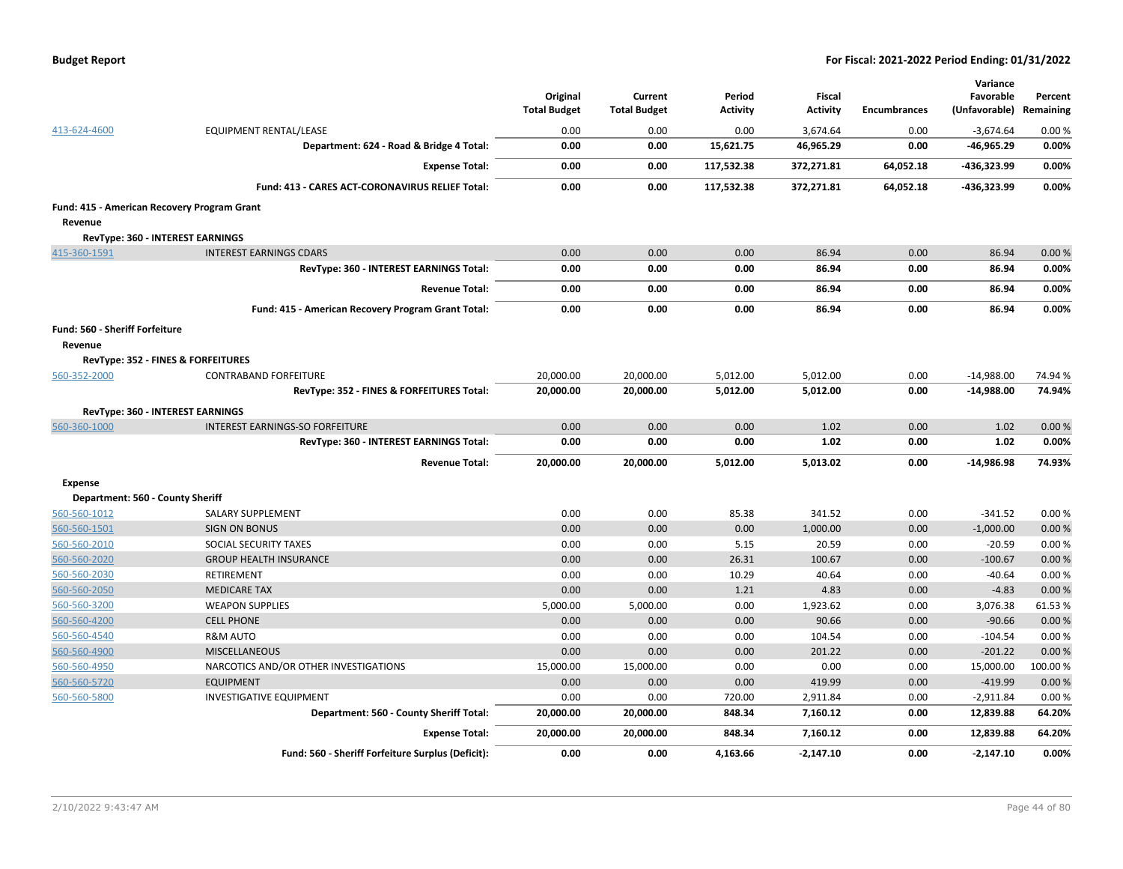|  | <b>Budget Report</b> |
|--|----------------------|
|--|----------------------|

|                                             |                                                    | Original<br><b>Total Budget</b> | Current<br><b>Total Budget</b> | Period<br><b>Activity</b> | Fiscal<br><b>Activity</b> | <b>Encumbrances</b> | Variance<br>Favorable<br>(Unfavorable) Remaining | Percent |
|---------------------------------------------|----------------------------------------------------|---------------------------------|--------------------------------|---------------------------|---------------------------|---------------------|--------------------------------------------------|---------|
| 413-624-4600                                | EQUIPMENT RENTAL/LEASE                             | 0.00                            | 0.00                           | 0.00                      | 3.674.64                  | 0.00                | $-3,674.64$                                      | 0.00%   |
|                                             | Department: 624 - Road & Bridge 4 Total:           | 0.00                            | 0.00                           | 15,621.75                 | 46,965.29                 | 0.00                | -46,965.29                                       | 0.00%   |
|                                             | <b>Expense Total:</b>                              | 0.00                            | 0.00                           | 117,532.38                | 372,271.81                | 64,052.18           | -436,323.99                                      | 0.00%   |
|                                             | Fund: 413 - CARES ACT-CORONAVIRUS RELIEF Total:    | 0.00                            | 0.00                           | 117,532.38                | 372,271.81                | 64,052.18           | -436,323.99                                      | 0.00%   |
| Fund: 415 - American Recovery Program Grant |                                                    |                                 |                                |                           |                           |                     |                                                  |         |
| Revenue                                     |                                                    |                                 |                                |                           |                           |                     |                                                  |         |
|                                             | <b>RevType: 360 - INTEREST EARNINGS</b>            |                                 |                                |                           |                           |                     |                                                  |         |
| 415-360-1591                                | <b>INTEREST EARNINGS CDARS</b>                     | 0.00                            | 0.00                           | 0.00                      | 86.94                     | 0.00                | 86.94                                            | 0.00%   |
|                                             | RevType: 360 - INTEREST EARNINGS Total:            | 0.00                            | 0.00                           | 0.00                      | 86.94                     | 0.00                | 86.94                                            | 0.00%   |
|                                             | <b>Revenue Total:</b>                              | 0.00                            | 0.00                           | 0.00                      | 86.94                     | 0.00                | 86.94                                            | 0.00%   |
|                                             | Fund: 415 - American Recovery Program Grant Total: | 0.00                            | 0.00                           | 0.00                      | 86.94                     | 0.00                | 86.94                                            | 0.00%   |
| Fund: 560 - Sheriff Forfeiture              |                                                    |                                 |                                |                           |                           |                     |                                                  |         |
| Revenue                                     |                                                    |                                 |                                |                           |                           |                     |                                                  |         |
|                                             | RevType: 352 - FINES & FORFEITURES                 |                                 |                                |                           |                           |                     |                                                  |         |
| 560-352-2000                                | <b>CONTRABAND FORFEITURE</b>                       | 20,000.00                       | 20,000.00                      | 5,012.00                  | 5,012.00                  | 0.00                | $-14,988.00$                                     | 74.94%  |
|                                             | RevType: 352 - FINES & FORFEITURES Total:          | 20,000.00                       | 20,000.00                      | 5,012.00                  | 5,012.00                  | 0.00                | $-14,988.00$                                     | 74.94%  |
|                                             | RevType: 360 - INTEREST EARNINGS                   |                                 |                                |                           |                           |                     |                                                  |         |
| 560-360-1000                                | INTEREST EARNINGS-SO FORFEITURE                    | 0.00                            | 0.00                           | 0.00                      | 1.02                      | 0.00                | 1.02                                             | 0.00%   |
|                                             | RevType: 360 - INTEREST EARNINGS Total:            | 0.00                            | 0.00                           | 0.00                      | 1.02                      | 0.00                | 1.02                                             | 0.00%   |
|                                             | <b>Revenue Total:</b>                              | 20,000.00                       | 20,000.00                      | 5,012.00                  | 5,013.02                  | 0.00                | $-14,986.98$                                     | 74.93%  |
| <b>Expense</b>                              |                                                    |                                 |                                |                           |                           |                     |                                                  |         |
| Department: 560 - County Sheriff            |                                                    |                                 |                                |                           |                           |                     |                                                  |         |
| 560-560-1012                                | SALARY SUPPLEMENT                                  | 0.00                            | 0.00                           | 85.38                     | 341.52                    | 0.00                | $-341.52$                                        | 0.00%   |
| 560-560-1501                                | <b>SIGN ON BONUS</b>                               | 0.00                            | 0.00                           | 0.00                      | 1,000.00                  | 0.00                | $-1,000.00$                                      | 0.00%   |
| 560-560-2010                                | SOCIAL SECURITY TAXES                              | 0.00                            | 0.00                           | 5.15                      | 20.59                     | 0.00                | $-20.59$                                         | 0.00%   |
| 560-560-2020                                | <b>GROUP HEALTH INSURANCE</b>                      | 0.00                            | 0.00                           | 26.31                     | 100.67                    | 0.00                | $-100.67$                                        | 0.00%   |
| 560-560-2030                                | RETIREMENT                                         | 0.00                            | 0.00                           | 10.29                     | 40.64                     | 0.00                | $-40.64$                                         | 0.00%   |
| 560-560-2050                                | <b>MEDICARE TAX</b>                                | 0.00                            | 0.00                           | 1.21                      | 4.83                      | 0.00                | $-4.83$                                          | 0.00%   |
| 560-560-3200                                | <b>WEAPON SUPPLIES</b>                             | 5,000.00                        | 5,000.00                       | 0.00                      | 1,923.62                  | 0.00                | 3,076.38                                         | 61.53%  |
| 560-560-4200                                | <b>CELL PHONE</b>                                  | 0.00                            | 0.00                           | 0.00                      | 90.66                     | 0.00                | $-90.66$                                         | 0.00%   |
| 560-560-4540                                | <b>R&amp;M AUTO</b>                                | 0.00                            | 0.00                           | 0.00                      | 104.54                    | 0.00                | $-104.54$                                        | 0.00%   |
| 560-560-4900                                | <b>MISCELLANEOUS</b>                               | 0.00                            | 0.00                           | 0.00                      | 201.22                    | 0.00                | $-201.22$                                        | 0.00 %  |
| 560-560-4950                                | NARCOTICS AND/OR OTHER INVESTIGATIONS              | 15,000.00                       | 15,000.00                      | 0.00                      | 0.00                      | 0.00                | 15,000.00                                        | 100.00% |
| 560-560-5720                                | <b>EQUIPMENT</b>                                   | 0.00                            | 0.00                           | 0.00                      | 419.99                    | 0.00                | $-419.99$                                        | 0.00%   |
| 560-560-5800                                | <b>INVESTIGATIVE EQUIPMENT</b>                     | 0.00                            | 0.00                           | 720.00                    | 2,911.84                  | 0.00                | $-2,911.84$                                      | 0.00%   |
|                                             | Department: 560 - County Sheriff Total:            | 20,000.00                       | 20,000.00                      | 848.34                    | 7,160.12                  | 0.00                | 12,839.88                                        | 64.20%  |
|                                             | <b>Expense Total:</b>                              | 20,000.00                       | 20,000.00                      | 848.34                    | 7,160.12                  | 0.00                | 12,839.88                                        | 64.20%  |
|                                             | Fund: 560 - Sheriff Forfeiture Surplus (Deficit):  | 0.00                            | 0.00                           | 4,163.66                  | $-2,147.10$               | 0.00                | $-2,147.10$                                      | 0.00%   |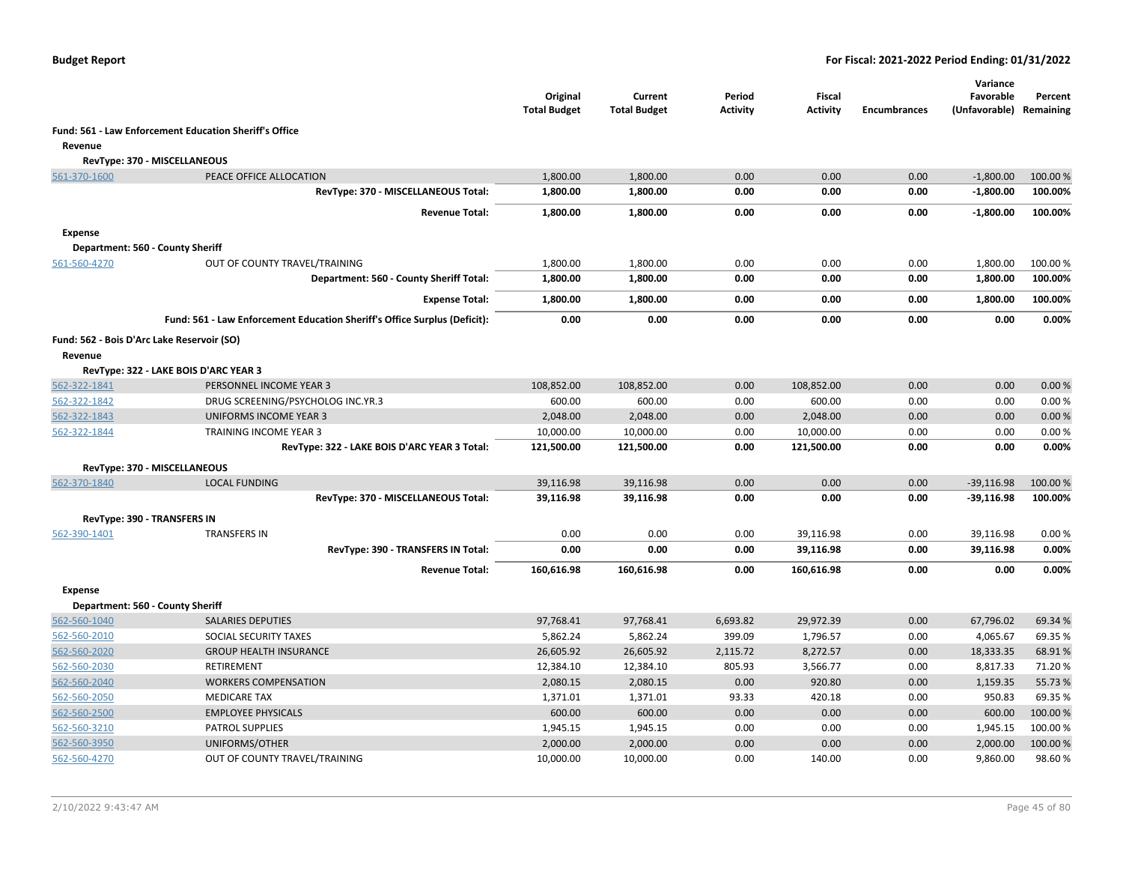|                |                                                                           | Original<br><b>Total Budget</b> | Current<br><b>Total Budget</b> | Period<br><b>Activity</b> | <b>Fiscal</b><br><b>Activity</b> | <b>Encumbrances</b> | Variance<br>Favorable<br>(Unfavorable) Remaining | Percent  |
|----------------|---------------------------------------------------------------------------|---------------------------------|--------------------------------|---------------------------|----------------------------------|---------------------|--------------------------------------------------|----------|
|                | Fund: 561 - Law Enforcement Education Sheriff's Office                    |                                 |                                |                           |                                  |                     |                                                  |          |
| Revenue        |                                                                           |                                 |                                |                           |                                  |                     |                                                  |          |
|                | RevType: 370 - MISCELLANEOUS                                              |                                 |                                |                           |                                  |                     |                                                  |          |
| 561-370-1600   | PEACE OFFICE ALLOCATION                                                   | 1,800.00                        | 1,800.00                       | 0.00                      | 0.00                             | 0.00                | $-1,800.00$                                      | 100.00%  |
|                | RevType: 370 - MISCELLANEOUS Total:                                       | 1,800.00                        | 1,800.00                       | 0.00                      | 0.00                             | 0.00                | $-1,800.00$                                      | 100.00%  |
|                | <b>Revenue Total:</b>                                                     | 1,800.00                        | 1,800.00                       | 0.00                      | 0.00                             | 0.00                | $-1,800.00$                                      | 100.00%  |
| <b>Expense</b> |                                                                           |                                 |                                |                           |                                  |                     |                                                  |          |
|                | Department: 560 - County Sheriff                                          |                                 |                                |                           |                                  |                     |                                                  |          |
| 561-560-4270   | OUT OF COUNTY TRAVEL/TRAINING                                             | 1,800.00                        | 1,800.00                       | 0.00                      | 0.00                             | 0.00                | 1,800.00                                         | 100.00 % |
|                | Department: 560 - County Sheriff Total:                                   | 1,800.00                        | 1,800.00                       | 0.00                      | 0.00                             | 0.00                | 1,800.00                                         | 100.00%  |
|                | <b>Expense Total:</b>                                                     | 1,800.00                        | 1,800.00                       | 0.00                      | 0.00                             | 0.00                | 1,800.00                                         | 100.00%  |
|                | Fund: 561 - Law Enforcement Education Sheriff's Office Surplus (Deficit): | 0.00                            | 0.00                           | 0.00                      | 0.00                             | 0.00                | 0.00                                             | 0.00%    |
|                | Fund: 562 - Bois D'Arc Lake Reservoir (SO)                                |                                 |                                |                           |                                  |                     |                                                  |          |
| Revenue        |                                                                           |                                 |                                |                           |                                  |                     |                                                  |          |
|                | RevType: 322 - LAKE BOIS D'ARC YEAR 3                                     |                                 |                                |                           |                                  |                     |                                                  |          |
| 562-322-1841   | PERSONNEL INCOME YEAR 3                                                   | 108,852.00                      | 108,852.00                     | 0.00                      | 108,852.00                       | 0.00                | 0.00                                             | 0.00%    |
| 562-322-1842   | DRUG SCREENING/PSYCHOLOG INC.YR.3                                         | 600.00                          | 600.00                         | 0.00                      | 600.00                           | 0.00                | 0.00                                             | 0.00%    |
| 562-322-1843   | <b>UNIFORMS INCOME YEAR 3</b>                                             | 2,048.00                        | 2,048.00                       | 0.00                      | 2,048.00                         | 0.00                | 0.00                                             | 0.00%    |
| 562-322-1844   | TRAINING INCOME YEAR 3                                                    | 10,000.00                       | 10,000.00                      | 0.00                      | 10,000.00                        | 0.00                | 0.00                                             | 0.00%    |
|                | RevType: 322 - LAKE BOIS D'ARC YEAR 3 Total:                              | 121,500.00                      | 121,500.00                     | 0.00                      | 121,500.00                       | 0.00                | 0.00                                             | 0.00%    |
|                | RevType: 370 - MISCELLANEOUS                                              |                                 |                                |                           |                                  |                     |                                                  |          |
| 562-370-1840   | <b>LOCAL FUNDING</b>                                                      | 39,116.98                       | 39,116.98                      | 0.00                      | 0.00                             | 0.00                | $-39,116.98$                                     | 100.00 % |
|                | RevType: 370 - MISCELLANEOUS Total:                                       | 39,116.98                       | 39,116.98                      | 0.00                      | 0.00                             | 0.00                | $-39,116.98$                                     | 100.00%  |
|                | <b>RevType: 390 - TRANSFERS IN</b>                                        |                                 |                                |                           |                                  |                     |                                                  |          |
| 562-390-1401   | <b>TRANSFERS IN</b>                                                       | 0.00                            | 0.00                           | 0.00                      | 39,116.98                        | 0.00                | 39,116.98                                        | 0.00%    |
|                | RevType: 390 - TRANSFERS IN Total:                                        | 0.00                            | 0.00                           | 0.00                      | 39,116.98                        | 0.00                | 39,116.98                                        | 0.00%    |
|                | <b>Revenue Total:</b>                                                     | 160,616.98                      | 160,616.98                     | 0.00                      | 160,616.98                       | 0.00                | 0.00                                             | 0.00%    |
| <b>Expense</b> |                                                                           |                                 |                                |                           |                                  |                     |                                                  |          |
|                | Department: 560 - County Sheriff                                          |                                 |                                |                           |                                  |                     |                                                  |          |
| 562-560-1040   | <b>SALARIES DEPUTIES</b>                                                  | 97,768.41                       | 97,768.41                      | 6,693.82                  | 29,972.39                        | 0.00                | 67,796.02                                        | 69.34 %  |
| 562-560-2010   | SOCIAL SECURITY TAXES                                                     | 5,862.24                        | 5,862.24                       | 399.09                    | 1,796.57                         | 0.00                | 4,065.67                                         | 69.35 %  |
| 562-560-2020   | <b>GROUP HEALTH INSURANCE</b>                                             | 26,605.92                       | 26,605.92                      | 2,115.72                  | 8,272.57                         | 0.00                | 18,333.35                                        | 68.91%   |
| 562-560-2030   | RETIREMENT                                                                | 12,384.10                       | 12,384.10                      | 805.93                    | 3,566.77                         | 0.00                | 8,817.33                                         | 71.20%   |
| 562-560-2040   | <b>WORKERS COMPENSATION</b>                                               | 2,080.15                        | 2,080.15                       | 0.00                      | 920.80                           | 0.00                | 1,159.35                                         | 55.73 %  |
| 562-560-2050   | <b>MEDICARE TAX</b>                                                       | 1,371.01                        | 1,371.01                       | 93.33                     | 420.18                           | 0.00                | 950.83                                           | 69.35 %  |
| 562-560-2500   | <b>EMPLOYEE PHYSICALS</b>                                                 | 600.00                          | 600.00                         | 0.00                      | 0.00                             | 0.00                | 600.00                                           | 100.00%  |
| 562-560-3210   | PATROL SUPPLIES                                                           | 1,945.15                        | 1,945.15                       | 0.00                      | 0.00                             | 0.00                | 1,945.15                                         | 100.00%  |
| 562-560-3950   | UNIFORMS/OTHER                                                            | 2,000.00                        | 2,000.00                       | 0.00                      | 0.00                             | 0.00                | 2,000.00                                         | 100.00 % |
| 562-560-4270   | OUT OF COUNTY TRAVEL/TRAINING                                             | 10,000.00                       | 10,000.00                      | 0.00                      | 140.00                           | 0.00                | 9,860.00                                         | 98.60%   |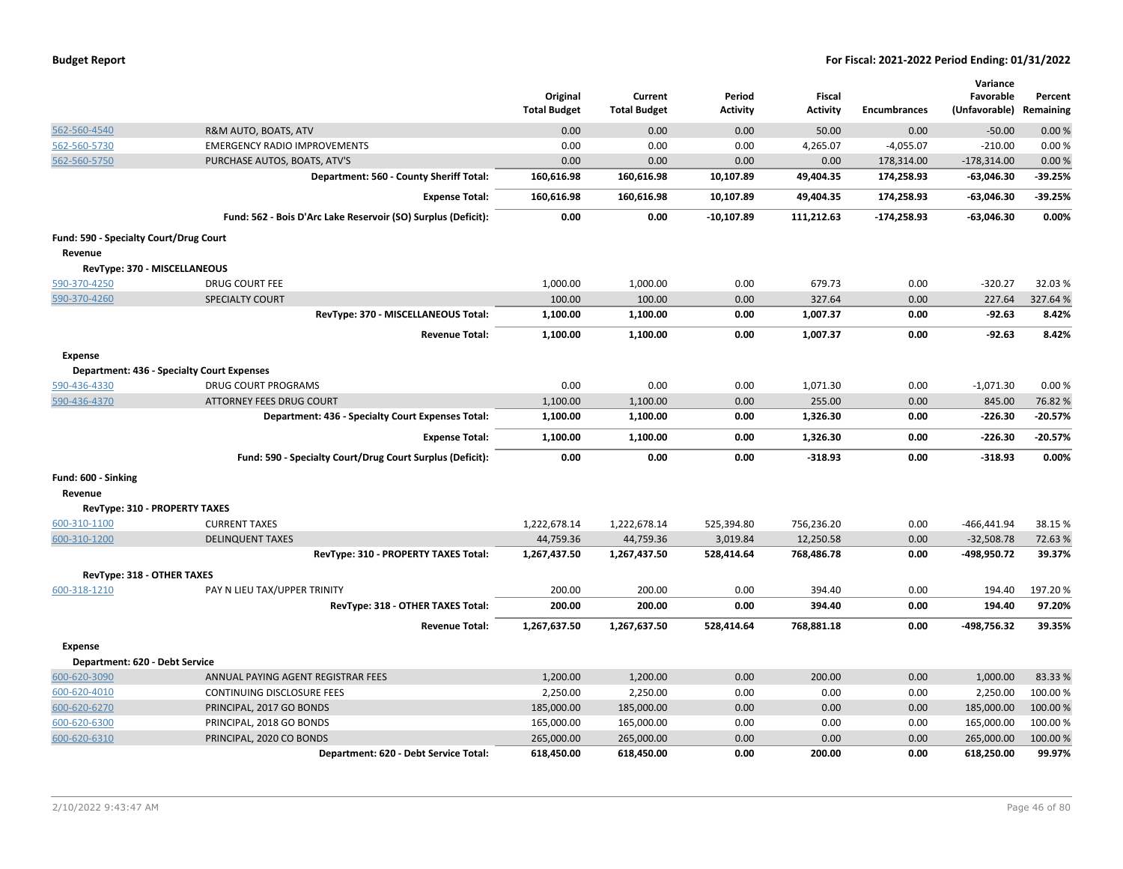| <b>Budget Report</b> |  |
|----------------------|--|
|----------------------|--|

|                                        |                                                               |                                 |                                |                           |                                  |                     | Variance                   |                      |
|----------------------------------------|---------------------------------------------------------------|---------------------------------|--------------------------------|---------------------------|----------------------------------|---------------------|----------------------------|----------------------|
|                                        |                                                               | Original<br><b>Total Budget</b> | Current<br><b>Total Budget</b> | Period<br><b>Activity</b> | <b>Fiscal</b><br><b>Activity</b> | <b>Encumbrances</b> | Favorable<br>(Unfavorable) | Percent<br>Remaining |
|                                        |                                                               |                                 |                                |                           |                                  |                     |                            |                      |
| 562-560-4540                           | R&M AUTO, BOATS, ATV                                          | 0.00                            | 0.00                           | 0.00                      | 50.00                            | 0.00                | $-50.00$                   | 0.00%                |
| 562-560-5730                           | <b>EMERGENCY RADIO IMPROVEMENTS</b>                           | 0.00                            | 0.00                           | 0.00                      | 4,265.07                         | $-4,055.07$         | $-210.00$                  | 0.00%                |
| 562-560-5750                           | PURCHASE AUTOS, BOATS, ATV'S                                  | 0.00                            | 0.00                           | 0.00                      | 0.00                             | 178,314.00          | $-178,314.00$              | 0.00%                |
|                                        | Department: 560 - County Sheriff Total:                       | 160,616.98                      | 160,616.98                     | 10,107.89                 | 49,404.35                        | 174,258.93          | $-63,046.30$               | -39.25%              |
|                                        | <b>Expense Total:</b>                                         | 160,616.98                      | 160,616.98                     | 10,107.89                 | 49,404.35                        | 174,258.93          | $-63,046.30$               | $-39.25%$            |
|                                        | Fund: 562 - Bois D'Arc Lake Reservoir (SO) Surplus (Deficit): | 0.00                            | 0.00                           | $-10,107.89$              | 111,212.63                       | $-174,258.93$       | $-63,046.30$               | 0.00%                |
| Fund: 590 - Specialty Court/Drug Court |                                                               |                                 |                                |                           |                                  |                     |                            |                      |
| Revenue                                |                                                               |                                 |                                |                           |                                  |                     |                            |                      |
| RevType: 370 - MISCELLANEOUS           |                                                               |                                 |                                |                           |                                  |                     |                            |                      |
| 590-370-4250                           | DRUG COURT FEE                                                | 1,000.00                        | 1,000.00                       | 0.00                      | 679.73                           | 0.00                | $-320.27$                  | 32.03%               |
| 590-370-4260                           | <b>SPECIALTY COURT</b>                                        | 100.00                          | 100.00                         | 0.00                      | 327.64                           | 0.00                | 227.64                     | 327.64 %             |
|                                        | RevType: 370 - MISCELLANEOUS Total:                           | 1,100.00                        | 1,100.00                       | 0.00                      | 1,007.37                         | 0.00                | $-92.63$                   | 8.42%                |
|                                        | <b>Revenue Total:</b>                                         | 1,100.00                        | 1,100.00                       | 0.00                      | 1,007.37                         | 0.00                | $-92.63$                   | 8.42%                |
| <b>Expense</b>                         |                                                               |                                 |                                |                           |                                  |                     |                            |                      |
|                                        | <b>Department: 436 - Specialty Court Expenses</b>             |                                 |                                |                           |                                  |                     |                            |                      |
| 590-436-4330                           | <b>DRUG COURT PROGRAMS</b>                                    | 0.00                            | 0.00                           | 0.00                      | 1,071.30                         | 0.00                | $-1,071.30$                | 0.00%                |
| 590-436-4370                           | <b>ATTORNEY FEES DRUG COURT</b>                               | 1,100.00                        | 1,100.00                       | 0.00                      | 255.00                           | 0.00                | 845.00                     | 76.82%               |
|                                        | Department: 436 - Specialty Court Expenses Total:             | 1,100.00                        | 1,100.00                       | 0.00                      | 1,326.30                         | 0.00                | $-226.30$                  | $-20.57%$            |
|                                        | <b>Expense Total:</b>                                         | 1,100.00                        | 1,100.00                       | 0.00                      | 1,326.30                         | 0.00                | $-226.30$                  | $-20.57%$            |
|                                        | Fund: 590 - Specialty Court/Drug Court Surplus (Deficit):     | 0.00                            | 0.00                           | 0.00                      | $-318.93$                        | 0.00                | $-318.93$                  | 0.00%                |
| Fund: 600 - Sinking                    |                                                               |                                 |                                |                           |                                  |                     |                            |                      |
| Revenue                                |                                                               |                                 |                                |                           |                                  |                     |                            |                      |
| RevType: 310 - PROPERTY TAXES          |                                                               |                                 |                                |                           |                                  |                     |                            |                      |
| 600-310-1100                           | <b>CURRENT TAXES</b>                                          | 1,222,678.14                    | 1,222,678.14                   | 525,394.80                | 756,236.20                       | 0.00                | $-466, 441.94$             | 38.15%               |
| 600-310-1200                           | <b>DELINQUENT TAXES</b>                                       | 44,759.36                       | 44,759.36                      | 3,019.84                  | 12,250.58                        | 0.00                | $-32,508.78$               | 72.63%               |
|                                        | RevType: 310 - PROPERTY TAXES Total:                          | 1,267,437.50                    | 1,267,437.50                   | 528,414.64                | 768,486.78                       | 0.00                | -498,950.72                | 39.37%               |
| RevType: 318 - OTHER TAXES             |                                                               |                                 |                                |                           |                                  |                     |                            |                      |
| 600-318-1210                           | PAY N LIEU TAX/UPPER TRINITY                                  | 200.00                          | 200.00                         | 0.00                      | 394.40                           | 0.00                | 194.40                     | 197.20%              |
|                                        | RevType: 318 - OTHER TAXES Total:                             | 200.00                          | 200.00                         | 0.00                      | 394.40                           | 0.00                | 194.40                     | 97.20%               |
|                                        | <b>Revenue Total:</b>                                         | 1,267,637.50                    | 1,267,637.50                   | 528,414.64                | 768,881.18                       | 0.00                | -498,756.32                | 39.35%               |
| <b>Expense</b>                         |                                                               |                                 |                                |                           |                                  |                     |                            |                      |
| Department: 620 - Debt Service         |                                                               |                                 |                                |                           |                                  |                     |                            |                      |
| 600-620-3090                           | ANNUAL PAYING AGENT REGISTRAR FEES                            | 1,200.00                        | 1,200.00                       | 0.00                      | 200.00                           | 0.00                | 1,000.00                   | 83.33 %              |
| 600-620-4010                           | CONTINUING DISCLOSURE FEES                                    | 2,250.00                        | 2,250.00                       | 0.00                      | 0.00                             | 0.00                | 2,250.00                   | 100.00 %             |
| 600-620-6270                           | PRINCIPAL, 2017 GO BONDS                                      | 185,000.00                      | 185,000.00                     | 0.00                      | 0.00                             | 0.00                | 185,000.00                 | 100.00 %             |
| 600-620-6300                           | PRINCIPAL, 2018 GO BONDS                                      | 165,000.00                      | 165,000.00                     | 0.00                      | 0.00                             | 0.00                | 165,000.00                 | 100.00 %             |
| 600-620-6310                           | PRINCIPAL, 2020 CO BONDS                                      | 265,000.00                      | 265,000.00                     | 0.00                      | 0.00                             | 0.00                | 265,000.00                 | 100.00 %             |
|                                        | Department: 620 - Debt Service Total:                         | 618,450.00                      | 618,450.00                     | 0.00                      | 200.00                           | 0.00                | 618,250.00                 | 99.97%               |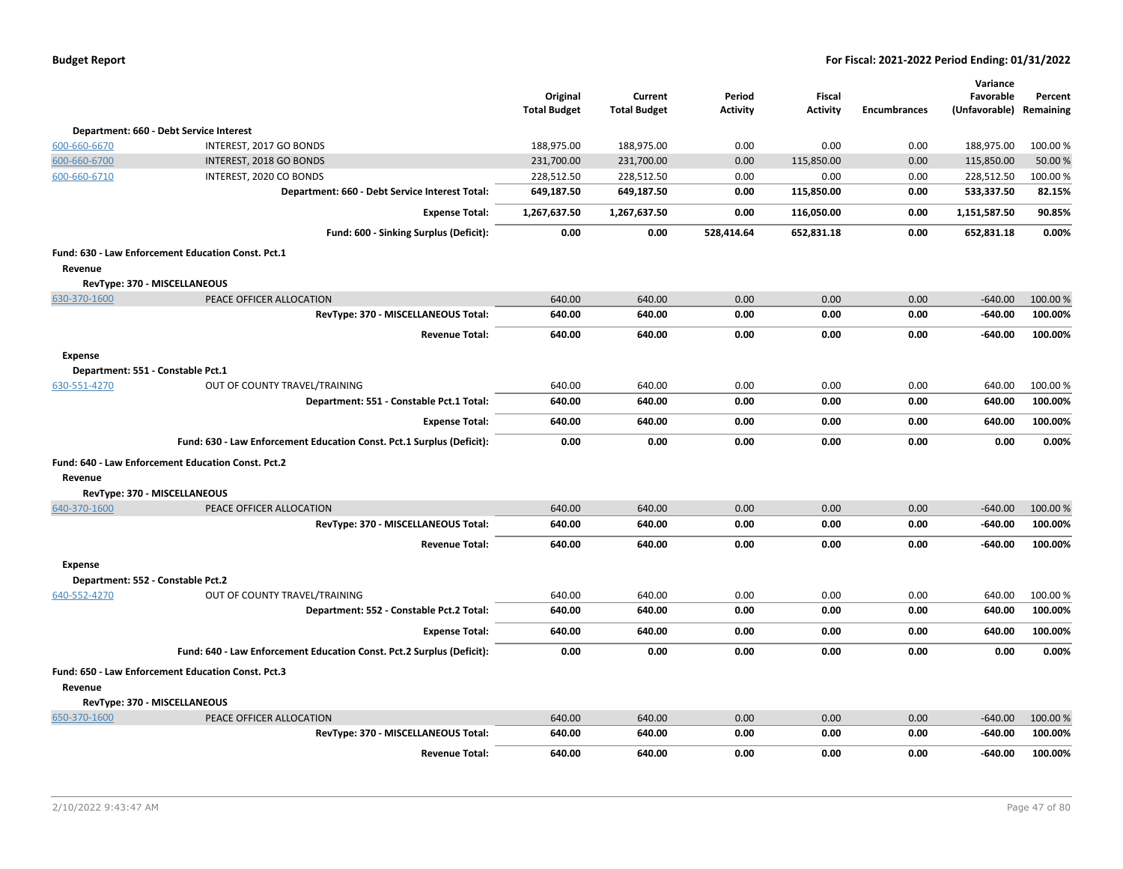|                |                                                                       | Original<br><b>Total Budget</b> | Current<br><b>Total Budget</b> | Period<br><b>Activity</b> | Fiscal<br><b>Activity</b> | <b>Encumbrances</b> | Variance<br>Favorable<br>(Unfavorable) | Percent<br>Remaining |
|----------------|-----------------------------------------------------------------------|---------------------------------|--------------------------------|---------------------------|---------------------------|---------------------|----------------------------------------|----------------------|
|                | Department: 660 - Debt Service Interest                               |                                 |                                |                           |                           |                     |                                        |                      |
| 600-660-6670   | INTEREST, 2017 GO BONDS                                               | 188,975.00                      | 188,975.00                     | 0.00                      | 0.00                      | 0.00                | 188,975.00                             | 100.00%              |
| 600-660-6700   | INTEREST, 2018 GO BONDS                                               | 231,700.00                      | 231,700.00                     | 0.00                      | 115,850.00                | 0.00                | 115,850.00                             | 50.00 %              |
| 600-660-6710   | INTEREST, 2020 CO BONDS                                               | 228,512.50                      | 228,512.50                     | 0.00                      | 0.00                      | 0.00                | 228,512.50                             | 100.00%              |
|                | Department: 660 - Debt Service Interest Total:                        | 649,187.50                      | 649,187.50                     | 0.00                      | 115,850.00                | 0.00                | 533,337.50                             | 82.15%               |
|                | <b>Expense Total:</b>                                                 | 1,267,637.50                    | 1,267,637.50                   | 0.00                      | 116,050.00                | 0.00                | 1,151,587.50                           | 90.85%               |
|                | Fund: 600 - Sinking Surplus (Deficit):                                | 0.00                            | 0.00                           | 528,414.64                | 652,831.18                | 0.00                | 652,831.18                             | 0.00%                |
|                | Fund: 630 - Law Enforcement Education Const. Pct.1                    |                                 |                                |                           |                           |                     |                                        |                      |
| Revenue        |                                                                       |                                 |                                |                           |                           |                     |                                        |                      |
|                | RevType: 370 - MISCELLANEOUS                                          |                                 |                                |                           |                           |                     |                                        |                      |
| 630-370-1600   | PEACE OFFICER ALLOCATION                                              | 640.00                          | 640.00                         | 0.00                      | 0.00                      | 0.00                | $-640.00$                              | 100.00 %             |
|                | RevType: 370 - MISCELLANEOUS Total:                                   | 640.00                          | 640.00                         | 0.00                      | 0.00                      | 0.00                | $-640.00$                              | 100.00%              |
|                | <b>Revenue Total:</b>                                                 | 640.00                          | 640.00                         | 0.00                      | 0.00                      | 0.00                | $-640.00$                              | 100.00%              |
| <b>Expense</b> |                                                                       |                                 |                                |                           |                           |                     |                                        |                      |
|                | Department: 551 - Constable Pct.1                                     |                                 |                                |                           |                           |                     |                                        |                      |
| 630-551-4270   | OUT OF COUNTY TRAVEL/TRAINING                                         | 640.00                          | 640.00                         | 0.00                      | 0.00                      | 0.00                | 640.00                                 | 100.00 %             |
|                | Department: 551 - Constable Pct.1 Total:                              | 640.00                          | 640.00                         | 0.00                      | 0.00                      | 0.00                | 640.00                                 | 100.00%              |
|                | <b>Expense Total:</b>                                                 | 640.00                          | 640.00                         | 0.00                      | 0.00                      | 0.00                | 640.00                                 | 100.00%              |
|                | Fund: 630 - Law Enforcement Education Const. Pct.1 Surplus (Deficit): | 0.00                            | 0.00                           | 0.00                      | 0.00                      | 0.00                | 0.00                                   | 0.00%                |
|                | Fund: 640 - Law Enforcement Education Const. Pct.2                    |                                 |                                |                           |                           |                     |                                        |                      |
| Revenue        |                                                                       |                                 |                                |                           |                           |                     |                                        |                      |
|                | RevType: 370 - MISCELLANEOUS                                          |                                 |                                |                           |                           |                     |                                        |                      |
| 640-370-1600   | PEACE OFFICER ALLOCATION                                              | 640.00                          | 640.00                         | 0.00                      | 0.00                      | 0.00                | $-640.00$                              | 100.00 %             |
|                | RevType: 370 - MISCELLANEOUS Total:                                   | 640.00                          | 640.00                         | 0.00                      | 0.00                      | 0.00                | $-640.00$                              | 100.00%              |
|                | <b>Revenue Total:</b>                                                 | 640.00                          | 640.00                         | 0.00                      | 0.00                      | 0.00                | -640.00                                | 100.00%              |
| <b>Expense</b> |                                                                       |                                 |                                |                           |                           |                     |                                        |                      |
|                | Department: 552 - Constable Pct.2                                     |                                 |                                |                           |                           |                     |                                        |                      |
| 640-552-4270   | OUT OF COUNTY TRAVEL/TRAINING                                         | 640.00                          | 640.00                         | 0.00                      | 0.00                      | 0.00                | 640.00                                 | 100.00%              |
|                | Department: 552 - Constable Pct.2 Total:                              | 640.00                          | 640.00                         | 0.00                      | 0.00                      | 0.00                | 640.00                                 | 100.00%              |
|                | <b>Expense Total:</b>                                                 | 640.00                          | 640.00                         | 0.00                      | 0.00                      | 0.00                | 640.00                                 | 100.00%              |
|                | Fund: 640 - Law Enforcement Education Const. Pct.2 Surplus (Deficit): | 0.00                            | 0.00                           | 0.00                      | 0.00                      | 0.00                | 0.00                                   | 0.00%                |
| Revenue        | Fund: 650 - Law Enforcement Education Const. Pct.3                    |                                 |                                |                           |                           |                     |                                        |                      |
|                | RevType: 370 - MISCELLANEOUS                                          |                                 |                                |                           |                           |                     |                                        |                      |
| 650-370-1600   | PEACE OFFICER ALLOCATION                                              | 640.00                          | 640.00                         | 0.00                      | 0.00                      | 0.00                | $-640.00$                              | 100.00%              |
|                | RevType: 370 - MISCELLANEOUS Total:                                   | 640.00                          | 640.00                         | 0.00                      | 0.00                      | 0.00                | $-640.00$                              | 100.00%              |
|                | <b>Revenue Total:</b>                                                 | 640.00                          | 640.00                         | 0.00                      | 0.00                      | 0.00                | $-640.00$                              | 100.00%              |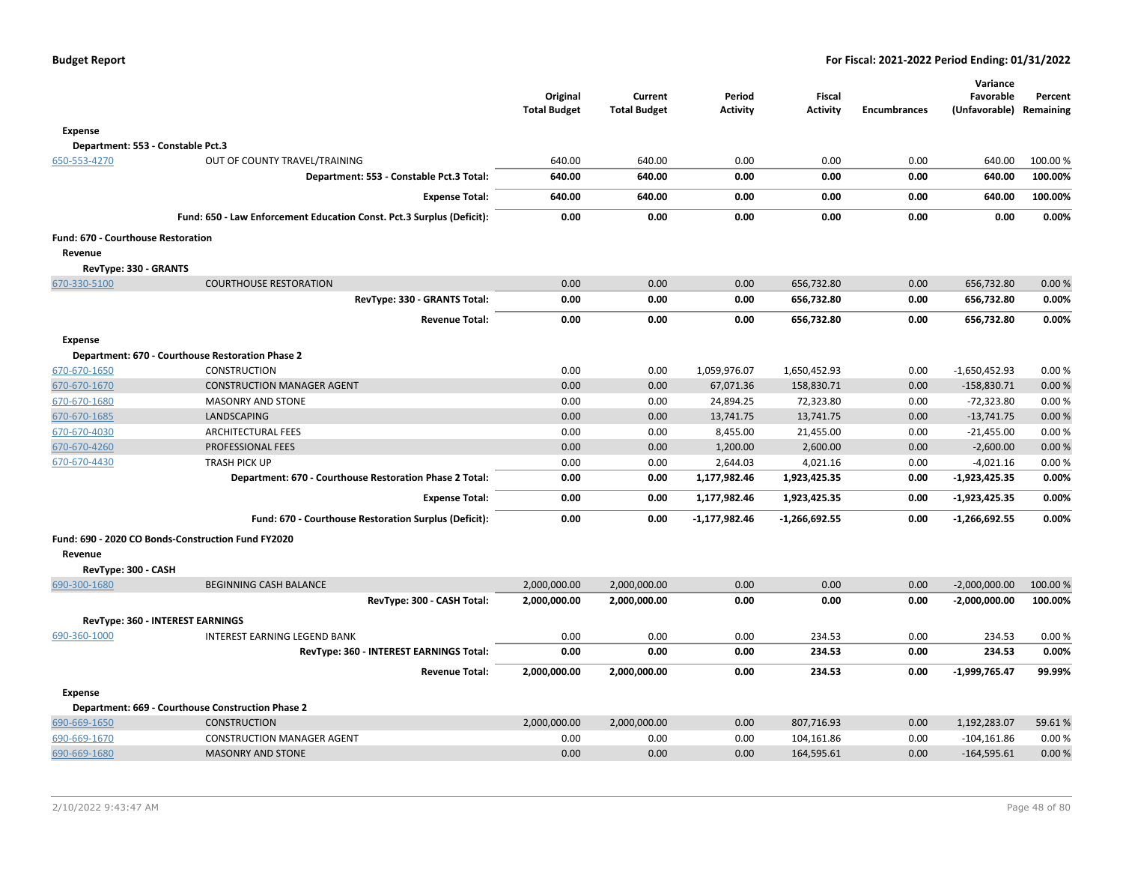|                                    |                                                                       | Original<br><b>Total Budget</b> | Current<br><b>Total Budget</b> | Period<br><b>Activity</b> | <b>Fiscal</b><br><b>Activity</b> | <b>Encumbrances</b> | Variance<br>Favorable<br>(Unfavorable) | Percent<br>Remaining |
|------------------------------------|-----------------------------------------------------------------------|---------------------------------|--------------------------------|---------------------------|----------------------------------|---------------------|----------------------------------------|----------------------|
| <b>Expense</b>                     |                                                                       |                                 |                                |                           |                                  |                     |                                        |                      |
|                                    | Department: 553 - Constable Pct.3                                     |                                 |                                |                           |                                  |                     |                                        |                      |
| 650-553-4270                       | OUT OF COUNTY TRAVEL/TRAINING                                         | 640.00                          | 640.00                         | 0.00                      | 0.00                             | 0.00                | 640.00                                 | 100.00 %             |
|                                    | Department: 553 - Constable Pct.3 Total:                              | 640.00                          | 640.00                         | 0.00                      | 0.00                             | 0.00                | 640.00                                 | 100.00%              |
|                                    | <b>Expense Total:</b>                                                 | 640.00                          | 640.00                         | 0.00                      | 0.00                             | 0.00                | 640.00                                 | 100.00%              |
|                                    | Fund: 650 - Law Enforcement Education Const. Pct.3 Surplus (Deficit): | 0.00                            | 0.00                           | 0.00                      | 0.00                             | 0.00                | 0.00                                   | 0.00%                |
| Fund: 670 - Courthouse Restoration |                                                                       |                                 |                                |                           |                                  |                     |                                        |                      |
| Revenue                            |                                                                       |                                 |                                |                           |                                  |                     |                                        |                      |
| RevType: 330 - GRANTS              |                                                                       |                                 |                                |                           |                                  |                     |                                        |                      |
| 670-330-5100                       | <b>COURTHOUSE RESTORATION</b>                                         | 0.00                            | 0.00                           | 0.00                      | 656,732.80                       | 0.00                | 656,732.80                             | 0.00%                |
|                                    | RevType: 330 - GRANTS Total:                                          | 0.00                            | 0.00                           | 0.00                      | 656,732.80                       | 0.00                | 656,732.80                             | 0.00%                |
|                                    | <b>Revenue Total:</b>                                                 | 0.00                            | 0.00                           | 0.00                      | 656,732.80                       | 0.00                | 656,732.80                             | 0.00%                |
| <b>Expense</b>                     |                                                                       |                                 |                                |                           |                                  |                     |                                        |                      |
|                                    | Department: 670 - Courthouse Restoration Phase 2                      |                                 |                                |                           |                                  |                     |                                        |                      |
| 670-670-1650                       | <b>CONSTRUCTION</b>                                                   | 0.00                            | 0.00                           | 1,059,976.07              | 1,650,452.93                     | 0.00                | $-1,650,452.93$                        | 0.00%                |
| 670-670-1670                       | <b>CONSTRUCTION MANAGER AGENT</b>                                     | 0.00                            | 0.00                           | 67,071.36                 | 158,830.71                       | 0.00                | $-158,830.71$                          | 0.00%                |
| 670-670-1680                       | <b>MASONRY AND STONE</b>                                              | 0.00                            | 0.00                           | 24,894.25                 | 72,323.80                        | 0.00                | $-72,323.80$                           | 0.00%                |
| 670-670-1685                       | <b>LANDSCAPING</b>                                                    | 0.00                            | 0.00                           | 13,741.75                 | 13,741.75                        | 0.00                | $-13,741.75$                           | 0.00%                |
| 670-670-4030                       | <b>ARCHITECTURAL FEES</b>                                             | 0.00                            | 0.00                           | 8,455.00                  | 21,455.00                        | 0.00                | $-21,455.00$                           | 0.00%                |
| 670-670-4260                       | <b>PROFESSIONAL FEES</b>                                              | 0.00                            | 0.00                           | 1,200.00                  | 2,600.00                         | 0.00                | $-2,600.00$                            | 0.00%                |
| 670-670-4430                       | <b>TRASH PICK UP</b>                                                  | 0.00                            | 0.00                           | 2,644.03                  | 4,021.16                         | 0.00                | $-4,021.16$                            | 0.00%                |
|                                    | Department: 670 - Courthouse Restoration Phase 2 Total:               | 0.00                            | 0.00                           | 1,177,982.46              | 1,923,425.35                     | 0.00                | $-1,923,425.35$                        | 0.00%                |
|                                    | <b>Expense Total:</b>                                                 | 0.00                            | 0.00                           | 1,177,982.46              | 1,923,425.35                     | 0.00                | $-1,923,425.35$                        | 0.00%                |
|                                    | Fund: 670 - Courthouse Restoration Surplus (Deficit):                 | 0.00                            | 0.00                           | $-1,177,982.46$           | $-1,266,692.55$                  | 0.00                | $-1,266,692.55$                        | 0.00%                |
|                                    | Fund: 690 - 2020 CO Bonds-Construction Fund FY2020                    |                                 |                                |                           |                                  |                     |                                        |                      |
| Revenue                            |                                                                       |                                 |                                |                           |                                  |                     |                                        |                      |
| RevType: 300 - CASH                |                                                                       |                                 |                                |                           |                                  |                     |                                        |                      |
| 690-300-1680                       | <b>BEGINNING CASH BALANCE</b>                                         | 2,000,000.00                    | 2,000,000.00                   | 0.00                      | 0.00                             | 0.00                | $-2,000,000.00$                        | 100.00 %             |
|                                    | RevType: 300 - CASH Total:                                            | 2,000,000.00                    | 2,000,000.00                   | 0.00                      | 0.00                             | 0.00                | -2,000,000.00                          | 100.00%              |
|                                    | <b>RevType: 360 - INTEREST EARNINGS</b>                               |                                 |                                |                           |                                  |                     |                                        |                      |
| 690-360-1000                       | INTEREST EARNING LEGEND BANK                                          | 0.00                            | 0.00                           | 0.00                      | 234.53                           | 0.00                | 234.53                                 | 0.00%                |
|                                    | RevType: 360 - INTEREST EARNINGS Total:                               | 0.00                            | 0.00                           | 0.00                      | 234.53                           | 0.00                | 234.53                                 | 0.00%                |
|                                    | <b>Revenue Total:</b>                                                 | 2,000,000.00                    | 2,000,000.00                   | 0.00                      | 234.53                           | 0.00                | $-1,999,765.47$                        | 99.99%               |
| <b>Expense</b>                     |                                                                       |                                 |                                |                           |                                  |                     |                                        |                      |
|                                    | Department: 669 - Courthouse Construction Phase 2                     |                                 |                                |                           |                                  |                     |                                        |                      |
| 690-669-1650                       | <b>CONSTRUCTION</b>                                                   | 2,000,000.00                    | 2,000,000.00                   | 0.00                      | 807,716.93                       | 0.00                | 1,192,283.07                           | 59.61%               |
| 690-669-1670                       | <b>CONSTRUCTION MANAGER AGENT</b>                                     | 0.00                            | 0.00                           | 0.00                      | 104,161.86                       | 0.00                | $-104, 161.86$                         | 0.00%                |
| 690-669-1680                       | <b>MASONRY AND STONE</b>                                              | 0.00                            | 0.00                           | 0.00                      | 164,595.61                       | 0.00                | $-164,595.61$                          | 0.00%                |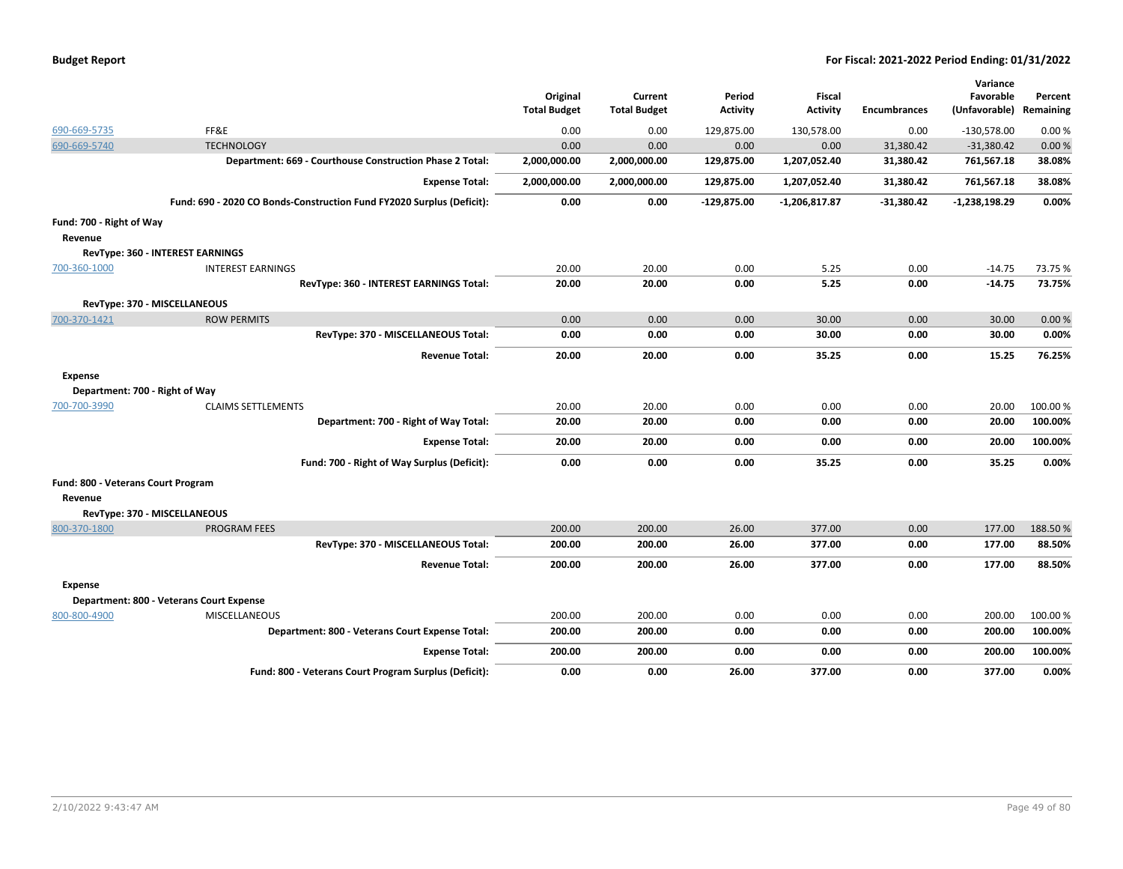| <b>Budget Report</b> |  |
|----------------------|--|
|----------------------|--|

|                                    |                                                                       |                     |                     |                 |                 |                     | Variance        |           |
|------------------------------------|-----------------------------------------------------------------------|---------------------|---------------------|-----------------|-----------------|---------------------|-----------------|-----------|
|                                    |                                                                       | Original            | Current             | Period          | Fiscal          |                     | Favorable       | Percent   |
|                                    |                                                                       | <b>Total Budget</b> | <b>Total Budget</b> | <b>Activity</b> | <b>Activity</b> | <b>Encumbrances</b> | (Unfavorable)   | Remaining |
| 690-669-5735                       | FF&E                                                                  | 0.00                | 0.00                | 129,875.00      | 130,578.00      | 0.00                | $-130,578.00$   | 0.00%     |
| 690-669-5740                       | <b>TECHNOLOGY</b>                                                     | 0.00                | 0.00                | 0.00            | 0.00            | 31,380.42           | $-31,380.42$    | 0.00%     |
|                                    | Department: 669 - Courthouse Construction Phase 2 Total:              | 2,000,000.00        | 2,000,000.00        | 129,875.00      | 1,207,052.40    | 31,380.42           | 761,567.18      | 38.08%    |
|                                    | <b>Expense Total:</b>                                                 | 2,000,000.00        | 2,000,000.00        | 129,875.00      | 1,207,052.40    | 31,380.42           | 761,567.18      | 38.08%    |
|                                    | Fund: 690 - 2020 CO Bonds-Construction Fund FY2020 Surplus (Deficit): | 0.00                | 0.00                | -129,875.00     | -1,206,817.87   | $-31,380.42$        | $-1,238,198.29$ | 0.00%     |
| Fund: 700 - Right of Way           |                                                                       |                     |                     |                 |                 |                     |                 |           |
| Revenue                            |                                                                       |                     |                     |                 |                 |                     |                 |           |
|                                    | RevType: 360 - INTEREST EARNINGS                                      |                     |                     |                 |                 |                     |                 |           |
| 700-360-1000                       | <b>INTEREST EARNINGS</b>                                              | 20.00               | 20.00               | 0.00            | 5.25            | 0.00                | $-14.75$        | 73.75 %   |
|                                    | RevType: 360 - INTEREST EARNINGS Total:                               | 20.00               | 20.00               | 0.00            | 5.25            | 0.00                | -14.75          | 73.75%    |
|                                    | RevType: 370 - MISCELLANEOUS                                          |                     |                     |                 |                 |                     |                 |           |
| 700-370-1421                       | <b>ROW PERMITS</b>                                                    | 0.00                | 0.00                | 0.00            | 30.00           | 0.00                | 30.00           | 0.00%     |
|                                    | RevType: 370 - MISCELLANEOUS Total:                                   | 0.00                | 0.00                | 0.00            | 30.00           | 0.00                | 30.00           | 0.00%     |
|                                    | <b>Revenue Total:</b>                                                 | 20.00               | 20.00               | 0.00            | 35.25           | 0.00                | 15.25           | 76.25%    |
| Expense                            |                                                                       |                     |                     |                 |                 |                     |                 |           |
| Department: 700 - Right of Way     |                                                                       |                     |                     |                 |                 |                     |                 |           |
| 700-700-3990                       | <b>CLAIMS SETTLEMENTS</b>                                             | 20.00               | 20.00               | 0.00            | 0.00            | 0.00                | 20.00           | 100.00%   |
|                                    | Department: 700 - Right of Way Total:                                 | 20.00               | 20.00               | 0.00            | 0.00            | 0.00                | 20.00           | 100.00%   |
|                                    | <b>Expense Total:</b>                                                 | 20.00               | 20.00               | 0.00            | 0.00            | 0.00                | 20.00           | 100.00%   |
|                                    | Fund: 700 - Right of Way Surplus (Deficit):                           | 0.00                | 0.00                | 0.00            | 35.25           | 0.00                | 35.25           | 0.00%     |
| Fund: 800 - Veterans Court Program |                                                                       |                     |                     |                 |                 |                     |                 |           |
| Revenue                            |                                                                       |                     |                     |                 |                 |                     |                 |           |
|                                    | RevType: 370 - MISCELLANEOUS                                          |                     |                     |                 |                 |                     |                 |           |
| 800-370-1800                       | <b>PROGRAM FEES</b>                                                   | 200.00              | 200.00              | 26.00           | 377.00          | 0.00                | 177.00          | 188.50%   |
|                                    | RevType: 370 - MISCELLANEOUS Total:                                   | 200.00              | 200.00              | 26.00           | 377.00          | 0.00                | 177.00          | 88.50%    |
|                                    | <b>Revenue Total:</b>                                                 | 200.00              | 200.00              | 26.00           | 377.00          | 0.00                | 177.00          | 88.50%    |
| Expense                            |                                                                       |                     |                     |                 |                 |                     |                 |           |
|                                    | Department: 800 - Veterans Court Expense                              |                     |                     |                 |                 |                     |                 |           |
| 800-800-4900                       | <b>MISCELLANEOUS</b>                                                  | 200.00              | 200.00              | 0.00            | 0.00            | 0.00                | 200.00          | 100.00%   |
|                                    | Department: 800 - Veterans Court Expense Total:                       | 200.00              | 200.00              | 0.00            | 0.00            | 0.00                | 200.00          | 100.00%   |
|                                    | <b>Expense Total:</b>                                                 | 200.00              | 200.00              | 0.00            | 0.00            | 0.00                | 200.00          | 100.00%   |
|                                    | Fund: 800 - Veterans Court Program Surplus (Deficit):                 | 0.00                | 0.00                | 26.00           | 377.00          | 0.00                | 377.00          | $0.00\%$  |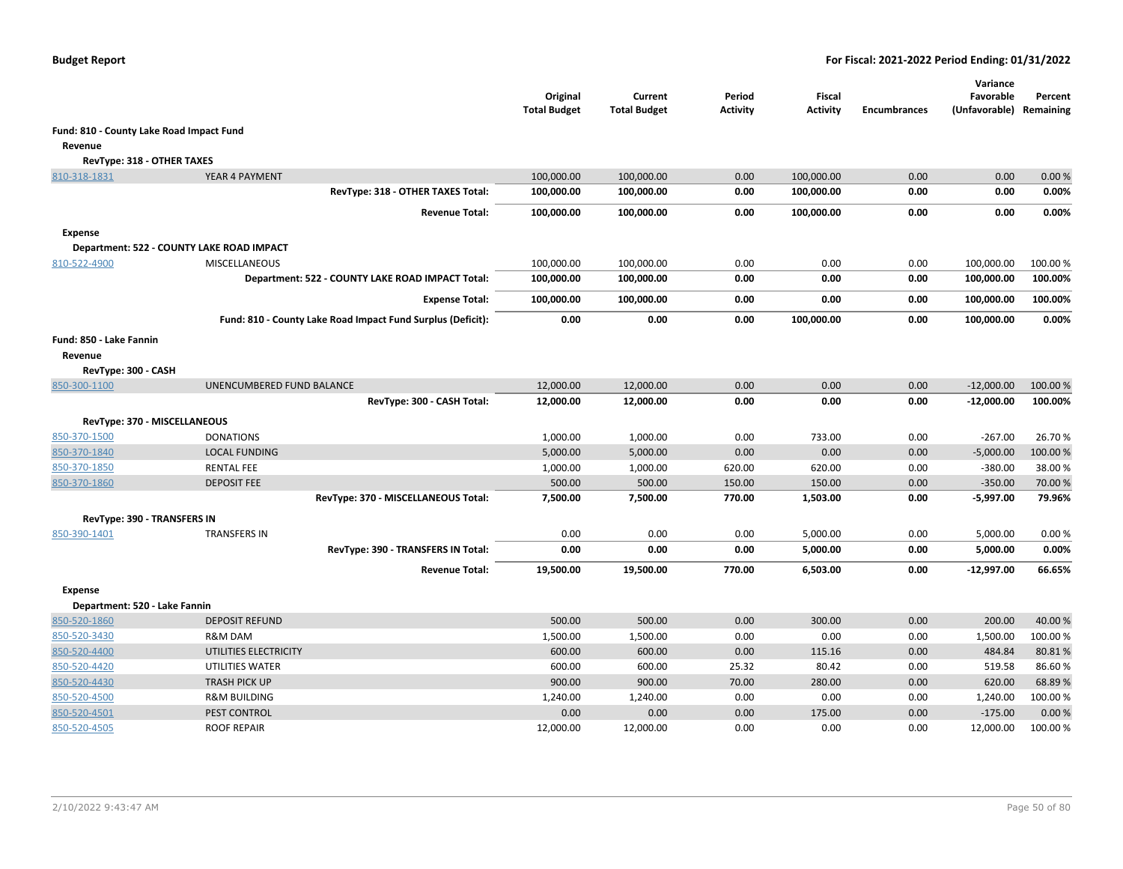|                                          |                                                             | Original<br><b>Total Budget</b> | Current<br><b>Total Budget</b> | Period<br><b>Activity</b> | Fiscal<br><b>Activity</b> | <b>Encumbrances</b> | Variance<br>Favorable<br>(Unfavorable) | Percent<br>Remaining |
|------------------------------------------|-------------------------------------------------------------|---------------------------------|--------------------------------|---------------------------|---------------------------|---------------------|----------------------------------------|----------------------|
| Fund: 810 - County Lake Road Impact Fund |                                                             |                                 |                                |                           |                           |                     |                                        |                      |
| Revenue                                  |                                                             |                                 |                                |                           |                           |                     |                                        |                      |
| RevType: 318 - OTHER TAXES               |                                                             |                                 |                                |                           |                           |                     |                                        |                      |
| 810-318-1831                             | YEAR 4 PAYMENT                                              | 100,000.00                      | 100,000.00                     | 0.00                      | 100,000.00                | 0.00                | 0.00                                   | 0.00%                |
|                                          | RevType: 318 - OTHER TAXES Total:                           | 100,000.00                      | 100,000.00                     | 0.00                      | 100,000.00                | 0.00                | 0.00                                   | 0.00%                |
|                                          | <b>Revenue Total:</b>                                       | 100,000.00                      | 100,000.00                     | 0.00                      | 100,000.00                | 0.00                | 0.00                                   | 0.00%                |
| <b>Expense</b>                           |                                                             |                                 |                                |                           |                           |                     |                                        |                      |
|                                          | Department: 522 - COUNTY LAKE ROAD IMPACT                   |                                 |                                |                           |                           |                     |                                        |                      |
| 810-522-4900                             | <b>MISCELLANEOUS</b>                                        | 100,000.00                      | 100,000.00                     | 0.00                      | 0.00                      | 0.00                | 100,000.00                             | 100.00 %             |
|                                          | Department: 522 - COUNTY LAKE ROAD IMPACT Total:            | 100,000.00                      | 100,000.00                     | 0.00                      | 0.00                      | 0.00                | 100,000.00                             | 100.00%              |
|                                          | <b>Expense Total:</b>                                       | 100,000.00                      | 100,000.00                     | 0.00                      | 0.00                      | 0.00                | 100,000.00                             | 100.00%              |
|                                          | Fund: 810 - County Lake Road Impact Fund Surplus (Deficit): | 0.00                            | 0.00                           | 0.00                      | 100,000.00                | 0.00                | 100,000.00                             | 0.00%                |
| Fund: 850 - Lake Fannin                  |                                                             |                                 |                                |                           |                           |                     |                                        |                      |
| Revenue                                  |                                                             |                                 |                                |                           |                           |                     |                                        |                      |
| RevType: 300 - CASH                      |                                                             |                                 |                                |                           |                           |                     |                                        |                      |
| 850-300-1100                             | UNENCUMBERED FUND BALANCE                                   | 12,000.00                       | 12,000.00                      | 0.00                      | 0.00                      | 0.00                | $-12,000.00$                           | 100.00 %             |
|                                          | RevType: 300 - CASH Total:                                  | 12,000.00                       | 12,000.00                      | 0.00                      | 0.00                      | 0.00                | $-12,000.00$                           | 100.00%              |
|                                          | RevType: 370 - MISCELLANEOUS                                |                                 |                                |                           |                           |                     |                                        |                      |
| 850-370-1500                             | <b>DONATIONS</b>                                            | 1,000.00                        | 1,000.00                       | 0.00                      | 733.00                    | 0.00                | $-267.00$                              | 26.70%               |
| 850-370-1840                             | <b>LOCAL FUNDING</b>                                        | 5,000.00                        | 5,000.00                       | 0.00                      | 0.00                      | 0.00                | $-5,000.00$                            | 100.00%              |
| 850-370-1850                             | <b>RENTAL FEE</b>                                           | 1,000.00                        | 1,000.00                       | 620.00                    | 620.00                    | 0.00                | $-380.00$                              | 38.00%               |
| 850-370-1860                             | <b>DEPOSIT FEE</b>                                          | 500.00                          | 500.00                         | 150.00                    | 150.00                    | 0.00                | $-350.00$                              | 70.00 %              |
|                                          | RevType: 370 - MISCELLANEOUS Total:                         | 7,500.00                        | 7,500.00                       | 770.00                    | 1,503.00                  | 0.00                | $-5,997.00$                            | 79.96%               |
| <b>RevType: 390 - TRANSFERS IN</b>       |                                                             |                                 |                                |                           |                           |                     |                                        |                      |
| 850-390-1401                             | <b>TRANSFERS IN</b>                                         | 0.00                            | 0.00                           | 0.00                      | 5,000.00                  | 0.00                | 5,000.00                               | 0.00%                |
|                                          | RevType: 390 - TRANSFERS IN Total:                          | 0.00                            | 0.00                           | 0.00                      | 5,000.00                  | 0.00                | 5,000.00                               | 0.00%                |
|                                          | <b>Revenue Total:</b>                                       | 19,500.00                       | 19,500.00                      | 770.00                    | 6,503.00                  | 0.00                | $-12,997.00$                           | 66.65%               |
| <b>Expense</b>                           |                                                             |                                 |                                |                           |                           |                     |                                        |                      |
| Department: 520 - Lake Fannin            |                                                             |                                 |                                |                           |                           |                     |                                        |                      |
| 850-520-1860                             | <b>DEPOSIT REFUND</b>                                       | 500.00                          | 500.00                         | 0.00                      | 300.00                    | 0.00                | 200.00                                 | 40.00%               |
| 850-520-3430                             | R&M DAM                                                     | 1,500.00                        | 1,500.00                       | 0.00                      | 0.00                      | 0.00                | 1,500.00                               | 100.00%              |
| 850-520-4400                             | UTILITIES ELECTRICITY                                       | 600.00                          | 600.00                         | 0.00                      | 115.16                    | 0.00                | 484.84                                 | 80.81%               |
| 850-520-4420                             | UTILITIES WATER                                             | 600.00                          | 600.00                         | 25.32                     | 80.42                     | 0.00                | 519.58                                 | 86.60%               |
| 850-520-4430                             | <b>TRASH PICK UP</b>                                        | 900.00                          | 900.00                         | 70.00                     | 280.00                    | 0.00                | 620.00                                 | 68.89%               |
| 850-520-4500                             | <b>R&amp;M BUILDING</b>                                     | 1,240.00                        | 1,240.00                       | 0.00                      | 0.00                      | 0.00                | 1,240.00                               | 100.00%              |
| 850-520-4501                             | PEST CONTROL                                                | 0.00                            | 0.00                           | 0.00                      | 175.00                    | 0.00                | $-175.00$                              | 0.00%                |
| 850-520-4505                             | <b>ROOF REPAIR</b>                                          | 12,000.00                       | 12,000.00                      | 0.00                      | 0.00                      | 0.00                | 12,000.00                              | 100.00 %             |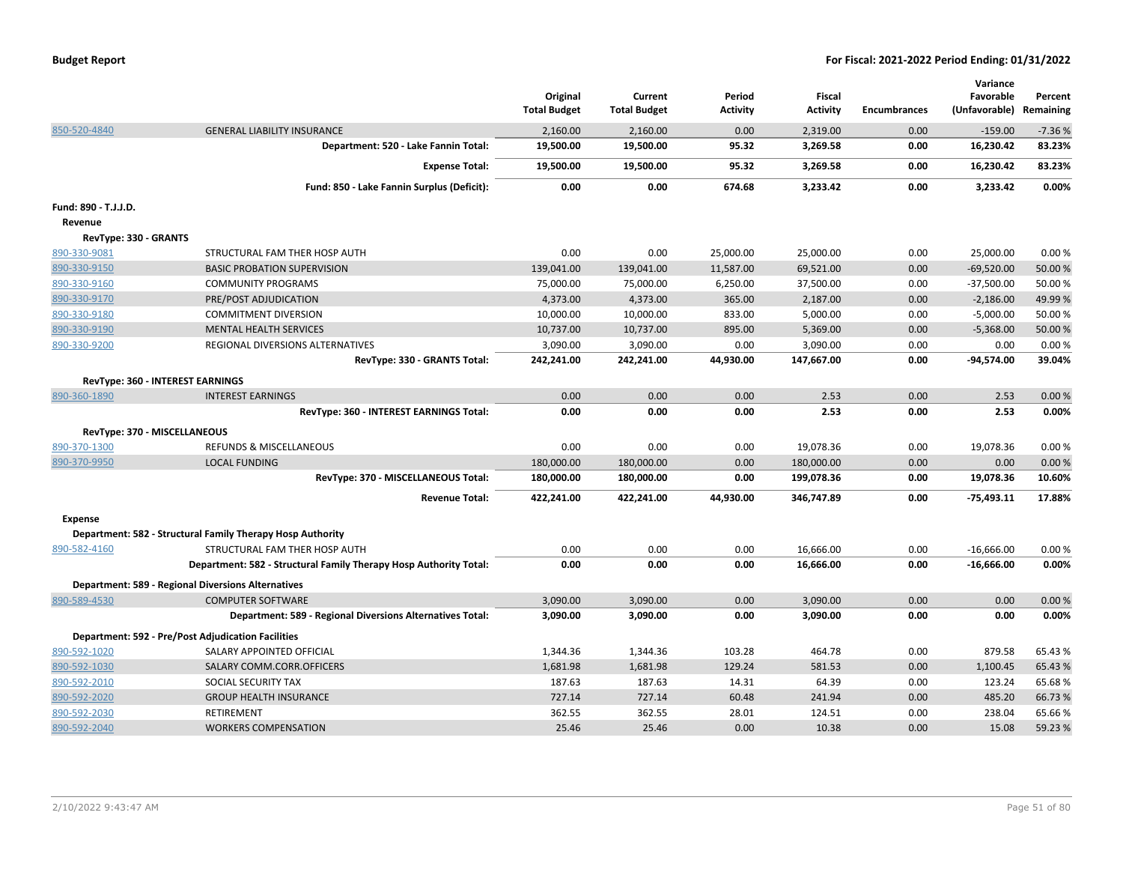|                              |                                                                   | Original<br><b>Total Budget</b> | Current<br><b>Total Budget</b> | Period<br><b>Activity</b> | <b>Fiscal</b><br><b>Activity</b> | <b>Encumbrances</b> | Variance<br>Favorable<br>(Unfavorable) | Percent<br>Remaining |
|------------------------------|-------------------------------------------------------------------|---------------------------------|--------------------------------|---------------------------|----------------------------------|---------------------|----------------------------------------|----------------------|
| 850-520-4840                 | <b>GENERAL LIABILITY INSURANCE</b>                                | 2,160.00                        | 2,160.00                       | 0.00                      | 2,319.00                         | 0.00                | $-159.00$                              | $-7.36%$             |
|                              | Department: 520 - Lake Fannin Total:                              | 19,500.00                       | 19,500.00                      | 95.32                     | 3,269.58                         | 0.00                | 16,230.42                              | 83.23%               |
|                              | <b>Expense Total:</b>                                             | 19,500.00                       | 19,500.00                      | 95.32                     | 3,269.58                         | 0.00                | 16,230.42                              | 83.23%               |
|                              | Fund: 850 - Lake Fannin Surplus (Deficit):                        | 0.00                            | 0.00                           | 674.68                    | 3,233.42                         | 0.00                | 3,233.42                               | 0.00%                |
| Fund: 890 - T.J.J.D.         |                                                                   |                                 |                                |                           |                                  |                     |                                        |                      |
| Revenue                      |                                                                   |                                 |                                |                           |                                  |                     |                                        |                      |
| RevType: 330 - GRANTS        |                                                                   |                                 |                                |                           |                                  |                     |                                        |                      |
| 890-330-9081                 | STRUCTURAL FAM THER HOSP AUTH                                     | 0.00                            | 0.00                           | 25,000.00                 | 25,000.00                        | 0.00                | 25,000.00                              | 0.00%                |
| 890-330-9150                 | <b>BASIC PROBATION SUPERVISION</b>                                | 139,041.00                      | 139,041.00                     | 11,587.00                 | 69,521.00                        | 0.00                | $-69,520.00$                           | 50.00 %              |
| 890-330-9160                 | <b>COMMUNITY PROGRAMS</b>                                         | 75,000.00                       | 75,000.00                      | 6,250.00                  | 37,500.00                        | 0.00                | $-37,500.00$                           | 50.00 %              |
| 890-330-9170                 | PRE/POST ADJUDICATION                                             | 4,373.00                        | 4,373.00                       | 365.00                    | 2,187.00                         | 0.00                | $-2,186.00$                            | 49.99%               |
| 890-330-9180                 | <b>COMMITMENT DIVERSION</b>                                       | 10,000.00                       | 10,000.00                      | 833.00                    | 5,000.00                         | 0.00                | $-5,000.00$                            | 50.00 %              |
| 890-330-9190                 | <b>MENTAL HEALTH SERVICES</b>                                     | 10,737.00                       | 10,737.00                      | 895.00                    | 5,369.00                         | 0.00                | $-5,368.00$                            | 50.00 %              |
| 890-330-9200                 | REGIONAL DIVERSIONS ALTERNATIVES                                  | 3,090.00                        | 3,090.00                       | 0.00                      | 3,090.00                         | 0.00                | 0.00                                   | 0.00%                |
|                              | RevType: 330 - GRANTS Total:                                      | 242,241.00                      | 242,241.00                     | 44,930.00                 | 147,667.00                       | 0.00                | -94,574.00                             | 39.04%               |
|                              | <b>RevType: 360 - INTEREST EARNINGS</b>                           |                                 |                                |                           |                                  |                     |                                        |                      |
| 890-360-1890                 | <b>INTEREST EARNINGS</b>                                          | 0.00                            | 0.00                           | 0.00                      | 2.53                             | 0.00                | 2.53                                   | 0.00%                |
|                              | RevType: 360 - INTEREST EARNINGS Total:                           | 0.00                            | 0.00                           | 0.00                      | 2.53                             | 0.00                | 2.53                                   | 0.00%                |
| RevType: 370 - MISCELLANEOUS |                                                                   |                                 |                                |                           |                                  |                     |                                        |                      |
| 890-370-1300                 | REFUNDS & MISCELLANEOUS                                           | 0.00                            | 0.00                           | 0.00                      | 19,078.36                        | 0.00                | 19,078.36                              | 0.00%                |
| 890-370-9950                 | <b>LOCAL FUNDING</b>                                              | 180,000.00                      | 180,000.00                     | 0.00                      | 180,000.00                       | 0.00                | 0.00                                   | 0.00%                |
|                              | RevType: 370 - MISCELLANEOUS Total:                               | 180,000.00                      | 180,000.00                     | 0.00                      | 199,078.36                       | 0.00                | 19,078.36                              | 10.60%               |
|                              | <b>Revenue Total:</b>                                             | 422,241.00                      | 422,241.00                     | 44,930.00                 | 346,747.89                       | 0.00                | $-75,493.11$                           | 17.88%               |
|                              |                                                                   |                                 |                                |                           |                                  |                     |                                        |                      |
| <b>Expense</b>               | Department: 582 - Structural Family Therapy Hosp Authority        |                                 |                                |                           |                                  |                     |                                        |                      |
|                              | STRUCTURAL FAM THER HOSP AUTH                                     | 0.00                            | 0.00                           | 0.00                      | 16,666.00                        | 0.00                | $-16,666.00$                           | 0.00%                |
| 890-582-4160                 | Department: 582 - Structural Family Therapy Hosp Authority Total: | 0.00                            | 0.00                           | 0.00                      | 16,666.00                        | 0.00                |                                        | 0.00%                |
|                              |                                                                   |                                 |                                |                           |                                  |                     | $-16,666.00$                           |                      |
|                              | <b>Department: 589 - Regional Diversions Alternatives</b>         |                                 |                                |                           |                                  |                     |                                        |                      |
| 890-589-4530                 | <b>COMPUTER SOFTWARE</b>                                          | 3,090.00                        | 3,090.00                       | 0.00                      | 3,090.00                         | 0.00                | 0.00                                   | 0.00%                |
|                              | Department: 589 - Regional Diversions Alternatives Total:         | 3,090.00                        | 3,090.00                       | 0.00                      | 3,090.00                         | 0.00                | 0.00                                   | 0.00%                |
|                              | <b>Department: 592 - Pre/Post Adjudication Facilities</b>         |                                 |                                |                           |                                  |                     |                                        |                      |
| 890-592-1020                 | SALARY APPOINTED OFFICIAL                                         | 1,344.36                        | 1,344.36                       | 103.28                    | 464.78                           | 0.00                | 879.58                                 | 65.43%               |
| 890-592-1030                 | SALARY COMM.CORR.OFFICERS                                         | 1,681.98                        | 1,681.98                       | 129.24                    | 581.53                           | 0.00                | 1,100.45                               | 65.43%               |
| 890-592-2010                 | SOCIAL SECURITY TAX                                               | 187.63                          | 187.63                         | 14.31                     | 64.39                            | 0.00                | 123.24                                 | 65.68%               |
| 890-592-2020                 | <b>GROUP HEALTH INSURANCE</b>                                     | 727.14                          | 727.14                         | 60.48                     | 241.94                           | 0.00                | 485.20                                 | 66.73%               |
| 890-592-2030                 | <b>RETIREMENT</b>                                                 | 362.55                          | 362.55                         | 28.01                     | 124.51                           | 0.00                | 238.04                                 | 65.66%               |
| 890-592-2040                 | <b>WORKERS COMPENSATION</b>                                       | 25.46                           | 25.46                          | 0.00                      | 10.38                            | 0.00                | 15.08                                  | 59.23 %              |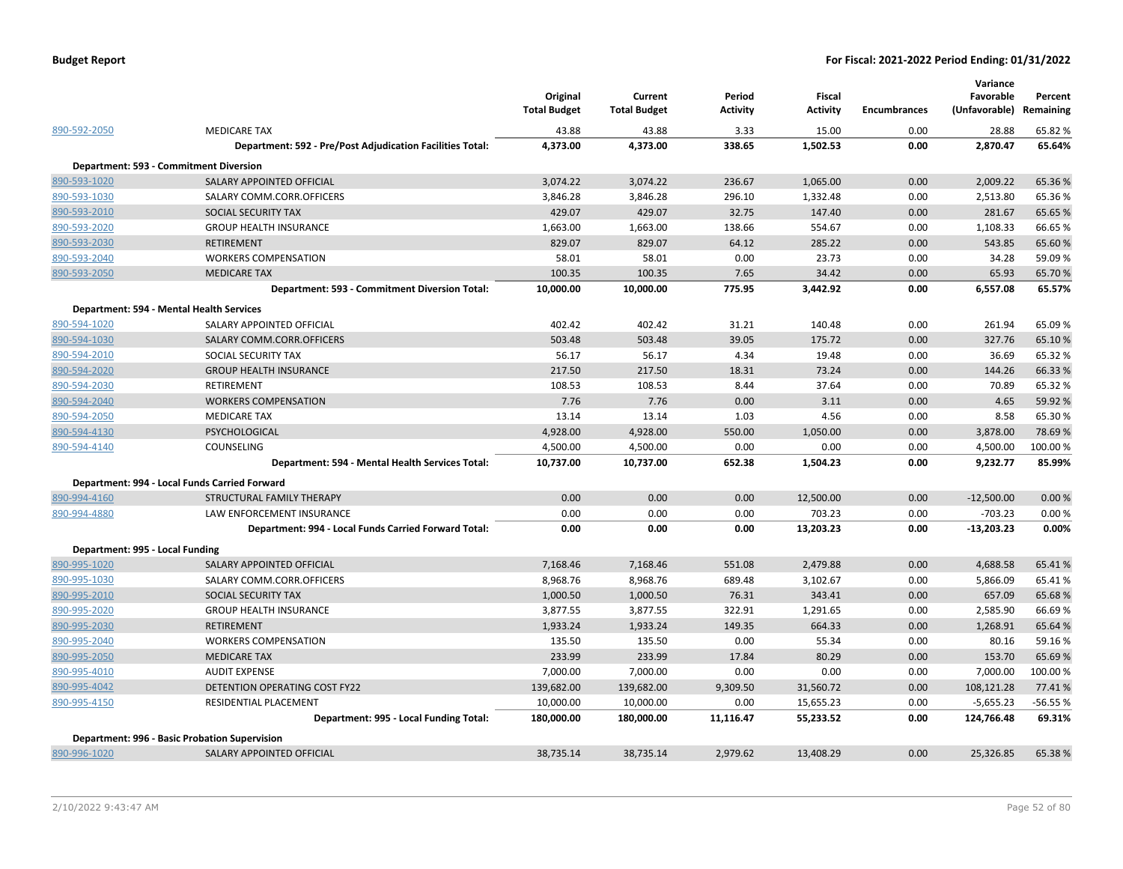|                                 |                                                           | Original<br><b>Total Budget</b> | Current<br><b>Total Budget</b> | Period<br><b>Activity</b> | <b>Fiscal</b><br><b>Activity</b> | <b>Encumbrances</b> | Variance<br>Favorable<br>(Unfavorable) | Percent<br>Remaining |
|---------------------------------|-----------------------------------------------------------|---------------------------------|--------------------------------|---------------------------|----------------------------------|---------------------|----------------------------------------|----------------------|
| 890-592-2050                    | <b>MEDICARE TAX</b>                                       | 43.88                           | 43.88                          | 3.33                      | 15.00                            | 0.00                | 28.88                                  | 65.82 %              |
|                                 | Department: 592 - Pre/Post Adjudication Facilities Total: | 4,373.00                        | 4,373.00                       | 338.65                    | 1,502.53                         | 0.00                | 2,870.47                               | 65.64%               |
|                                 | Department: 593 - Commitment Diversion                    |                                 |                                |                           |                                  |                     |                                        |                      |
| 890-593-1020                    | SALARY APPOINTED OFFICIAL                                 | 3,074.22                        | 3,074.22                       | 236.67                    | 1,065.00                         | 0.00                | 2,009.22                               | 65.36%               |
| 890-593-1030                    | SALARY COMM.CORR.OFFICERS                                 | 3,846.28                        | 3,846.28                       | 296.10                    | 1,332.48                         | 0.00                | 2,513.80                               | 65.36%               |
| 890-593-2010                    | SOCIAL SECURITY TAX                                       | 429.07                          | 429.07                         | 32.75                     | 147.40                           | 0.00                | 281.67                                 | 65.65%               |
| 890-593-2020                    | <b>GROUP HEALTH INSURANCE</b>                             | 1,663.00                        | 1,663.00                       | 138.66                    | 554.67                           | 0.00                | 1,108.33                               | 66.65%               |
| 890-593-2030                    | <b>RETIREMENT</b>                                         | 829.07                          | 829.07                         | 64.12                     | 285.22                           | 0.00                | 543.85                                 | 65.60%               |
| 890-593-2040                    | <b>WORKERS COMPENSATION</b>                               | 58.01                           | 58.01                          | 0.00                      | 23.73                            | 0.00                | 34.28                                  | 59.09%               |
| 890-593-2050                    | <b>MEDICARE TAX</b>                                       | 100.35                          | 100.35                         | 7.65                      | 34.42                            | 0.00                | 65.93                                  | 65.70%               |
|                                 | Department: 593 - Commitment Diversion Total:             | 10,000.00                       | 10,000.00                      | 775.95                    | 3,442.92                         | 0.00                | 6,557.08                               | 65.57%               |
|                                 | Department: 594 - Mental Health Services                  |                                 |                                |                           |                                  |                     |                                        |                      |
| 890-594-1020                    | SALARY APPOINTED OFFICIAL                                 | 402.42                          | 402.42                         | 31.21                     | 140.48                           | 0.00                | 261.94                                 | 65.09%               |
| 890-594-1030                    | SALARY COMM.CORR.OFFICERS                                 | 503.48                          | 503.48                         | 39.05                     | 175.72                           | 0.00                | 327.76                                 | 65.10%               |
| 890-594-2010                    | SOCIAL SECURITY TAX                                       | 56.17                           | 56.17                          | 4.34                      | 19.48                            | 0.00                | 36.69                                  | 65.32%               |
| 890-594-2020                    | <b>GROUP HEALTH INSURANCE</b>                             | 217.50                          | 217.50                         | 18.31                     | 73.24                            | 0.00                | 144.26                                 | 66.33 %              |
| 890-594-2030                    | <b>RETIREMENT</b>                                         | 108.53                          | 108.53                         | 8.44                      | 37.64                            | 0.00                | 70.89                                  | 65.32%               |
| 890-594-2040                    | <b>WORKERS COMPENSATION</b>                               | 7.76                            | 7.76                           | 0.00                      | 3.11                             | 0.00                | 4.65                                   | 59.92 %              |
| 890-594-2050                    | <b>MEDICARE TAX</b>                                       | 13.14                           | 13.14                          | 1.03                      | 4.56                             | 0.00                | 8.58                                   | 65.30%               |
| 890-594-4130                    | PSYCHOLOGICAL                                             | 4,928.00                        | 4,928.00                       | 550.00                    | 1,050.00                         | 0.00                | 3,878.00                               | 78.69%               |
| 890-594-4140                    | COUNSELING                                                | 4,500.00                        | 4,500.00                       | 0.00                      | 0.00                             | 0.00                | 4,500.00                               | 100.00%              |
|                                 | Department: 594 - Mental Health Services Total:           | 10,737.00                       | 10,737.00                      | 652.38                    | 1,504.23                         | 0.00                | 9,232.77                               | 85.99%               |
|                                 | Department: 994 - Local Funds Carried Forward             |                                 |                                |                           |                                  |                     |                                        |                      |
| 890-994-4160                    | STRUCTURAL FAMILY THERAPY                                 | 0.00                            | 0.00                           | 0.00                      | 12,500.00                        | 0.00                | $-12,500.00$                           | 0.00%                |
| 890-994-4880                    | LAW ENFORCEMENT INSURANCE                                 | 0.00                            | 0.00                           | 0.00                      | 703.23                           | 0.00                | $-703.23$                              | 0.00%                |
|                                 | Department: 994 - Local Funds Carried Forward Total:      | 0.00                            | 0.00                           | 0.00                      | 13,203.23                        | 0.00                | $-13,203.23$                           | 0.00%                |
| Department: 995 - Local Funding |                                                           |                                 |                                |                           |                                  |                     |                                        |                      |
| 890-995-1020                    | SALARY APPOINTED OFFICIAL                                 | 7,168.46                        | 7,168.46                       | 551.08                    | 2,479.88                         | 0.00                | 4,688.58                               | 65.41%               |
| 890-995-1030                    | SALARY COMM.CORR.OFFICERS                                 | 8,968.76                        | 8,968.76                       | 689.48                    | 3,102.67                         | 0.00                | 5,866.09                               | 65.41%               |
| 890-995-2010                    | SOCIAL SECURITY TAX                                       | 1,000.50                        | 1,000.50                       | 76.31                     | 343.41                           | 0.00                | 657.09                                 | 65.68%               |
| 890-995-2020                    | <b>GROUP HEALTH INSURANCE</b>                             | 3,877.55                        | 3,877.55                       | 322.91                    | 1,291.65                         | 0.00                | 2,585.90                               | 66.69%               |
| 890-995-2030                    | <b>RETIREMENT</b>                                         | 1,933.24                        | 1,933.24                       | 149.35                    | 664.33                           | 0.00                | 1,268.91                               | 65.64%               |
| 890-995-2040                    | <b>WORKERS COMPENSATION</b>                               | 135.50                          | 135.50                         | 0.00                      | 55.34                            | 0.00                | 80.16                                  | 59.16%               |
| 890-995-2050                    | <b>MEDICARE TAX</b>                                       | 233.99                          | 233.99                         | 17.84                     | 80.29                            | 0.00                | 153.70                                 | 65.69%               |
| 890-995-4010                    | <b>AUDIT EXPENSE</b>                                      | 7,000.00                        | 7,000.00                       | 0.00                      | 0.00                             | 0.00                | 7,000.00                               | 100.00%              |
| 890-995-4042                    | DETENTION OPERATING COST FY22                             | 139,682.00                      | 139,682.00                     | 9,309.50                  | 31,560.72                        | 0.00                | 108,121.28                             | 77.41%               |
| 890-995-4150                    | RESIDENTIAL PLACEMENT                                     | 10,000.00                       | 10,000.00                      | 0.00                      | 15,655.23                        | 0.00                | $-5,655.23$                            | $-56.55%$            |
|                                 | Department: 995 - Local Funding Total:                    | 180,000.00                      | 180,000.00                     | 11,116.47                 | 55,233.52                        | 0.00                | 124,766.48                             | 69.31%               |
|                                 | Department: 996 - Basic Probation Supervision             |                                 |                                |                           |                                  |                     |                                        |                      |
| 890-996-1020                    | SALARY APPOINTED OFFICIAL                                 | 38,735.14                       | 38,735.14                      | 2.979.62                  | 13.408.29                        | 0.00                | 25,326.85                              | 65.38%               |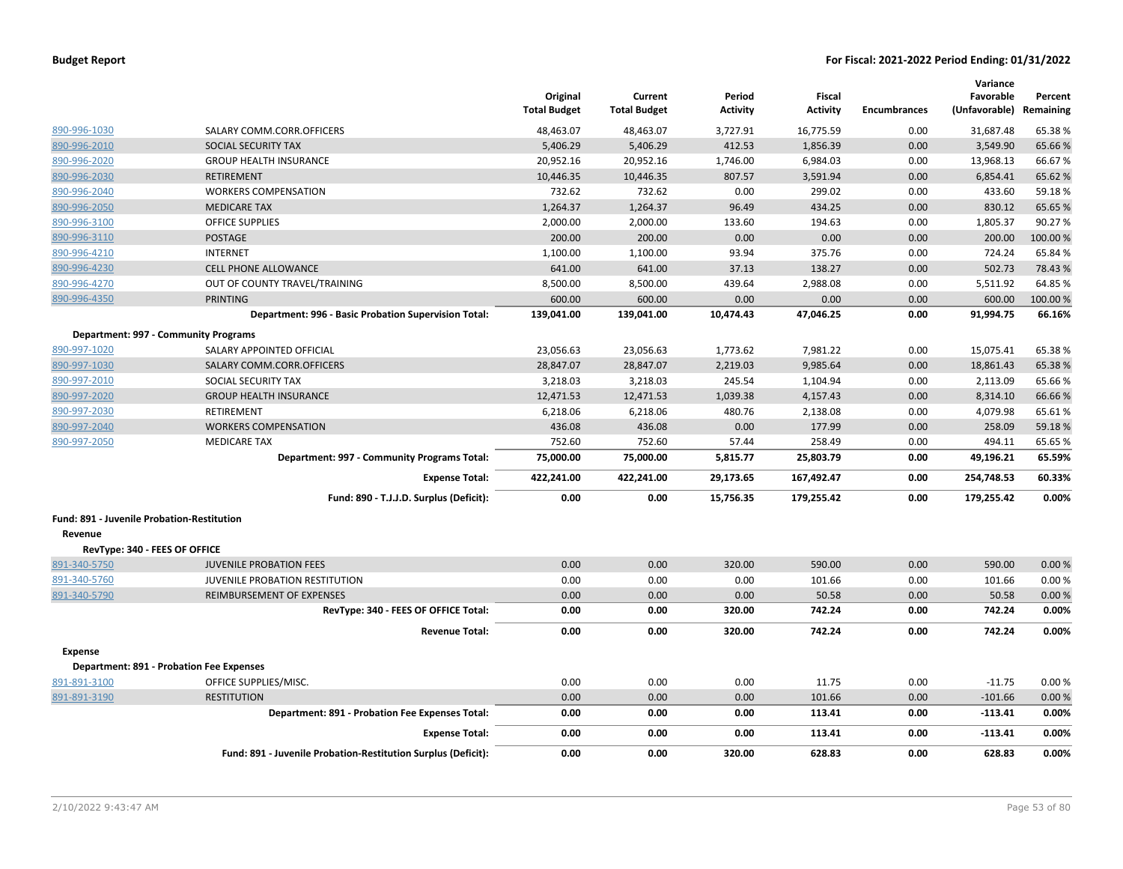|                                            |                                                               | Original<br><b>Total Budget</b> | Current<br><b>Total Budget</b> | Period<br><b>Activity</b> | <b>Fiscal</b><br><b>Activity</b> | <b>Encumbrances</b> | Variance<br>Favorable<br>(Unfavorable) Remaining | Percent |
|--------------------------------------------|---------------------------------------------------------------|---------------------------------|--------------------------------|---------------------------|----------------------------------|---------------------|--------------------------------------------------|---------|
| 890-996-1030                               | SALARY COMM.CORR.OFFICERS                                     | 48,463.07                       | 48,463.07                      | 3,727.91                  | 16,775.59                        | 0.00                | 31,687.48                                        | 65.38%  |
| 890-996-2010                               | SOCIAL SECURITY TAX                                           | 5,406.29                        | 5,406.29                       | 412.53                    | 1.856.39                         | 0.00                | 3.549.90                                         | 65.66%  |
| 890-996-2020                               | <b>GROUP HEALTH INSURANCE</b>                                 | 20,952.16                       | 20,952.16                      | 1,746.00                  | 6,984.03                         | 0.00                | 13,968.13                                        | 66.67%  |
| 890-996-2030                               | <b>RETIREMENT</b>                                             | 10,446.35                       | 10,446.35                      | 807.57                    | 3,591.94                         | 0.00                | 6,854.41                                         | 65.62%  |
| 890-996-2040                               | <b>WORKERS COMPENSATION</b>                                   | 732.62                          | 732.62                         | 0.00                      | 299.02                           | 0.00                | 433.60                                           | 59.18%  |
| 890-996-2050                               | <b>MEDICARE TAX</b>                                           | 1,264.37                        | 1,264.37                       | 96.49                     | 434.25                           | 0.00                | 830.12                                           | 65.65%  |
| 890-996-3100                               | <b>OFFICE SUPPLIES</b>                                        | 2,000.00                        | 2,000.00                       | 133.60                    | 194.63                           | 0.00                | 1,805.37                                         | 90.27%  |
| 890-996-3110                               | <b>POSTAGE</b>                                                | 200.00                          | 200.00                         | 0.00                      | 0.00                             | 0.00                | 200.00                                           | 100.00% |
| 890-996-4210                               | <b>INTERNET</b>                                               | 1,100.00                        | 1,100.00                       | 93.94                     | 375.76                           | 0.00                | 724.24                                           | 65.84%  |
| 890-996-4230                               | <b>CELL PHONE ALLOWANCE</b>                                   | 641.00                          | 641.00                         | 37.13                     | 138.27                           | 0.00                | 502.73                                           | 78.43%  |
| 890-996-4270                               | OUT OF COUNTY TRAVEL/TRAINING                                 | 8,500.00                        | 8,500.00                       | 439.64                    | 2,988.08                         | 0.00                | 5,511.92                                         | 64.85%  |
| 890-996-4350                               | <b>PRINTING</b>                                               | 600.00                          | 600.00                         | 0.00                      | 0.00                             | 0.00                | 600.00                                           | 100.00% |
|                                            | Department: 996 - Basic Probation Supervision Total:          | 139,041.00                      | 139.041.00                     | 10,474.43                 | 47.046.25                        | 0.00                | 91,994.75                                        | 66.16%  |
|                                            | Department: 997 - Community Programs                          |                                 |                                |                           |                                  |                     |                                                  |         |
| 890-997-1020                               | SALARY APPOINTED OFFICIAL                                     | 23,056.63                       | 23,056.63                      | 1,773.62                  | 7,981.22                         | 0.00                | 15,075.41                                        | 65.38%  |
| 890-997-1030                               | SALARY COMM.CORR.OFFICERS                                     | 28,847.07                       | 28,847.07                      | 2,219.03                  | 9,985.64                         | 0.00                | 18,861.43                                        | 65.38%  |
| 890-997-2010                               | SOCIAL SECURITY TAX                                           | 3,218.03                        | 3,218.03                       | 245.54                    | 1,104.94                         | 0.00                | 2,113.09                                         | 65.66%  |
| 890-997-2020                               | <b>GROUP HEALTH INSURANCE</b>                                 | 12,471.53                       | 12,471.53                      | 1,039.38                  | 4,157.43                         | 0.00                | 8,314.10                                         | 66.66%  |
| 890-997-2030                               | RETIREMENT                                                    | 6,218.06                        | 6,218.06                       | 480.76                    | 2,138.08                         | 0.00                | 4,079.98                                         | 65.61%  |
| 890-997-2040                               | <b>WORKERS COMPENSATION</b>                                   | 436.08                          | 436.08                         | 0.00                      | 177.99                           | 0.00                | 258.09                                           | 59.18%  |
| 890-997-2050                               | <b>MEDICARE TAX</b>                                           | 752.60                          | 752.60                         | 57.44                     | 258.49                           | 0.00                | 494.11                                           | 65.65%  |
|                                            | Department: 997 - Community Programs Total:                   | 75,000.00                       | 75,000.00                      | 5,815.77                  | 25,803.79                        | 0.00                | 49,196.21                                        | 65.59%  |
|                                            | <b>Expense Total:</b>                                         | 422,241.00                      | 422,241.00                     | 29,173.65                 | 167,492.47                       | 0.00                | 254,748.53                                       | 60.33%  |
|                                            | Fund: 890 - T.J.J.D. Surplus (Deficit):                       | 0.00                            | 0.00                           | 15,756.35                 | 179,255.42                       | 0.00                | 179,255.42                                       | 0.00%   |
| Fund: 891 - Juvenile Probation-Restitution |                                                               |                                 |                                |                           |                                  |                     |                                                  |         |
| Revenue                                    |                                                               |                                 |                                |                           |                                  |                     |                                                  |         |
| RevType: 340 - FEES OF OFFICE              |                                                               |                                 |                                |                           |                                  |                     |                                                  |         |
| 891-340-5750                               | <b>JUVENILE PROBATION FEES</b>                                | 0.00                            | 0.00                           | 320.00                    | 590.00                           | 0.00                | 590.00                                           | 0.00%   |
| 891-340-5760                               | JUVENILE PROBATION RESTITUTION                                | 0.00                            | 0.00                           | 0.00                      | 101.66                           | 0.00                | 101.66                                           | 0.00%   |
| 891-340-5790                               | <b>REIMBURSEMENT OF EXPENSES</b>                              | 0.00                            | 0.00                           | 0.00                      | 50.58                            | 0.00                | 50.58                                            | 0.00%   |
|                                            | RevType: 340 - FEES OF OFFICE Total:                          | 0.00                            | 0.00                           | 320.00                    | 742.24                           | 0.00                | 742.24                                           | 0.00%   |
|                                            | <b>Revenue Total:</b>                                         | 0.00                            | 0.00                           | 320.00                    | 742.24                           | 0.00                | 742.24                                           | 0.00%   |
| <b>Expense</b>                             |                                                               |                                 |                                |                           |                                  |                     |                                                  |         |
|                                            | <b>Department: 891 - Probation Fee Expenses</b>               |                                 |                                |                           |                                  |                     |                                                  |         |
| 891-891-3100                               | OFFICE SUPPLIES/MISC.                                         | 0.00                            | 0.00                           | 0.00                      | 11.75                            | 0.00                | $-11.75$                                         | 0.00%   |
| 891-891-3190                               | <b>RESTITUTION</b>                                            | 0.00                            | 0.00                           | 0.00                      | 101.66                           | 0.00                | $-101.66$                                        | 0.00%   |
|                                            | Department: 891 - Probation Fee Expenses Total:               | 0.00                            | 0.00                           | 0.00                      | 113.41                           | 0.00                | $-113.41$                                        | 0.00%   |
|                                            | <b>Expense Total:</b>                                         | 0.00                            | 0.00                           | 0.00                      | 113.41                           | 0.00                | $-113.41$                                        | 0.00%   |
|                                            | Fund: 891 - Juvenile Probation-Restitution Surplus (Deficit): | 0.00                            | 0.00                           | 320.00                    | 628.83                           | 0.00                | 628.83                                           | 0.00%   |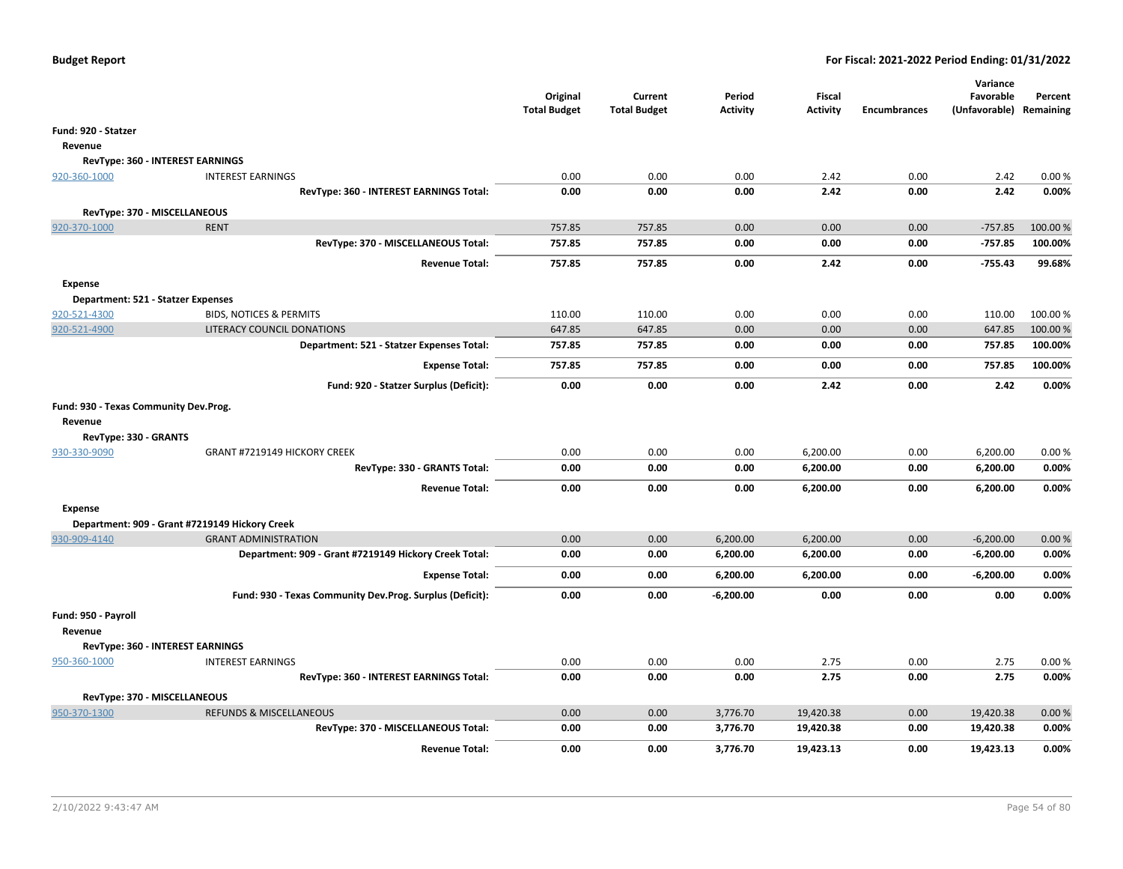|                                       |                                                          | Original<br><b>Total Budget</b> | Current<br><b>Total Budget</b> | Period<br><b>Activity</b> | Fiscal<br><b>Activity</b> | <b>Encumbrances</b> | Variance<br>Favorable<br>(Unfavorable) Remaining | Percent |
|---------------------------------------|----------------------------------------------------------|---------------------------------|--------------------------------|---------------------------|---------------------------|---------------------|--------------------------------------------------|---------|
| Fund: 920 - Statzer                   |                                                          |                                 |                                |                           |                           |                     |                                                  |         |
| Revenue                               |                                                          |                                 |                                |                           |                           |                     |                                                  |         |
|                                       | <b>RevType: 360 - INTEREST EARNINGS</b>                  |                                 |                                |                           |                           |                     |                                                  |         |
| 920-360-1000                          | <b>INTEREST EARNINGS</b>                                 | 0.00                            | 0.00                           | 0.00                      | 2.42                      | 0.00                | 2.42                                             | 0.00%   |
|                                       | RevType: 360 - INTEREST EARNINGS Total:                  | 0.00                            | 0.00                           | 0.00                      | 2.42                      | 0.00                | 2.42                                             | 0.00%   |
|                                       |                                                          |                                 |                                |                           |                           |                     |                                                  |         |
| RevType: 370 - MISCELLANEOUS          |                                                          |                                 |                                |                           |                           |                     |                                                  |         |
| 920-370-1000                          | <b>RENT</b>                                              | 757.85                          | 757.85                         | 0.00                      | 0.00                      | 0.00                | $-757.85$                                        | 100.00% |
|                                       | RevType: 370 - MISCELLANEOUS Total:                      | 757.85                          | 757.85                         | 0.00                      | 0.00                      | 0.00                | $-757.85$                                        | 100.00% |
|                                       | <b>Revenue Total:</b>                                    | 757.85                          | 757.85                         | 0.00                      | 2.42                      | 0.00                | $-755.43$                                        | 99.68%  |
| <b>Expense</b>                        |                                                          |                                 |                                |                           |                           |                     |                                                  |         |
| Department: 521 - Statzer Expenses    |                                                          |                                 |                                |                           |                           |                     |                                                  |         |
| 920-521-4300                          | <b>BIDS, NOTICES &amp; PERMITS</b>                       | 110.00                          | 110.00                         | 0.00                      | 0.00                      | 0.00                | 110.00                                           | 100.00% |
| 920-521-4900                          | LITERACY COUNCIL DONATIONS                               | 647.85                          | 647.85                         | 0.00                      | 0.00                      | 0.00                | 647.85                                           | 100.00% |
|                                       | Department: 521 - Statzer Expenses Total:                | 757.85                          | 757.85                         | 0.00                      | 0.00                      | 0.00                | 757.85                                           | 100.00% |
|                                       | <b>Expense Total:</b>                                    | 757.85                          | 757.85                         | 0.00                      | 0.00                      | 0.00                | 757.85                                           | 100.00% |
|                                       | Fund: 920 - Statzer Surplus (Deficit):                   | 0.00                            | 0.00                           | 0.00                      | 2.42                      | 0.00                | 2.42                                             | 0.00%   |
| Fund: 930 - Texas Community Dev.Prog. |                                                          |                                 |                                |                           |                           |                     |                                                  |         |
| Revenue                               |                                                          |                                 |                                |                           |                           |                     |                                                  |         |
| RevType: 330 - GRANTS                 |                                                          |                                 |                                |                           |                           |                     |                                                  |         |
| 930-330-9090                          | GRANT #7219149 HICKORY CREEK                             | 0.00                            | 0.00                           | 0.00                      | 6,200.00                  | 0.00                | 6,200.00                                         | 0.00%   |
|                                       | RevType: 330 - GRANTS Total:                             | 0.00                            | 0.00                           | 0.00                      | 6,200.00                  | 0.00                | 6,200.00                                         | 0.00%   |
|                                       | <b>Revenue Total:</b>                                    | 0.00                            | 0.00                           | 0.00                      | 6,200.00                  | 0.00                | 6,200.00                                         | 0.00%   |
| <b>Expense</b>                        |                                                          |                                 |                                |                           |                           |                     |                                                  |         |
|                                       | Department: 909 - Grant #7219149 Hickory Creek           |                                 |                                |                           |                           |                     |                                                  |         |
| 930-909-4140                          | <b>GRANT ADMINISTRATION</b>                              | 0.00                            | 0.00                           | 6,200.00                  | 6,200.00                  | 0.00                | $-6,200.00$                                      | 0.00%   |
|                                       | Department: 909 - Grant #7219149 Hickory Creek Total:    | 0.00                            | 0.00                           | 6,200.00                  | 6,200.00                  | 0.00                | $-6,200.00$                                      | 0.00%   |
|                                       | <b>Expense Total:</b>                                    | 0.00                            | 0.00                           | 6,200.00                  | 6,200.00                  | 0.00                | $-6,200.00$                                      | 0.00%   |
|                                       | Fund: 930 - Texas Community Dev.Prog. Surplus (Deficit): | 0.00                            | 0.00                           | $-6,200.00$               | 0.00                      | 0.00                | 0.00                                             | 0.00%   |
|                                       |                                                          |                                 |                                |                           |                           |                     |                                                  |         |
| Fund: 950 - Payroll                   |                                                          |                                 |                                |                           |                           |                     |                                                  |         |
| Revenue                               |                                                          |                                 |                                |                           |                           |                     |                                                  |         |
|                                       | RevType: 360 - INTEREST EARNINGS                         |                                 |                                |                           |                           |                     |                                                  |         |
| 950-360-1000                          | <b>INTEREST EARNINGS</b>                                 | 0.00                            | 0.00                           | 0.00                      | 2.75                      | 0.00                | 2.75                                             | 0.00%   |
|                                       | RevType: 360 - INTEREST EARNINGS Total:                  | 0.00                            | 0.00                           | 0.00                      | 2.75                      | 0.00                | 2.75                                             | 0.00%   |
| RevType: 370 - MISCELLANEOUS          |                                                          |                                 |                                |                           |                           |                     |                                                  |         |
| 950-370-1300                          | REFUNDS & MISCELLANEOUS                                  | 0.00                            | 0.00                           | 3,776.70                  | 19,420.38                 | 0.00                | 19,420.38                                        | 0.00 %  |
|                                       | RevType: 370 - MISCELLANEOUS Total:                      | 0.00                            | 0.00                           | 3,776.70                  | 19,420.38                 | 0.00                | 19,420.38                                        | 0.00%   |
|                                       | <b>Revenue Total:</b>                                    | 0.00                            | 0.00                           | 3,776.70                  | 19,423.13                 | 0.00                | 19,423.13                                        | 0.00%   |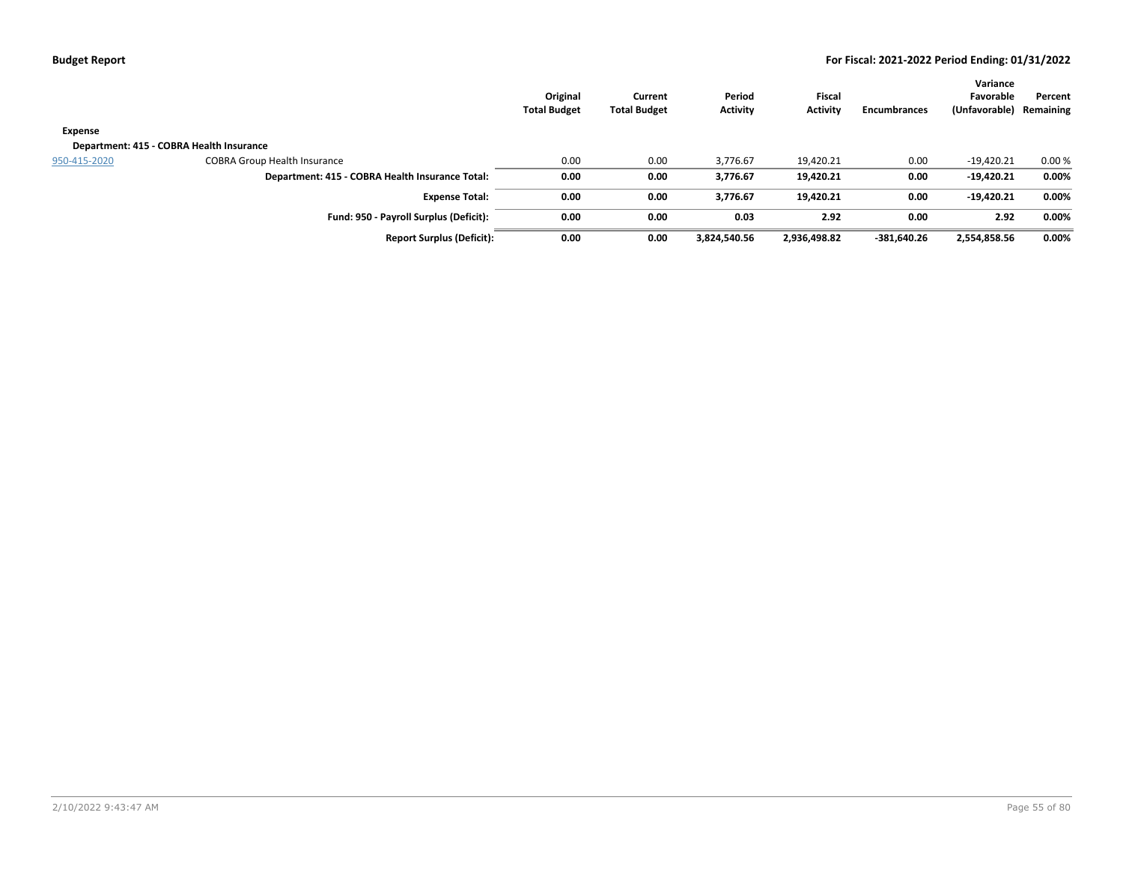|              |                                                 | Original<br><b>Total Budget</b> | Current<br><b>Total Budget</b> | Period<br>Activity | <b>Fiscal</b><br><b>Activity</b> | <b>Encumbrances</b> | Variance<br>Favorable<br>(Unfavorable) | Percent<br>Remaining |
|--------------|-------------------------------------------------|---------------------------------|--------------------------------|--------------------|----------------------------------|---------------------|----------------------------------------|----------------------|
| Expense      |                                                 |                                 |                                |                    |                                  |                     |                                        |                      |
|              | Department: 415 - COBRA Health Insurance        |                                 |                                |                    |                                  |                     |                                        |                      |
| 950-415-2020 | <b>COBRA Group Health Insurance</b>             | 0.00                            | 0.00                           | 3.776.67           | 19,420.21                        | 0.00                | $-19,420.21$                           | 0.00%                |
|              | Department: 415 - COBRA Health Insurance Total: | 0.00                            | 0.00                           | 3,776.67           | 19,420.21                        | 0.00                | $-19,420.21$                           | 0.00%                |
|              | <b>Expense Total:</b>                           | 0.00                            | 0.00                           | 3.776.67           | 19,420.21                        | 0.00                | $-19,420.21$                           | 0.00%                |
|              | Fund: 950 - Payroll Surplus (Deficit):          | 0.00                            | 0.00                           | 0.03               | 2.92                             | 0.00                | 2.92                                   | 0.00%                |
|              | <b>Report Surplus (Deficit):</b>                | 0.00                            | 0.00                           | 3,824,540.56       | 2,936,498.82                     | -381,640.26         | 2,554,858.56                           | 0.00%                |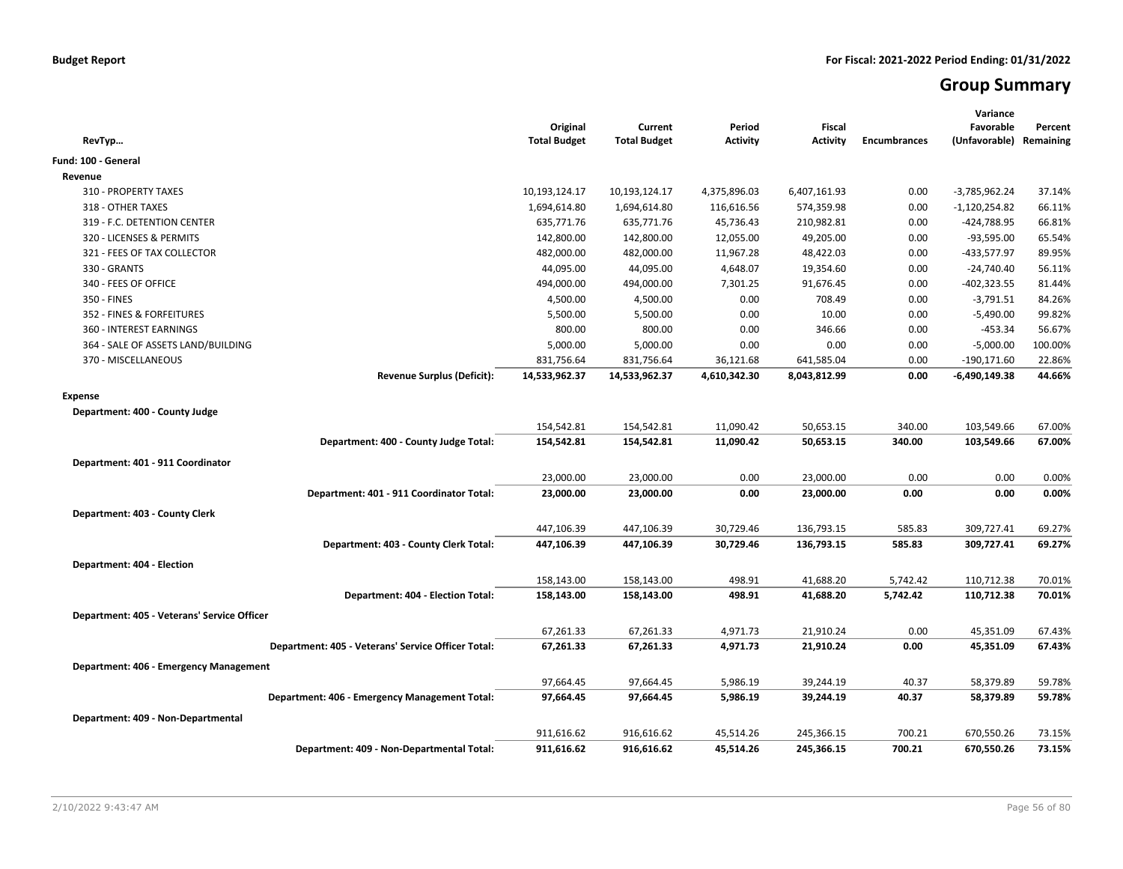# **Group Summary**

| RevTyp                                             | Original<br><b>Total Budget</b> | Current<br><b>Total Budget</b> | Period<br>Activity | <b>Fiscal</b><br><b>Activity</b> | <b>Encumbrances</b> | Variance<br>Favorable<br>(Unfavorable) | Percent<br>Remaining |
|----------------------------------------------------|---------------------------------|--------------------------------|--------------------|----------------------------------|---------------------|----------------------------------------|----------------------|
| Fund: 100 - General                                |                                 |                                |                    |                                  |                     |                                        |                      |
| Revenue                                            |                                 |                                |                    |                                  |                     |                                        |                      |
| 310 - PROPERTY TAXES                               | 10,193,124.17                   | 10,193,124.17                  | 4,375,896.03       | 6,407,161.93                     | 0.00                | -3,785,962.24                          | 37.14%               |
| 318 - OTHER TAXES                                  | 1,694,614.80                    | 1,694,614.80                   | 116,616.56         | 574,359.98                       | 0.00                | -1,120,254.82                          | 66.11%               |
| 319 - F.C. DETENTION CENTER                        | 635,771.76                      | 635,771.76                     | 45,736.43          | 210,982.81                       | 0.00                | -424,788.95                            | 66.81%               |
| 320 - LICENSES & PERMITS                           | 142,800.00                      | 142,800.00                     | 12,055.00          | 49,205.00                        | 0.00                | $-93,595.00$                           | 65.54%               |
| 321 - FEES OF TAX COLLECTOR                        | 482,000.00                      | 482,000.00                     | 11,967.28          | 48,422.03                        | 0.00                | -433,577.97                            | 89.95%               |
| 330 - GRANTS                                       | 44,095.00                       | 44,095.00                      | 4,648.07           | 19,354.60                        | 0.00                | $-24,740.40$                           | 56.11%               |
| 340 - FEES OF OFFICE                               | 494,000.00                      | 494,000.00                     | 7,301.25           | 91,676.45                        | 0.00                | $-402,323.55$                          | 81.44%               |
| 350 - FINES                                        | 4,500.00                        | 4,500.00                       | 0.00               | 708.49                           | 0.00                | $-3,791.51$                            | 84.26%               |
| 352 - FINES & FORFEITURES                          | 5,500.00                        | 5,500.00                       | 0.00               | 10.00                            | 0.00                | $-5,490.00$                            | 99.82%               |
| 360 - INTEREST EARNINGS                            | 800.00                          | 800.00                         | 0.00               | 346.66                           | 0.00                | $-453.34$                              | 56.67%               |
| 364 - SALE OF ASSETS LAND/BUILDING                 | 5,000.00                        | 5,000.00                       | 0.00               | 0.00                             | 0.00                | $-5,000.00$                            | 100.00%              |
| 370 - MISCELLANEOUS                                | 831,756.64                      | 831,756.64                     | 36,121.68          | 641,585.04                       | 0.00                | $-190, 171.60$                         | 22.86%               |
| <b>Revenue Surplus (Deficit):</b>                  | 14,533,962.37                   | 14,533,962.37                  | 4,610,342.30       | 8,043,812.99                     | 0.00                | -6,490,149.38                          | 44.66%               |
| <b>Expense</b>                                     |                                 |                                |                    |                                  |                     |                                        |                      |
| Department: 400 - County Judge                     |                                 |                                |                    |                                  |                     |                                        |                      |
|                                                    | 154,542.81                      | 154,542.81                     | 11,090.42          | 50,653.15                        | 340.00              | 103,549.66                             | 67.00%               |
| Department: 400 - County Judge Total:              | 154,542.81                      | 154,542.81                     | 11,090.42          | 50,653.15                        | 340.00              | 103,549.66                             | 67.00%               |
| Department: 401 - 911 Coordinator                  |                                 |                                |                    |                                  |                     |                                        |                      |
|                                                    | 23,000.00                       | 23,000.00                      | 0.00               | 23,000.00                        | 0.00                | 0.00                                   | 0.00%                |
| Department: 401 - 911 Coordinator Total:           | 23,000.00                       | 23,000.00                      | 0.00               | 23,000.00                        | 0.00                | 0.00                                   | 0.00%                |
|                                                    |                                 |                                |                    |                                  |                     |                                        |                      |
| Department: 403 - County Clerk                     |                                 |                                |                    |                                  |                     |                                        |                      |
|                                                    | 447,106.39                      | 447,106.39                     | 30,729.46          | 136,793.15                       | 585.83              | 309,727.41                             | 69.27%               |
| Department: 403 - County Clerk Total:              | 447,106.39                      | 447,106.39                     | 30,729.46          | 136,793.15                       | 585.83              | 309,727.41                             | 69.27%               |
| Department: 404 - Election                         |                                 |                                |                    |                                  |                     |                                        |                      |
|                                                    | 158,143.00                      | 158,143.00                     | 498.91             | 41,688.20                        | 5,742.42            | 110,712.38                             | 70.01%               |
| Department: 404 - Election Total:                  | 158,143.00                      | 158,143.00                     | 498.91             | 41,688.20                        | 5,742.42            | 110,712.38                             | 70.01%               |
| Department: 405 - Veterans' Service Officer        |                                 |                                |                    |                                  |                     |                                        |                      |
|                                                    | 67,261.33                       | 67,261.33                      | 4,971.73           | 21,910.24                        | 0.00                | 45,351.09                              | 67.43%               |
| Department: 405 - Veterans' Service Officer Total: | 67,261.33                       | 67,261.33                      | 4,971.73           | 21,910.24                        | 0.00                | 45,351.09                              | 67.43%               |
|                                                    |                                 |                                |                    |                                  |                     |                                        |                      |
| Department: 406 - Emergency Management             | 97,664.45                       | 97,664.45                      | 5,986.19           | 39,244.19                        | 40.37               | 58,379.89                              |                      |
|                                                    |                                 |                                |                    |                                  |                     |                                        | 59.78%               |
| Department: 406 - Emergency Management Total:      | 97,664.45                       | 97,664.45                      | 5,986.19           | 39,244.19                        | 40.37               | 58,379.89                              | 59.78%               |
| Department: 409 - Non-Departmental                 |                                 |                                |                    |                                  |                     |                                        |                      |
|                                                    | 911,616.62                      | 916,616.62                     | 45,514.26          | 245,366.15                       | 700.21              | 670,550.26                             | 73.15%               |
| Department: 409 - Non-Departmental Total:          | 911,616.62                      | 916,616.62                     | 45,514.26          | 245,366.15                       | 700.21              | 670,550.26                             | 73.15%               |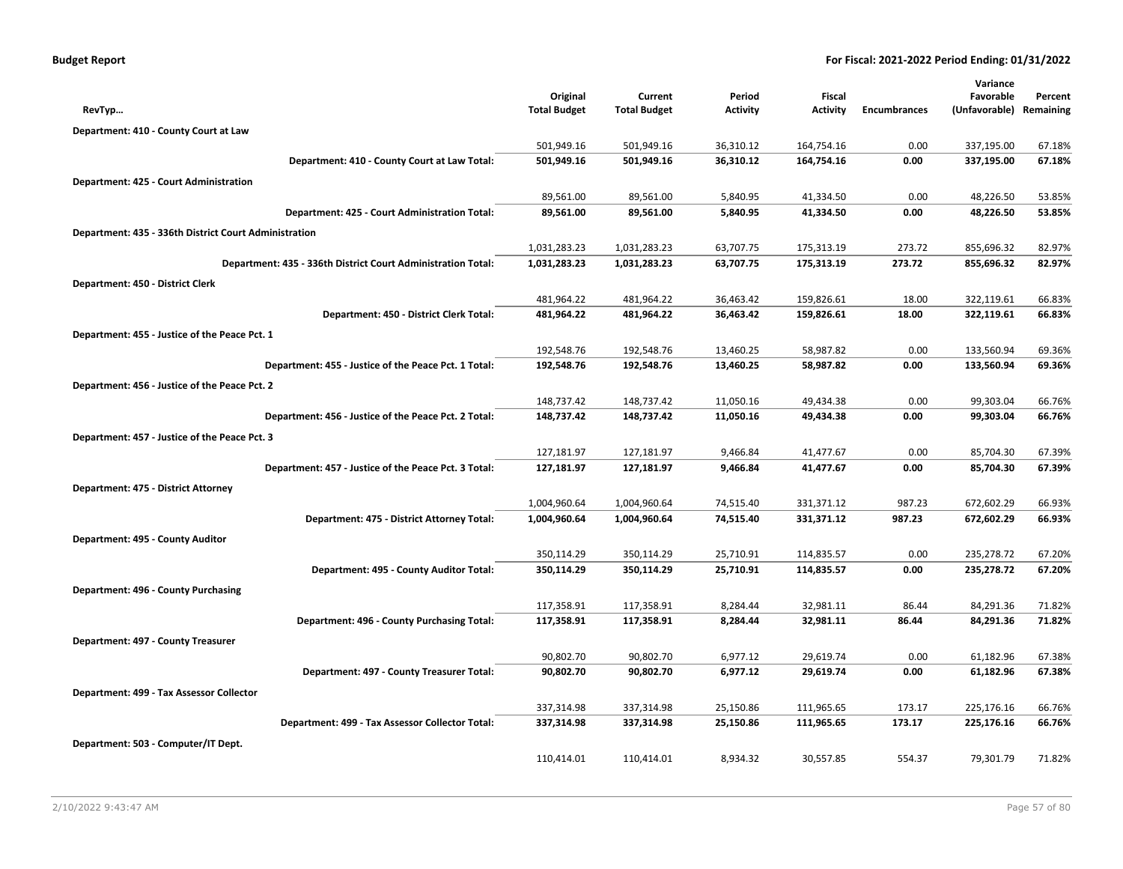|  | <b>Budget Report</b> |
|--|----------------------|
|--|----------------------|

|                                                              |                     |                     |                 |            |                     | Variance      |           |
|--------------------------------------------------------------|---------------------|---------------------|-----------------|------------|---------------------|---------------|-----------|
|                                                              | Original            | Current             | Period          | Fiscal     |                     | Favorable     | Percent   |
| RevTyp                                                       | <b>Total Budget</b> | <b>Total Budget</b> | <b>Activity</b> | Activity   | <b>Encumbrances</b> | (Unfavorable) | Remaining |
| Department: 410 - County Court at Law                        |                     |                     |                 |            |                     |               |           |
|                                                              | 501,949.16          | 501,949.16          | 36,310.12       | 164,754.16 | 0.00                | 337,195.00    | 67.18%    |
| Department: 410 - County Court at Law Total:                 | 501,949.16          | 501,949.16          | 36,310.12       | 164,754.16 | 0.00                | 337,195.00    | 67.18%    |
| Department: 425 - Court Administration                       |                     |                     |                 |            |                     |               |           |
|                                                              | 89,561.00           | 89,561.00           | 5,840.95        | 41,334.50  | 0.00                | 48,226.50     | 53.85%    |
| Department: 425 - Court Administration Total:                | 89,561.00           | 89,561.00           | 5,840.95        | 41,334.50  | 0.00                | 48,226.50     | 53.85%    |
| Department: 435 - 336th District Court Administration        |                     |                     |                 |            |                     |               |           |
|                                                              | 1,031,283.23        | 1,031,283.23        | 63,707.75       | 175,313.19 | 273.72              | 855,696.32    | 82.97%    |
| Department: 435 - 336th District Court Administration Total: | 1,031,283.23        | 1,031,283.23        | 63,707.75       | 175,313.19 | 273.72              | 855,696.32    | 82.97%    |
| Department: 450 - District Clerk                             |                     |                     |                 |            |                     |               |           |
|                                                              | 481,964.22          | 481,964.22          | 36,463.42       | 159,826.61 | 18.00               | 322,119.61    | 66.83%    |
| Department: 450 - District Clerk Total:                      | 481,964.22          | 481,964.22          | 36,463.42       | 159,826.61 | 18.00               | 322,119.61    | 66.83%    |
| Department: 455 - Justice of the Peace Pct. 1                |                     |                     |                 |            |                     |               |           |
|                                                              | 192,548.76          | 192,548.76          | 13,460.25       | 58,987.82  | 0.00                | 133,560.94    | 69.36%    |
| Department: 455 - Justice of the Peace Pct. 1 Total:         | 192,548.76          | 192,548.76          | 13,460.25       | 58,987.82  | 0.00                | 133,560.94    | 69.36%    |
| Department: 456 - Justice of the Peace Pct. 2                |                     |                     |                 |            |                     |               |           |
|                                                              | 148,737.42          | 148,737.42          | 11,050.16       | 49,434.38  | 0.00                | 99,303.04     | 66.76%    |
| Department: 456 - Justice of the Peace Pct. 2 Total:         | 148,737.42          | 148,737.42          | 11,050.16       | 49,434.38  | 0.00                | 99,303.04     | 66.76%    |
| Department: 457 - Justice of the Peace Pct. 3                |                     |                     |                 |            |                     |               |           |
|                                                              | 127,181.97          | 127,181.97          | 9,466.84        | 41,477.67  | 0.00                | 85,704.30     | 67.39%    |
| Department: 457 - Justice of the Peace Pct. 3 Total:         | 127,181.97          | 127,181.97          | 9,466.84        | 41,477.67  | 0.00                | 85,704.30     | 67.39%    |
| Department: 475 - District Attorney                          |                     |                     |                 |            |                     |               |           |
|                                                              | 1,004,960.64        | 1,004,960.64        | 74,515.40       | 331,371.12 | 987.23              | 672,602.29    | 66.93%    |
| Department: 475 - District Attorney Total:                   | 1,004,960.64        | 1,004,960.64        | 74,515.40       | 331,371.12 | 987.23              | 672,602.29    | 66.93%    |
| Department: 495 - County Auditor                             |                     |                     |                 |            |                     |               |           |
|                                                              | 350,114.29          | 350,114.29          | 25,710.91       | 114,835.57 | 0.00                | 235,278.72    | 67.20%    |
| Department: 495 - County Auditor Total:                      | 350,114.29          | 350,114.29          | 25,710.91       | 114,835.57 | 0.00                | 235,278.72    | 67.20%    |
| Department: 496 - County Purchasing                          |                     |                     |                 |            |                     |               |           |
|                                                              | 117,358.91          | 117,358.91          | 8,284.44        | 32,981.11  | 86.44               | 84,291.36     | 71.82%    |
| Department: 496 - County Purchasing Total:                   | 117,358.91          | 117,358.91          | 8,284.44        | 32,981.11  | 86.44               | 84,291.36     | 71.82%    |
| Department: 497 - County Treasurer                           |                     |                     |                 |            |                     |               |           |
|                                                              | 90,802.70           | 90,802.70           | 6,977.12        | 29,619.74  | 0.00                | 61,182.96     | 67.38%    |
| Department: 497 - County Treasurer Total:                    | 90,802.70           | 90,802.70           | 6,977.12        | 29,619.74  | 0.00                | 61,182.96     | 67.38%    |
| Department: 499 - Tax Assessor Collector                     |                     |                     |                 |            |                     |               |           |
|                                                              | 337,314.98          | 337,314.98          | 25,150.86       | 111,965.65 | 173.17              | 225,176.16    | 66.76%    |
| Department: 499 - Tax Assessor Collector Total:              | 337,314.98          | 337,314.98          | 25,150.86       | 111,965.65 | 173.17              | 225,176.16    | 66.76%    |
| Department: 503 - Computer/IT Dept.                          |                     |                     |                 |            |                     |               |           |
|                                                              | 110,414.01          | 110,414.01          | 8,934.32        | 30,557.85  | 554.37              | 79,301.79     | 71.82%    |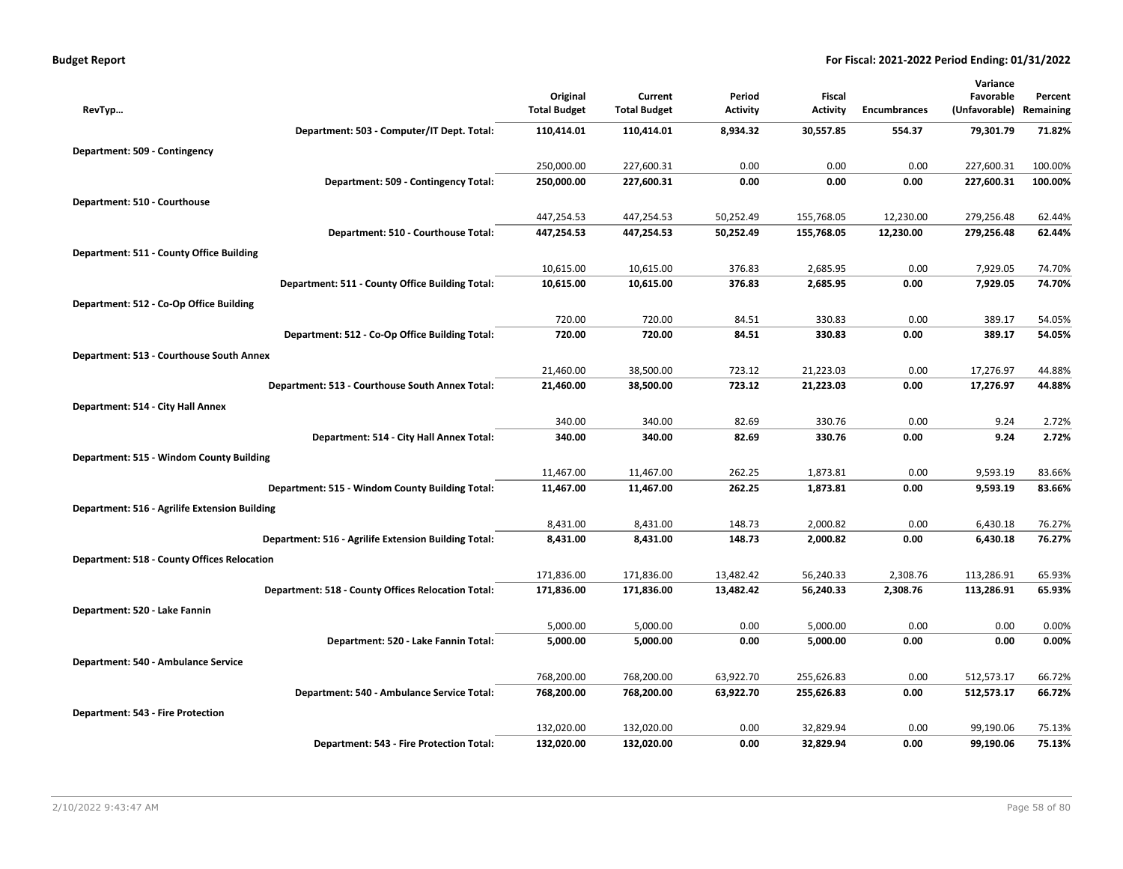| <b>Budget Report</b> |  |
|----------------------|--|
|----------------------|--|

|                                                      |                                 |                                |                           |                           |                      | Variance                   |                      |
|------------------------------------------------------|---------------------------------|--------------------------------|---------------------------|---------------------------|----------------------|----------------------------|----------------------|
| RevTyp                                               | Original<br><b>Total Budget</b> | Current<br><b>Total Budget</b> | Period<br><b>Activity</b> | Fiscal<br><b>Activity</b> | <b>Encumbrances</b>  | Favorable<br>(Unfavorable) | Percent<br>Remaining |
| Department: 503 - Computer/IT Dept. Total:           | 110,414.01                      | 110,414.01                     | 8,934.32                  | 30,557.85                 | 554.37               | 79,301.79                  | 71.82%               |
| Department: 509 - Contingency                        |                                 |                                |                           |                           |                      |                            |                      |
|                                                      | 250,000.00                      | 227,600.31                     | 0.00                      | 0.00                      | 0.00                 | 227,600.31                 | 100.00%              |
| Department: 509 - Contingency Total:                 | 250,000.00                      | 227,600.31                     | 0.00                      | 0.00                      | 0.00                 | 227,600.31                 | 100.00%              |
| Department: 510 - Courthouse                         |                                 |                                |                           |                           |                      |                            |                      |
|                                                      | 447,254.53                      | 447,254.53                     | 50,252.49                 | 155,768.05                | 12,230.00            | 279,256.48                 | 62.44%               |
| Department: 510 - Courthouse Total:                  | 447,254.53                      | 447,254.53                     | 50,252.49                 | 155,768.05                | 12,230.00            | 279,256.48                 | 62.44%               |
| Department: 511 - County Office Building             |                                 |                                |                           |                           |                      |                            |                      |
|                                                      | 10,615.00                       | 10,615.00                      | 376.83                    | 2,685.95                  | 0.00                 | 7,929.05                   | 74.70%               |
| Department: 511 - County Office Building Total:      | 10,615.00                       | 10,615.00                      | 376.83                    | 2,685.95                  | 0.00                 | 7,929.05                   | 74.70%               |
| Department: 512 - Co-Op Office Building              |                                 |                                |                           |                           |                      |                            |                      |
|                                                      | 720.00                          | 720.00                         | 84.51                     | 330.83                    | 0.00                 | 389.17                     | 54.05%               |
| Department: 512 - Co-Op Office Building Total:       | 720.00                          | 720.00                         | 84.51                     | 330.83                    | 0.00                 | 389.17                     | 54.05%               |
| Department: 513 - Courthouse South Annex             |                                 |                                |                           |                           |                      |                            |                      |
|                                                      | 21,460.00                       | 38,500.00                      | 723.12                    | 21,223.03                 | 0.00                 | 17,276.97                  | 44.88%               |
| Department: 513 - Courthouse South Annex Total:      | 21,460.00                       | 38,500.00                      | 723.12                    | 21,223.03                 | 0.00                 | 17,276.97                  | 44.88%               |
| Department: 514 - City Hall Annex                    |                                 |                                |                           |                           |                      |                            |                      |
|                                                      | 340.00                          | 340.00                         | 82.69                     | 330.76                    | 0.00                 | 9.24                       | 2.72%                |
| Department: 514 - City Hall Annex Total:             | 340.00                          | 340.00                         | 82.69                     | 330.76                    | 0.00                 | 9.24                       | 2.72%                |
| Department: 515 - Windom County Building             |                                 |                                |                           |                           |                      |                            |                      |
|                                                      | 11,467.00                       | 11,467.00                      | 262.25                    | 1,873.81                  | 0.00                 | 9,593.19                   | 83.66%               |
| Department: 515 - Windom County Building Total:      | 11,467.00                       | 11,467.00                      | 262.25                    | 1,873.81                  | 0.00                 | 9,593.19                   | 83.66%               |
| Department: 516 - Agrilife Extension Building        |                                 |                                |                           |                           |                      |                            |                      |
| Department: 516 - Agrilife Extension Building Total: | 8,431.00<br>8,431.00            | 8,431.00<br>8,431.00           | 148.73<br>148.73          | 2,000.82<br>2,000.82      | 0.00<br>0.00         | 6,430.18<br>6,430.18       | 76.27%<br>76.27%     |
|                                                      |                                 |                                |                           |                           |                      |                            |                      |
| <b>Department: 518 - County Offices Relocation</b>   | 171,836.00                      |                                |                           |                           |                      |                            |                      |
| Department: 518 - County Offices Relocation Total:   | 171,836.00                      | 171,836.00<br>171,836.00       | 13,482.42<br>13,482.42    | 56,240.33<br>56,240.33    | 2,308.76<br>2,308.76 | 113,286.91<br>113,286.91   | 65.93%<br>65.93%     |
|                                                      |                                 |                                |                           |                           |                      |                            |                      |
| Department: 520 - Lake Fannin                        | 5,000.00                        | 5,000.00                       | 0.00                      | 5,000.00                  | 0.00                 | 0.00                       | 0.00%                |
| Department: 520 - Lake Fannin Total:                 | 5,000.00                        | 5,000.00                       | 0.00                      | 5,000.00                  | 0.00                 | 0.00                       | 0.00%                |
| Department: 540 - Ambulance Service                  |                                 |                                |                           |                           |                      |                            |                      |
|                                                      | 768,200.00                      | 768,200.00                     | 63,922.70                 | 255,626.83                | 0.00                 | 512,573.17                 | 66.72%               |
| Department: 540 - Ambulance Service Total:           | 768,200.00                      | 768,200.00                     | 63,922.70                 | 255,626.83                | 0.00                 | 512,573.17                 | 66.72%               |
| Department: 543 - Fire Protection                    |                                 |                                |                           |                           |                      |                            |                      |
|                                                      | 132,020.00                      | 132,020.00                     | 0.00                      | 32,829.94                 | 0.00                 | 99,190.06                  | 75.13%               |
| Department: 543 - Fire Protection Total:             | 132,020.00                      | 132,020.00                     | 0.00                      | 32,829.94                 | 0.00                 | 99,190.06                  | 75.13%               |
|                                                      |                                 |                                |                           |                           |                      |                            |                      |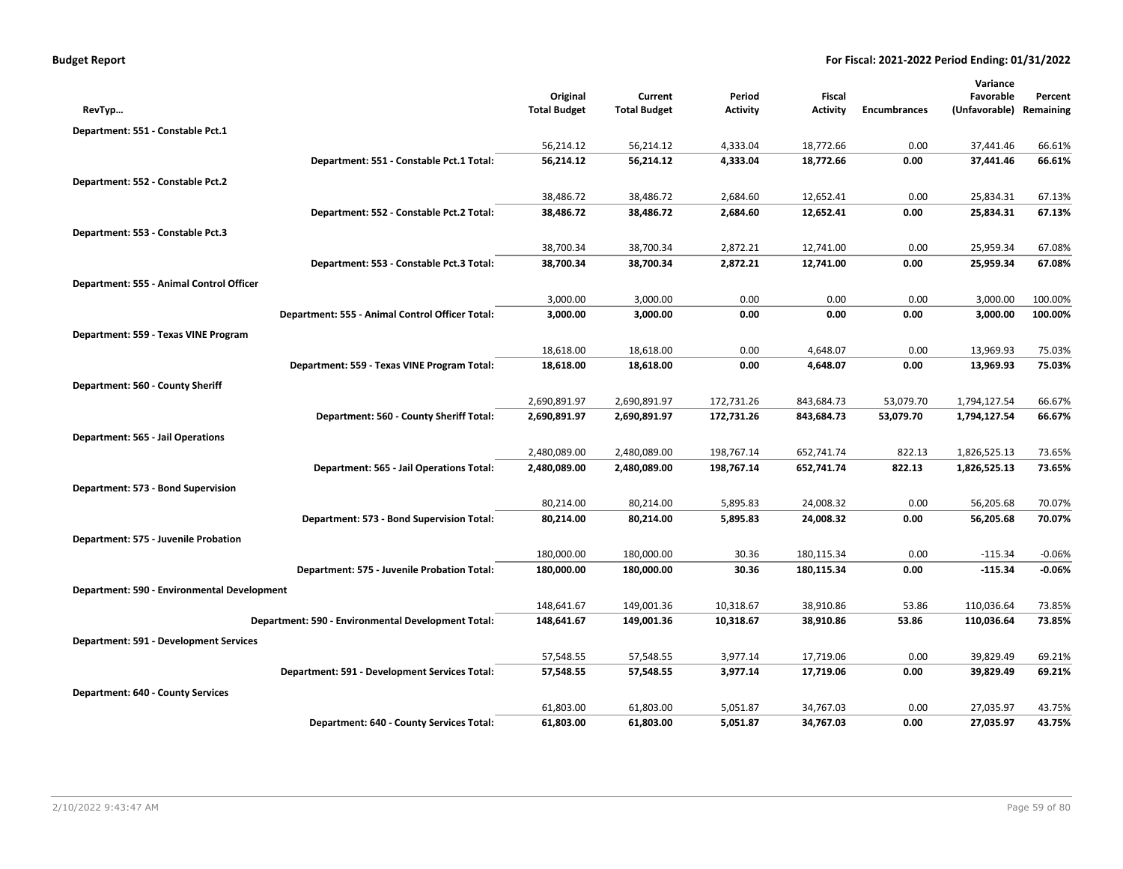| <b>Budget Report</b> |  |
|----------------------|--|
|----------------------|--|

|                                                    |                                 |                                |                           |                                  |                     | Variance                   |                      |
|----------------------------------------------------|---------------------------------|--------------------------------|---------------------------|----------------------------------|---------------------|----------------------------|----------------------|
| RevTyp                                             | Original<br><b>Total Budget</b> | Current<br><b>Total Budget</b> | Period<br><b>Activity</b> | <b>Fiscal</b><br><b>Activity</b> | <b>Encumbrances</b> | Favorable<br>(Unfavorable) | Percent<br>Remaining |
|                                                    |                                 |                                |                           |                                  |                     |                            |                      |
| Department: 551 - Constable Pct.1                  |                                 |                                |                           |                                  |                     |                            |                      |
| Department: 551 - Constable Pct.1 Total:           | 56,214.12<br>56,214.12          | 56,214.12<br>56,214.12         | 4,333.04<br>4,333.04      | 18,772.66<br>18,772.66           | 0.00<br>0.00        | 37,441.46<br>37,441.46     | 66.61%<br>66.61%     |
|                                                    |                                 |                                |                           |                                  |                     |                            |                      |
| Department: 552 - Constable Pct.2                  |                                 |                                |                           |                                  |                     |                            |                      |
|                                                    | 38,486.72                       | 38,486.72                      | 2,684.60                  | 12,652.41                        | 0.00                | 25,834.31                  | 67.13%               |
| Department: 552 - Constable Pct.2 Total:           | 38,486.72                       | 38,486.72                      | 2,684.60                  | 12,652.41                        | 0.00                | 25,834.31                  | 67.13%               |
| Department: 553 - Constable Pct.3                  |                                 |                                |                           |                                  |                     |                            |                      |
|                                                    | 38,700.34                       | 38,700.34                      | 2,872.21                  | 12,741.00                        | 0.00                | 25,959.34                  | 67.08%               |
| Department: 553 - Constable Pct.3 Total:           | 38,700.34                       | 38,700.34                      | 2,872.21                  | 12,741.00                        | 0.00                | 25,959.34                  | 67.08%               |
| Department: 555 - Animal Control Officer           |                                 |                                |                           |                                  |                     |                            |                      |
|                                                    | 3,000.00                        | 3,000.00                       | 0.00                      | 0.00                             | 0.00                | 3,000.00                   | 100.00%              |
| Department: 555 - Animal Control Officer Total:    | 3,000.00                        | 3,000.00                       | 0.00                      | 0.00                             | 0.00                | 3,000.00                   | 100.00%              |
| Department: 559 - Texas VINE Program               |                                 |                                |                           |                                  |                     |                            |                      |
|                                                    | 18,618.00                       | 18,618.00                      | 0.00                      | 4,648.07                         | 0.00                | 13,969.93                  | 75.03%               |
| Department: 559 - Texas VINE Program Total:        | 18,618.00                       | 18,618.00                      | 0.00                      | 4,648.07                         | 0.00                | 13,969.93                  | 75.03%               |
| Department: 560 - County Sheriff                   |                                 |                                |                           |                                  |                     |                            |                      |
|                                                    | 2,690,891.97                    | 2,690,891.97                   | 172,731.26                | 843,684.73                       | 53,079.70           | 1,794,127.54               | 66.67%               |
| Department: 560 - County Sheriff Total:            | 2,690,891.97                    | 2,690,891.97                   | 172,731.26                | 843,684.73                       | 53,079.70           | 1,794,127.54               | 66.67%               |
| <b>Department: 565 - Jail Operations</b>           |                                 |                                |                           |                                  |                     |                            |                      |
|                                                    | 2,480,089.00                    | 2,480,089.00                   | 198,767.14                | 652,741.74                       | 822.13              | 1,826,525.13               | 73.65%               |
| Department: 565 - Jail Operations Total:           | 2,480,089.00                    | 2,480,089.00                   | 198,767.14                | 652,741.74                       | 822.13              | 1,826,525.13               | 73.65%               |
| Department: 573 - Bond Supervision                 |                                 |                                |                           |                                  |                     |                            |                      |
|                                                    | 80,214.00                       | 80,214.00                      | 5,895.83                  | 24,008.32                        | 0.00                | 56,205.68                  | 70.07%               |
| Department: 573 - Bond Supervision Total:          | 80,214.00                       | 80,214.00                      | 5,895.83                  | 24,008.32                        | 0.00                | 56,205.68                  | 70.07%               |
| Department: 575 - Juvenile Probation               |                                 |                                |                           |                                  |                     |                            |                      |
|                                                    | 180,000.00                      | 180,000.00                     | 30.36                     | 180,115.34                       | 0.00                | $-115.34$                  | $-0.06%$             |
| Department: 575 - Juvenile Probation Total:        | 180,000.00                      | 180,000.00                     | 30.36                     | 180,115.34                       | 0.00                | $-115.34$                  | $-0.06%$             |
| Department: 590 - Environmental Development        |                                 |                                |                           |                                  |                     |                            |                      |
|                                                    | 148,641.67                      | 149,001.36                     | 10,318.67                 | 38,910.86                        | 53.86               | 110,036.64                 | 73.85%               |
| Department: 590 - Environmental Development Total: | 148,641.67                      | 149,001.36                     | 10,318.67                 | 38,910.86                        | 53.86               | 110,036.64                 | 73.85%               |
| Department: 591 - Development Services             |                                 |                                |                           |                                  |                     |                            |                      |
|                                                    | 57,548.55                       | 57,548.55                      | 3,977.14                  | 17,719.06                        | 0.00                | 39,829.49                  | 69.21%               |
| Department: 591 - Development Services Total:      | 57,548.55                       | 57,548.55                      | 3,977.14                  | 17,719.06                        | 0.00                | 39,829.49                  | 69.21%               |
| <b>Department: 640 - County Services</b>           |                                 |                                |                           |                                  |                     |                            |                      |
|                                                    | 61,803.00                       | 61,803.00                      | 5,051.87                  | 34,767.03                        | 0.00                | 27,035.97                  | 43.75%               |
| Department: 640 - County Services Total:           | 61,803.00                       | 61,803.00                      | 5,051.87                  | 34,767.03                        | 0.00                | 27,035.97                  | 43.75%               |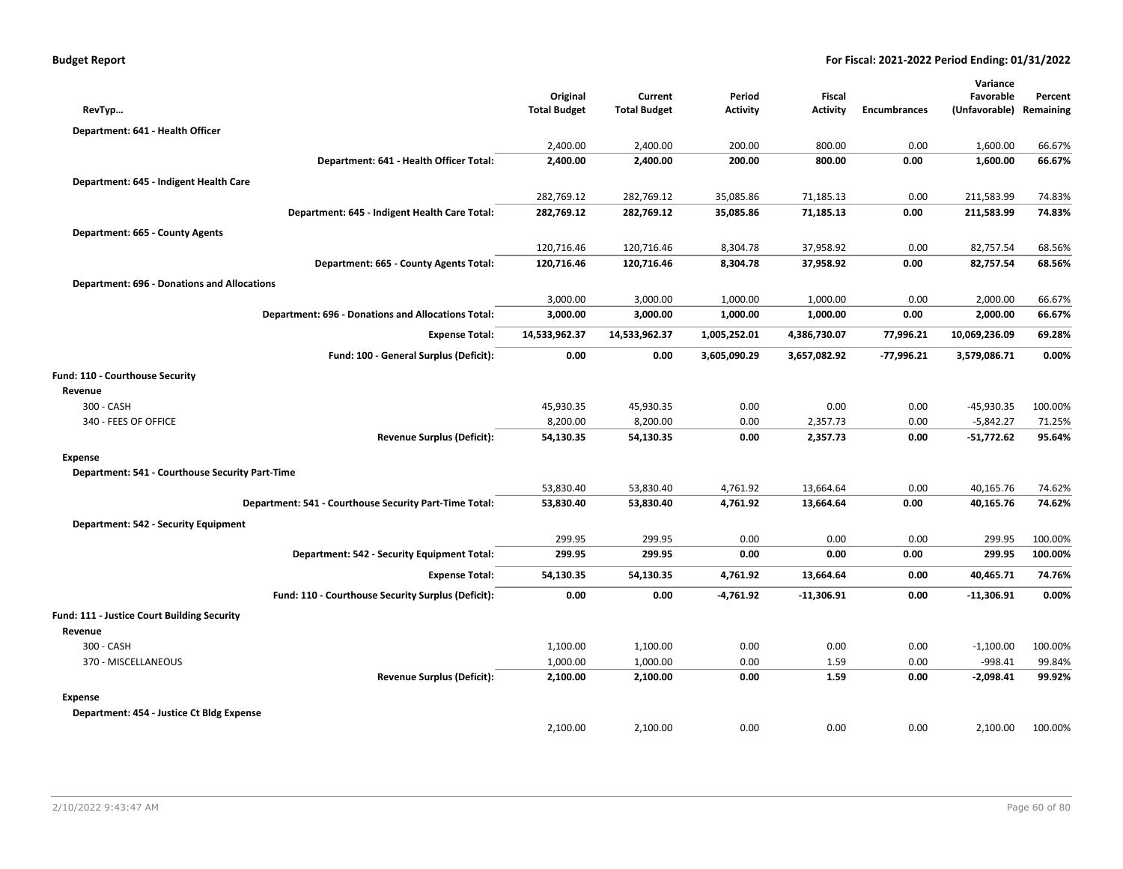| RevTyp                                             |                                                           | Original<br><b>Total Budget</b> | Current<br><b>Total Budget</b> | Period<br><b>Activity</b> | Fiscal<br><b>Activity</b> | <b>Encumbrances</b> | Variance<br>Favorable<br>(Unfavorable) | Percent<br>Remaining |
|----------------------------------------------------|-----------------------------------------------------------|---------------------------------|--------------------------------|---------------------------|---------------------------|---------------------|----------------------------------------|----------------------|
| Department: 641 - Health Officer                   |                                                           |                                 |                                |                           |                           |                     |                                        |                      |
|                                                    |                                                           | 2,400.00                        | 2,400.00                       | 200.00                    | 800.00                    | 0.00                | 1,600.00                               | 66.67%               |
|                                                    | Department: 641 - Health Officer Total:                   | 2,400.00                        | 2,400.00                       | 200.00                    | 800.00                    | 0.00                | 1,600.00                               | 66.67%               |
| Department: 645 - Indigent Health Care             |                                                           |                                 |                                |                           |                           |                     |                                        |                      |
|                                                    |                                                           | 282,769.12                      | 282,769.12                     | 35,085.86                 | 71,185.13                 | 0.00                | 211,583.99                             | 74.83%               |
|                                                    | Department: 645 - Indigent Health Care Total:             | 282,769.12                      | 282,769.12                     | 35,085.86                 | 71,185.13                 | 0.00                | 211,583.99                             | 74.83%               |
| Department: 665 - County Agents                    |                                                           |                                 |                                |                           |                           |                     |                                        |                      |
|                                                    |                                                           | 120,716.46                      | 120,716.46                     | 8,304.78                  | 37,958.92                 | 0.00                | 82,757.54                              | 68.56%               |
|                                                    | Department: 665 - County Agents Total:                    | 120,716.46                      | 120,716.46                     | 8,304.78                  | 37,958.92                 | 0.00                | 82,757.54                              | 68.56%               |
| <b>Department: 696 - Donations and Allocations</b> |                                                           |                                 |                                |                           |                           |                     |                                        |                      |
|                                                    |                                                           | 3,000.00                        | 3,000.00                       | 1,000.00                  | 1,000.00                  | 0.00                | 2,000.00                               | 66.67%               |
|                                                    | <b>Department: 696 - Donations and Allocations Total:</b> | 3,000.00                        | 3,000.00                       | 1,000.00                  | 1,000.00                  | 0.00                | 2,000.00                               | 66.67%               |
|                                                    | <b>Expense Total:</b>                                     | 14,533,962.37                   | 14,533,962.37                  | 1,005,252.01              | 4,386,730.07              | 77,996.21           | 10,069,236.09                          | 69.28%               |
|                                                    | Fund: 100 - General Surplus (Deficit):                    | 0.00                            | 0.00                           | 3,605,090.29              | 3,657,082.92              | $-77,996.21$        | 3,579,086.71                           | 0.00%                |
|                                                    |                                                           |                                 |                                |                           |                           |                     |                                        |                      |
| Fund: 110 - Courthouse Security<br>Revenue         |                                                           |                                 |                                |                           |                           |                     |                                        |                      |
| 300 - CASH                                         |                                                           | 45,930.35                       | 45,930.35                      | 0.00                      | 0.00                      | 0.00                | $-45,930.35$                           | 100.00%              |
| 340 - FEES OF OFFICE                               |                                                           | 8,200.00                        | 8,200.00                       | 0.00                      | 2,357.73                  | 0.00                | $-5,842.27$                            | 71.25%               |
|                                                    | <b>Revenue Surplus (Deficit):</b>                         | 54,130.35                       | 54,130.35                      | 0.00                      | 2,357.73                  | 0.00                | $-51,772.62$                           | 95.64%               |
| <b>Expense</b>                                     |                                                           |                                 |                                |                           |                           |                     |                                        |                      |
| Department: 541 - Courthouse Security Part-Time    |                                                           |                                 |                                |                           |                           |                     |                                        |                      |
|                                                    |                                                           | 53,830.40                       | 53,830.40                      | 4,761.92                  | 13,664.64                 | 0.00                | 40,165.76                              | 74.62%               |
|                                                    | Department: 541 - Courthouse Security Part-Time Total:    | 53,830.40                       | 53,830.40                      | 4,761.92                  | 13,664.64                 | 0.00                | 40,165.76                              | 74.62%               |
| Department: 542 - Security Equipment               |                                                           |                                 |                                |                           |                           |                     |                                        |                      |
|                                                    |                                                           | 299.95                          | 299.95                         | 0.00                      | 0.00                      | 0.00                | 299.95                                 | 100.00%              |
|                                                    | Department: 542 - Security Equipment Total:               | 299.95                          | 299.95                         | 0.00                      | 0.00                      | 0.00                | 299.95                                 | 100.00%              |
|                                                    | <b>Expense Total:</b>                                     | 54,130.35                       | 54,130.35                      | 4,761.92                  | 13,664.64                 | 0.00                | 40,465.71                              | 74.76%               |
|                                                    | Fund: 110 - Courthouse Security Surplus (Deficit):        | 0.00                            | 0.00                           | -4,761.92                 | $-11,306.91$              | 0.00                | $-11,306.91$                           | 0.00%                |
| Fund: 111 - Justice Court Building Security        |                                                           |                                 |                                |                           |                           |                     |                                        |                      |
| Revenue                                            |                                                           |                                 |                                |                           |                           |                     |                                        |                      |
| 300 - CASH                                         |                                                           | 1,100.00                        | 1,100.00                       | 0.00                      | 0.00                      | 0.00                | $-1,100.00$                            | 100.00%              |
| 370 - MISCELLANEOUS                                |                                                           | 1,000.00                        | 1,000.00                       | 0.00                      | 1.59                      | 0.00                | $-998.41$                              | 99.84%               |
|                                                    | <b>Revenue Surplus (Deficit):</b>                         | 2,100.00                        | 2,100.00                       | 0.00                      | 1.59                      | 0.00                | $-2,098.41$                            | 99.92%               |
| <b>Expense</b>                                     |                                                           |                                 |                                |                           |                           |                     |                                        |                      |
| Department: 454 - Justice Ct Bldg Expense          |                                                           |                                 |                                |                           |                           |                     |                                        |                      |
|                                                    |                                                           | 2,100.00                        | 2,100.00                       | 0.00                      | 0.00                      | 0.00                | 2,100.00                               | 100.00%              |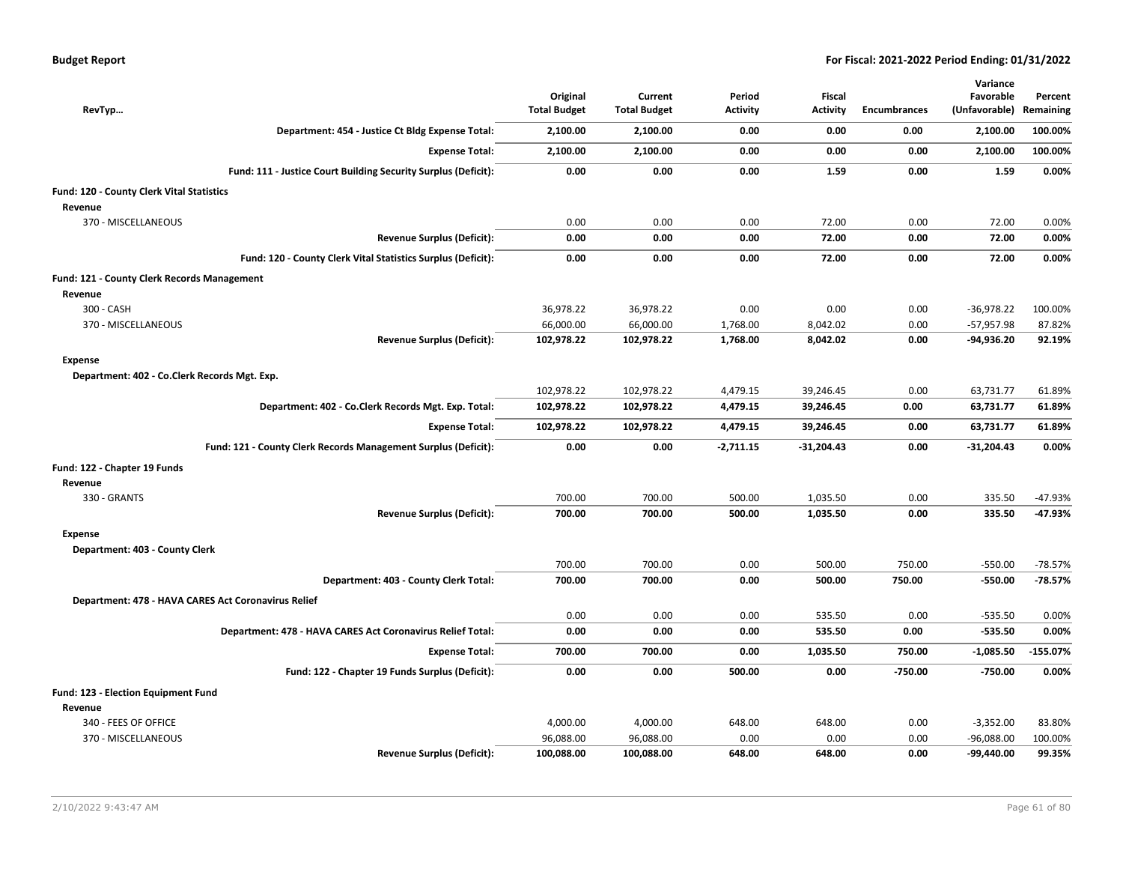| <b>Budget Report</b> |  |  |  |  |
|----------------------|--|--|--|--|
|----------------------|--|--|--|--|

|                                                     |                                                                |                                 |                                |                           |                                  |              | Variance                   |                      |
|-----------------------------------------------------|----------------------------------------------------------------|---------------------------------|--------------------------------|---------------------------|----------------------------------|--------------|----------------------------|----------------------|
| RevTyp                                              |                                                                | Original<br><b>Total Budget</b> | Current<br><b>Total Budget</b> | Period<br><b>Activity</b> | <b>Fiscal</b><br><b>Activity</b> | Encumbrances | Favorable<br>(Unfavorable) | Percent<br>Remaining |
|                                                     | Department: 454 - Justice Ct Bldg Expense Total:               | 2,100.00                        | 2,100.00                       | 0.00                      | 0.00                             | 0.00         | 2,100.00                   | 100.00%              |
|                                                     |                                                                |                                 |                                |                           |                                  |              |                            |                      |
|                                                     | <b>Expense Total:</b>                                          | 2,100.00                        | 2,100.00                       | 0.00                      | 0.00                             | 0.00         | 2,100.00                   | 100.00%              |
|                                                     | Fund: 111 - Justice Court Building Security Surplus (Deficit): | 0.00                            | 0.00                           | 0.00                      | 1.59                             | 0.00         | 1.59                       | 0.00%                |
| Fund: 120 - County Clerk Vital Statistics           |                                                                |                                 |                                |                           |                                  |              |                            |                      |
| Revenue                                             |                                                                |                                 |                                |                           |                                  |              |                            |                      |
| 370 - MISCELLANEOUS                                 |                                                                | 0.00                            | 0.00                           | 0.00                      | 72.00                            | 0.00         | 72.00                      | 0.00%                |
|                                                     | <b>Revenue Surplus (Deficit):</b>                              | 0.00                            | 0.00                           | 0.00                      | 72.00                            | 0.00         | 72.00                      | 0.00%                |
|                                                     | Fund: 120 - County Clerk Vital Statistics Surplus (Deficit):   | 0.00                            | 0.00                           | 0.00                      | 72.00                            | 0.00         | 72.00                      | 0.00%                |
| Fund: 121 - County Clerk Records Management         |                                                                |                                 |                                |                           |                                  |              |                            |                      |
| Revenue                                             |                                                                |                                 |                                |                           |                                  |              |                            |                      |
| 300 - CASH                                          |                                                                | 36,978.22                       | 36,978.22                      | 0.00                      | 0.00                             | 0.00         | $-36,978.22$               | 100.00%              |
| 370 - MISCELLANEOUS                                 |                                                                | 66,000.00                       | 66,000.00                      | 1,768.00                  | 8,042.02                         | 0.00         | $-57,957.98$               | 87.82%               |
|                                                     | <b>Revenue Surplus (Deficit):</b>                              | 102,978.22                      | 102,978.22                     | 1,768.00                  | 8,042.02                         | 0.00         | -94,936.20                 | 92.19%               |
| <b>Expense</b>                                      |                                                                |                                 |                                |                           |                                  |              |                            |                      |
| Department: 402 - Co.Clerk Records Mgt. Exp.        |                                                                |                                 |                                |                           |                                  |              |                            |                      |
|                                                     |                                                                | 102,978.22                      | 102,978.22                     | 4,479.15                  | 39,246.45                        | 0.00         | 63,731.77                  | 61.89%               |
|                                                     | Department: 402 - Co.Clerk Records Mgt. Exp. Total:            | 102,978.22                      | 102,978.22                     | 4,479.15                  | 39,246.45                        | 0.00         | 63,731.77                  | 61.89%               |
|                                                     | <b>Expense Total:</b>                                          | 102,978.22                      | 102,978.22                     | 4,479.15                  | 39,246.45                        | 0.00         | 63,731.77                  | 61.89%               |
|                                                     | Fund: 121 - County Clerk Records Management Surplus (Deficit): | 0.00                            | 0.00                           | $-2,711.15$               | $-31,204.43$                     | 0.00         | $-31,204.43$               | 0.00%                |
| Fund: 122 - Chapter 19 Funds                        |                                                                |                                 |                                |                           |                                  |              |                            |                      |
| Revenue                                             |                                                                |                                 |                                |                           |                                  |              |                            |                      |
| 330 - GRANTS                                        |                                                                | 700.00                          | 700.00                         | 500.00                    | 1,035.50                         | 0.00         | 335.50                     | $-47.93%$            |
|                                                     | <b>Revenue Surplus (Deficit):</b>                              | 700.00                          | 700.00                         | 500.00                    | 1,035.50                         | 0.00         | 335.50                     | $-47.93%$            |
| <b>Expense</b>                                      |                                                                |                                 |                                |                           |                                  |              |                            |                      |
| Department: 403 - County Clerk                      |                                                                |                                 |                                |                           |                                  |              |                            |                      |
|                                                     |                                                                | 700.00                          | 700.00                         | 0.00                      | 500.00                           | 750.00       | $-550.00$                  | $-78.57%$            |
|                                                     | Department: 403 - County Clerk Total:                          | 700.00                          | 700.00                         | 0.00                      | 500.00                           | 750.00       | $-550.00$                  | $-78.57%$            |
| Department: 478 - HAVA CARES Act Coronavirus Relief |                                                                |                                 |                                |                           |                                  |              |                            |                      |
|                                                     |                                                                | 0.00                            | 0.00                           | 0.00                      | 535.50                           | 0.00         | $-535.50$                  | 0.00%                |
|                                                     | Department: 478 - HAVA CARES Act Coronavirus Relief Total:     | 0.00                            | 0.00                           | 0.00                      | 535.50                           | 0.00         | $-535.50$                  | 0.00%                |
|                                                     | <b>Expense Total:</b>                                          | 700.00                          | 700.00                         | 0.00                      | 1,035.50                         | 750.00       | $-1,085.50$                | $-155.07%$           |
|                                                     | Fund: 122 - Chapter 19 Funds Surplus (Deficit):                | 0.00                            | 0.00                           | 500.00                    | 0.00                             | $-750.00$    | $-750.00$                  | 0.00%                |
| Fund: 123 - Election Equipment Fund                 |                                                                |                                 |                                |                           |                                  |              |                            |                      |
| Revenue                                             |                                                                |                                 |                                |                           |                                  |              |                            |                      |
| 340 - FEES OF OFFICE                                |                                                                | 4,000.00                        | 4,000.00                       | 648.00                    | 648.00                           | 0.00         | $-3,352.00$                | 83.80%               |
| 370 - MISCELLANEOUS                                 |                                                                | 96,088.00                       | 96,088.00                      | 0.00                      | 0.00                             | 0.00         | $-96,088.00$               | 100.00%              |
|                                                     | <b>Revenue Surplus (Deficit):</b>                              | 100,088.00                      | 100,088.00                     | 648.00                    | 648.00                           | 0.00         | -99,440.00                 | 99.35%               |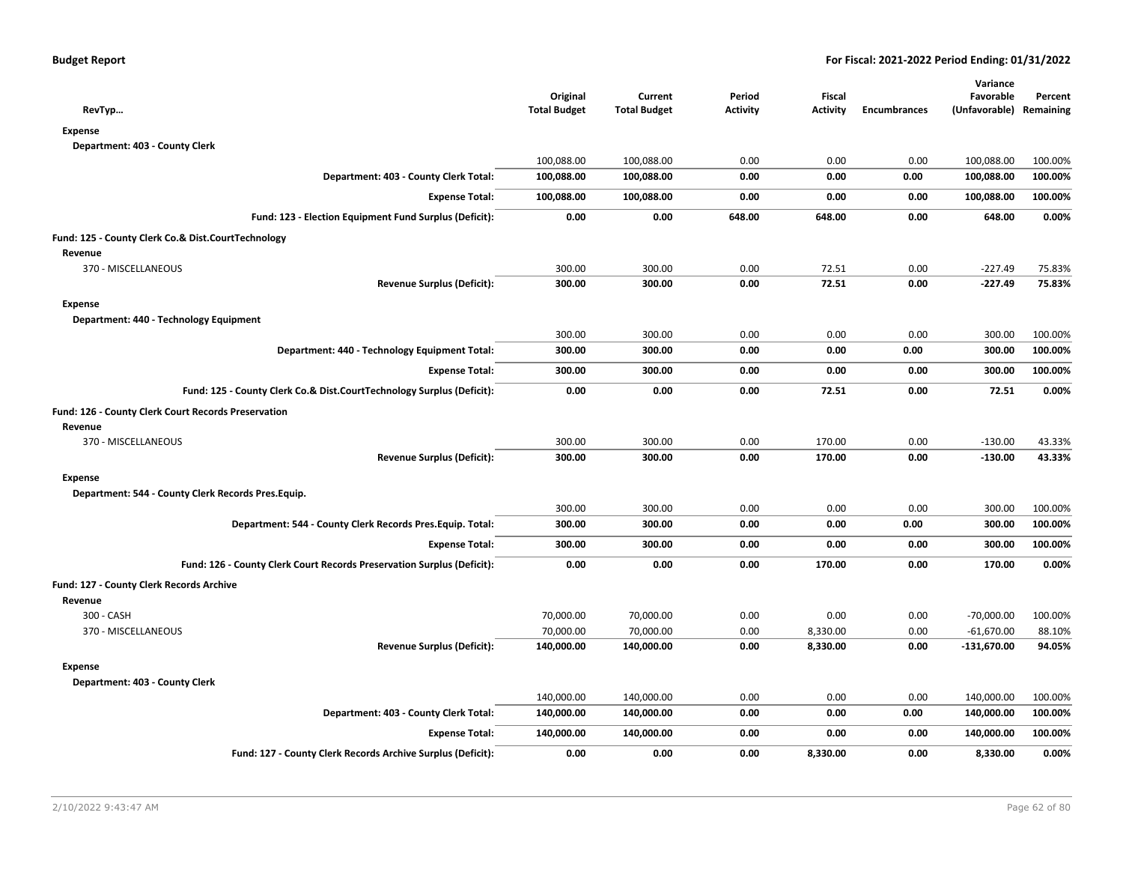| RevTyp                                                                 | Original<br><b>Total Budget</b> | Current<br><b>Total Budget</b> | Period<br><b>Activity</b> | Fiscal<br><b>Activity</b> | <b>Encumbrances</b> | Variance<br>Favorable<br>(Unfavorable) Remaining | Percent |
|------------------------------------------------------------------------|---------------------------------|--------------------------------|---------------------------|---------------------------|---------------------|--------------------------------------------------|---------|
| <b>Expense</b>                                                         |                                 |                                |                           |                           |                     |                                                  |         |
| Department: 403 - County Clerk                                         |                                 |                                |                           |                           |                     |                                                  |         |
|                                                                        | 100,088.00                      | 100,088.00                     | 0.00                      | 0.00                      | 0.00                | 100,088.00                                       | 100.00% |
| Department: 403 - County Clerk Total:                                  | 100,088.00                      | 100,088.00                     | 0.00                      | 0.00                      | 0.00                | 100,088.00                                       | 100.00% |
| <b>Expense Total:</b>                                                  | 100,088.00                      | 100,088.00                     | 0.00                      | 0.00                      | 0.00                | 100,088.00                                       | 100.00% |
| Fund: 123 - Election Equipment Fund Surplus (Deficit):                 | 0.00                            | 0.00                           | 648.00                    | 648.00                    | 0.00                | 648.00                                           | 0.00%   |
| Fund: 125 - County Clerk Co.& Dist.CourtTechnology                     |                                 |                                |                           |                           |                     |                                                  |         |
| Revenue                                                                |                                 |                                |                           |                           |                     |                                                  |         |
| 370 - MISCELLANEOUS                                                    | 300.00                          | 300.00                         | 0.00                      | 72.51                     | 0.00                | $-227.49$                                        | 75.83%  |
| <b>Revenue Surplus (Deficit):</b>                                      | 300.00                          | 300.00                         | 0.00                      | 72.51                     | 0.00                | $-227.49$                                        | 75.83%  |
| <b>Expense</b>                                                         |                                 |                                |                           |                           |                     |                                                  |         |
| Department: 440 - Technology Equipment                                 |                                 |                                |                           |                           |                     |                                                  |         |
|                                                                        | 300.00                          | 300.00                         | 0.00                      | 0.00                      | 0.00                | 300.00                                           | 100.00% |
| Department: 440 - Technology Equipment Total:                          | 300.00                          | 300.00                         | 0.00                      | 0.00                      | 0.00                | 300.00                                           | 100.00% |
| <b>Expense Total:</b>                                                  | 300.00                          | 300.00                         | 0.00                      | 0.00                      | 0.00                | 300.00                                           | 100.00% |
| Fund: 125 - County Clerk Co.& Dist.CourtTechnology Surplus (Deficit):  | 0.00                            | 0.00                           | 0.00                      | 72.51                     | 0.00                | 72.51                                            | 0.00%   |
| Fund: 126 - County Clerk Court Records Preservation                    |                                 |                                |                           |                           |                     |                                                  |         |
| Revenue                                                                |                                 |                                |                           |                           |                     |                                                  |         |
| 370 - MISCELLANEOUS                                                    | 300.00                          | 300.00                         | 0.00                      | 170.00                    | 0.00                | $-130.00$                                        | 43.33%  |
| <b>Revenue Surplus (Deficit):</b>                                      | 300.00                          | 300.00                         | 0.00                      | 170.00                    | 0.00                | $-130.00$                                        | 43.33%  |
| <b>Expense</b>                                                         |                                 |                                |                           |                           |                     |                                                  |         |
| Department: 544 - County Clerk Records Pres. Equip.                    |                                 |                                |                           |                           |                     |                                                  |         |
|                                                                        | 300.00                          | 300.00                         | 0.00                      | 0.00                      | 0.00                | 300.00                                           | 100.00% |
| Department: 544 - County Clerk Records Pres. Equip. Total:             | 300.00                          | 300.00                         | 0.00                      | 0.00                      | 0.00                | 300.00                                           | 100.00% |
| <b>Expense Total:</b>                                                  | 300.00                          | 300.00                         | 0.00                      | 0.00                      | 0.00                | 300.00                                           | 100.00% |
| Fund: 126 - County Clerk Court Records Preservation Surplus (Deficit): | 0.00                            | 0.00                           | 0.00                      | 170.00                    | 0.00                | 170.00                                           | 0.00%   |
| Fund: 127 - County Clerk Records Archive                               |                                 |                                |                           |                           |                     |                                                  |         |
| Revenue                                                                |                                 |                                |                           |                           |                     |                                                  |         |
| 300 - CASH                                                             | 70,000.00                       | 70,000.00                      | 0.00                      | 0.00                      | 0.00                | $-70,000.00$                                     | 100.00% |
| 370 - MISCELLANEOUS                                                    | 70,000.00                       | 70,000.00                      | 0.00                      | 8,330.00                  | 0.00                | $-61,670.00$                                     | 88.10%  |
| <b>Revenue Surplus (Deficit):</b>                                      | 140,000.00                      | 140,000.00                     | 0.00                      | 8,330.00                  | 0.00                | $-131,670.00$                                    | 94.05%  |
| <b>Expense</b>                                                         |                                 |                                |                           |                           |                     |                                                  |         |
| Department: 403 - County Clerk                                         |                                 |                                |                           |                           |                     |                                                  |         |
|                                                                        | 140,000.00                      | 140,000.00                     | 0.00                      | 0.00                      | 0.00                | 140,000.00                                       | 100.00% |
| Department: 403 - County Clerk Total:                                  | 140,000.00                      | 140,000.00                     | 0.00                      | 0.00                      | 0.00                | 140,000.00                                       | 100.00% |
| <b>Expense Total:</b>                                                  | 140,000.00                      | 140,000.00                     | 0.00                      | 0.00                      | 0.00                | 140,000.00                                       | 100.00% |
| Fund: 127 - County Clerk Records Archive Surplus (Deficit):            | 0.00                            | 0.00                           | 0.00                      | 8,330.00                  | 0.00                | 8,330.00                                         | 0.00%   |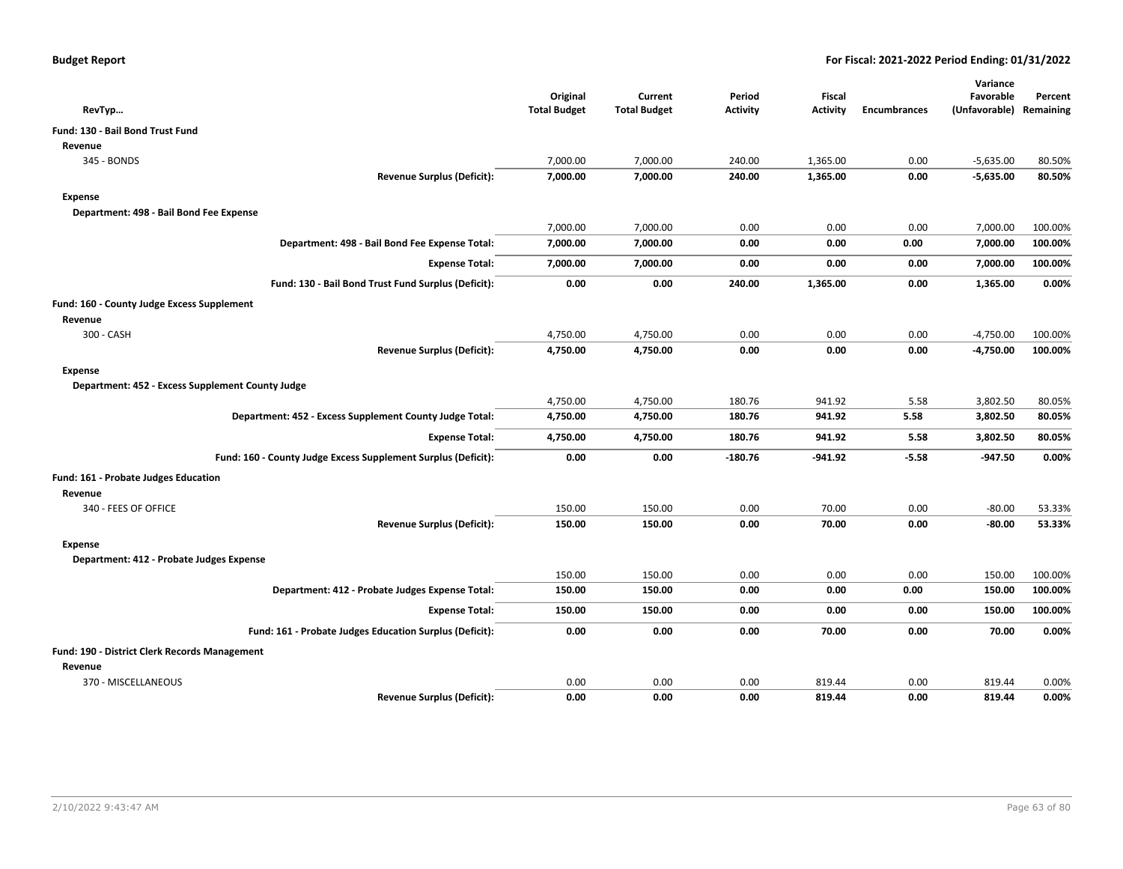|                                                               |                                 |                                |                           |                                  |                     | Variance                             |         |
|---------------------------------------------------------------|---------------------------------|--------------------------------|---------------------------|----------------------------------|---------------------|--------------------------------------|---------|
| RevTyp                                                        | Original<br><b>Total Budget</b> | Current<br><b>Total Budget</b> | Period<br><b>Activity</b> | <b>Fiscal</b><br><b>Activity</b> | <b>Encumbrances</b> | Favorable<br>(Unfavorable) Remaining | Percent |
| <b>Fund: 130 - Bail Bond Trust Fund</b>                       |                                 |                                |                           |                                  |                     |                                      |         |
| Revenue                                                       |                                 |                                |                           |                                  |                     |                                      |         |
| 345 - BONDS                                                   | 7,000.00                        | 7,000.00                       | 240.00                    | 1,365.00                         | 0.00                | $-5,635.00$                          | 80.50%  |
| <b>Revenue Surplus (Deficit):</b>                             | 7,000.00                        | 7,000.00                       | 240.00                    | 1,365.00                         | 0.00                | $-5,635.00$                          | 80.50%  |
| Expense                                                       |                                 |                                |                           |                                  |                     |                                      |         |
| Department: 498 - Bail Bond Fee Expense                       |                                 |                                |                           |                                  |                     |                                      |         |
|                                                               | 7,000.00                        | 7,000.00                       | 0.00                      | 0.00                             | 0.00                | 7,000.00                             | 100.00% |
| Department: 498 - Bail Bond Fee Expense Total:                | 7,000.00                        | 7,000.00                       | 0.00                      | 0.00                             | 0.00                | 7,000.00                             | 100.00% |
| <b>Expense Total:</b>                                         | 7,000.00                        | 7,000.00                       | 0.00                      | 0.00                             | 0.00                | 7,000.00                             | 100.00% |
| Fund: 130 - Bail Bond Trust Fund Surplus (Deficit):           | 0.00                            | 0.00                           | 240.00                    | 1,365.00                         | 0.00                | 1,365.00                             | 0.00%   |
| Fund: 160 - County Judge Excess Supplement                    |                                 |                                |                           |                                  |                     |                                      |         |
| Revenue                                                       |                                 |                                |                           |                                  |                     |                                      |         |
| 300 - CASH                                                    | 4,750.00                        | 4,750.00                       | 0.00                      | 0.00                             | 0.00                | $-4,750.00$                          | 100.00% |
| <b>Revenue Surplus (Deficit):</b>                             | 4,750.00                        | 4,750.00                       | 0.00                      | 0.00                             | 0.00                | $-4,750.00$                          | 100.00% |
| <b>Expense</b>                                                |                                 |                                |                           |                                  |                     |                                      |         |
| Department: 452 - Excess Supplement County Judge              |                                 |                                |                           |                                  |                     |                                      |         |
|                                                               | 4,750.00                        | 4,750.00                       | 180.76                    | 941.92                           | 5.58                | 3,802.50                             | 80.05%  |
| Department: 452 - Excess Supplement County Judge Total:       | 4,750.00                        | 4,750.00                       | 180.76                    | 941.92                           | 5.58                | 3,802.50                             | 80.05%  |
| <b>Expense Total:</b>                                         | 4,750.00                        | 4,750.00                       | 180.76                    | 941.92                           | 5.58                | 3,802.50                             | 80.05%  |
| Fund: 160 - County Judge Excess Supplement Surplus (Deficit): | 0.00                            | 0.00                           | $-180.76$                 | $-941.92$                        | $-5.58$             | -947.50                              | 0.00%   |
| Fund: 161 - Probate Judges Education                          |                                 |                                |                           |                                  |                     |                                      |         |
| Revenue                                                       |                                 |                                |                           |                                  |                     |                                      |         |
| 340 - FEES OF OFFICE                                          | 150.00                          | 150.00                         | 0.00                      | 70.00                            | 0.00                | $-80.00$                             | 53.33%  |
| <b>Revenue Surplus (Deficit):</b>                             | 150.00                          | 150.00                         | 0.00                      | 70.00                            | 0.00                | $-80.00$                             | 53.33%  |
| Expense                                                       |                                 |                                |                           |                                  |                     |                                      |         |
| Department: 412 - Probate Judges Expense                      |                                 |                                |                           |                                  |                     |                                      |         |
|                                                               | 150.00                          | 150.00                         | 0.00                      | 0.00                             | 0.00                | 150.00                               | 100.00% |
| Department: 412 - Probate Judges Expense Total:               | 150.00                          | 150.00                         | 0.00                      | 0.00                             | 0.00                | 150.00                               | 100.00% |
| <b>Expense Total:</b>                                         | 150.00                          | 150.00                         | 0.00                      | 0.00                             | 0.00                | 150.00                               | 100.00% |
| Fund: 161 - Probate Judges Education Surplus (Deficit):       | 0.00                            | 0.00                           | 0.00                      | 70.00                            | 0.00                | 70.00                                | 0.00%   |
| Fund: 190 - District Clerk Records Management                 |                                 |                                |                           |                                  |                     |                                      |         |
| Revenue                                                       |                                 |                                |                           |                                  |                     |                                      |         |
| 370 - MISCELLANEOUS                                           | 0.00                            | 0.00                           | 0.00                      | 819.44                           | 0.00                | 819.44                               | 0.00%   |
| <b>Revenue Surplus (Deficit):</b>                             | 0.00                            | 0.00                           | 0.00                      | 819.44                           | 0.00                | 819.44                               | 0.00%   |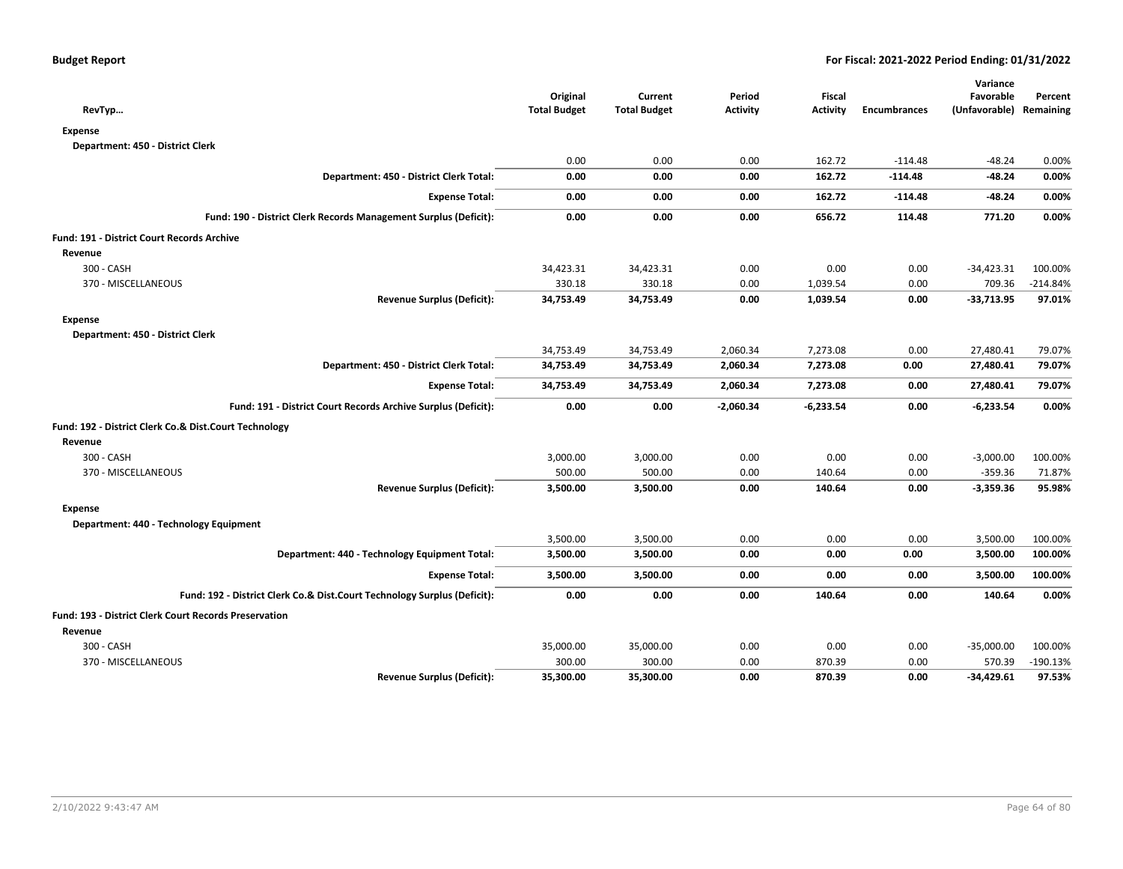| RevTyp                                                                   | Original<br><b>Total Budget</b> | Current<br><b>Total Budget</b> | Period<br>Activity | <b>Fiscal</b><br>Activity | <b>Encumbrances</b> | Variance<br>Favorable<br>(Unfavorable) Remaining | Percent    |
|--------------------------------------------------------------------------|---------------------------------|--------------------------------|--------------------|---------------------------|---------------------|--------------------------------------------------|------------|
| <b>Expense</b>                                                           |                                 |                                |                    |                           |                     |                                                  |            |
| Department: 450 - District Clerk                                         |                                 |                                |                    |                           |                     |                                                  |            |
|                                                                          | 0.00                            | 0.00                           | 0.00               | 162.72                    | $-114.48$           | $-48.24$                                         | 0.00%      |
| Department: 450 - District Clerk Total:                                  | 0.00                            | 0.00                           | 0.00               | 162.72                    | $-114.48$           | $-48.24$                                         | 0.00%      |
| <b>Expense Total:</b>                                                    | 0.00                            | 0.00                           | 0.00               | 162.72                    | $-114.48$           | $-48.24$                                         | 0.00%      |
| Fund: 190 - District Clerk Records Management Surplus (Deficit):         | 0.00                            | 0.00                           | 0.00               | 656.72                    | 114.48              | 771.20                                           | 0.00%      |
| Fund: 191 - District Court Records Archive                               |                                 |                                |                    |                           |                     |                                                  |            |
| Revenue                                                                  |                                 |                                |                    |                           |                     |                                                  |            |
| 300 - CASH                                                               | 34,423.31                       | 34,423.31                      | 0.00               | 0.00                      | 0.00                | $-34,423.31$                                     | 100.00%    |
| 370 - MISCELLANEOUS                                                      | 330.18                          | 330.18                         | 0.00               | 1,039.54                  | 0.00                | 709.36                                           | $-214.84%$ |
| <b>Revenue Surplus (Deficit):</b>                                        | 34,753.49                       | 34,753.49                      | 0.00               | 1,039.54                  | 0.00                | $-33,713.95$                                     | 97.01%     |
| <b>Expense</b>                                                           |                                 |                                |                    |                           |                     |                                                  |            |
| Department: 450 - District Clerk                                         |                                 |                                |                    |                           |                     |                                                  |            |
|                                                                          | 34,753.49                       | 34,753.49                      | 2,060.34           | 7,273.08                  | 0.00                | 27,480.41                                        | 79.07%     |
| Department: 450 - District Clerk Total:                                  | 34,753.49                       | 34,753.49                      | 2,060.34           | 7,273.08                  | 0.00                | 27,480.41                                        | 79.07%     |
| <b>Expense Total:</b>                                                    | 34,753.49                       | 34,753.49                      | 2,060.34           | 7,273.08                  | 0.00                | 27,480.41                                        | 79.07%     |
| Fund: 191 - District Court Records Archive Surplus (Deficit):            | 0.00                            | 0.00                           | $-2,060.34$        | $-6,233.54$               | 0.00                | $-6,233.54$                                      | 0.00%      |
| Fund: 192 - District Clerk Co.& Dist.Court Technology                    |                                 |                                |                    |                           |                     |                                                  |            |
| Revenue                                                                  |                                 |                                |                    |                           |                     |                                                  |            |
| 300 - CASH                                                               | 3,000.00                        | 3,000.00                       | 0.00               | 0.00                      | 0.00                | $-3,000.00$                                      | 100.00%    |
| 370 - MISCELLANEOUS                                                      | 500.00                          | 500.00                         | 0.00               | 140.64                    | 0.00                | $-359.36$                                        | 71.87%     |
| <b>Revenue Surplus (Deficit):</b>                                        | 3,500.00                        | 3,500.00                       | 0.00               | 140.64                    | 0.00                | $-3,359.36$                                      | 95.98%     |
| <b>Expense</b>                                                           |                                 |                                |                    |                           |                     |                                                  |            |
| Department: 440 - Technology Equipment                                   |                                 |                                |                    |                           |                     |                                                  |            |
|                                                                          | 3,500.00                        | 3,500.00                       | 0.00               | 0.00                      | 0.00                | 3,500.00                                         | 100.00%    |
| Department: 440 - Technology Equipment Total:                            | 3,500.00                        | 3,500.00                       | 0.00               | 0.00                      | 0.00                | 3,500.00                                         | 100.00%    |
| <b>Expense Total:</b>                                                    | 3,500.00                        | 3,500.00                       | 0.00               | 0.00                      | 0.00                | 3,500.00                                         | 100.00%    |
| Fund: 192 - District Clerk Co.& Dist.Court Technology Surplus (Deficit): | 0.00                            | 0.00                           | 0.00               | 140.64                    | 0.00                | 140.64                                           | 0.00%      |
| Fund: 193 - District Clerk Court Records Preservation                    |                                 |                                |                    |                           |                     |                                                  |            |
| Revenue                                                                  |                                 |                                |                    |                           |                     |                                                  |            |
| 300 - CASH                                                               | 35,000.00                       | 35,000.00                      | 0.00               | 0.00                      | 0.00                | $-35,000.00$                                     | 100.00%    |
| 370 - MISCELLANEOUS                                                      | 300.00                          | 300.00                         | 0.00               | 870.39                    | 0.00                | 570.39                                           | $-190.13%$ |
| <b>Revenue Surplus (Deficit):</b>                                        | 35,300.00                       | 35,300.00                      | 0.00               | 870.39                    | 0.00                | $-34,429.61$                                     | 97.53%     |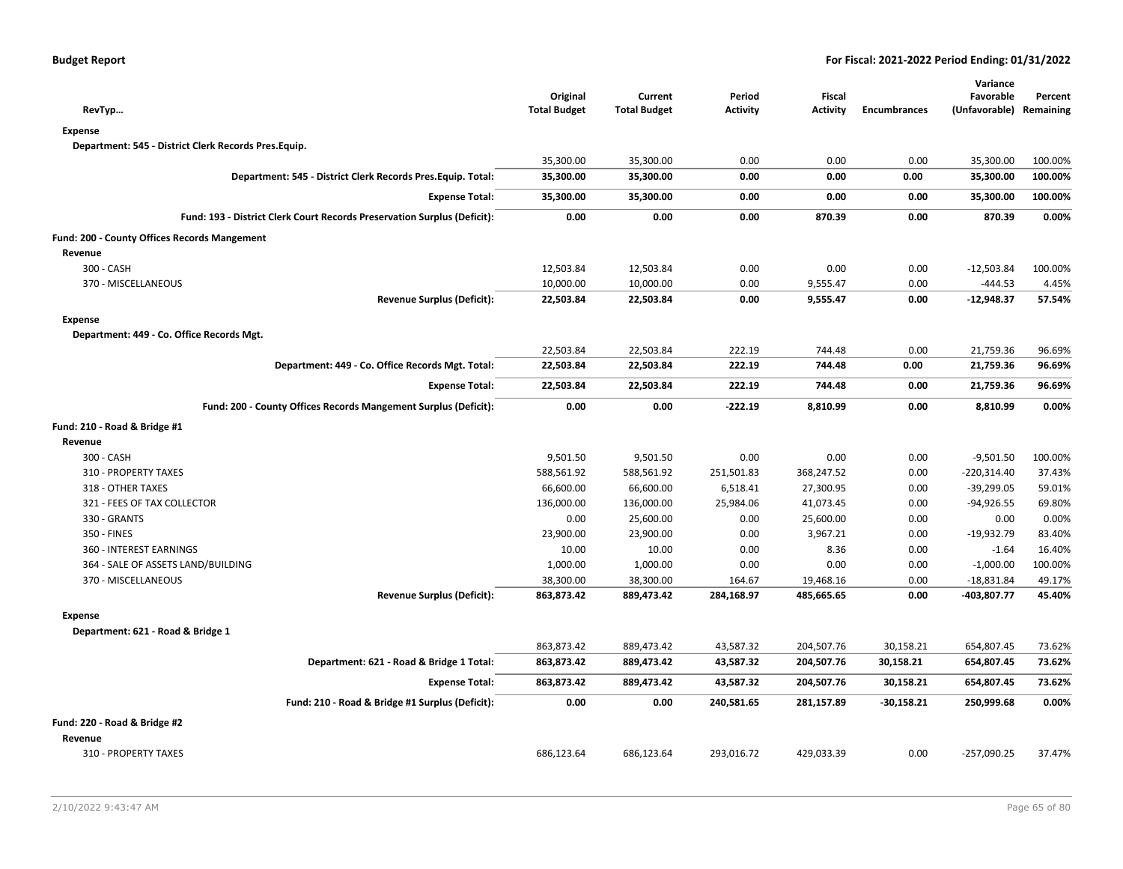| RevTyp                                                                   | Original<br><b>Total Budget</b> | Current<br><b>Total Budget</b> | Period<br><b>Activity</b> | Fiscal<br><b>Activity</b> | <b>Encumbrances</b> | Variance<br>Favorable<br>(Unfavorable) Remaining | Percent |
|--------------------------------------------------------------------------|---------------------------------|--------------------------------|---------------------------|---------------------------|---------------------|--------------------------------------------------|---------|
| <b>Expense</b>                                                           |                                 |                                |                           |                           |                     |                                                  |         |
| Department: 545 - District Clerk Records Pres.Equip.                     |                                 |                                |                           |                           |                     |                                                  |         |
|                                                                          | 35,300.00                       | 35,300.00                      | 0.00                      | 0.00                      | 0.00                | 35,300.00                                        | 100.00% |
| Department: 545 - District Clerk Records Pres. Equip. Total:             | 35,300.00                       | 35,300.00                      | 0.00                      | 0.00                      | 0.00                | 35,300.00                                        | 100.00% |
|                                                                          |                                 |                                |                           |                           |                     |                                                  |         |
| <b>Expense Total:</b>                                                    | 35,300.00                       | 35,300.00                      | 0.00                      | 0.00                      | 0.00                | 35,300.00                                        | 100.00% |
| Fund: 193 - District Clerk Court Records Preservation Surplus (Deficit): | 0.00                            | 0.00                           | 0.00                      | 870.39                    | 0.00                | 870.39                                           | 0.00%   |
| Fund: 200 - County Offices Records Mangement                             |                                 |                                |                           |                           |                     |                                                  |         |
| Revenue                                                                  |                                 |                                |                           |                           |                     |                                                  |         |
| 300 - CASH                                                               | 12,503.84                       | 12,503.84                      | 0.00                      | 0.00                      | 0.00                | $-12,503.84$                                     | 100.00% |
| 370 - MISCELLANEOUS                                                      | 10,000.00                       | 10,000.00                      | 0.00                      | 9,555.47                  | 0.00                | -444.53                                          | 4.45%   |
| <b>Revenue Surplus (Deficit):</b>                                        | 22,503.84                       | 22,503.84                      | 0.00                      | 9,555.47                  | 0.00                | $-12,948.37$                                     | 57.54%  |
| <b>Expense</b>                                                           |                                 |                                |                           |                           |                     |                                                  |         |
| Department: 449 - Co. Office Records Mgt.                                |                                 |                                |                           |                           |                     |                                                  |         |
|                                                                          | 22,503.84                       | 22,503.84                      | 222.19                    | 744.48                    | 0.00                | 21,759.36                                        | 96.69%  |
| Department: 449 - Co. Office Records Mgt. Total:                         | 22,503.84                       | 22,503.84                      | 222.19                    | 744.48                    | 0.00                | 21,759.36                                        | 96.69%  |
| <b>Expense Total:</b>                                                    | 22,503.84                       | 22,503.84                      | 222.19                    | 744.48                    | 0.00                | 21,759.36                                        | 96.69%  |
| Fund: 200 - County Offices Records Mangement Surplus (Deficit):          | 0.00                            | 0.00                           | $-222.19$                 | 8,810.99                  | 0.00                | 8,810.99                                         | 0.00%   |
| Fund: 210 - Road & Bridge #1                                             |                                 |                                |                           |                           |                     |                                                  |         |
| Revenue                                                                  |                                 |                                |                           |                           |                     |                                                  |         |
| 300 - CASH                                                               | 9,501.50                        | 9,501.50                       | 0.00                      | 0.00                      | 0.00                | $-9,501.50$                                      | 100.00% |
| 310 - PROPERTY TAXES                                                     | 588,561.92                      | 588,561.92                     | 251,501.83                | 368,247.52                | 0.00                | $-220,314.40$                                    | 37.43%  |
| 318 - OTHER TAXES                                                        | 66,600.00                       | 66,600.00                      | 6,518.41                  | 27,300.95                 | 0.00                | -39,299.05                                       | 59.01%  |
| 321 - FEES OF TAX COLLECTOR                                              | 136,000.00                      | 136,000.00                     | 25,984.06                 | 41,073.45                 | 0.00                | -94,926.55                                       | 69.80%  |
| 330 - GRANTS                                                             | 0.00                            | 25,600.00                      | 0.00                      | 25,600.00                 | 0.00                | 0.00                                             | 0.00%   |
| 350 - FINES                                                              | 23,900.00                       | 23,900.00                      | 0.00                      | 3,967.21                  | 0.00                | -19,932.79                                       | 83.40%  |
| 360 - INTEREST EARNINGS                                                  | 10.00                           | 10.00                          | 0.00                      | 8.36                      | 0.00                | $-1.64$                                          | 16.40%  |
| 364 - SALE OF ASSETS LAND/BUILDING                                       | 1,000.00                        | 1,000.00                       | 0.00                      | 0.00                      | 0.00                | $-1,000.00$                                      | 100.00% |
| 370 - MISCELLANEOUS                                                      | 38,300.00                       | 38,300.00                      | 164.67                    | 19,468.16                 | 0.00                | $-18,831.84$                                     | 49.17%  |
| <b>Revenue Surplus (Deficit):</b>                                        | 863,873.42                      | 889,473.42                     | 284,168.97                | 485,665.65                | 0.00                | -403,807.77                                      | 45.40%  |
| <b>Expense</b>                                                           |                                 |                                |                           |                           |                     |                                                  |         |
| Department: 621 - Road & Bridge 1                                        |                                 |                                |                           |                           |                     |                                                  |         |
|                                                                          | 863,873.42                      | 889,473.42                     | 43,587.32                 | 204,507.76                | 30,158.21           | 654,807.45                                       | 73.62%  |
| Department: 621 - Road & Bridge 1 Total:                                 | 863,873.42                      | 889,473.42                     | 43,587.32                 | 204,507.76                | 30,158.21           | 654,807.45                                       | 73.62%  |
| <b>Expense Total:</b>                                                    | 863,873.42                      | 889,473.42                     | 43,587.32                 | 204,507.76                | 30,158.21           | 654,807.45                                       | 73.62%  |
| Fund: 210 - Road & Bridge #1 Surplus (Deficit):                          | 0.00                            | 0.00                           | 240,581.65                | 281,157.89                | $-30,158.21$        | 250,999.68                                       | 0.00%   |
| Fund: 220 - Road & Bridge #2                                             |                                 |                                |                           |                           |                     |                                                  |         |
| Revenue                                                                  |                                 |                                |                           |                           |                     |                                                  |         |
| 310 - PROPERTY TAXES                                                     | 686,123.64                      | 686,123.64                     | 293,016.72                | 429,033.39                | 0.00                | $-257,090.25$                                    | 37.47%  |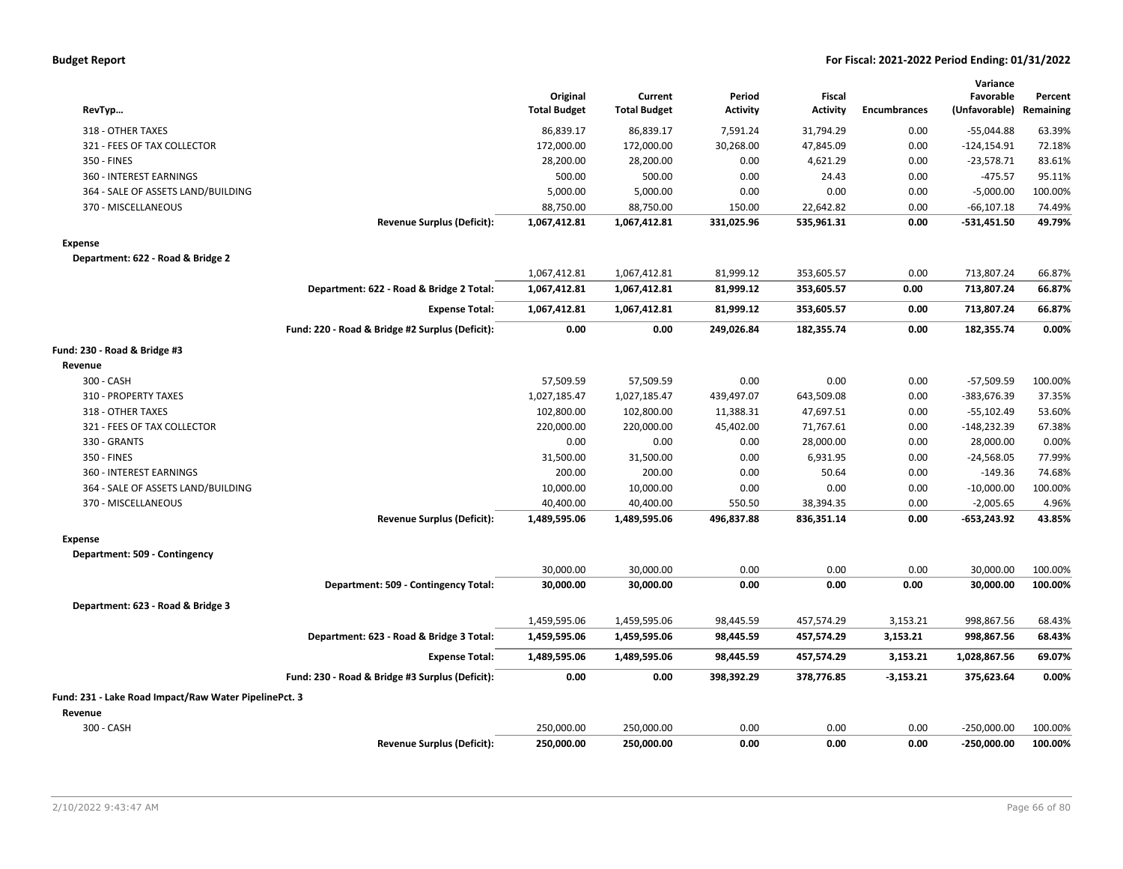| <b>Budget Report</b> |  |  |
|----------------------|--|--|
|----------------------|--|--|

| RevTyp                                                |                                                 | Original<br><b>Total Budget</b> | Current<br><b>Total Budget</b> | Period<br><b>Activity</b> | Fiscal<br><b>Activity</b> | <b>Encumbrances</b> | Variance<br>Favorable<br>(Unfavorable) | Percent<br>Remaining |
|-------------------------------------------------------|-------------------------------------------------|---------------------------------|--------------------------------|---------------------------|---------------------------|---------------------|----------------------------------------|----------------------|
| 318 - OTHER TAXES                                     |                                                 | 86,839.17                       | 86,839.17                      | 7,591.24                  | 31,794.29                 | 0.00                | -55,044.88                             | 63.39%               |
| 321 - FEES OF TAX COLLECTOR                           |                                                 | 172,000.00                      | 172,000.00                     | 30,268.00                 | 47,845.09                 | 0.00                | $-124, 154.91$                         | 72.18%               |
| 350 - FINES                                           |                                                 | 28,200.00                       | 28,200.00                      | 0.00                      | 4,621.29                  | 0.00                | $-23,578.71$                           | 83.61%               |
| 360 - INTEREST EARNINGS                               |                                                 | 500.00                          | 500.00                         | 0.00                      | 24.43                     | 0.00                | $-475.57$                              | 95.11%               |
| 364 - SALE OF ASSETS LAND/BUILDING                    |                                                 | 5,000.00                        | 5,000.00                       | 0.00                      | 0.00                      | 0.00                | $-5,000.00$                            | 100.00%              |
| 370 - MISCELLANEOUS                                   |                                                 | 88,750.00                       | 88,750.00                      | 150.00                    | 22,642.82                 | 0.00                | $-66, 107.18$                          | 74.49%               |
|                                                       | <b>Revenue Surplus (Deficit):</b>               | 1,067,412.81                    | 1,067,412.81                   | 331,025.96                | 535,961.31                | 0.00                | $-531,451.50$                          | 49.79%               |
| <b>Expense</b>                                        |                                                 |                                 |                                |                           |                           |                     |                                        |                      |
| Department: 622 - Road & Bridge 2                     |                                                 |                                 |                                |                           |                           |                     |                                        |                      |
|                                                       |                                                 | 1,067,412.81                    | 1,067,412.81                   | 81,999.12                 | 353,605.57                | 0.00                | 713,807.24                             | 66.87%               |
|                                                       | Department: 622 - Road & Bridge 2 Total:        | 1,067,412.81                    | 1,067,412.81                   | 81,999.12                 | 353,605.57                | 0.00                | 713,807.24                             | 66.87%               |
|                                                       | <b>Expense Total:</b>                           | 1,067,412.81                    | 1,067,412.81                   | 81,999.12                 | 353,605.57                | 0.00                | 713,807.24                             | 66.87%               |
|                                                       | Fund: 220 - Road & Bridge #2 Surplus (Deficit): | 0.00                            | 0.00                           | 249,026.84                | 182,355.74                | 0.00                | 182,355.74                             | 0.00%                |
| Fund: 230 - Road & Bridge #3                          |                                                 |                                 |                                |                           |                           |                     |                                        |                      |
| Revenue                                               |                                                 |                                 |                                |                           |                           |                     |                                        |                      |
| 300 - CASH                                            |                                                 | 57,509.59                       | 57,509.59                      | 0.00                      | 0.00                      | 0.00                | $-57,509.59$                           | 100.00%              |
| 310 - PROPERTY TAXES                                  |                                                 | 1,027,185.47                    | 1,027,185.47                   | 439,497.07                | 643,509.08                | 0.00                | -383,676.39                            | 37.35%               |
| 318 - OTHER TAXES                                     |                                                 | 102,800.00                      | 102,800.00                     | 11,388.31                 | 47,697.51                 | 0.00                | $-55,102.49$                           | 53.60%               |
| 321 - FEES OF TAX COLLECTOR                           |                                                 | 220,000.00                      | 220,000.00                     | 45,402.00                 | 71,767.61                 | 0.00                | $-148,232.39$                          | 67.38%               |
| 330 - GRANTS                                          |                                                 | 0.00                            | 0.00                           | 0.00                      | 28,000.00                 | 0.00                | 28,000.00                              | 0.00%                |
| 350 - FINES                                           |                                                 | 31,500.00                       | 31,500.00                      | 0.00                      | 6,931.95                  | 0.00                | $-24,568.05$                           | 77.99%               |
| 360 - INTEREST EARNINGS                               |                                                 | 200.00                          | 200.00                         | 0.00                      | 50.64                     | 0.00                | $-149.36$                              | 74.68%               |
| 364 - SALE OF ASSETS LAND/BUILDING                    |                                                 | 10,000.00                       | 10,000.00                      | 0.00                      | 0.00                      | 0.00                | $-10,000.00$                           | 100.00%              |
| 370 - MISCELLANEOUS                                   |                                                 | 40,400.00                       | 40,400.00                      | 550.50                    | 38,394.35                 | 0.00                | $-2,005.65$                            | 4.96%                |
|                                                       | <b>Revenue Surplus (Deficit):</b>               | 1,489,595.06                    | 1,489,595.06                   | 496,837.88                | 836,351.14                | 0.00                | $-653,243.92$                          | 43.85%               |
| <b>Expense</b>                                        |                                                 |                                 |                                |                           |                           |                     |                                        |                      |
| Department: 509 - Contingency                         |                                                 |                                 |                                |                           |                           |                     |                                        |                      |
|                                                       |                                                 | 30,000.00                       | 30,000.00                      | 0.00                      | 0.00                      | 0.00                | 30,000.00                              | 100.00%              |
|                                                       | Department: 509 - Contingency Total:            | 30,000.00                       | 30,000.00                      | 0.00                      | 0.00                      | 0.00                | 30,000.00                              | 100.00%              |
| Department: 623 - Road & Bridge 3                     |                                                 |                                 |                                |                           |                           |                     |                                        |                      |
|                                                       |                                                 | 1,459,595.06                    | 1,459,595.06                   | 98,445.59                 | 457,574.29                | 3,153.21            | 998,867.56                             | 68.43%               |
|                                                       | Department: 623 - Road & Bridge 3 Total:        | 1,459,595.06                    | 1,459,595.06                   | 98,445.59                 | 457,574.29                | 3,153.21            | 998,867.56                             | 68.43%               |
|                                                       | <b>Expense Total:</b>                           | 1,489,595.06                    | 1,489,595.06                   | 98,445.59                 | 457,574.29                | 3,153.21            | 1,028,867.56                           | 69.07%               |
|                                                       | Fund: 230 - Road & Bridge #3 Surplus (Deficit): | 0.00                            | 0.00                           | 398,392.29                | 378,776.85                | $-3,153.21$         | 375,623.64                             | 0.00%                |
| Fund: 231 - Lake Road Impact/Raw Water PipelinePct. 3 |                                                 |                                 |                                |                           |                           |                     |                                        |                      |
| Revenue                                               |                                                 |                                 |                                |                           |                           |                     |                                        |                      |
| 300 - CASH                                            |                                                 | 250,000.00                      | 250,000.00                     | 0.00                      | 0.00                      | 0.00                | $-250,000.00$                          | 100.00%              |
|                                                       | <b>Revenue Surplus (Deficit):</b>               | 250,000.00                      | 250,000.00                     | 0.00                      | 0.00                      | 0.00                | $-250,000.00$                          | 100.00%              |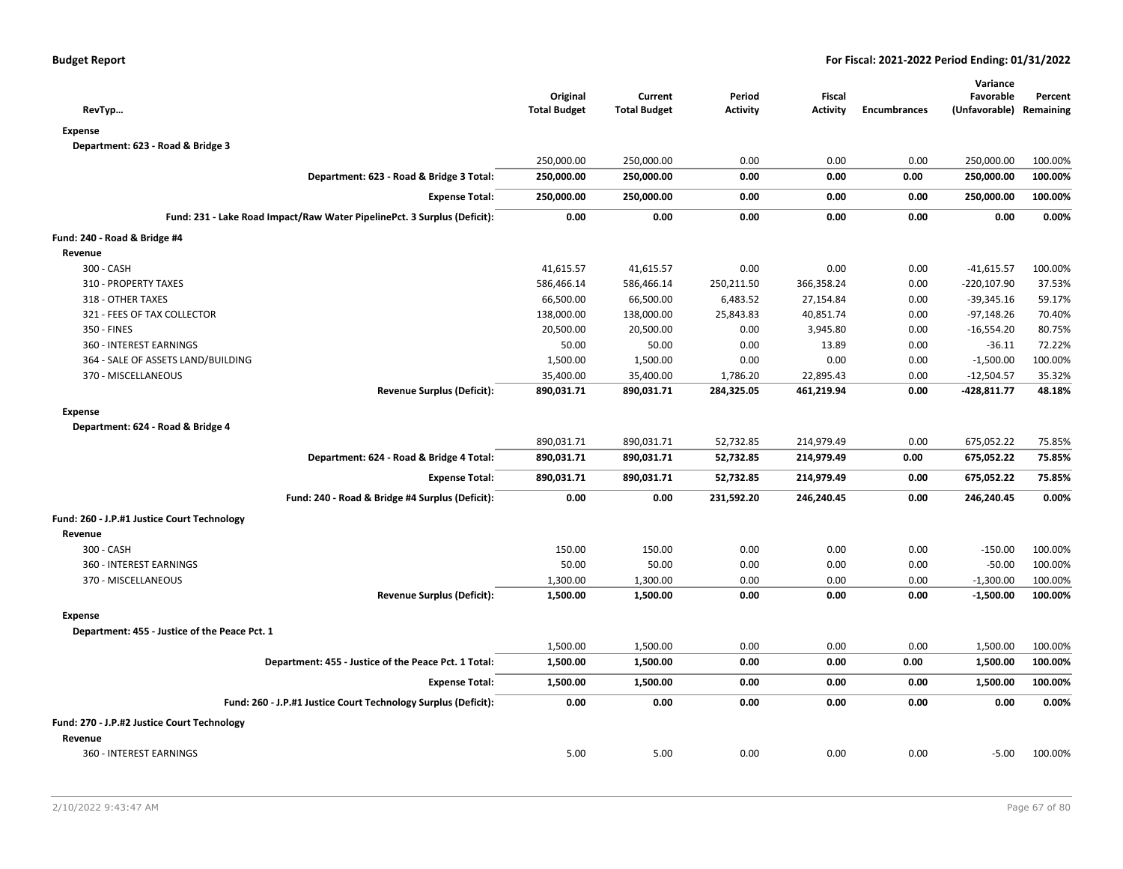| RevTyp                                                                   | Original<br><b>Total Budget</b> | Current<br><b>Total Budget</b> | Period<br><b>Activity</b> | <b>Fiscal</b><br><b>Activity</b> | <b>Encumbrances</b> | Variance<br>Favorable<br>(Unfavorable) Remaining | Percent |
|--------------------------------------------------------------------------|---------------------------------|--------------------------------|---------------------------|----------------------------------|---------------------|--------------------------------------------------|---------|
| <b>Expense</b>                                                           |                                 |                                |                           |                                  |                     |                                                  |         |
| Department: 623 - Road & Bridge 3                                        |                                 |                                |                           |                                  |                     |                                                  |         |
|                                                                          | 250,000.00                      | 250,000.00                     | 0.00                      | 0.00                             | 0.00                | 250,000.00                                       | 100.00% |
| Department: 623 - Road & Bridge 3 Total:                                 | 250,000.00                      | 250,000.00                     | 0.00                      | 0.00                             | 0.00                | 250,000.00                                       | 100.00% |
| <b>Expense Total:</b>                                                    | 250,000.00                      | 250,000.00                     | 0.00                      | 0.00                             | 0.00                | 250,000.00                                       | 100.00% |
| Fund: 231 - Lake Road Impact/Raw Water PipelinePct. 3 Surplus (Deficit): | 0.00                            | 0.00                           | 0.00                      | 0.00                             | 0.00                | 0.00                                             | 0.00%   |
| Fund: 240 - Road & Bridge #4                                             |                                 |                                |                           |                                  |                     |                                                  |         |
| Revenue                                                                  |                                 |                                |                           |                                  |                     |                                                  |         |
| 300 - CASH                                                               | 41,615.57                       | 41,615.57                      | 0.00                      | 0.00                             | 0.00                | $-41,615.57$                                     | 100.00% |
| 310 - PROPERTY TAXES                                                     | 586,466.14                      | 586,466.14                     | 250,211.50                | 366,358.24                       | 0.00                | $-220,107.90$                                    | 37.53%  |
| 318 - OTHER TAXES                                                        | 66,500.00                       | 66,500.00                      | 6,483.52                  | 27,154.84                        | 0.00                | $-39,345.16$                                     | 59.17%  |
| 321 - FEES OF TAX COLLECTOR                                              | 138,000.00                      | 138,000.00                     | 25,843.83                 | 40,851.74                        | 0.00                | $-97,148.26$                                     | 70.40%  |
| 350 - FINES                                                              | 20,500.00                       | 20,500.00                      | 0.00                      | 3,945.80                         | 0.00                | $-16,554.20$                                     | 80.75%  |
| 360 - INTEREST EARNINGS                                                  | 50.00                           | 50.00                          | 0.00                      | 13.89                            | 0.00                | $-36.11$                                         | 72.22%  |
| 364 - SALE OF ASSETS LAND/BUILDING                                       | 1,500.00                        | 1,500.00                       | 0.00                      | 0.00                             | 0.00                | $-1,500.00$                                      | 100.00% |
| 370 - MISCELLANEOUS                                                      | 35,400.00                       | 35,400.00                      | 1,786.20                  | 22,895.43                        | 0.00                | $-12,504.57$                                     | 35.32%  |
| <b>Revenue Surplus (Deficit):</b>                                        | 890,031.71                      | 890,031.71                     | 284,325.05                | 461,219.94                       | 0.00                | -428,811.77                                      | 48.18%  |
| <b>Expense</b>                                                           |                                 |                                |                           |                                  |                     |                                                  |         |
| Department: 624 - Road & Bridge 4                                        |                                 |                                |                           |                                  |                     |                                                  |         |
|                                                                          | 890,031.71                      | 890,031.71                     | 52,732.85                 | 214,979.49                       | 0.00                | 675,052.22                                       | 75.85%  |
| Department: 624 - Road & Bridge 4 Total:                                 | 890,031.71                      | 890,031.71                     | 52,732.85                 | 214,979.49                       | 0.00                | 675,052.22                                       | 75.85%  |
| <b>Expense Total:</b>                                                    | 890,031.71                      | 890,031.71                     | 52,732.85                 | 214,979.49                       | 0.00                | 675,052.22                                       | 75.85%  |
| Fund: 240 - Road & Bridge #4 Surplus (Deficit):                          | 0.00                            | 0.00                           | 231,592.20                | 246,240.45                       | 0.00                | 246,240.45                                       | 0.00%   |
| Fund: 260 - J.P.#1 Justice Court Technology                              |                                 |                                |                           |                                  |                     |                                                  |         |
| Revenue                                                                  |                                 |                                |                           |                                  |                     |                                                  |         |
| 300 - CASH                                                               | 150.00                          | 150.00                         | 0.00                      | 0.00                             | 0.00                | $-150.00$                                        | 100.00% |
| 360 - INTEREST EARNINGS                                                  | 50.00                           | 50.00                          | 0.00                      | 0.00                             | 0.00                | $-50.00$                                         | 100.00% |
| 370 - MISCELLANEOUS                                                      | 1,300.00                        | 1,300.00                       | 0.00                      | 0.00                             | 0.00                | $-1,300.00$                                      | 100.00% |
| <b>Revenue Surplus (Deficit):</b>                                        | 1,500.00                        | 1,500.00                       | 0.00                      | 0.00                             | 0.00                | $-1,500.00$                                      | 100.00% |
| <b>Expense</b>                                                           |                                 |                                |                           |                                  |                     |                                                  |         |
| Department: 455 - Justice of the Peace Pct. 1                            |                                 |                                |                           |                                  |                     |                                                  |         |
|                                                                          | 1,500.00                        | 1,500.00                       | 0.00                      | 0.00                             | 0.00                | 1,500.00                                         | 100.00% |
| Department: 455 - Justice of the Peace Pct. 1 Total:                     | 1,500.00                        | 1,500.00                       | 0.00                      | 0.00                             | 0.00                | 1,500.00                                         | 100.00% |
| <b>Expense Total:</b>                                                    | 1,500.00                        | 1,500.00                       | 0.00                      | 0.00                             | 0.00                | 1,500.00                                         | 100.00% |
| Fund: 260 - J.P.#1 Justice Court Technology Surplus (Deficit):           | 0.00                            | 0.00                           | 0.00                      | 0.00                             | 0.00                | 0.00                                             | 0.00%   |
| Fund: 270 - J.P.#2 Justice Court Technology                              |                                 |                                |                           |                                  |                     |                                                  |         |
| Revenue                                                                  |                                 |                                |                           |                                  |                     |                                                  |         |
| 360 - INTEREST EARNINGS                                                  | 5.00                            | 5.00                           | 0.00                      | 0.00                             | 0.00                | $-5.00$                                          | 100.00% |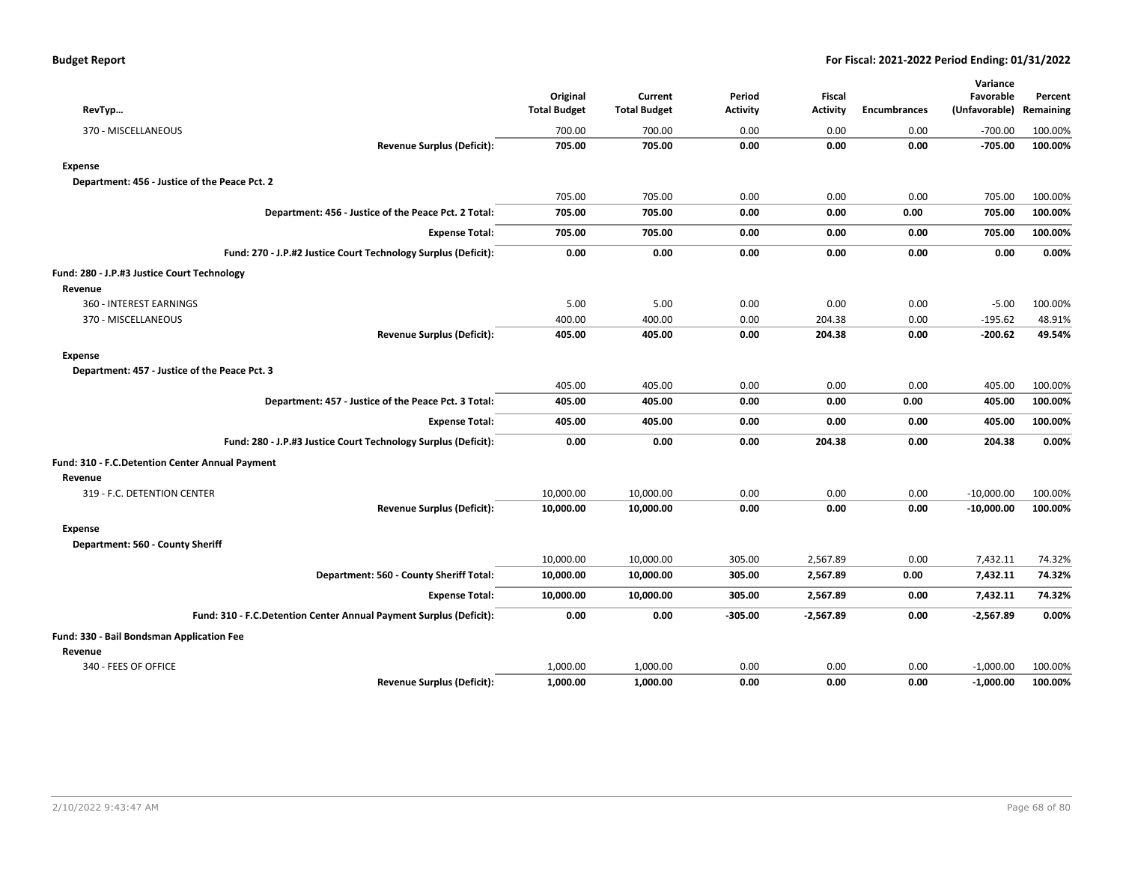| RevTyp                                                             | Original<br><b>Total Budget</b> | Current<br><b>Total Budget</b> | Period<br><b>Activity</b> | <b>Fiscal</b><br><b>Activity</b> | <b>Encumbrances</b> | Variance<br>Favorable<br>(Unfavorable) | Percent<br>Remaining |
|--------------------------------------------------------------------|---------------------------------|--------------------------------|---------------------------|----------------------------------|---------------------|----------------------------------------|----------------------|
| 370 - MISCELLANEOUS                                                | 700.00                          | 700.00                         | 0.00                      | 0.00                             | 0.00                | $-700.00$                              | 100.00%              |
| <b>Revenue Surplus (Deficit):</b>                                  | 705.00                          | 705.00                         | 0.00                      | 0.00                             | 0.00                | $-705.00$                              | 100.00%              |
| <b>Expense</b>                                                     |                                 |                                |                           |                                  |                     |                                        |                      |
| Department: 456 - Justice of the Peace Pct. 2                      |                                 |                                |                           |                                  |                     |                                        |                      |
|                                                                    | 705.00                          | 705.00                         | 0.00                      | 0.00                             | 0.00                | 705.00                                 | 100.00%              |
| Department: 456 - Justice of the Peace Pct. 2 Total:               | 705.00                          | 705.00                         | 0.00                      | 0.00                             | 0.00                | 705.00                                 | 100.00%              |
| <b>Expense Total:</b>                                              | 705.00                          | 705.00                         | 0.00                      | 0.00                             | 0.00                | 705.00                                 | 100.00%              |
| Fund: 270 - J.P.#2 Justice Court Technology Surplus (Deficit):     | 0.00                            | 0.00                           | 0.00                      | 0.00                             | 0.00                | 0.00                                   | 0.00%                |
| Fund: 280 - J.P.#3 Justice Court Technology                        |                                 |                                |                           |                                  |                     |                                        |                      |
| Revenue                                                            |                                 |                                |                           |                                  |                     |                                        |                      |
| 360 - INTEREST EARNINGS                                            | 5.00                            | 5.00                           | 0.00                      | 0.00                             | 0.00                | $-5.00$                                | 100.00%              |
| 370 - MISCELLANEOUS                                                | 400.00                          | 400.00                         | 0.00                      | 204.38                           | 0.00                | $-195.62$                              | 48.91%               |
| <b>Revenue Surplus (Deficit):</b>                                  | 405.00                          | 405.00                         | 0.00                      | 204.38                           | 0.00                | $-200.62$                              | 49.54%               |
| <b>Expense</b>                                                     |                                 |                                |                           |                                  |                     |                                        |                      |
| Department: 457 - Justice of the Peace Pct. 3                      |                                 |                                |                           |                                  |                     |                                        |                      |
|                                                                    | 405.00                          | 405.00                         | 0.00                      | 0.00                             | 0.00                | 405.00                                 | 100.00%              |
| Department: 457 - Justice of the Peace Pct. 3 Total:               | 405.00                          | 405.00                         | 0.00                      | 0.00                             | 0.00                | 405.00                                 | 100.00%              |
| <b>Expense Total:</b>                                              | 405.00                          | 405.00                         | 0.00                      | 0.00                             | 0.00                | 405.00                                 | 100.00%              |
| Fund: 280 - J.P.#3 Justice Court Technology Surplus (Deficit):     | 0.00                            | 0.00                           | 0.00                      | 204.38                           | 0.00                | 204.38                                 | 0.00%                |
| Fund: 310 - F.C.Detention Center Annual Payment                    |                                 |                                |                           |                                  |                     |                                        |                      |
| Revenue                                                            |                                 |                                |                           |                                  |                     |                                        |                      |
| 319 - F.C. DETENTION CENTER                                        | 10,000.00                       | 10,000.00                      | 0.00                      | 0.00                             | 0.00                | $-10,000.00$                           | 100.00%              |
| <b>Revenue Surplus (Deficit):</b>                                  | 10,000.00                       | 10,000.00                      | 0.00                      | 0.00                             | 0.00                | $-10,000.00$                           | 100.00%              |
| <b>Expense</b>                                                     |                                 |                                |                           |                                  |                     |                                        |                      |
| Department: 560 - County Sheriff                                   |                                 |                                |                           |                                  |                     |                                        |                      |
|                                                                    | 10,000.00                       | 10,000.00                      | 305.00                    | 2,567.89                         | 0.00                | 7,432.11                               | 74.32%               |
| Department: 560 - County Sheriff Total:                            | 10,000.00                       | 10,000.00                      | 305.00                    | 2,567.89                         | 0.00                | 7,432.11                               | 74.32%               |
| <b>Expense Total:</b>                                              | 10,000.00                       | 10,000.00                      | 305.00                    | 2,567.89                         | 0.00                | 7,432.11                               | 74.32%               |
| Fund: 310 - F.C.Detention Center Annual Payment Surplus (Deficit): | 0.00                            | 0.00                           | $-305.00$                 | $-2,567.89$                      | 0.00                | $-2,567.89$                            | 0.00%                |
| Fund: 330 - Bail Bondsman Application Fee                          |                                 |                                |                           |                                  |                     |                                        |                      |
| Revenue                                                            |                                 |                                |                           |                                  |                     |                                        |                      |
| 340 - FEES OF OFFICE                                               | 1,000.00                        | 1,000.00                       | 0.00                      | 0.00                             | 0.00                | $-1,000.00$                            | 100.00%              |
| <b>Revenue Surplus (Deficit):</b>                                  | 1,000.00                        | 1,000.00                       | 0.00                      | 0.00                             | 0.00                | $-1,000.00$                            | 100.00%              |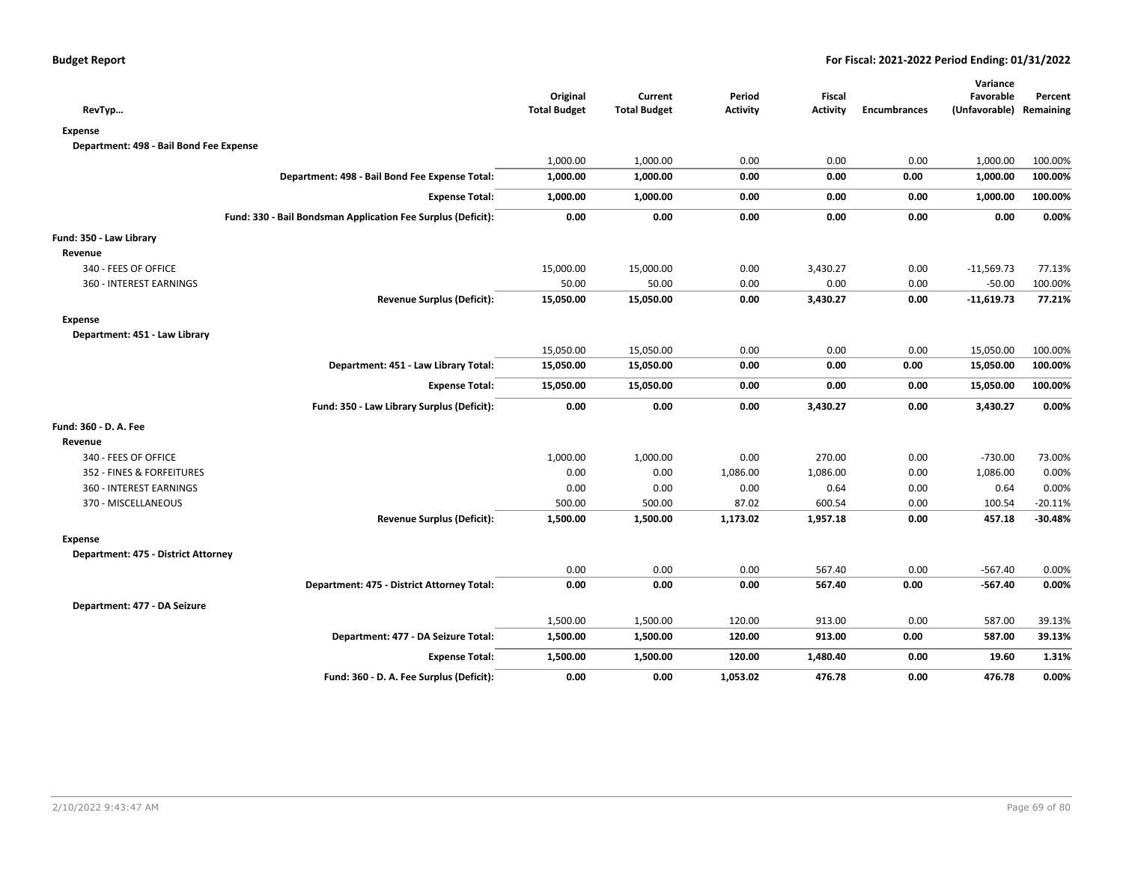|                                                              |                                 |                                |                           |                           |                     | Variance                             |           |
|--------------------------------------------------------------|---------------------------------|--------------------------------|---------------------------|---------------------------|---------------------|--------------------------------------|-----------|
| RevTyp                                                       | Original<br><b>Total Budget</b> | Current<br><b>Total Budget</b> | Period<br><b>Activity</b> | Fiscal<br><b>Activity</b> | <b>Encumbrances</b> | Favorable<br>(Unfavorable) Remaining | Percent   |
|                                                              |                                 |                                |                           |                           |                     |                                      |           |
| <b>Expense</b>                                               |                                 |                                |                           |                           |                     |                                      |           |
| Department: 498 - Bail Bond Fee Expense                      |                                 |                                |                           |                           |                     |                                      |           |
|                                                              | 1,000.00                        | 1,000.00                       | 0.00                      | 0.00                      | 0.00                | 1,000.00                             | 100.00%   |
| Department: 498 - Bail Bond Fee Expense Total:               | 1,000.00                        | 1,000.00                       | 0.00                      | 0.00                      | 0.00                | 1,000.00                             | 100.00%   |
| <b>Expense Total:</b>                                        | 1,000.00                        | 1,000.00                       | 0.00                      | 0.00                      | 0.00                | 1,000.00                             | 100.00%   |
| Fund: 330 - Bail Bondsman Application Fee Surplus (Deficit): | 0.00                            | 0.00                           | 0.00                      | 0.00                      | 0.00                | 0.00                                 | 0.00%     |
| Fund: 350 - Law Library                                      |                                 |                                |                           |                           |                     |                                      |           |
| Revenue                                                      |                                 |                                |                           |                           |                     |                                      |           |
| 340 - FEES OF OFFICE                                         | 15,000.00                       | 15,000.00                      | 0.00                      | 3,430.27                  | 0.00                | $-11,569.73$                         | 77.13%    |
| 360 - INTEREST EARNINGS                                      | 50.00                           | 50.00                          | 0.00                      | 0.00                      | 0.00                | $-50.00$                             | 100.00%   |
| <b>Revenue Surplus (Deficit):</b>                            | 15,050.00                       | 15,050.00                      | 0.00                      | 3,430.27                  | 0.00                | $-11,619.73$                         | 77.21%    |
| <b>Expense</b>                                               |                                 |                                |                           |                           |                     |                                      |           |
| Department: 451 - Law Library                                |                                 |                                |                           |                           |                     |                                      |           |
|                                                              | 15,050.00                       | 15,050.00                      | 0.00                      | 0.00                      | 0.00                | 15,050.00                            | 100.00%   |
| Department: 451 - Law Library Total:                         | 15,050.00                       | 15,050.00                      | 0.00                      | 0.00                      | 0.00                | 15,050.00                            | 100.00%   |
| <b>Expense Total:</b>                                        | 15,050.00                       | 15,050.00                      | 0.00                      | 0.00                      | 0.00                | 15,050.00                            | 100.00%   |
| Fund: 350 - Law Library Surplus (Deficit):                   | 0.00                            | 0.00                           | 0.00                      | 3,430.27                  | 0.00                | 3,430.27                             | 0.00%     |
| Fund: 360 - D. A. Fee                                        |                                 |                                |                           |                           |                     |                                      |           |
| Revenue                                                      |                                 |                                |                           |                           |                     |                                      |           |
| 340 - FEES OF OFFICE                                         | 1,000.00                        | 1,000.00                       | 0.00                      | 270.00                    | 0.00                | $-730.00$                            | 73.00%    |
| 352 - FINES & FORFEITURES                                    | 0.00                            | 0.00                           | 1,086.00                  | 1,086.00                  | 0.00                | 1,086.00                             | 0.00%     |
| 360 - INTEREST EARNINGS                                      | 0.00                            | 0.00                           | 0.00                      | 0.64                      | 0.00                | 0.64                                 | 0.00%     |
| 370 - MISCELLANEOUS                                          | 500.00                          | 500.00                         | 87.02                     | 600.54                    | 0.00                | 100.54                               | $-20.11%$ |
| <b>Revenue Surplus (Deficit):</b>                            | 1,500.00                        | 1,500.00                       | 1,173.02                  | 1,957.18                  | 0.00                | 457.18                               | $-30.48%$ |
| Expense                                                      |                                 |                                |                           |                           |                     |                                      |           |
| Department: 475 - District Attorney                          |                                 |                                |                           |                           |                     |                                      |           |
|                                                              | 0.00                            | 0.00                           | 0.00                      | 567.40                    | 0.00                | $-567.40$                            | 0.00%     |
| Department: 475 - District Attorney Total:                   | 0.00                            | 0.00                           | 0.00                      | 567.40                    | 0.00                | $-567.40$                            | 0.00%     |
| Department: 477 - DA Seizure                                 |                                 |                                |                           |                           |                     |                                      |           |
|                                                              | 1,500.00                        | 1,500.00                       | 120.00                    | 913.00                    | 0.00                | 587.00                               | 39.13%    |
| Department: 477 - DA Seizure Total:                          | 1,500.00                        | 1,500.00                       | 120.00                    | 913.00                    | 0.00                | 587.00                               | 39.13%    |
| <b>Expense Total:</b>                                        | 1,500.00                        | 1,500.00                       | 120.00                    | 1,480.40                  | 0.00                | 19.60                                | 1.31%     |
| Fund: 360 - D. A. Fee Surplus (Deficit):                     | 0.00                            | 0.00                           | 1,053.02                  | 476.78                    | 0.00                | 476.78                               | 0.00%     |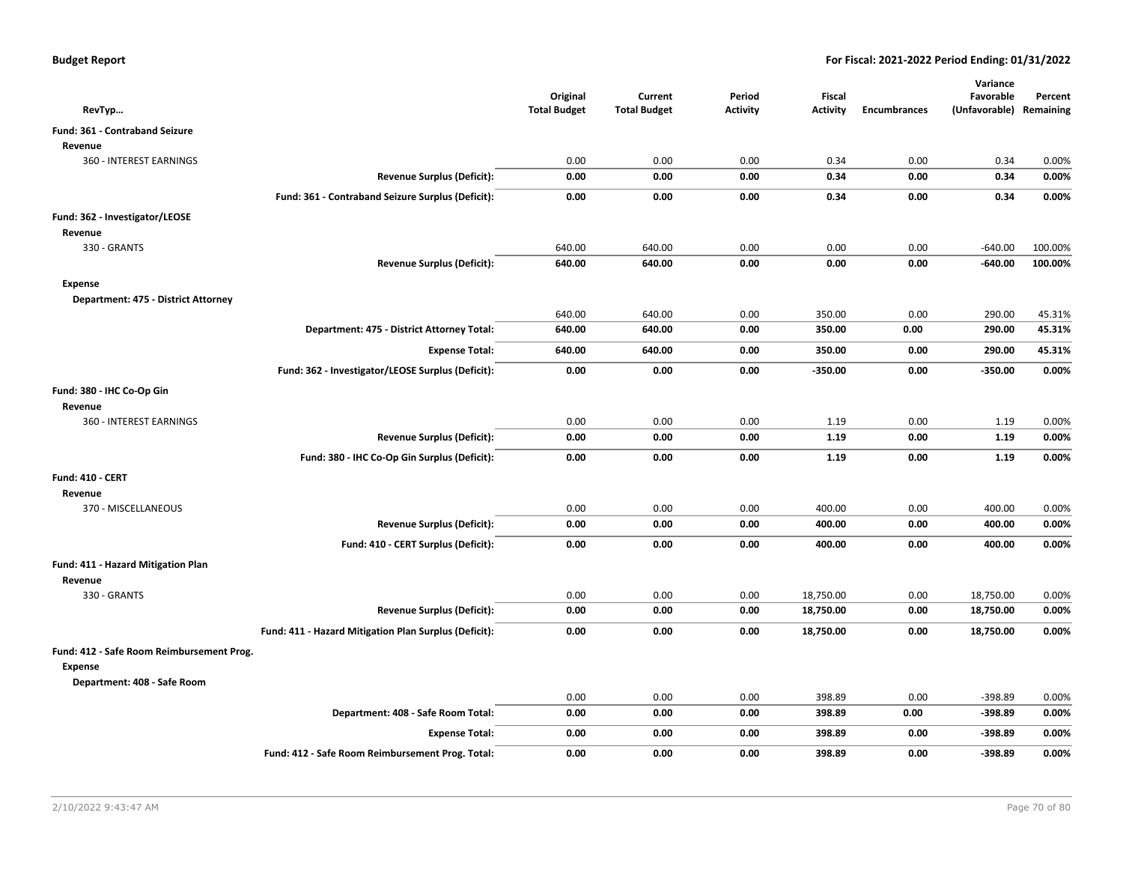|                                                             |                                                       | Original            | Current             | Period          | Fiscal          |                     | Variance<br>Favorable   | Percent  |
|-------------------------------------------------------------|-------------------------------------------------------|---------------------|---------------------|-----------------|-----------------|---------------------|-------------------------|----------|
| RevTyp                                                      |                                                       | <b>Total Budget</b> | <b>Total Budget</b> | <b>Activity</b> | <b>Activity</b> | <b>Encumbrances</b> | (Unfavorable) Remaining |          |
| Fund: 361 - Contraband Seizure                              |                                                       |                     |                     |                 |                 |                     |                         |          |
| Revenue                                                     |                                                       |                     |                     |                 |                 |                     |                         |          |
| 360 - INTEREST EARNINGS                                     |                                                       | 0.00                | 0.00                | 0.00            | 0.34            | 0.00                | 0.34                    | 0.00%    |
|                                                             | <b>Revenue Surplus (Deficit):</b>                     | 0.00                | 0.00                | 0.00            | 0.34            | 0.00                | 0.34                    | 0.00%    |
|                                                             | Fund: 361 - Contraband Seizure Surplus (Deficit):     | 0.00                | 0.00                | 0.00            | 0.34            | 0.00                | 0.34                    | 0.00%    |
| Fund: 362 - Investigator/LEOSE                              |                                                       |                     |                     |                 |                 |                     |                         |          |
| Revenue                                                     |                                                       |                     |                     |                 |                 |                     |                         |          |
| 330 - GRANTS                                                |                                                       | 640.00              | 640.00              | 0.00            | 0.00            | 0.00                | $-640.00$               | 100.00%  |
|                                                             | <b>Revenue Surplus (Deficit):</b>                     | 640.00              | 640.00              | 0.00            | 0.00            | 0.00                | $-640.00$               | 100.00%  |
| <b>Expense</b>                                              |                                                       |                     |                     |                 |                 |                     |                         |          |
| Department: 475 - District Attorney                         |                                                       |                     |                     |                 |                 |                     |                         |          |
|                                                             |                                                       | 640.00              | 640.00              | 0.00            | 350.00          | 0.00                | 290.00                  | 45.31%   |
|                                                             | Department: 475 - District Attorney Total:            | 640.00              | 640.00              | 0.00            | 350.00          | 0.00                | 290.00                  | 45.31%   |
|                                                             | <b>Expense Total:</b>                                 | 640.00              | 640.00              | 0.00            | 350.00          | 0.00                | 290.00                  | 45.31%   |
|                                                             | Fund: 362 - Investigator/LEOSE Surplus (Deficit):     | 0.00                | 0.00                | 0.00            | $-350.00$       | 0.00                | $-350.00$               | 0.00%    |
| Fund: 380 - IHC Co-Op Gin                                   |                                                       |                     |                     |                 |                 |                     |                         |          |
| Revenue                                                     |                                                       |                     |                     |                 |                 |                     |                         |          |
| 360 - INTEREST EARNINGS                                     |                                                       | 0.00                | 0.00                | 0.00            | 1.19            | 0.00                | 1.19                    | 0.00%    |
|                                                             | <b>Revenue Surplus (Deficit):</b>                     | 0.00                | 0.00                | 0.00            | 1.19            | 0.00                | 1.19                    | 0.00%    |
|                                                             | Fund: 380 - IHC Co-Op Gin Surplus (Deficit):          | 0.00                | 0.00                | 0.00            | 1.19            | 0.00                | 1.19                    | $0.00\%$ |
| <b>Fund: 410 - CERT</b>                                     |                                                       |                     |                     |                 |                 |                     |                         |          |
| Revenue                                                     |                                                       |                     |                     |                 |                 |                     |                         |          |
| 370 - MISCELLANEOUS                                         |                                                       | 0.00                | 0.00                | 0.00            | 400.00          | 0.00                | 400.00                  | 0.00%    |
|                                                             | <b>Revenue Surplus (Deficit):</b>                     | 0.00                | 0.00                | 0.00            | 400.00          | 0.00                | 400.00                  | 0.00%    |
|                                                             | Fund: 410 - CERT Surplus (Deficit):                   | 0.00                | 0.00                | 0.00            | 400.00          | 0.00                | 400.00                  | 0.00%    |
| Fund: 411 - Hazard Mitigation Plan                          |                                                       |                     |                     |                 |                 |                     |                         |          |
| Revenue                                                     |                                                       |                     |                     |                 |                 |                     |                         |          |
| 330 - GRANTS                                                |                                                       | 0.00                | 0.00                | 0.00            | 18,750.00       | 0.00                | 18,750.00               | 0.00%    |
|                                                             | <b>Revenue Surplus (Deficit):</b>                     | 0.00                | 0.00                | 0.00            | 18,750.00       | 0.00                | 18,750.00               | 0.00%    |
|                                                             | Fund: 411 - Hazard Mitigation Plan Surplus (Deficit): | 0.00                | 0.00                | 0.00            | 18,750.00       | 0.00                | 18,750.00               | 0.00%    |
| Fund: 412 - Safe Room Reimbursement Prog.<br><b>Expense</b> |                                                       |                     |                     |                 |                 |                     |                         |          |
| Department: 408 - Safe Room                                 |                                                       |                     |                     |                 |                 |                     |                         |          |
|                                                             |                                                       | 0.00                | 0.00                | 0.00            | 398.89          | 0.00                | -398.89                 | 0.00%    |
|                                                             | Department: 408 - Safe Room Total:                    | 0.00                | 0.00                | 0.00            | 398.89          | 0.00                | $-398.89$               | 0.00%    |
|                                                             | <b>Expense Total:</b>                                 | 0.00                | 0.00                | 0.00            | 398.89          | 0.00                | $-398.89$               | 0.00%    |
|                                                             | Fund: 412 - Safe Room Reimbursement Prog. Total:      | 0.00                | 0.00                | 0.00            | 398.89          | 0.00                | $-398.89$               | 0.00%    |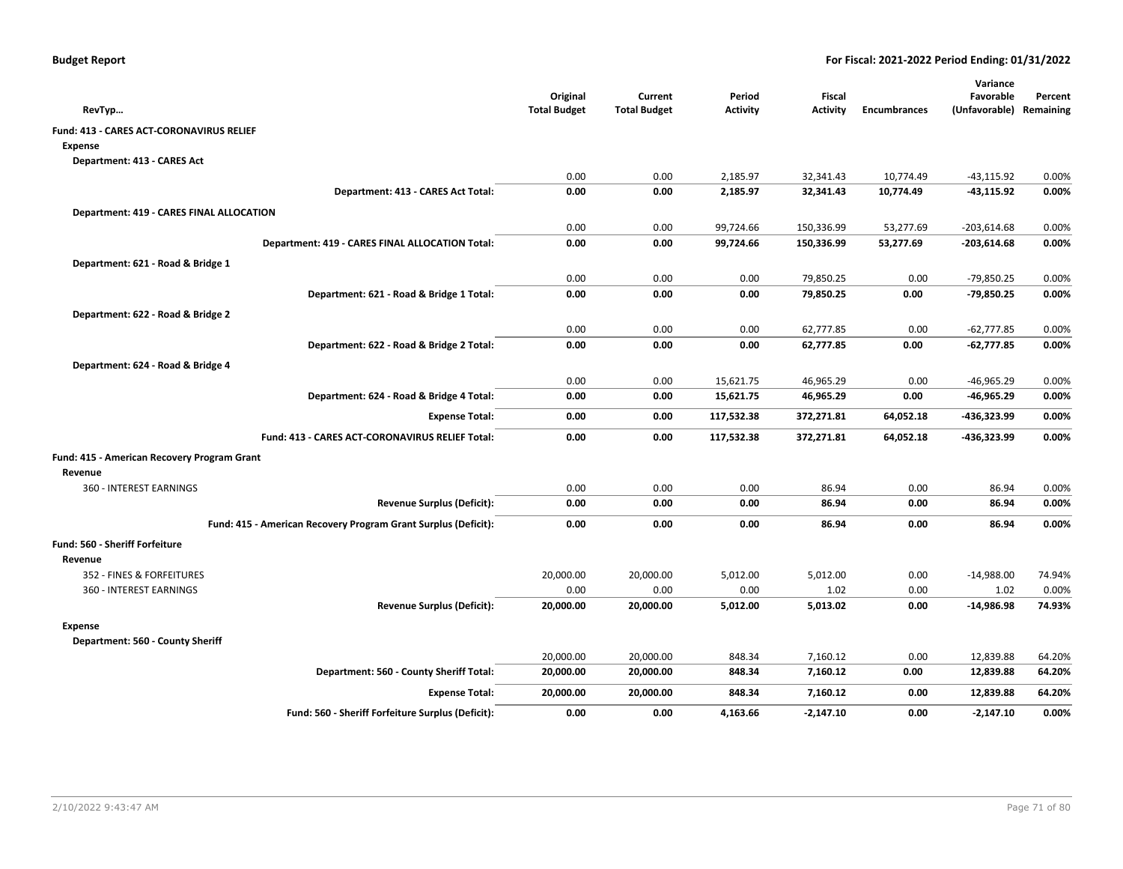| RevTyp                                                         | Original<br><b>Total Budget</b> | Current<br><b>Total Budget</b> | Period<br><b>Activity</b> | Fiscal<br><b>Activity</b> | <b>Encumbrances</b> | Variance<br>Favorable<br>(Unfavorable) | Percent<br>Remaining |
|----------------------------------------------------------------|---------------------------------|--------------------------------|---------------------------|---------------------------|---------------------|----------------------------------------|----------------------|
| Fund: 413 - CARES ACT-CORONAVIRUS RELIEF                       |                                 |                                |                           |                           |                     |                                        |                      |
| Expense                                                        |                                 |                                |                           |                           |                     |                                        |                      |
| Department: 413 - CARES Act                                    |                                 |                                |                           |                           |                     |                                        |                      |
|                                                                | 0.00                            | 0.00                           | 2,185.97                  | 32,341.43                 | 10,774.49           | $-43, 115.92$                          | 0.00%                |
| Department: 413 - CARES Act Total:                             | 0.00                            | 0.00                           | 2,185.97                  | 32,341.43                 | 10,774.49           | -43,115.92                             | 0.00%                |
| <b>Department: 419 - CARES FINAL ALLOCATION</b>                |                                 |                                |                           |                           |                     |                                        |                      |
|                                                                | 0.00                            | 0.00                           | 99,724.66                 | 150,336.99                | 53,277.69           | $-203,614.68$                          | 0.00%                |
| Department: 419 - CARES FINAL ALLOCATION Total:                | 0.00                            | 0.00                           | 99,724.66                 | 150,336.99                | 53,277.69           | $-203,614.68$                          | 0.00%                |
| Department: 621 - Road & Bridge 1                              |                                 |                                |                           |                           |                     |                                        |                      |
|                                                                | 0.00                            | 0.00                           | 0.00                      | 79,850.25                 | 0.00                | -79,850.25                             | 0.00%                |
| Department: 621 - Road & Bridge 1 Total:                       | 0.00                            | 0.00                           | 0.00                      | 79,850.25                 | 0.00                | -79,850.25                             | 0.00%                |
| Department: 622 - Road & Bridge 2                              |                                 |                                |                           |                           |                     |                                        |                      |
|                                                                | 0.00                            | 0.00                           | 0.00                      | 62,777.85                 | 0.00                | $-62,777.85$                           | 0.00%                |
| Department: 622 - Road & Bridge 2 Total:                       | 0.00                            | 0.00                           | 0.00                      | 62,777.85                 | 0.00                | $-62,777.85$                           | 0.00%                |
| Department: 624 - Road & Bridge 4                              |                                 |                                |                           |                           |                     |                                        |                      |
|                                                                | 0.00                            | 0.00                           | 15,621.75                 | 46,965.29                 | 0.00                | $-46,965.29$                           | 0.00%                |
| Department: 624 - Road & Bridge 4 Total:                       | 0.00                            | 0.00                           | 15,621.75                 | 46,965.29                 | 0.00                | -46,965.29                             | 0.00%                |
| <b>Expense Total:</b>                                          | 0.00                            | 0.00                           | 117,532.38                | 372,271.81                | 64,052.18           | -436,323.99                            | 0.00%                |
| Fund: 413 - CARES ACT-CORONAVIRUS RELIEF Total:                | 0.00                            | 0.00                           | 117,532.38                | 372,271.81                | 64,052.18           | -436,323.99                            | 0.00%                |
| Fund: 415 - American Recovery Program Grant                    |                                 |                                |                           |                           |                     |                                        |                      |
| Revenue                                                        |                                 |                                |                           |                           |                     |                                        |                      |
| <b>360 - INTEREST EARNINGS</b>                                 | 0.00                            | 0.00                           | 0.00                      | 86.94                     | 0.00                | 86.94                                  | 0.00%                |
| <b>Revenue Surplus (Deficit):</b>                              | 0.00                            | 0.00                           | 0.00                      | 86.94                     | 0.00                | 86.94                                  | 0.00%                |
| Fund: 415 - American Recovery Program Grant Surplus (Deficit): | 0.00                            | 0.00                           | 0.00                      | 86.94                     | 0.00                | 86.94                                  | 0.00%                |
| <b>Fund: 560 - Sheriff Forfeiture</b>                          |                                 |                                |                           |                           |                     |                                        |                      |
| Revenue                                                        |                                 |                                |                           |                           |                     |                                        |                      |
| 352 - FINES & FORFEITURES                                      | 20,000.00                       | 20,000.00                      | 5,012.00                  | 5,012.00                  | 0.00                | $-14,988.00$                           | 74.94%               |
| 360 - INTEREST EARNINGS                                        | 0.00                            | 0.00                           | 0.00                      | 1.02                      | 0.00                | 1.02                                   | 0.00%                |
| <b>Revenue Surplus (Deficit):</b>                              | 20,000.00                       | 20,000.00                      | 5,012.00                  | 5,013.02                  | 0.00                | -14,986.98                             | 74.93%               |
| <b>Expense</b>                                                 |                                 |                                |                           |                           |                     |                                        |                      |
| Department: 560 - County Sheriff                               |                                 |                                |                           |                           |                     |                                        |                      |
|                                                                | 20,000.00                       | 20,000.00                      | 848.34                    | 7,160.12                  | 0.00                | 12,839.88                              | 64.20%               |
| Department: 560 - County Sheriff Total:                        | 20,000.00                       | 20,000.00                      | 848.34                    | 7,160.12                  | 0.00                | 12,839.88                              | 64.20%               |
| <b>Expense Total:</b>                                          | 20,000.00                       | 20,000.00                      | 848.34                    | 7,160.12                  | 0.00                | 12,839.88                              | 64.20%               |
| Fund: 560 - Sheriff Forfeiture Surplus (Deficit):              | 0.00                            | 0.00                           | 4,163.66                  | $-2,147.10$               | 0.00                | $-2,147.10$                            | 0.00%                |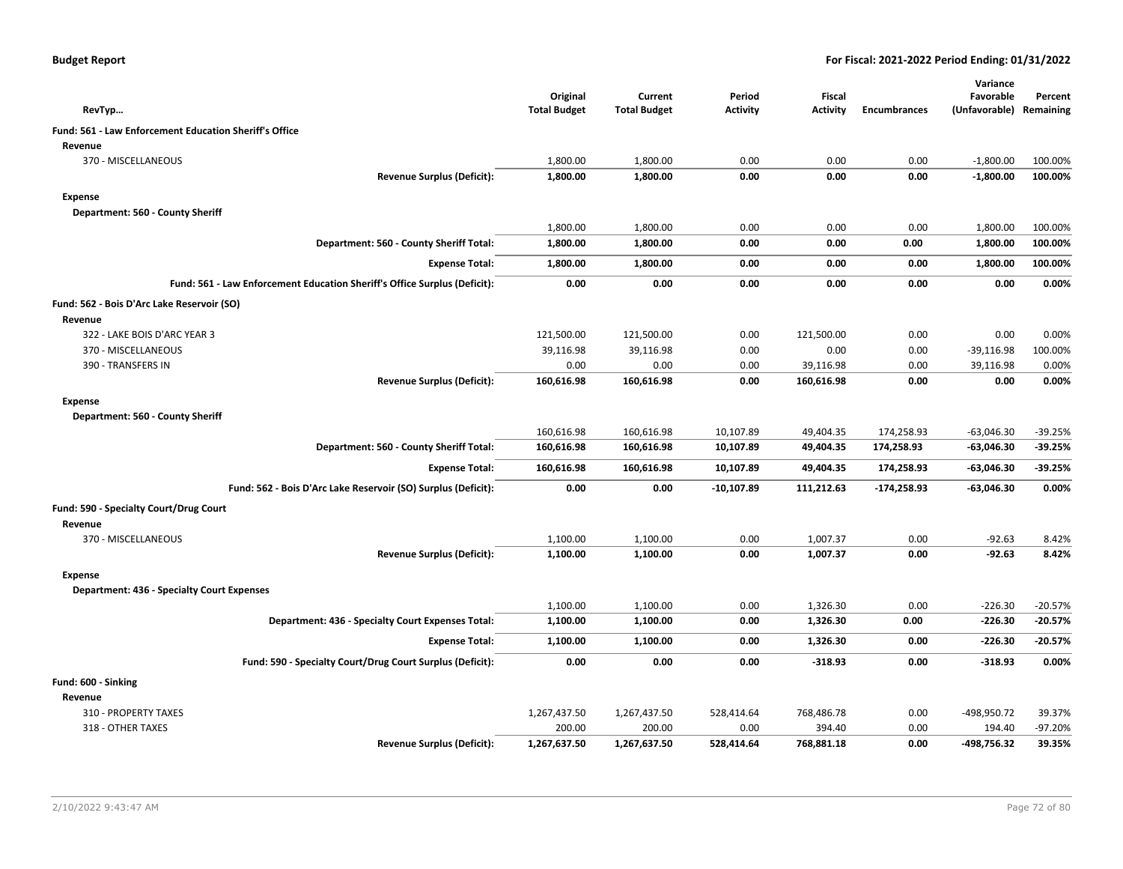| <b>Budget Report</b> |  |
|----------------------|--|
|----------------------|--|

|                                                                           | Original            | Current             | Period          | Fiscal          |                     | Variance<br>Favorable | Percent   |
|---------------------------------------------------------------------------|---------------------|---------------------|-----------------|-----------------|---------------------|-----------------------|-----------|
| RevTyp                                                                    | <b>Total Budget</b> | <b>Total Budget</b> | <b>Activity</b> | <b>Activity</b> | <b>Encumbrances</b> | (Unfavorable)         | Remaining |
| Fund: 561 - Law Enforcement Education Sheriff's Office                    |                     |                     |                 |                 |                     |                       |           |
| Revenue                                                                   |                     |                     |                 |                 |                     |                       |           |
| 370 - MISCELLANEOUS                                                       | 1,800.00            | 1,800.00            | 0.00            | 0.00            | 0.00                | $-1,800.00$           | 100.00%   |
| <b>Revenue Surplus (Deficit):</b>                                         | 1,800.00            | 1,800.00            | 0.00            | 0.00            | 0.00                | $-1,800.00$           | 100.00%   |
| <b>Expense</b>                                                            |                     |                     |                 |                 |                     |                       |           |
| Department: 560 - County Sheriff                                          |                     |                     |                 |                 |                     |                       |           |
|                                                                           | 1,800.00            | 1,800.00            | 0.00            | 0.00            | 0.00                | 1,800.00              | 100.00%   |
| Department: 560 - County Sheriff Total:                                   | 1,800.00            | 1,800.00            | 0.00            | 0.00            | 0.00                | 1,800.00              | 100.00%   |
| <b>Expense Total:</b>                                                     | 1,800.00            | 1,800.00            | 0.00            | 0.00            | 0.00                | 1,800.00              | 100.00%   |
| Fund: 561 - Law Enforcement Education Sheriff's Office Surplus (Deficit): | 0.00                | 0.00                | 0.00            | 0.00            | 0.00                | 0.00                  | 0.00%     |
| Fund: 562 - Bois D'Arc Lake Reservoir (SO)                                |                     |                     |                 |                 |                     |                       |           |
| Revenue                                                                   |                     |                     |                 |                 |                     |                       |           |
| 322 - LAKE BOIS D'ARC YEAR 3                                              | 121,500.00          | 121,500.00          | 0.00            | 121,500.00      | 0.00                | 0.00                  | 0.00%     |
| 370 - MISCELLANEOUS                                                       | 39,116.98           | 39,116.98           | 0.00            | 0.00            | 0.00                | $-39,116.98$          | 100.00%   |
| 390 - TRANSFERS IN                                                        | 0.00                | 0.00                | 0.00            | 39,116.98       | 0.00                | 39,116.98             | 0.00%     |
| <b>Revenue Surplus (Deficit):</b>                                         | 160,616.98          | 160,616.98          | 0.00            | 160,616.98      | 0.00                | 0.00                  | 0.00%     |
| <b>Expense</b>                                                            |                     |                     |                 |                 |                     |                       |           |
| Department: 560 - County Sheriff                                          |                     |                     |                 |                 |                     |                       |           |
|                                                                           | 160,616.98          | 160,616.98          | 10,107.89       | 49,404.35       | 174,258.93          | $-63,046.30$          | -39.25%   |
| Department: 560 - County Sheriff Total:                                   | 160,616.98          | 160,616.98          | 10,107.89       | 49,404.35       | 174,258.93          | $-63,046.30$          | -39.25%   |
| <b>Expense Total:</b>                                                     | 160,616.98          | 160,616.98          | 10,107.89       | 49,404.35       | 174,258.93          | $-63,046.30$          | -39.25%   |
| Fund: 562 - Bois D'Arc Lake Reservoir (SO) Surplus (Deficit):             | 0.00                | 0.00                | $-10,107.89$    | 111,212.63      | $-174,258.93$       | $-63,046.30$          | 0.00%     |
| Fund: 590 - Specialty Court/Drug Court                                    |                     |                     |                 |                 |                     |                       |           |
| Revenue                                                                   |                     |                     |                 |                 |                     |                       |           |
| 370 - MISCELLANEOUS                                                       | 1,100.00            | 1,100.00            | 0.00            | 1,007.37        | 0.00                | $-92.63$              | 8.42%     |
| <b>Revenue Surplus (Deficit):</b>                                         | 1,100.00            | 1,100.00            | 0.00            | 1,007.37        | 0.00                | $-92.63$              | 8.42%     |
| <b>Expense</b>                                                            |                     |                     |                 |                 |                     |                       |           |
| <b>Department: 436 - Specialty Court Expenses</b>                         |                     |                     |                 |                 |                     |                       |           |
|                                                                           | 1,100.00            | 1,100.00            | 0.00            | 1,326.30        | 0.00                | $-226.30$             | $-20.57%$ |
| Department: 436 - Specialty Court Expenses Total:                         | 1,100.00            | 1,100.00            | 0.00            | 1,326.30        | 0.00                | $-226.30$             | $-20.57%$ |
| <b>Expense Total:</b>                                                     | 1,100.00            | 1,100.00            | 0.00            | 1,326.30        | 0.00                | $-226.30$             | -20.57%   |
| Fund: 590 - Specialty Court/Drug Court Surplus (Deficit):                 | 0.00                | 0.00                | 0.00            | -318.93         | 0.00                | $-318.93$             | 0.00%     |
| Fund: 600 - Sinking                                                       |                     |                     |                 |                 |                     |                       |           |
| Revenue                                                                   |                     |                     |                 |                 |                     |                       |           |
| 310 - PROPERTY TAXES                                                      | 1,267,437.50        | 1,267,437.50        | 528,414.64      | 768,486.78      | 0.00                | -498,950.72           | 39.37%    |
| 318 - OTHER TAXES                                                         | 200.00              | 200.00              | 0.00            | 394.40          | 0.00                | 194.40                | $-97.20%$ |
| <b>Revenue Surplus (Deficit):</b>                                         | 1,267,637.50        | 1,267,637.50        | 528,414.64      | 768,881.18      | 0.00                | -498,756.32           | 39.35%    |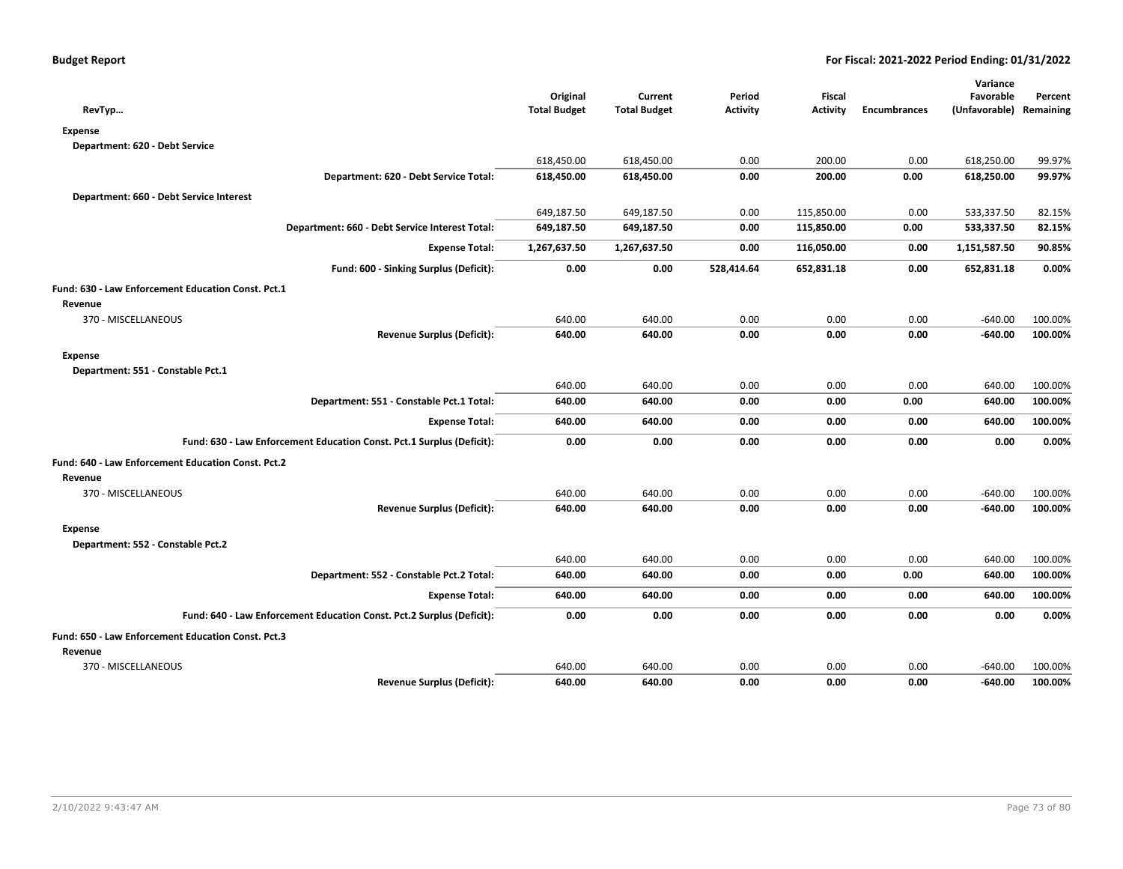|                                                                       |                     |                     |                 |                 |                     | Variance                |         |
|-----------------------------------------------------------------------|---------------------|---------------------|-----------------|-----------------|---------------------|-------------------------|---------|
|                                                                       | Original            | Current             | Period          | Fiscal          |                     | Favorable               | Percent |
| RevTyp                                                                | <b>Total Budget</b> | <b>Total Budget</b> | <b>Activity</b> | <b>Activity</b> | <b>Encumbrances</b> | (Unfavorable) Remaining |         |
| <b>Expense</b>                                                        |                     |                     |                 |                 |                     |                         |         |
| Department: 620 - Debt Service                                        |                     |                     |                 |                 |                     |                         |         |
|                                                                       | 618,450.00          | 618,450.00          | 0.00            | 200.00          | 0.00                | 618,250.00              | 99.97%  |
| Department: 620 - Debt Service Total:                                 | 618,450.00          | 618,450.00          | 0.00            | 200.00          | 0.00                | 618,250.00              | 99.97%  |
| Department: 660 - Debt Service Interest                               |                     |                     |                 |                 |                     |                         |         |
|                                                                       | 649,187.50          | 649,187.50          | 0.00            | 115,850.00      | 0.00                | 533,337.50              | 82.15%  |
| Department: 660 - Debt Service Interest Total:                        | 649,187.50          | 649,187.50          | 0.00            | 115,850.00      | 0.00                | 533,337.50              | 82.15%  |
| <b>Expense Total:</b>                                                 | 1,267,637.50        | 1,267,637.50        | 0.00            | 116,050.00      | 0.00                | 1,151,587.50            | 90.85%  |
| Fund: 600 - Sinking Surplus (Deficit):                                | 0.00                | 0.00                | 528,414.64      | 652,831.18      | 0.00                | 652,831.18              | 0.00%   |
| Fund: 630 - Law Enforcement Education Const. Pct.1                    |                     |                     |                 |                 |                     |                         |         |
| Revenue                                                               |                     |                     |                 |                 |                     |                         |         |
| 370 - MISCELLANEOUS                                                   | 640.00              | 640.00              | 0.00            | 0.00            | 0.00                | $-640.00$               | 100.00% |
| <b>Revenue Surplus (Deficit):</b>                                     | 640.00              | 640.00              | 0.00            | 0.00            | 0.00                | $-640.00$               | 100.00% |
| <b>Expense</b>                                                        |                     |                     |                 |                 |                     |                         |         |
| Department: 551 - Constable Pct.1                                     |                     |                     |                 |                 |                     |                         |         |
|                                                                       | 640.00              | 640.00              | 0.00            | 0.00            | 0.00                | 640.00                  | 100.00% |
| Department: 551 - Constable Pct.1 Total:                              | 640.00              | 640.00              | 0.00            | 0.00            | 0.00                | 640.00                  | 100.00% |
| <b>Expense Total:</b>                                                 | 640.00              | 640.00              | 0.00            | 0.00            | 0.00                | 640.00                  | 100.00% |
| Fund: 630 - Law Enforcement Education Const. Pct.1 Surplus (Deficit): | 0.00                | 0.00                | 0.00            | 0.00            | 0.00                | 0.00                    | 0.00%   |
| Fund: 640 - Law Enforcement Education Const. Pct.2                    |                     |                     |                 |                 |                     |                         |         |
| Revenue                                                               |                     |                     |                 |                 |                     |                         |         |
| 370 - MISCELLANEOUS                                                   | 640.00              | 640.00              | 0.00            | 0.00            | 0.00                | $-640.00$               | 100.00% |
| <b>Revenue Surplus (Deficit):</b>                                     | 640.00              | 640.00              | 0.00            | 0.00            | 0.00                | $-640.00$               | 100.00% |
| <b>Expense</b>                                                        |                     |                     |                 |                 |                     |                         |         |
| Department: 552 - Constable Pct.2                                     |                     |                     |                 |                 |                     |                         |         |
|                                                                       | 640.00              | 640.00              | 0.00            | 0.00            | 0.00                | 640.00                  | 100.00% |
| Department: 552 - Constable Pct.2 Total:                              | 640.00              | 640.00              | 0.00            | 0.00            | 0.00                | 640.00                  | 100.00% |
| <b>Expense Total:</b>                                                 | 640.00              | 640.00              | 0.00            | 0.00            | 0.00                | 640.00                  | 100.00% |
| Fund: 640 - Law Enforcement Education Const. Pct.2 Surplus (Deficit): | 0.00                | 0.00                | 0.00            | 0.00            | 0.00                | 0.00                    | 0.00%   |
| Fund: 650 - Law Enforcement Education Const. Pct.3                    |                     |                     |                 |                 |                     |                         |         |
| Revenue                                                               |                     |                     |                 |                 |                     |                         |         |
| 370 - MISCELLANEOUS                                                   | 640.00              | 640.00              | 0.00            | 0.00            | 0.00                | $-640.00$               | 100.00% |
| <b>Revenue Surplus (Deficit):</b>                                     | 640.00              | 640.00              | 0.00            | 0.00            | 0.00                | $-640.00$               | 100.00% |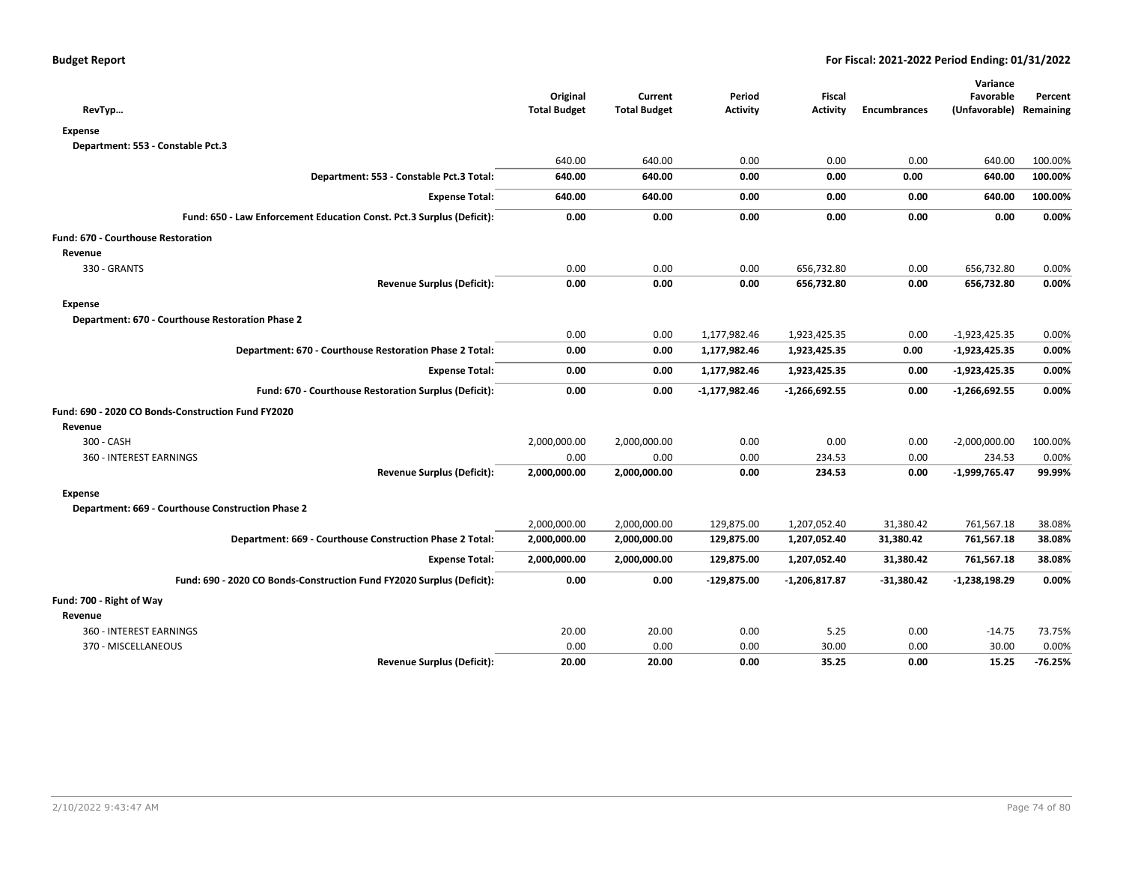|              |                                                     |                                                    |                                           |                                                  | Variance                            |                                                          |
|--------------|-----------------------------------------------------|----------------------------------------------------|-------------------------------------------|--------------------------------------------------|-------------------------------------|----------------------------------------------------------|
|              |                                                     |                                                    |                                           |                                                  |                                     | Percent                                                  |
|              |                                                     |                                                    |                                           |                                                  |                                     |                                                          |
|              |                                                     |                                                    |                                           |                                                  |                                     |                                                          |
|              |                                                     |                                                    |                                           |                                                  |                                     |                                                          |
|              |                                                     |                                                    |                                           |                                                  |                                     | 100.00%                                                  |
|              |                                                     |                                                    |                                           |                                                  |                                     | 100.00%                                                  |
| 640.00       | 640.00                                              | 0.00                                               | 0.00                                      | 0.00                                             | 640.00                              | 100.00%                                                  |
| 0.00         | 0.00                                                | 0.00                                               | 0.00                                      | 0.00                                             | 0.00                                | 0.00%                                                    |
|              |                                                     |                                                    |                                           |                                                  |                                     |                                                          |
|              |                                                     |                                                    |                                           |                                                  |                                     |                                                          |
| 0.00         | 0.00                                                | 0.00                                               | 656,732.80                                | 0.00                                             | 656,732.80                          | 0.00%                                                    |
| 0.00         | 0.00                                                | 0.00                                               | 656,732.80                                | 0.00                                             | 656,732.80                          | 0.00%                                                    |
|              |                                                     |                                                    |                                           |                                                  |                                     |                                                          |
|              |                                                     |                                                    |                                           |                                                  |                                     |                                                          |
| 0.00         | 0.00                                                | 1,177,982.46                                       | 1,923,425.35                              | 0.00                                             | $-1,923,425.35$                     | 0.00%                                                    |
| 0.00         | 0.00                                                | 1,177,982.46                                       | 1,923,425.35                              | 0.00                                             | $-1,923,425.35$                     | 0.00%                                                    |
| 0.00         | 0.00                                                | 1,177,982.46                                       | 1,923,425.35                              | 0.00                                             | $-1,923,425.35$                     | 0.00%                                                    |
| 0.00         | 0.00                                                | -1,177,982.46                                      | $-1,266,692.55$                           | 0.00                                             | $-1,266,692.55$                     | 0.00%                                                    |
|              |                                                     |                                                    |                                           |                                                  |                                     |                                                          |
|              |                                                     |                                                    |                                           |                                                  |                                     |                                                          |
| 2,000,000.00 | 2,000,000.00                                        | 0.00                                               | 0.00                                      | 0.00                                             | $-2,000,000.00$                     | 100.00%                                                  |
| 0.00         | 0.00                                                | 0.00                                               | 234.53                                    | 0.00                                             | 234.53                              | 0.00%                                                    |
| 2,000,000.00 | 2,000,000.00                                        | 0.00                                               | 234.53                                    | 0.00                                             | $-1,999,765.47$                     | 99.99%                                                   |
|              |                                                     |                                                    |                                           |                                                  |                                     |                                                          |
|              |                                                     |                                                    |                                           |                                                  |                                     |                                                          |
| 2,000,000.00 | 2,000,000.00                                        | 129,875.00                                         | 1,207,052.40                              | 31,380.42                                        | 761,567.18                          | 38.08%                                                   |
| 2,000,000.00 | 2,000,000.00                                        | 129,875.00                                         | 1,207,052.40                              | 31,380.42                                        | 761,567.18                          | 38.08%                                                   |
| 2,000,000.00 | 2,000,000.00                                        | 129,875.00                                         | 1,207,052.40                              | 31,380.42                                        | 761,567.18                          | 38.08%                                                   |
| 0.00         | 0.00                                                | $-129,875.00$                                      | $-1,206,817.87$                           | $-31,380.42$                                     | -1,238,198.29                       | 0.00%                                                    |
|              |                                                     |                                                    |                                           |                                                  |                                     |                                                          |
|              |                                                     |                                                    |                                           |                                                  |                                     |                                                          |
| 20.00        | 20.00                                               | 0.00                                               | 5.25                                      | 0.00                                             | $-14.75$                            | 73.75%                                                   |
| 0.00         | 0.00                                                | 0.00                                               | 30.00                                     | 0.00                                             | 30.00                               | 0.00%                                                    |
| 20.00        | 20.00                                               | 0.00                                               | 35.25                                     | 0.00                                             | 15.25                               | $-76.25%$                                                |
|              | Original<br><b>Total Budget</b><br>640.00<br>640.00 | Current<br><b>Total Budget</b><br>640.00<br>640.00 | Period<br><b>Activity</b><br>0.00<br>0.00 | <b>Fiscal</b><br><b>Activity</b><br>0.00<br>0.00 | <b>Encumbrances</b><br>0.00<br>0.00 | Favorable<br>(Unfavorable) Remaining<br>640.00<br>640.00 |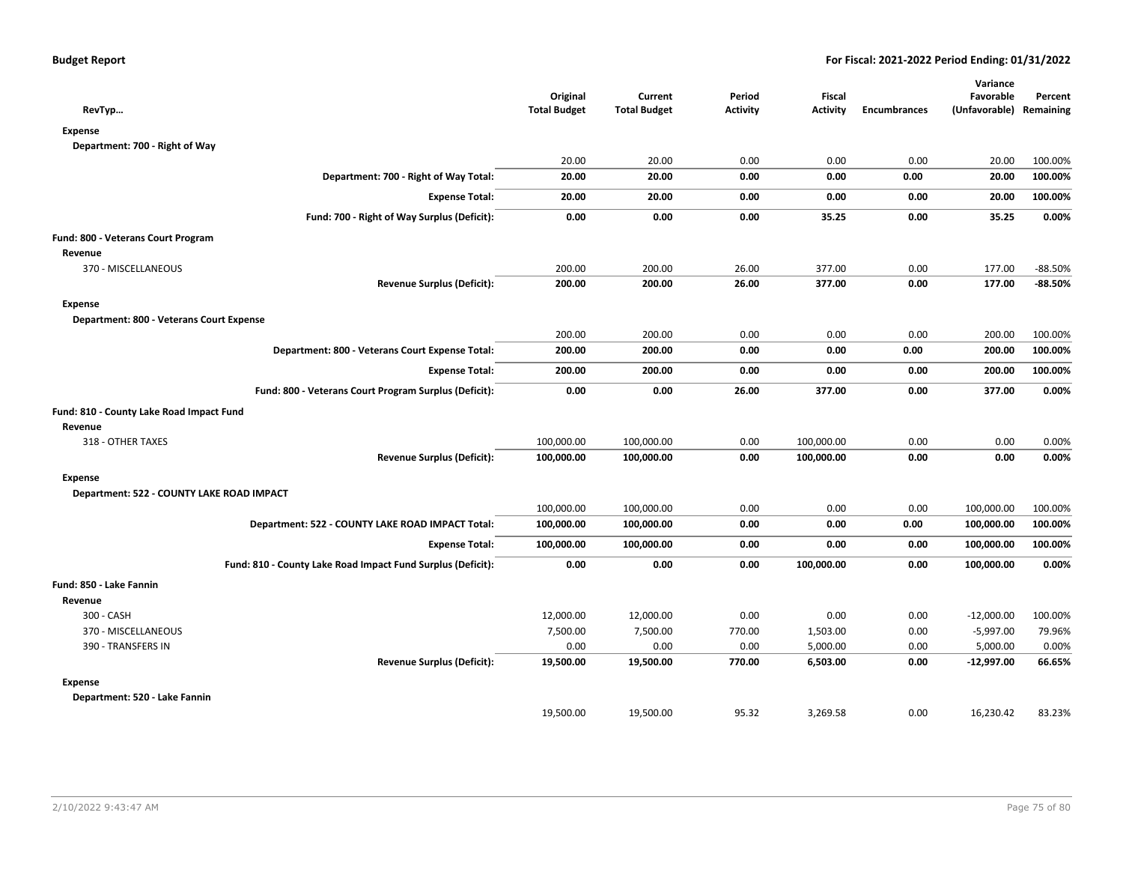|                                                             |                                 |                                |                           |                                  |                     | Variance                             |           |
|-------------------------------------------------------------|---------------------------------|--------------------------------|---------------------------|----------------------------------|---------------------|--------------------------------------|-----------|
| RevTyp                                                      | Original<br><b>Total Budget</b> | Current<br><b>Total Budget</b> | Period<br><b>Activity</b> | <b>Fiscal</b><br><b>Activity</b> | <b>Encumbrances</b> | Favorable<br>(Unfavorable) Remaining | Percent   |
| <b>Expense</b>                                              |                                 |                                |                           |                                  |                     |                                      |           |
| Department: 700 - Right of Way                              |                                 |                                |                           |                                  |                     |                                      |           |
|                                                             | 20.00                           | 20.00                          | 0.00                      | 0.00                             | 0.00                | 20.00                                | 100.00%   |
| Department: 700 - Right of Way Total:                       | 20.00                           | 20.00                          | 0.00                      | 0.00                             | 0.00                | 20.00                                | 100.00%   |
| <b>Expense Total:</b>                                       | 20.00                           | 20.00                          | 0.00                      | 0.00                             | 0.00                | 20.00                                | 100.00%   |
| Fund: 700 - Right of Way Surplus (Deficit):                 | 0.00                            | 0.00                           | 0.00                      | 35.25                            | 0.00                | 35.25                                | 0.00%     |
| Fund: 800 - Veterans Court Program                          |                                 |                                |                           |                                  |                     |                                      |           |
| Revenue                                                     |                                 |                                |                           |                                  |                     |                                      |           |
| 370 - MISCELLANEOUS                                         | 200.00                          | 200.00                         | 26.00                     | 377.00                           | 0.00                | 177.00                               | $-88.50%$ |
| <b>Revenue Surplus (Deficit):</b>                           | 200.00                          | 200.00                         | 26.00                     | 377.00                           | 0.00                | 177.00                               | $-88.50%$ |
| <b>Expense</b>                                              |                                 |                                |                           |                                  |                     |                                      |           |
| Department: 800 - Veterans Court Expense                    |                                 |                                |                           |                                  |                     |                                      |           |
|                                                             | 200.00                          | 200.00                         | 0.00                      | 0.00                             | 0.00                | 200.00                               | 100.00%   |
| Department: 800 - Veterans Court Expense Total:             | 200.00                          | 200.00                         | 0.00                      | 0.00                             | 0.00                | 200.00                               | 100.00%   |
| <b>Expense Total:</b>                                       | 200.00                          | 200.00                         | 0.00                      | 0.00                             | 0.00                | 200.00                               | 100.00%   |
| Fund: 800 - Veterans Court Program Surplus (Deficit):       | 0.00                            | 0.00                           | 26.00                     | 377.00                           | 0.00                | 377.00                               | 0.00%     |
| Fund: 810 - County Lake Road Impact Fund                    |                                 |                                |                           |                                  |                     |                                      |           |
| Revenue                                                     |                                 |                                |                           |                                  |                     |                                      |           |
| 318 - OTHER TAXES                                           | 100,000.00                      | 100,000.00                     | 0.00                      | 100,000.00                       | 0.00                | 0.00                                 | 0.00%     |
| <b>Revenue Surplus (Deficit):</b>                           | 100,000.00                      | 100,000.00                     | 0.00                      | 100,000.00                       | 0.00                | 0.00                                 | 0.00%     |
| <b>Expense</b>                                              |                                 |                                |                           |                                  |                     |                                      |           |
| Department: 522 - COUNTY LAKE ROAD IMPACT                   |                                 |                                |                           |                                  |                     |                                      |           |
|                                                             | 100,000.00                      | 100,000.00                     | 0.00                      | 0.00                             | 0.00                | 100,000.00                           | 100.00%   |
| Department: 522 - COUNTY LAKE ROAD IMPACT Total:            | 100,000.00                      | 100,000.00                     | 0.00                      | 0.00                             | 0.00                | 100,000.00                           | 100.00%   |
| <b>Expense Total:</b>                                       | 100,000.00                      | 100,000.00                     | 0.00                      | 0.00                             | 0.00                | 100,000.00                           | 100.00%   |
| Fund: 810 - County Lake Road Impact Fund Surplus (Deficit): | 0.00                            | 0.00                           | 0.00                      | 100,000.00                       | 0.00                | 100,000.00                           | 0.00%     |
| Fund: 850 - Lake Fannin                                     |                                 |                                |                           |                                  |                     |                                      |           |
| Revenue                                                     |                                 |                                |                           |                                  |                     |                                      |           |
| 300 - CASH                                                  | 12,000.00                       | 12,000.00                      | 0.00                      | 0.00                             | 0.00                | $-12,000.00$                         | 100.00%   |
| 370 - MISCELLANEOUS                                         | 7,500.00                        | 7,500.00                       | 770.00                    | 1,503.00                         | 0.00                | $-5,997.00$                          | 79.96%    |
| 390 - TRANSFERS IN                                          | 0.00                            | 0.00                           | 0.00                      | 5,000.00                         | 0.00                | 5,000.00                             | 0.00%     |
| <b>Revenue Surplus (Deficit):</b>                           | 19,500.00                       | 19,500.00                      | 770.00                    | 6,503.00                         | 0.00                | -12,997.00                           | 66.65%    |
| <b>Expense</b>                                              |                                 |                                |                           |                                  |                     |                                      |           |
| Department: 520 - Lake Fannin                               |                                 |                                |                           |                                  |                     |                                      |           |
|                                                             | 19.500.00                       | 19.500.00                      | 95.32                     | 3,269.58                         | 0.00                | 16,230.42                            | 83.23%    |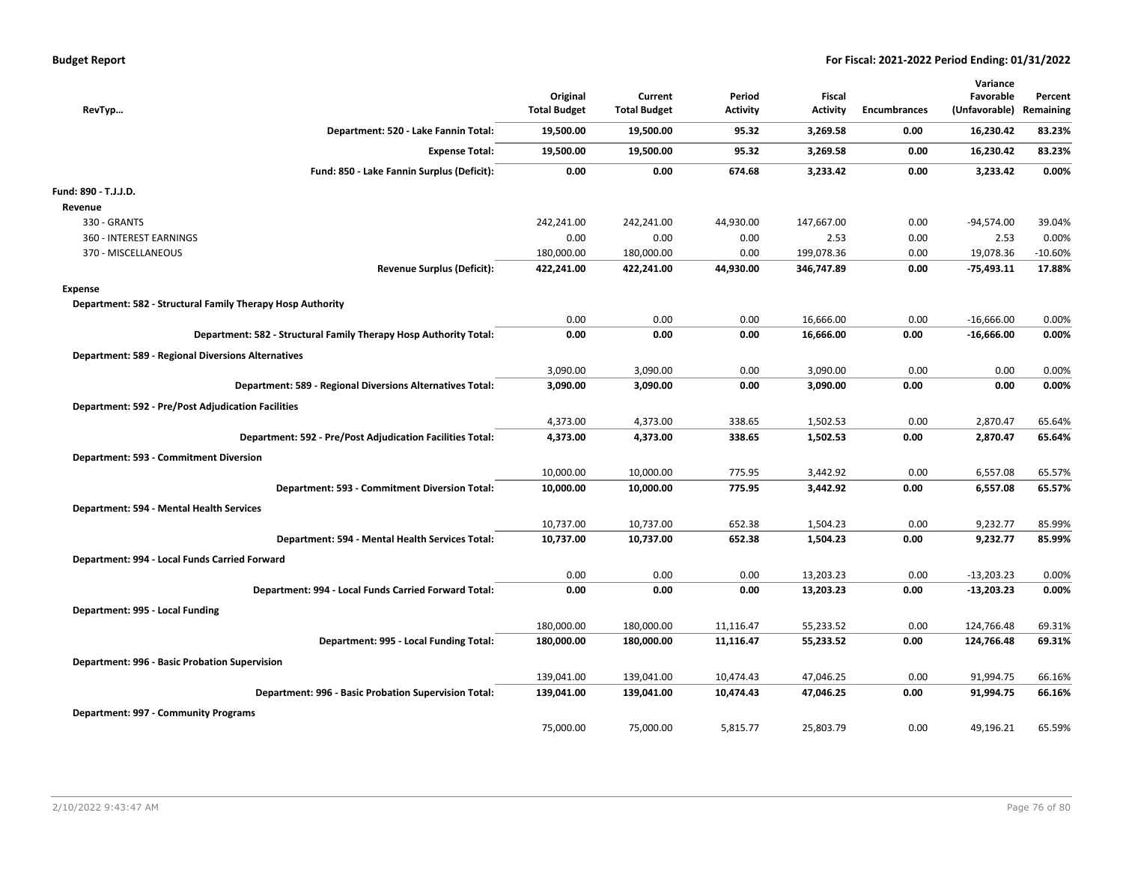| <b>Budget Report</b> |  |
|----------------------|--|
|----------------------|--|

| RevTyp                                                            | Original<br><b>Total Budget</b> | Current<br><b>Total Budget</b> | Period<br><b>Activity</b> | <b>Fiscal</b><br><b>Activity</b> | <b>Encumbrances</b> | Variance<br>Favorable<br>(Unfavorable) | Percent<br>Remaining |
|-------------------------------------------------------------------|---------------------------------|--------------------------------|---------------------------|----------------------------------|---------------------|----------------------------------------|----------------------|
| Department: 520 - Lake Fannin Total:                              | 19,500.00                       | 19,500.00                      | 95.32                     | 3,269.58                         | 0.00                | 16,230.42                              | 83.23%               |
| <b>Expense Total:</b>                                             | 19,500.00                       | 19,500.00                      | 95.32                     | 3,269.58                         | 0.00                | 16,230.42                              | 83.23%               |
| Fund: 850 - Lake Fannin Surplus (Deficit):                        | 0.00                            | 0.00                           | 674.68                    | 3,233.42                         | 0.00                | 3,233.42                               | 0.00%                |
| Fund: 890 - T.J.J.D.                                              |                                 |                                |                           |                                  |                     |                                        |                      |
| Revenue                                                           |                                 |                                |                           |                                  |                     |                                        |                      |
| 330 - GRANTS                                                      | 242,241.00                      | 242,241.00                     | 44,930.00                 | 147,667.00                       | 0.00                | $-94,574.00$                           | 39.04%               |
| <b>360 - INTEREST EARNINGS</b>                                    | 0.00                            | 0.00                           | 0.00                      | 2.53                             | 0.00                | 2.53                                   | 0.00%                |
| 370 - MISCELLANEOUS                                               | 180,000.00                      | 180,000.00                     | 0.00                      | 199,078.36                       | 0.00                | 19,078.36                              | $-10.60%$            |
| <b>Revenue Surplus (Deficit):</b>                                 | 422,241.00                      | 422,241.00                     | 44,930.00                 | 346,747.89                       | 0.00                | $-75,493.11$                           | 17.88%               |
| <b>Expense</b>                                                    |                                 |                                |                           |                                  |                     |                                        |                      |
| Department: 582 - Structural Family Therapy Hosp Authority        |                                 |                                |                           |                                  |                     |                                        |                      |
|                                                                   | 0.00                            | 0.00                           | 0.00                      | 16,666.00                        | 0.00                | $-16,666.00$                           | 0.00%                |
| Department: 582 - Structural Family Therapy Hosp Authority Total: | 0.00                            | 0.00                           | 0.00                      | 16,666.00                        | 0.00                | $-16,666.00$                           | 0.00%                |
| <b>Department: 589 - Regional Diversions Alternatives</b>         |                                 |                                |                           |                                  |                     |                                        |                      |
|                                                                   | 3,090.00                        | 3,090.00                       | 0.00                      | 3,090.00                         | 0.00                | 0.00                                   | 0.00%                |
| Department: 589 - Regional Diversions Alternatives Total:         | 3,090.00                        | 3,090.00                       | 0.00                      | 3,090.00                         | 0.00                | 0.00                                   | 0.00%                |
| <b>Department: 592 - Pre/Post Adjudication Facilities</b>         |                                 |                                |                           |                                  |                     |                                        |                      |
|                                                                   | 4,373.00                        | 4,373.00                       | 338.65                    | 1,502.53                         | 0.00                | 2,870.47                               | 65.64%               |
| Department: 592 - Pre/Post Adjudication Facilities Total:         | 4,373.00                        | 4,373.00                       | 338.65                    | 1,502.53                         | 0.00                | 2,870.47                               | 65.64%               |
|                                                                   |                                 |                                |                           |                                  |                     |                                        |                      |
| Department: 593 - Commitment Diversion                            |                                 |                                |                           |                                  |                     |                                        |                      |
|                                                                   | 10,000.00                       | 10,000.00                      | 775.95                    | 3,442.92                         | 0.00                | 6,557.08                               | 65.57%               |
| Department: 593 - Commitment Diversion Total:                     | 10,000.00                       | 10,000.00                      | 775.95                    | 3,442.92                         | 0.00                | 6,557.08                               | 65.57%               |
| Department: 594 - Mental Health Services                          |                                 |                                |                           |                                  |                     |                                        |                      |
|                                                                   | 10,737.00                       | 10,737.00                      | 652.38                    | 1,504.23                         | 0.00                | 9,232.77                               | 85.99%               |
| Department: 594 - Mental Health Services Total:                   | 10,737.00                       | 10,737.00                      | 652.38                    | 1,504.23                         | 0.00                | 9,232.77                               | 85.99%               |
| Department: 994 - Local Funds Carried Forward                     |                                 |                                |                           |                                  |                     |                                        |                      |
|                                                                   | 0.00                            | 0.00                           | 0.00                      | 13,203.23                        | 0.00                | $-13,203.23$                           | 0.00%                |
| Department: 994 - Local Funds Carried Forward Total:              | 0.00                            | 0.00                           | 0.00                      | 13,203.23                        | 0.00                | $-13,203.23$                           | 0.00%                |
| Department: 995 - Local Funding                                   |                                 |                                |                           |                                  |                     |                                        |                      |
|                                                                   | 180,000.00                      | 180,000.00                     | 11,116.47                 | 55,233.52                        | 0.00                | 124,766.48                             | 69.31%               |
| Department: 995 - Local Funding Total:                            | 180,000.00                      | 180,000.00                     | 11,116.47                 | 55,233.52                        | 0.00                | 124,766.48                             | 69.31%               |
|                                                                   |                                 |                                |                           |                                  |                     |                                        |                      |
| Department: 996 - Basic Probation Supervision                     |                                 |                                |                           |                                  |                     |                                        |                      |
|                                                                   | 139,041.00                      | 139,041.00                     | 10,474.43                 | 47,046.25                        | 0.00                | 91,994.75                              | 66.16%               |
| Department: 996 - Basic Probation Supervision Total:              | 139,041.00                      | 139,041.00                     | 10,474.43                 | 47,046.25                        | 0.00                | 91,994.75                              | 66.16%               |
| Department: 997 - Community Programs                              |                                 |                                |                           |                                  |                     |                                        |                      |
|                                                                   | 75,000.00                       | 75,000.00                      | 5,815.77                  | 25,803.79                        | 0.00                | 49,196.21                              | 65.59%               |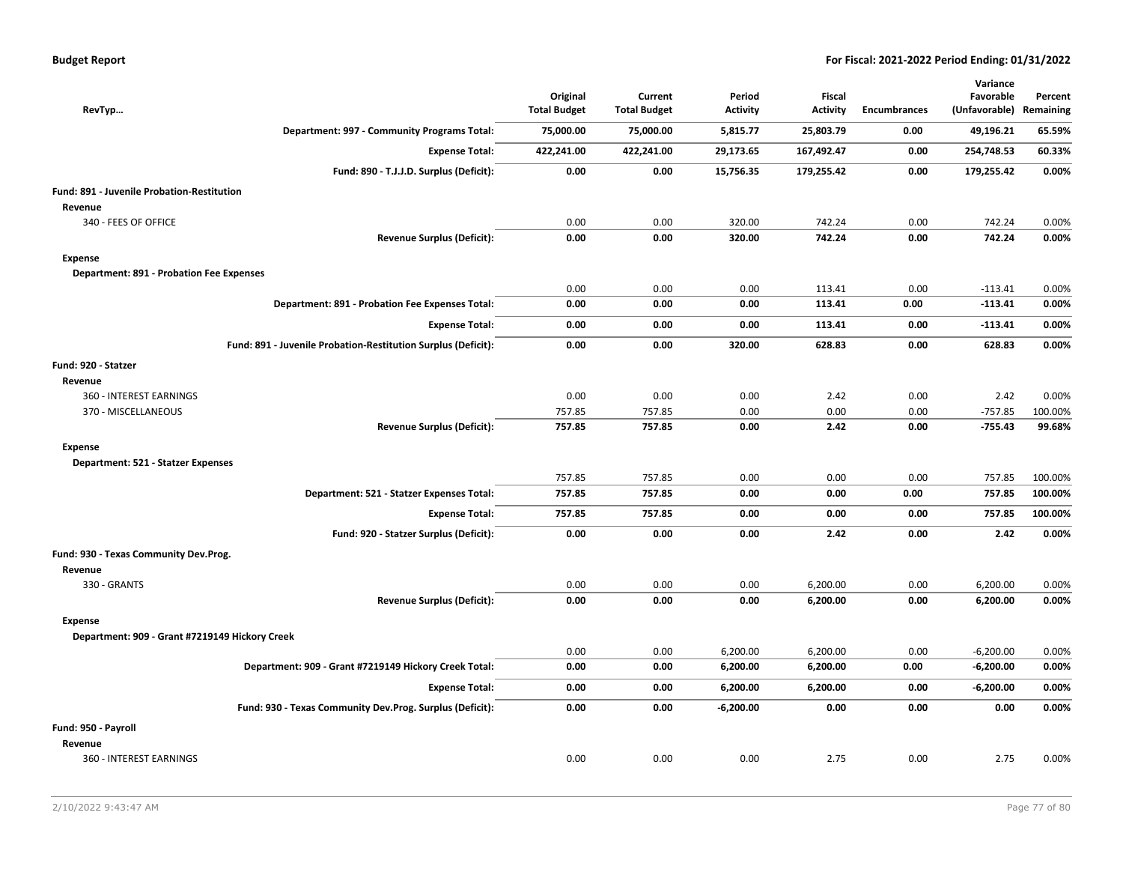| RevTyp                                          |                                                               | Original<br><b>Total Budget</b> | Current<br><b>Total Budget</b> | Period<br><b>Activity</b> | <b>Fiscal</b><br><b>Activity</b> | <b>Encumbrances</b> | Variance<br>Favorable<br>(Unfavorable) | Percent<br>Remaining |
|-------------------------------------------------|---------------------------------------------------------------|---------------------------------|--------------------------------|---------------------------|----------------------------------|---------------------|----------------------------------------|----------------------|
|                                                 | Department: 997 - Community Programs Total:                   | 75,000.00                       | 75,000.00                      | 5,815.77                  | 25,803.79                        | 0.00                | 49,196.21                              | 65.59%               |
|                                                 | <b>Expense Total:</b>                                         | 422,241.00                      | 422,241.00                     | 29,173.65                 | 167,492.47                       | 0.00                | 254,748.53                             | 60.33%               |
|                                                 | Fund: 890 - T.J.J.D. Surplus (Deficit):                       | 0.00                            | 0.00                           | 15,756.35                 | 179,255.42                       | 0.00                | 179,255.42                             | 0.00%                |
| Fund: 891 - Juvenile Probation-Restitution      |                                                               |                                 |                                |                           |                                  |                     |                                        |                      |
| Revenue                                         |                                                               |                                 |                                |                           |                                  |                     |                                        |                      |
| 340 - FEES OF OFFICE                            |                                                               | 0.00                            | 0.00                           | 320.00                    | 742.24                           | 0.00                | 742.24                                 | 0.00%                |
|                                                 | <b>Revenue Surplus (Deficit):</b>                             | 0.00                            | 0.00                           | 320.00                    | 742.24                           | 0.00                | 742.24                                 | 0.00%                |
| <b>Expense</b>                                  |                                                               |                                 |                                |                           |                                  |                     |                                        |                      |
| <b>Department: 891 - Probation Fee Expenses</b> |                                                               |                                 |                                |                           |                                  |                     |                                        |                      |
|                                                 |                                                               | 0.00                            | 0.00                           | 0.00                      | 113.41                           | 0.00                | $-113.41$                              | 0.00%                |
|                                                 | Department: 891 - Probation Fee Expenses Total:               | 0.00                            | 0.00                           | 0.00                      | 113.41                           | 0.00                | $-113.41$                              | 0.00%                |
|                                                 | <b>Expense Total:</b>                                         | 0.00                            | 0.00                           | 0.00                      | 113.41                           | 0.00                | $-113.41$                              | 0.00%                |
|                                                 | Fund: 891 - Juvenile Probation-Restitution Surplus (Deficit): | 0.00                            | 0.00                           | 320.00                    | 628.83                           | 0.00                | 628.83                                 | 0.00%                |
| Fund: 920 - Statzer                             |                                                               |                                 |                                |                           |                                  |                     |                                        |                      |
| Revenue                                         |                                                               |                                 |                                |                           |                                  |                     |                                        |                      |
| 360 - INTEREST EARNINGS                         |                                                               | 0.00                            | 0.00                           | 0.00                      | 2.42                             | 0.00                | 2.42                                   | 0.00%                |
| 370 - MISCELLANEOUS                             |                                                               | 757.85                          | 757.85                         | 0.00                      | 0.00                             | 0.00                | $-757.85$                              | 100.00%              |
|                                                 | <b>Revenue Surplus (Deficit):</b>                             | 757.85                          | 757.85                         | 0.00                      | 2.42                             | 0.00                | $-755.43$                              | 99.68%               |
| <b>Expense</b>                                  |                                                               |                                 |                                |                           |                                  |                     |                                        |                      |
| Department: 521 - Statzer Expenses              |                                                               |                                 |                                |                           |                                  |                     |                                        |                      |
|                                                 |                                                               | 757.85                          | 757.85                         | 0.00                      | 0.00                             | 0.00                | 757.85                                 | 100.00%              |
|                                                 | Department: 521 - Statzer Expenses Total:                     | 757.85                          | 757.85                         | 0.00                      | 0.00                             | 0.00                | 757.85                                 | 100.00%              |
|                                                 | <b>Expense Total:</b>                                         | 757.85                          | 757.85                         | 0.00                      | 0.00                             | 0.00                | 757.85                                 | 100.00%              |
|                                                 | Fund: 920 - Statzer Surplus (Deficit):                        | 0.00                            | 0.00                           | 0.00                      | 2.42                             | 0.00                | 2.42                                   | 0.00%                |
| Fund: 930 - Texas Community Dev.Prog.           |                                                               |                                 |                                |                           |                                  |                     |                                        |                      |
| Revenue                                         |                                                               |                                 |                                |                           |                                  |                     |                                        |                      |
| 330 - GRANTS                                    |                                                               | 0.00                            | 0.00                           | 0.00                      | 6,200.00                         | 0.00                | 6,200.00                               | 0.00%                |
|                                                 | <b>Revenue Surplus (Deficit):</b>                             | 0.00                            | 0.00                           | 0.00                      | 6,200.00                         | 0.00                | 6,200.00                               | 0.00%                |
| <b>Expense</b>                                  |                                                               |                                 |                                |                           |                                  |                     |                                        |                      |
| Department: 909 - Grant #7219149 Hickory Creek  |                                                               |                                 |                                |                           |                                  |                     |                                        |                      |
|                                                 |                                                               | 0.00                            | 0.00                           | 6,200.00                  | 6,200.00                         | 0.00                | $-6,200.00$                            | 0.00%                |
|                                                 | Department: 909 - Grant #7219149 Hickory Creek Total:         | 0.00                            | 0.00                           | 6,200.00                  | 6,200.00                         | 0.00                | $-6,200.00$                            | 0.00%                |
|                                                 | <b>Expense Total:</b>                                         | 0.00                            | 0.00                           | 6,200.00                  | 6,200.00                         | 0.00                | $-6,200.00$                            | 0.00%                |
|                                                 | Fund: 930 - Texas Community Dev.Prog. Surplus (Deficit):      | 0.00                            | 0.00                           | $-6,200.00$               | 0.00                             | 0.00                | 0.00                                   | 0.00%                |
| Fund: 950 - Payroll                             |                                                               |                                 |                                |                           |                                  |                     |                                        |                      |
| Revenue                                         |                                                               |                                 |                                |                           |                                  |                     |                                        |                      |
| 360 - INTEREST EARNINGS                         |                                                               | 0.00                            | 0.00                           | 0.00                      | 2.75                             | 0.00                | 2.75                                   | 0.00%                |
|                                                 |                                                               |                                 |                                |                           |                                  |                     |                                        |                      |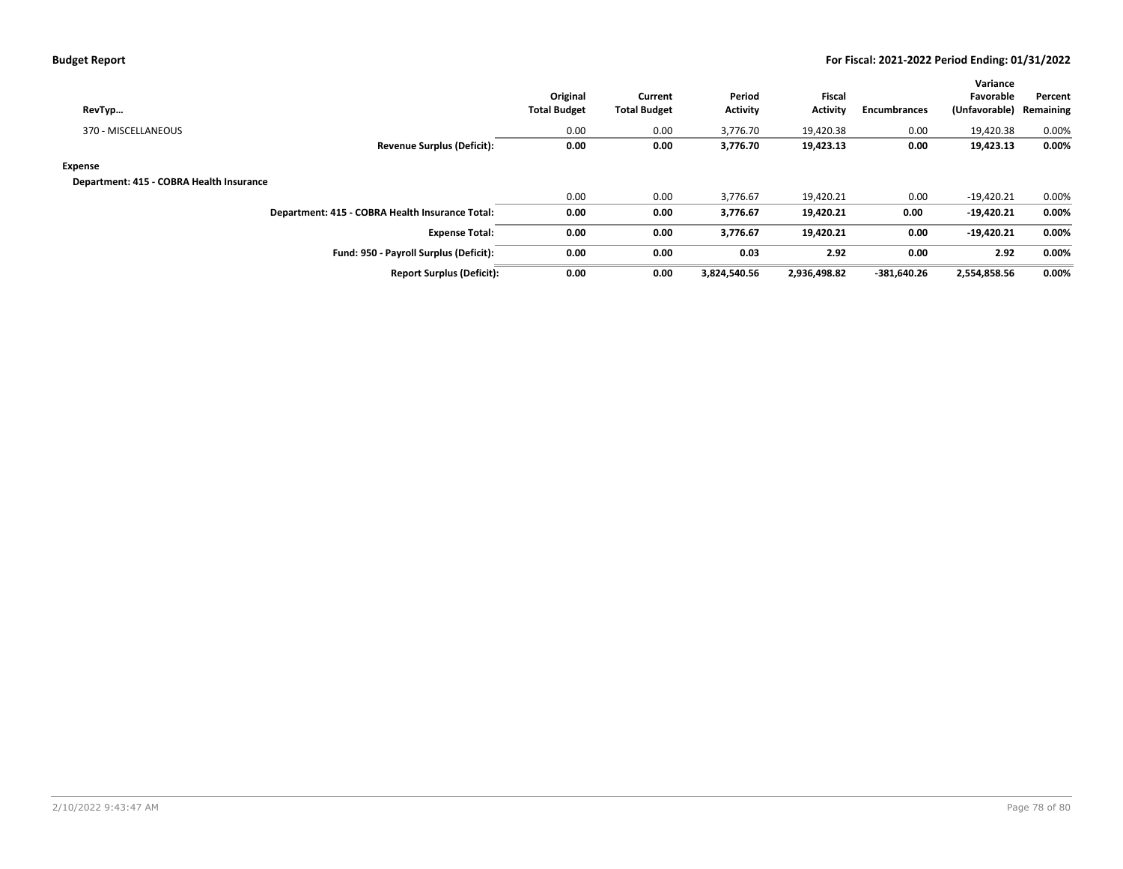| RevTyp                                          | Original<br><b>Total Budget</b> | Current<br><b>Total Budget</b> | Period<br><b>Activity</b> | Fiscal<br><b>Activity</b> | <b>Encumbrances</b> | Variance<br>Favorable<br>(Unfavorable) | Percent<br>Remaining |
|-------------------------------------------------|---------------------------------|--------------------------------|---------------------------|---------------------------|---------------------|----------------------------------------|----------------------|
| 370 - MISCELLANEOUS                             | 0.00                            | 0.00                           | 3,776.70                  | 19,420.38                 | 0.00                | 19,420.38                              | 0.00%                |
| <b>Revenue Surplus (Deficit):</b>               | 0.00                            | 0.00                           | 3,776.70                  | 19,423.13                 | 0.00                | 19,423.13                              | $0.00\%$             |
| Expense                                         |                                 |                                |                           |                           |                     |                                        |                      |
| Department: 415 - COBRA Health Insurance        |                                 |                                |                           |                           |                     |                                        |                      |
|                                                 | 0.00                            | 0.00                           | 3.776.67                  | 19,420.21                 | 0.00                | $-19,420.21$                           | 0.00%                |
| Department: 415 - COBRA Health Insurance Total: | 0.00                            | 0.00                           | 3,776.67                  | 19,420.21                 | 0.00                | $-19,420.21$                           | 0.00%                |
| <b>Expense Total:</b>                           | 0.00                            | 0.00                           | 3,776.67                  | 19,420.21                 | 0.00                | $-19,420.21$                           | 0.00%                |
| Fund: 950 - Payroll Surplus (Deficit):          | 0.00                            | 0.00                           | 0.03                      | 2.92                      | 0.00                | 2.92                                   | 0.00%                |
| <b>Report Surplus (Deficit):</b>                | 0.00                            | 0.00                           | 3,824,540.56              | 2,936,498.82              | -381.640.26         | 2,554,858.56                           | 0.00%                |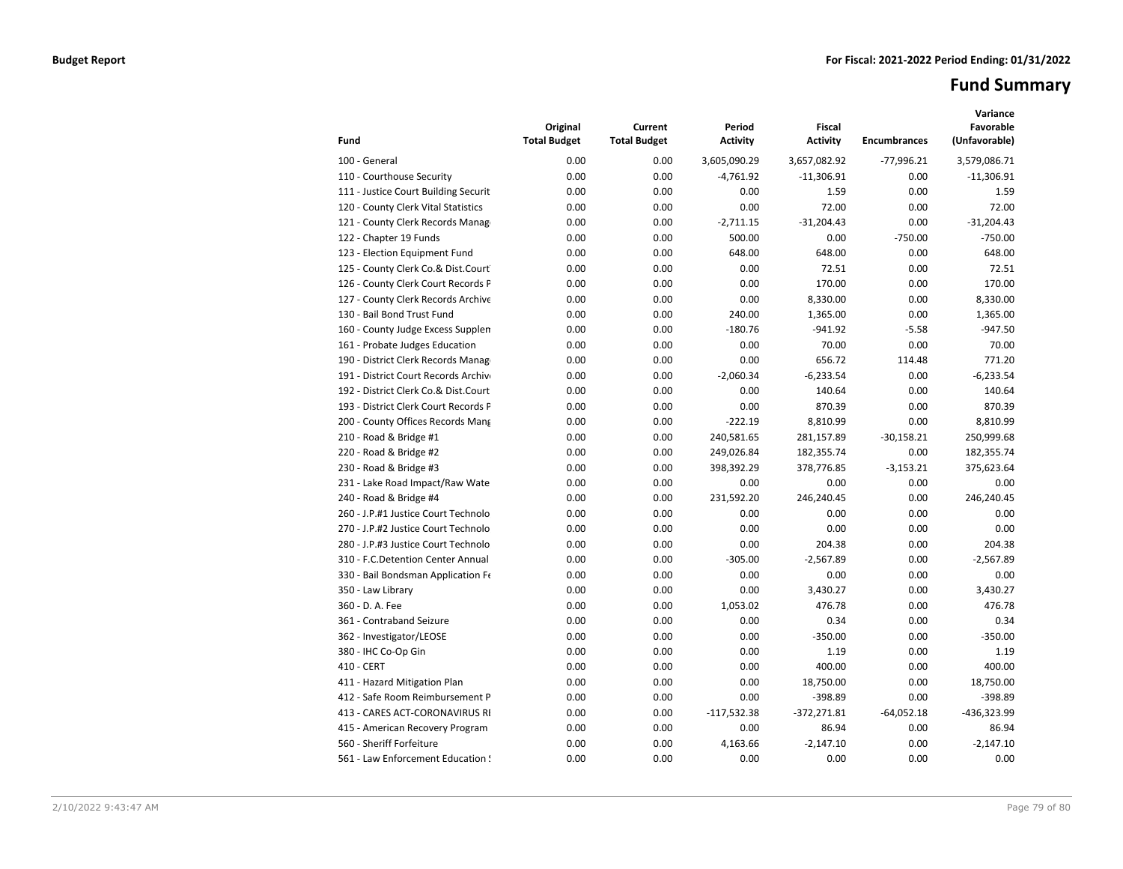# **Fund Summary**

| Fund                                 | Original<br><b>Total Budget</b> | Current<br><b>Total Budget</b> | Period<br><b>Activity</b> | <b>Fiscal</b><br><b>Activity</b> | <b>Encumbrances</b> | Variance<br>Favorable<br>(Unfavorable) |
|--------------------------------------|---------------------------------|--------------------------------|---------------------------|----------------------------------|---------------------|----------------------------------------|
| 100 - General                        | 0.00                            | 0.00                           | 3,605,090.29              | 3,657,082.92                     | $-77,996.21$        | 3,579,086.71                           |
| 110 - Courthouse Security            | 0.00                            | 0.00                           | $-4,761.92$               | $-11,306.91$                     | 0.00                | $-11,306.91$                           |
| 111 - Justice Court Building Securit | 0.00                            | 0.00                           | 0.00                      | 1.59                             | 0.00                | 1.59                                   |
| 120 - County Clerk Vital Statistics  | 0.00                            | 0.00                           | 0.00                      | 72.00                            | 0.00                | 72.00                                  |
| 121 - County Clerk Records Manag     | 0.00                            | 0.00                           | $-2,711.15$               | $-31,204.43$                     | 0.00                | $-31,204.43$                           |
| 122 - Chapter 19 Funds               | 0.00                            | 0.00                           | 500.00                    | 0.00                             | $-750.00$           | $-750.00$                              |
| 123 - Election Equipment Fund        | 0.00                            | 0.00                           | 648.00                    | 648.00                           | 0.00                | 648.00                                 |
| 125 - County Clerk Co.& Dist.Court   | 0.00                            | 0.00                           | 0.00                      | 72.51                            | 0.00                | 72.51                                  |
| 126 - County Clerk Court Records P   | 0.00                            | 0.00                           | 0.00                      | 170.00                           | 0.00                | 170.00                                 |
| 127 - County Clerk Records Archive   | 0.00                            | 0.00                           | 0.00                      | 8,330.00                         | 0.00                | 8.330.00                               |
| 130 - Bail Bond Trust Fund           | 0.00                            | 0.00                           | 240.00                    | 1,365.00                         | 0.00                | 1,365.00                               |
| 160 - County Judge Excess Supplen    | 0.00                            | 0.00                           | $-180.76$                 | $-941.92$                        | $-5.58$             | $-947.50$                              |
| 161 - Probate Judges Education       | 0.00                            | 0.00                           | 0.00                      | 70.00                            | 0.00                | 70.00                                  |
| 190 - District Clerk Records Manag   | 0.00                            | 0.00                           | 0.00                      | 656.72                           | 114.48              | 771.20                                 |
| 191 - District Court Records Archive | 0.00                            | 0.00                           | $-2,060.34$               | $-6,233.54$                      | 0.00                | $-6,233.54$                            |
| 192 - District Clerk Co.& Dist.Court | 0.00                            | 0.00                           | 0.00                      | 140.64                           | 0.00                | 140.64                                 |
| 193 - District Clerk Court Records P | 0.00                            | 0.00                           | 0.00                      | 870.39                           | 0.00                | 870.39                                 |
| 200 - County Offices Records Mang    | 0.00                            | 0.00                           | $-222.19$                 | 8,810.99                         | 0.00                | 8,810.99                               |
| 210 - Road & Bridge #1               | 0.00                            | 0.00                           | 240,581.65                | 281,157.89                       | $-30,158.21$        | 250,999.68                             |
| 220 - Road & Bridge #2               | 0.00                            | 0.00                           | 249,026.84                | 182,355.74                       | 0.00                | 182,355.74                             |
| 230 - Road & Bridge #3               | 0.00                            | 0.00                           | 398,392.29                | 378,776.85                       | $-3,153.21$         | 375,623.64                             |
| 231 - Lake Road Impact/Raw Wate      | 0.00                            | 0.00                           | 0.00                      | 0.00                             | 0.00                | 0.00                                   |
| 240 - Road & Bridge #4               | 0.00                            | 0.00                           | 231,592.20                | 246,240.45                       | 0.00                | 246,240.45                             |
| 260 - J.P.#1 Justice Court Technolo  | 0.00                            | 0.00                           | 0.00                      | 0.00                             | 0.00                | 0.00                                   |
| 270 - J.P.#2 Justice Court Technolo  | 0.00                            | 0.00                           | 0.00                      | 0.00                             | 0.00                | 0.00                                   |
| 280 - J.P.#3 Justice Court Technolo  | 0.00                            | 0.00                           | 0.00                      | 204.38                           | 0.00                | 204.38                                 |
| 310 - F.C.Detention Center Annual    | 0.00                            | 0.00                           | $-305.00$                 | $-2,567.89$                      | 0.00                | $-2,567.89$                            |
| 330 - Bail Bondsman Application Fe   | 0.00                            | 0.00                           | 0.00                      | 0.00                             | 0.00                | 0.00                                   |
| 350 - Law Library                    | 0.00                            | 0.00                           | 0.00                      | 3,430.27                         | 0.00                | 3,430.27                               |
| 360 - D. A. Fee                      | 0.00                            | 0.00                           | 1,053.02                  | 476.78                           | 0.00                | 476.78                                 |
| 361 - Contraband Seizure             | 0.00                            | 0.00                           | 0.00                      | 0.34                             | 0.00                | 0.34                                   |
| 362 - Investigator/LEOSE             | 0.00                            | 0.00                           | 0.00                      | $-350.00$                        | 0.00                | $-350.00$                              |
| 380 - IHC Co-Op Gin                  | 0.00                            | 0.00                           | 0.00                      | 1.19                             | 0.00                | 1.19                                   |
| 410 - CERT                           | 0.00                            | 0.00                           | 0.00                      | 400.00                           | 0.00                | 400.00                                 |
| 411 - Hazard Mitigation Plan         | 0.00                            | 0.00                           | 0.00                      | 18,750.00                        | 0.00                | 18.750.00                              |
| 412 - Safe Room Reimbursement P      | 0.00                            | 0.00                           | 0.00                      | $-398.89$                        | 0.00                | $-398.89$                              |
| 413 - CARES ACT-CORONAVIRUS RI       | 0.00                            | 0.00                           | $-117,532.38$             | $-372,271.81$                    | $-64,052.18$        | -436,323.99                            |
| 415 - American Recovery Program      | 0.00                            | 0.00                           | 0.00                      | 86.94                            | 0.00                | 86.94                                  |
| 560 - Sheriff Forfeiture             | 0.00                            | 0.00                           | 4,163.66                  | $-2,147.10$                      | 0.00                | $-2,147.10$                            |
| 561 - Law Enforcement Education !    | 0.00                            | 0.00                           | 0.00                      | 0.00                             | 0.00                | 0.00                                   |